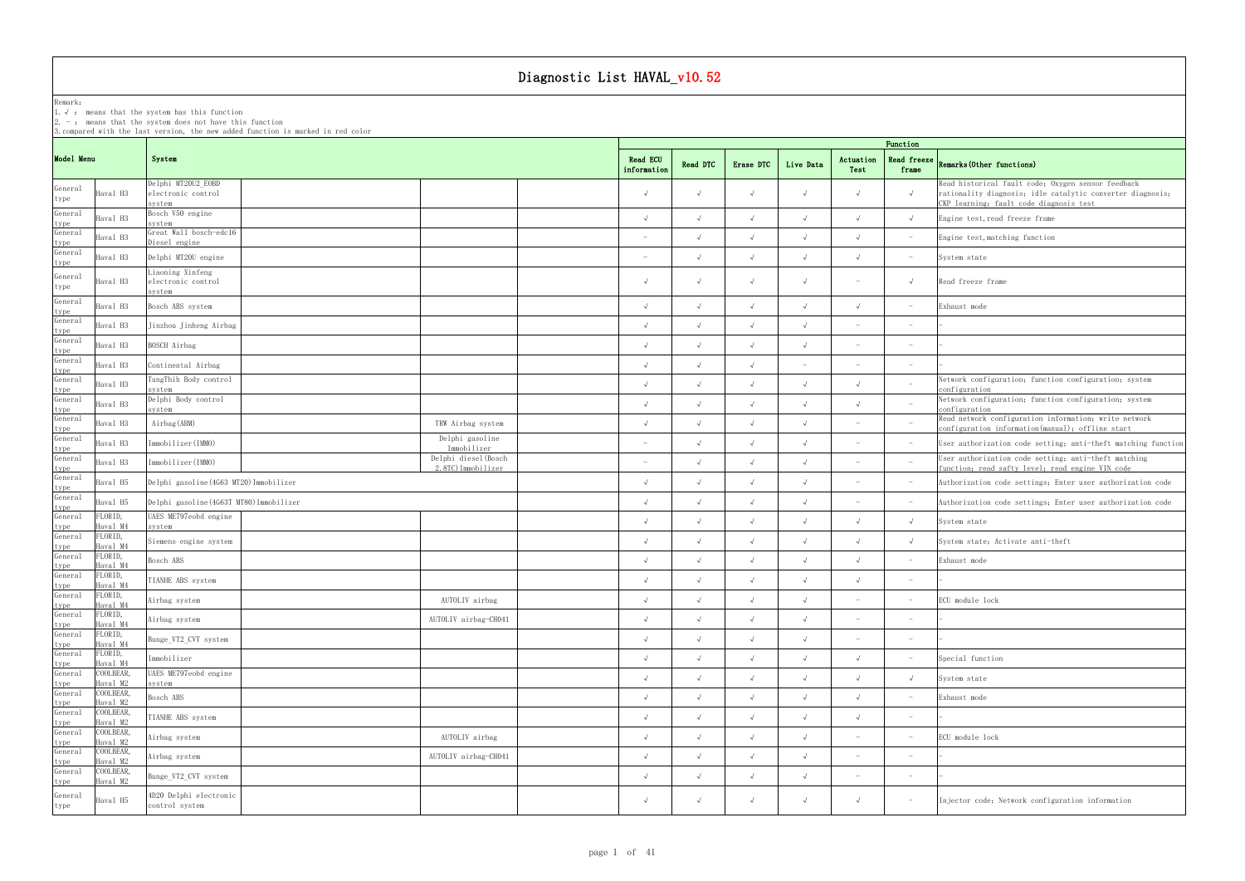Remark: The contract of the contract of  $\mathbb{R}$  and  $\mathbb{R}$  are contract of  $\mathbb{R}$  and  $\mathbb{R}$  are contract of  $\mathbb{R}$  and  $\mathbb{R}$  are contract of  $\mathbb{R}$  and  $\mathbb{R}$  are contract of  $\mathbb{R}$  and  $\mathbb{R}$  are cont

1.√ : means that the systemhas this function

2. - : means that the system does not have this function

3.compared with the last version, the new added function is marked in red color

### Read freeze  $\vert_{n}$  (0.1 c  $\cdots$  ) frame Remarks(Other functions)

|                         |                       |                                                    |                                            | Function                 |            |            |            |                                 |                                 |                                                                                                                                                             |  |  |
|-------------------------|-----------------------|----------------------------------------------------|--------------------------------------------|--------------------------|------------|------------|------------|---------------------------------|---------------------------------|-------------------------------------------------------------------------------------------------------------------------------------------------------------|--|--|
| Model Menu              |                       | System                                             |                                            | Read ECU<br>information  | Read DTC   | Erase DTC  | Live Data  | Actuation<br>Test               | <b>Read freeze</b><br>frame     | Remarks (Other functions)                                                                                                                                   |  |  |
| General<br>type         | Haval H3              | Delphi MT20U2_EOBD<br>electronic control<br>system |                                            | $\sqrt{ }$               | $\sqrt{ }$ |            | $\sqrt{ }$ | $\sqrt{ }$                      | $\sqrt{ }$                      | Read historical fault code; Oxygen sensor feedback<br>rationality diagnosis; idle catalytic converter diagnosis;<br>CKP learning; fault code diagnosis test |  |  |
| General                 | Haval H3              | Bosch V50 engine<br>system                         |                                            | $\sqrt{ }$               | $\sqrt{ }$ | $\sqrt{}$  | $\sqrt{ }$ | $\sqrt{ }$                      | $\sqrt{ }$                      | Engine test, read freeze frame                                                                                                                              |  |  |
| type<br>General<br>type | Haval H3              | Great Wall bosch-edc16<br>Diesel engine            |                                            |                          | $\sqrt{ }$ | $\sqrt{ }$ | $\sqrt{ }$ | $\sqrt{ }$                      | $\hspace{0.1mm}-\hspace{0.1mm}$ | Engine test, matching function                                                                                                                              |  |  |
| General<br>type         | Haval H3              | Delphi MT20U engine                                |                                            | $\overline{\phantom{0}}$ | $\sqrt{ }$ | $\sqrt{ }$ | $\sqrt{ }$ | $\sqrt{ }$                      | $\hspace{0.1mm}-\hspace{0.1mm}$ | System state                                                                                                                                                |  |  |
| General<br>type         | Haval H3              | Liaoning Xinfeng<br>electronic control<br>system   |                                            | $\sqrt{ }$               | $\sqrt{ }$ |            | $\sqrt{ }$ | $\hspace{0.1mm}-\hspace{0.1mm}$ | $\sqrt{ }$                      | Read freeze frame                                                                                                                                           |  |  |
| General                 | Haval H3              | Bosch ABS system                                   |                                            | $\sqrt{ }$               | $\sqrt{ }$ | $\sqrt{ }$ | $\sqrt{ }$ | $\sqrt{ }$                      | $\hspace{0.1mm}-\hspace{0.1mm}$ | Exhaust mode                                                                                                                                                |  |  |
| type<br>General         | Haval H3              | Jinzhou Jinheng Airbag                             |                                            | $\sqrt{ }$               | $\sqrt{ }$ | $\sqrt{ }$ | $\sqrt{ }$ | $\overline{\phantom{a}}$        | $\overline{\phantom{a}}$        |                                                                                                                                                             |  |  |
| type<br>General         | Haval H3              | BOSCH Airbag                                       |                                            | $\sqrt{ }$               | $\sqrt{ }$ | $\sqrt{ }$ | $\sqrt{ }$ | $\sim$                          | $\overline{\phantom{a}}$        |                                                                                                                                                             |  |  |
| type<br>General         | Haval H3              | Continental Airbag                                 |                                            |                          |            |            |            |                                 | $\overline{\phantom{a}}$        |                                                                                                                                                             |  |  |
| type<br>General         | Haval H3              | TungThih Body control<br>system                    |                                            | $\sqrt{ }$               | $\sqrt{ }$ | $\sqrt{ }$ | $\sqrt{ }$ | $\sqrt{ }$                      | $\overline{\phantom{a}}$        | Network configuration; function configuration; system<br>configuration                                                                                      |  |  |
| type<br>General         | Haval H3              | Delphi Body control<br>system                      |                                            |                          | $\sqrt{ }$ | $\sqrt{ }$ |            | $\sqrt{ }$                      | $\overline{\phantom{a}}$        | Network configuration; function configuration; system<br>configuration                                                                                      |  |  |
| type<br>General         | Haval H3              | Airbag (ABM)                                       | TRW Airbag system                          | $\sqrt{ }$               | $\sqrt{ }$ | $\sqrt{ }$ | $\sqrt{ }$ | $\hspace{0.1mm}-\hspace{0.1mm}$ | $\hspace{0.1mm}-\hspace{0.1mm}$ | Read network configuration information; write network<br>configuration information(manual); offline start                                                   |  |  |
| type<br>General         | Haval H3              | Immobilizer(IMMO)                                  | Delphi gasoline<br>Immobilizer             |                          | $\sqrt{ }$ | $\sqrt{ }$ | $\sqrt{ }$ | $\overline{\phantom{a}}$        | $\hspace{0.1mm}-\hspace{0.1mm}$ | User authorization code setting; anti-theft matching function                                                                                               |  |  |
| type<br>General         | Haval H3              | Immobilizer(IMMO)                                  | Delphi diesel (Bosch<br>2.8TC) Immobilizer |                          | $\sqrt{ }$ |            | $\sqrt{ }$ | $\sim$                          | $\hspace{0.1mm}-\hspace{0.1mm}$ | User authorization code setting; anti-theft matching<br>function; read safty level; read engine VIN code                                                    |  |  |
| type<br>General         | Haval H5              | Delphi gasoline (4G63 MT20) Immobilizer            |                                            | $\sqrt{ }$               | $\sqrt{ }$ | $\sqrt{ }$ | $\sqrt{ }$ |                                 | $\hspace{0.1mm}-\hspace{0.1mm}$ | Authorization code settings; Enter user authorization code                                                                                                  |  |  |
| type<br>General         | Haval H5              | Delphi gasoline (4G63T MT80) Immobilizer           |                                            | $\lambda$                | $\sqrt{ }$ | $\sqrt{ }$ | $\sqrt{ }$ | $\sim$                          | $\hspace{0.1mm}-\hspace{0.1mm}$ | Authorization code settings; Enter user authorization code                                                                                                  |  |  |
| type<br>General         | FLORID,<br>Haval M4   | UAES ME797eobd engine<br>system                    |                                            | $\sqrt{ }$               | $\sqrt{ }$ | $\sqrt{ }$ | $\sqrt{ }$ | $\sqrt{ }$                      | $\sqrt{ }$                      | System state                                                                                                                                                |  |  |
| type<br>General         | FLORID,<br>Haval M4   | Siemens engine system                              |                                            |                          | $\sqrt{ }$ | $\sqrt{ }$ | $\sqrt{ }$ | $\sqrt{ }$                      | $\sqrt{ }$                      | System state; Activate anti-theft                                                                                                                           |  |  |
| type<br>General         | FLORID,<br>Haval M4   | Bosch ABS                                          |                                            | $\sqrt{ }$               | $\sqrt{ }$ | $\sqrt{ }$ | $\sqrt{ }$ | $\sqrt{ }$                      | $\hspace{0.1mm}-\hspace{0.1mm}$ | Exhaust mode                                                                                                                                                |  |  |
| type<br>General         | FLORID,<br>Haval M4   | TIANHE ABS system                                  |                                            |                          | $\sqrt{ }$ | $\sqrt{ }$ | $\sqrt{ }$ | $\sqrt{ }$                      | $\overline{\phantom{a}}$        |                                                                                                                                                             |  |  |
| type<br>General<br>type | FLORID,<br>Haval M4   | Airbag system                                      | AUTOLIV airbag                             | $\sqrt{ }$               |            |            |            | $\overline{\phantom{m}}$        | $\overline{\phantom{a}}$        | ECU module lock                                                                                                                                             |  |  |
| $\verb General $        | FLORID,<br>Haval M4   | Airbag system                                      | AUTOLIV airbag-CH041                       |                          | $\sqrt{ }$ |            | $\sqrt{ }$ | $\overline{\phantom{a}}$        | $\overline{\phantom{a}}$        |                                                                                                                                                             |  |  |
| type<br>General         | FLORID,<br>Haval M4   | Bunge_VT2_CVT system                               |                                            | $\sqrt{ }$               | $\sqrt{ }$ | $\sqrt{ }$ | $\sqrt{ }$ | $\sim$                          | $\hspace{0.1mm}-\hspace{0.1mm}$ |                                                                                                                                                             |  |  |
| type<br>General         | FLORID,<br>Haval M4   | Immobilizer                                        |                                            | $\sqrt{ }$               | $\sqrt{ }$ | $\sqrt{ }$ | $\sqrt{ }$ | $\sqrt{ }$                      | $\hspace{0.1mm}-\hspace{0.1mm}$ | Special function                                                                                                                                            |  |  |
| type<br>General         | COOLBEAR,<br>Haval M2 | UAES ME797eobd engine                              |                                            | $\sqrt{ }$               | $\sqrt{ }$ | $\sqrt{ }$ | $\sqrt{ }$ | $\sqrt{ }$                      | $\sqrt{ }$                      | System state                                                                                                                                                |  |  |
| type<br>General         | COOLBEAR,             | system<br>Bosch ABS                                |                                            |                          | $\sqrt{ }$ | $\sqrt{ }$ | $\sqrt{ }$ | $\sqrt{ }$                      | $\hspace{0.1mm}-\hspace{0.1mm}$ | Exhaust mode                                                                                                                                                |  |  |
| type<br>General         | Haval M2<br>COOLBEAR, | TIANHE ABS system                                  |                                            | $\sqrt{ }$               | $\sqrt{ }$ | $\sqrt{ }$ | $\sqrt{ }$ | $\sqrt{ }$                      | $\hspace{0.1mm}-\hspace{0.1mm}$ |                                                                                                                                                             |  |  |
| type<br>General         | Haval M2<br>COOLBEAR, | Airbag system                                      | AUTOLIV airbag                             | $\sqrt{ }$               | $\sqrt{ }$ | $\sqrt{ }$ | $\sqrt{ }$ | $\hspace{0.1mm}-\hspace{0.1mm}$ | $\hspace{0.1mm}-\hspace{0.1mm}$ | ECU module lock                                                                                                                                             |  |  |
| type<br>General         | Haval M2<br>COOLBEAR, | Airbag system                                      | AUTOLIV airbag-CH041                       | $\sqrt{ }$               | $\sqrt{ }$ | $\sqrt{ }$ | $\sqrt{ }$ | $\sim$                          | $\hspace{0.1mm}-\hspace{0.1mm}$ |                                                                                                                                                             |  |  |
| type<br>General         | Haval M2<br>COOLBEAR, | Bunge_VT2_CVT system                               |                                            | $\sqrt{ }$               | $\sqrt{ }$ | $\sqrt{ }$ | $\sqrt{ }$ | $\hspace{0.1mm}-\hspace{0.1mm}$ | $\hspace{0.1mm}-\hspace{0.1mm}$ |                                                                                                                                                             |  |  |
| type<br>General<br>type | Haval M2<br>Haval H5  | 4D20 Delphi electronic<br>control system           |                                            | $\sqrt{ }$               | $\sqrt{ }$ | $\sqrt{ }$ | $\sqrt{ }$ |                                 | $\hspace{0.1mm}-\hspace{0.1mm}$ | Injector code; Network configuration information                                                                                                            |  |  |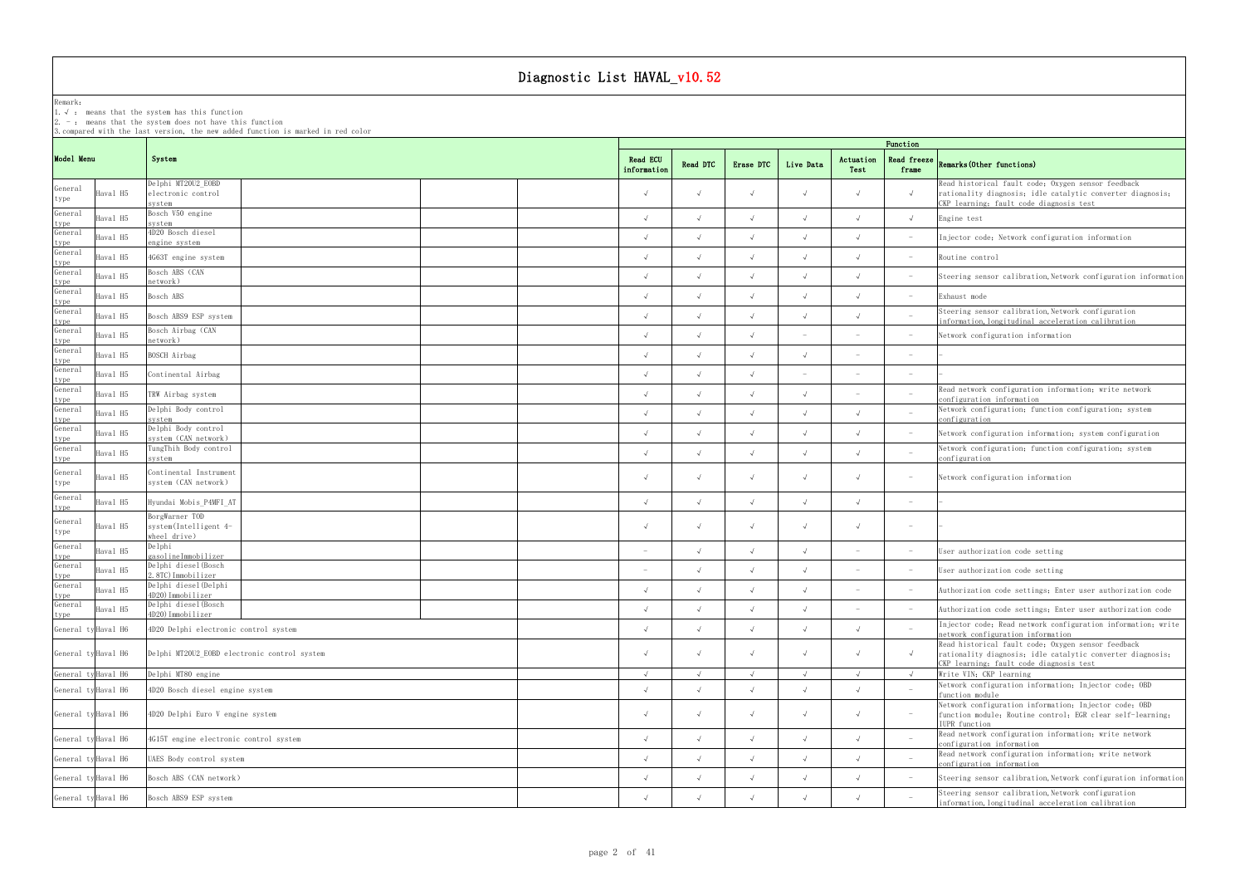Remark:

1.√ : means that the systemhas this function

 $2. -:$  means that the system does not have this function

3.compared with the last version, the new added function is marked in red color

## frame Remarks(Other functions)

|                             |                                                    |                         |          |           |           |                   | Function                        |                                                                                                                                                             |
|-----------------------------|----------------------------------------------------|-------------------------|----------|-----------|-----------|-------------------|---------------------------------|-------------------------------------------------------------------------------------------------------------------------------------------------------------|
| Model Menu                  | System                                             | Read ECU<br>information | Read DTC | Erase DTC | Live Data | Actuation<br>Test | Read freeze<br>frame            | <b>Remarks (Other functions)</b>                                                                                                                            |
| General<br>Haval H5<br>type | Delphi MT20U2_EOBD<br>electronic control<br>system |                         |          |           |           |                   | $\sqrt{ }$                      | Read historical fault code; Oxygen sensor feedback<br>rationality diagnosis; idle catalytic converter diagnosis;<br>CKP learning; fault code diagnosis test |
| General<br>Haval H5<br>type | Bosch V50 engine<br>system                         |                         |          |           |           |                   | $\sim$                          | Engine test                                                                                                                                                 |
| General<br>Haval H5<br>type | 4D20 Bosch diesel<br>engine system                 |                         |          |           |           |                   |                                 | Injector code; Network configuration information                                                                                                            |
| General<br>Haval H5<br>type | 4G63T engine system                                |                         |          |           |           |                   |                                 | Routine control                                                                                                                                             |
| General<br>Haval H5<br>type | Bosch ABS (CAN<br>network)                         |                         |          |           |           |                   |                                 | Steering sensor calibration, Network configuration information                                                                                              |
| General<br>Haval H5         | Bosch ABS                                          |                         |          |           |           |                   |                                 | Exhaust mode                                                                                                                                                |
| type<br>General<br>Haval H5 | Bosch ABS9 ESP system                              |                         |          |           |           |                   |                                 | Steering sensor calibration, Network configuration<br>information, longitudinal acceleration calibration                                                    |
| type<br>General<br>Haval H5 | Bosch Airbag (CAN<br>network)                      |                         |          |           |           |                   | $\overline{\phantom{a}}$        | Network configuration information                                                                                                                           |
| type<br>General<br>Haval H5 | BOSCH Airbag                                       |                         |          |           |           |                   | $\overline{\phantom{0}}$        |                                                                                                                                                             |
| type<br>General<br>Haval H5 | Continental Airbag                                 |                         |          |           |           |                   |                                 |                                                                                                                                                             |
| type<br>General<br>Haval H5 | TRW Airbag system                                  |                         |          |           |           |                   |                                 | Read network configuration information; write network                                                                                                       |
| type<br>General<br>Haval H5 | Delphi Body control                                |                         |          |           |           |                   |                                 | configuration information<br>Network configuration; function configuration; system                                                                          |
| type<br>General<br>Haval H5 | svstem<br>Delphi Body control                      |                         |          |           |           |                   |                                 | configuration<br>Network configuration information, system configuration                                                                                    |
| type<br>General<br>Haval H5 | system (CAN network)<br>TungThih Body control      |                         |          |           |           |                   |                                 | Network configuration; function configuration; system                                                                                                       |
| ype<br>General              | system<br>Continental Instrument                   |                         |          |           |           |                   |                                 | onfiguration                                                                                                                                                |
| Haval H5<br>type            | system (CAN network)                               |                         |          |           |           |                   |                                 | Network configuration information                                                                                                                           |
| General<br>Haval H5<br>type | Hyundai Mobis_P4MFI_AT                             |                         |          |           |           |                   |                                 |                                                                                                                                                             |
| General<br>Haval H5         | BorgWarner TOD<br>system(Intelligent 4-            |                         |          |           |           |                   | $\overline{\phantom{0}}$        |                                                                                                                                                             |
| type<br>General             | wheel drive)<br>Delphi                             |                         |          |           |           |                   |                                 |                                                                                                                                                             |
| Haval H5<br>type<br>General | gasolineImmobilizer<br>Delphi diesel (Bosch        |                         |          |           |           |                   |                                 | User authorization code setting                                                                                                                             |
| Haval H5<br>type            | 2.8TC)Immobilizer<br>Delphi diesel (Delphi         |                         |          |           |           |                   |                                 | User authorization code setting                                                                                                                             |
| General<br>Haval H5<br>type | 4D20)Immobilizer<br>Delphi diesel (Bosch           |                         |          |           |           |                   |                                 | Authorization code settings; Enter user authorization code                                                                                                  |
| General<br>Haval H5<br>type | 4D20) Immobilizer                                  | $\sqrt{ }$              |          |           |           |                   |                                 | Authorization code settings; Enter user authorization code                                                                                                  |
| General ty Haval H6         | 4D20 Delphi electronic control system              |                         |          |           |           |                   |                                 | Injector code; Read network configuration information; write<br>network configuration information                                                           |
| General ty Haval H6         | Delphi MT20U2_EOBD electronic control system       |                         |          |           |           |                   |                                 | Read historical fault code; Oxygen sensor feedback<br>rationality diagnosis; idle catalytic converter diagnosis;                                            |
| General ty Haval H6         | Delphi MT80 engine                                 |                         |          |           |           |                   |                                 | CKP learning; fault code diagnosis test<br>Write VIN; CKP learning                                                                                          |
| General ty Haval H6         | 4D20 Bosch diesel engine system                    |                         |          |           |           |                   |                                 | Network configuration information; Injector code; OBD<br>function module                                                                                    |
| General ty Haval H6         | 4D20 Delphi Euro V engine system                   |                         |          |           |           |                   | $\hspace{0.1mm}-\hspace{0.1mm}$ | Network configuration information; Injector code; OBD<br>function module; Routine control; EGR clear self-learning;<br>IUPR function                        |
| General ty Haval H6         | 4G15T engine electronic control system             |                         |          |           |           |                   |                                 | Read network configuration information; write network<br>configuration information                                                                          |
| General ty Haval H6         | UAES Body control system                           |                         |          |           |           |                   |                                 | Read network configuration information; write network<br>configuration information                                                                          |
| General ty Haval H6         | Bosch ABS (CAN network)                            |                         |          |           |           |                   |                                 | Steering sensor calibration, Network configuration information                                                                                              |
| General ty Haval H6         | Bosch ABS9 ESP system                              |                         |          |           |           |                   |                                 | Steering sensor calibration, Network configuration                                                                                                          |
|                             |                                                    |                         |          |           |           |                   |                                 | information, longitudinal acceleration calibration                                                                                                          |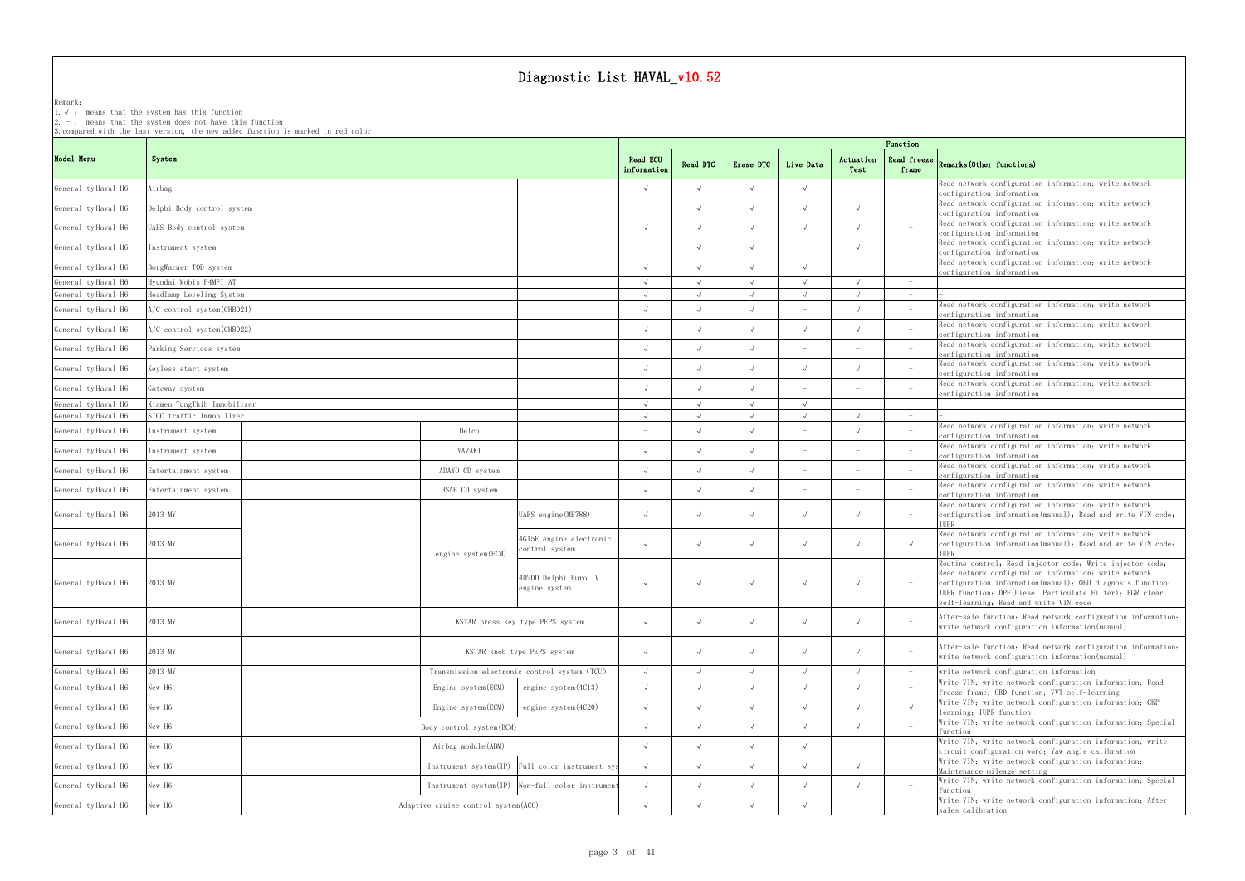Remark: The contract of the contract of  $\mathbb{R}$  and  $\mathbb{R}$  are contract of  $\mathbb{R}$  and  $\mathbb{R}$  are contract of  $\mathbb{R}$  and  $\mathbb{R}$  are contract of  $\mathbb{R}$  and  $\mathbb{R}$  are contract of  $\mathbb{R}$  and  $\mathbb{R}$  are cont

1.√ : means that the systemhas this function

2. - : means that the system does not have this function

3.compared with the last version, the new added function is marked in red color

|                     |                     |                               |                                      |                                                 |                         |               |           |                          |                   | Function                        |                                                                                                                                     |
|---------------------|---------------------|-------------------------------|--------------------------------------|-------------------------------------------------|-------------------------|---------------|-----------|--------------------------|-------------------|---------------------------------|-------------------------------------------------------------------------------------------------------------------------------------|
| Model Menu          |                     | System                        |                                      |                                                 | Read ECU<br>information | Read DTC      | Erase DTC | Live Data                | Actuation<br>Test | Read freeze<br>frame            | Remarks (Other functions)                                                                                                           |
| General ty Haval H6 |                     | Airbag                        |                                      |                                                 |                         |               |           |                          |                   |                                 | Read network configuration information, write network<br>configuration information                                                  |
| General ty Haval H6 |                     | Delphi Body control system    |                                      |                                                 |                         |               |           |                          |                   | $\overline{a}$                  | Read network configuration information; write network<br>configuration information                                                  |
| General ty Haval H6 |                     | UAES Body control system      |                                      |                                                 |                         |               |           |                          |                   |                                 | Read network configuration information; write network                                                                               |
| General ty Haval H6 |                     | Instrument system             |                                      |                                                 |                         |               |           |                          |                   |                                 | configuration information<br>Read network configuration information: write network<br>configuration information                     |
| General ty Haval H6 |                     | BorgWarner TOD system         |                                      |                                                 |                         |               |           |                          |                   |                                 | Read network configuration information; write network<br>configuration information                                                  |
| General ty Haval H6 |                     | Hyundai Mobis P4MFI AT        |                                      |                                                 |                         | $\sqrt{ }$    |           | $\sqrt{ }$               | $\sqrt{ }$        | $\hspace{0.1mm}-\hspace{0.1mm}$ |                                                                                                                                     |
|                     | General ty Haval H6 | Headlamp Leveling System      |                                      |                                                 |                         | $\sqrt{ }$    |           | $\sqrt{ }$               |                   | $\overline{\phantom{a}}$        |                                                                                                                                     |
|                     | General ty Haval H6 | $A/C$ control system (CHB021) |                                      |                                                 |                         |               |           |                          |                   | $\overline{\phantom{0}}$        | Read network configuration information, write network<br>configuration information                                                  |
|                     | General ty Haval H6 | A/C control system(CHB022)    |                                      |                                                 |                         |               |           |                          |                   |                                 | Read network configuration information; write network<br>configuration information                                                  |
|                     | General ty Haval H6 | Parking Services system       |                                      |                                                 |                         |               |           | $\overline{\phantom{0}}$ |                   | $\overline{\phantom{a}}$        | Read network configuration information; write network<br>configuration information                                                  |
|                     | General ty Haval H6 | Keyless start system          |                                      |                                                 |                         |               |           |                          |                   |                                 | Read network configuration information; write network<br>configuration information                                                  |
|                     | General ty Haval H6 | Gateway system                |                                      |                                                 |                         |               |           |                          |                   |                                 | Read network configuration information; write network<br>configuration information                                                  |
|                     | General ty Haval H6 | Xiamen TungThih Immobilizer   |                                      |                                                 |                         | $\sqrt{ }$    |           | $\sqrt{ }$               |                   | $\overline{\phantom{a}}$        |                                                                                                                                     |
|                     | General ty Haval H6 | SICC traffic Immobilizer      |                                      |                                                 |                         | $\mathcal{L}$ |           |                          |                   | $-$                             |                                                                                                                                     |
|                     | General ty Haval H6 | Instrument system             | Delco                                |                                                 |                         |               |           |                          |                   | $\hspace{0.1mm}-\hspace{0.1mm}$ | Read network configuration information; write network<br>configuration information                                                  |
|                     | General ty Haval H6 | Instrument system             | YAZAKI                               |                                                 |                         |               |           |                          |                   |                                 | Read network configuration information; write network<br>configuration information                                                  |
|                     | General ty Haval H6 | Entertainment system          | ADAYO CD system                      |                                                 |                         |               |           |                          |                   |                                 | Read network configuration information; write network<br>configuration information                                                  |
|                     | General ty Haval H6 | Entertainment system          | HSAE CD system                       |                                                 |                         |               |           |                          |                   | $\overline{\phantom{a}}$        | Read network configuration information; write network<br>configuration information                                                  |
|                     | General ty Haval H6 | 2013 MY                       |                                      | UAES engine (ME788)                             |                         |               |           |                          |                   | $\hspace{0.1mm}-\hspace{0.1mm}$ | Read network configuration information; write network<br>configuration information(manual); Read and write VIN code;                |
|                     |                     |                               |                                      |                                                 |                         |               |           |                          |                   |                                 | <b>TUPR</b>                                                                                                                         |
|                     | General ty Haval H6 | 2013 MY                       | engine system(ECM)                   | 4G15E engine electronic<br>ontrol system        |                         | $\sqrt{ }$    |           |                          |                   | $\sqrt{ }$                      | Read network configuration information; write network<br>configuration information(manual); Read and write VIN code;<br><b>TUPR</b> |
|                     |                     |                               |                                      |                                                 |                         |               |           |                          |                   |                                 | Routine control; Read injector code; Write injector code;                                                                           |
|                     |                     |                               |                                      | 4D20D Delphi Euro IV                            |                         |               |           |                          |                   |                                 | Read network configuration information; write network                                                                               |
|                     | General ty Haval H6 | 2013 MY                       |                                      | engine system                                   | $\sqrt{ }$              |               |           |                          |                   | $\hspace{0.1mm}-\hspace{0.1mm}$ | configuration information(manual); OBD diagnosis function;<br>IUPR function; DPF (Diesel Particulate Filter); EGR clear             |
|                     |                     |                               |                                      |                                                 |                         |               |           |                          |                   |                                 | self-learning; Read and write VIN code                                                                                              |
|                     | General ty Haval H6 | 2013 MY                       |                                      | KSTAR press key type PEPS system                | $\sqrt{ }$              | $\sqrt{ }$    |           |                          |                   |                                 | After-sale function; Read network configuration information;<br>write network configuration information (manual)                    |
|                     | General ty Haval H6 | 2013 MY                       |                                      | KSTAR knob type PEPS system                     | $\sqrt{ }$              | $\sqrt{ }$    |           |                          |                   |                                 | After-sale function; Read network configuration information;                                                                        |
|                     |                     |                               |                                      |                                                 |                         |               |           |                          |                   |                                 | write network configuration information (manual)                                                                                    |
|                     | General ty Haval H6 | 2013 MY                       |                                      | Transmission electronic control system (TCU)    | $\sqrt{ }$              |               |           |                          |                   | $-$                             | write network configuration information                                                                                             |
|                     | General ty Haval H6 | New H6                        | Engine system (ECM)                  | engine $system(4C13)$                           | $\sqrt{ }$              | $\sqrt{ }$    |           |                          |                   | $\overline{\phantom{a}}$        | Write VIN; write network configuration information; Read<br>freeze frame; OBD function; VVT self-learning                           |
|                     | General ty Haval H6 | New H6                        | Engine system(ECM)                   | engine system(4C20)                             | $\sqrt{ }$              |               |           |                          |                   |                                 | Write VIN; write network configuration information; CKP<br>learning; IUPR function                                                  |
|                     | General ty Haval H6 | New H6                        | Body control system (BCM)            |                                                 | $\sqrt{ }$              |               |           |                          |                   |                                 | Write VIN; write network configuration information; Special<br>function                                                             |
|                     | General ty Haval H6 | New H6                        | Airbag module (ABM)                  |                                                 |                         |               |           |                          |                   |                                 | Write VIN; write network configuration information; write<br>circuit configuration word; Yaw angle calibration                      |
|                     | General ty Haval H6 | New H6                        |                                      | Instrument system(IP) Full color instrument sys |                         |               |           |                          |                   | $\overline{\phantom{a}}$        | Write VIN; write network configuration information;<br>Maintenance mileage setting                                                  |
|                     | General ty Haval H6 | New H6                        |                                      | Instrument system(IP) Non-full color instrument | $\sqrt{ }$              |               |           |                          |                   | $\overline{\phantom{a}}$        | Write VIN; write network configuration information; Special<br>function                                                             |
|                     | General ty Haval H6 | New H6                        | Adaptive cruise control system (ACC) |                                                 |                         |               |           |                          |                   |                                 | Write VIN; write network configuration information; After-<br>sales calibration                                                     |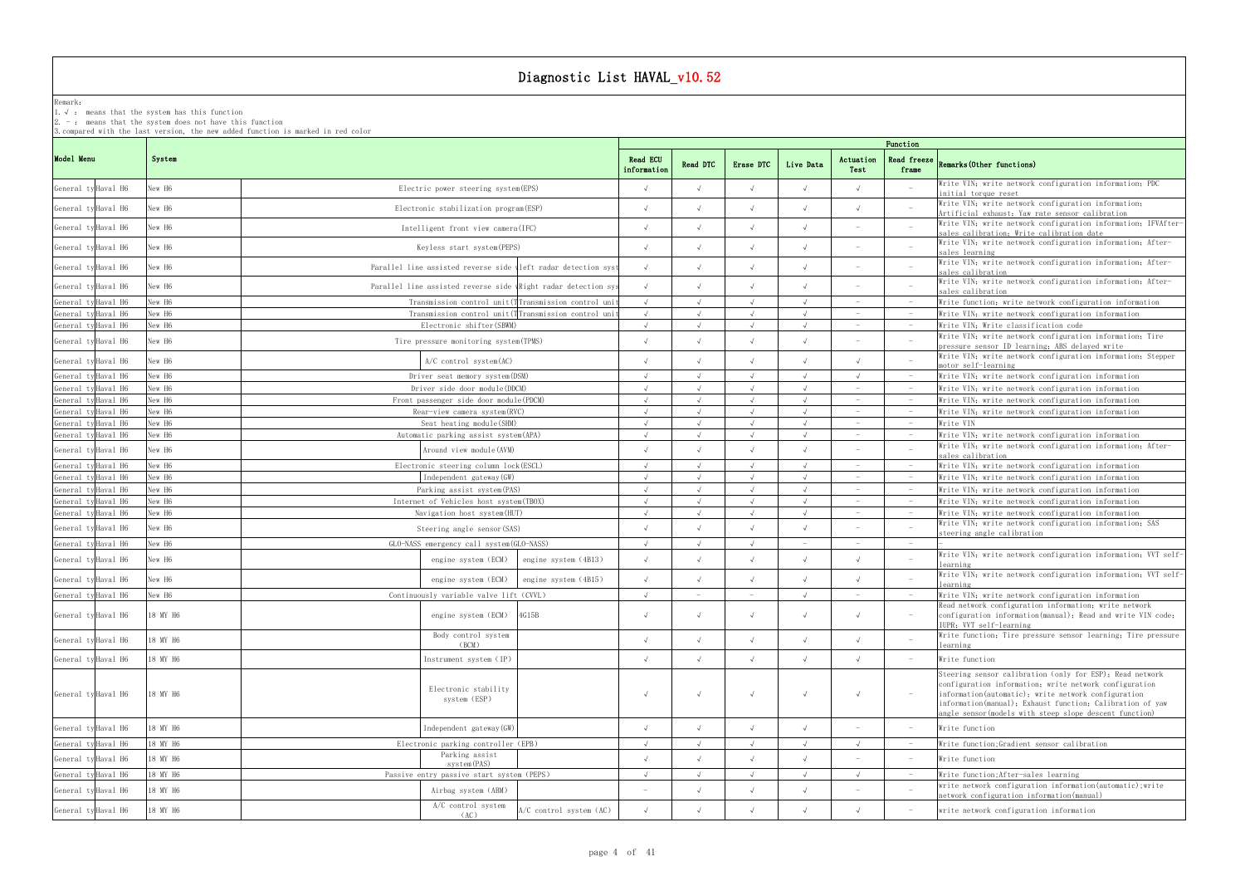## Remark:

1.√ : means that the systemhas this function

2. - : means that the system does not have this function

3.compared with the last version, the new added function is marked in red color

## frame Remarks(Other functions)

|                     |          |                                                                |                         |                          |                                 |                          |                                 | Function                 |                                                                                                                                                                                                                                                                                                   |
|---------------------|----------|----------------------------------------------------------------|-------------------------|--------------------------|---------------------------------|--------------------------|---------------------------------|--------------------------|---------------------------------------------------------------------------------------------------------------------------------------------------------------------------------------------------------------------------------------------------------------------------------------------------|
| Model Menu          | System   |                                                                | Read ECU<br>information | Read DTC                 | Erase DTC                       | Live Data                | Actuation<br>Test               | Read freeze<br>frame     | Remarks (Other functions)                                                                                                                                                                                                                                                                         |
| General ty Haval H6 | New H6   | Electric power steering system (EPS)                           |                         |                          |                                 |                          |                                 |                          | Write VIN; write network configuration information; PDC<br>initial torque reset                                                                                                                                                                                                                   |
| General ty Haval H6 | New H6   | Electronic stabilization program (ESP)                         |                         |                          |                                 |                          |                                 |                          | Write VIN; write network configuration information;<br>Artificial exhaust; Yaw rate sensor calibration                                                                                                                                                                                            |
| General ty Haval H6 | New H6   | Intelligent front view camera (IFC)                            | $\sqrt{ }$              |                          |                                 |                          |                                 |                          | Write VIN; write network configuration information; IFVAfter-<br>sales calibration; Write calibration date                                                                                                                                                                                        |
| General ty Haval H6 | New H6   | Keyless start system (PEPS)                                    |                         |                          |                                 |                          |                                 |                          | Write VIN; write network configuration information; After-<br>sales learning                                                                                                                                                                                                                      |
| General ty Haval H6 | New H6   | Parallel line assisted reverse side vleft radar detection syst |                         |                          |                                 |                          |                                 |                          | Write VIN; write network configuration information; After-<br>sales calibration                                                                                                                                                                                                                   |
| General ty Haval H6 | New H6   | Parallel line assisted reverse side wRight radar detection sys | $\sqrt{ }$              |                          |                                 |                          |                                 |                          | Write VIN; write network configuration information; After-<br>sales calibration                                                                                                                                                                                                                   |
| General ty Haval H6 | New H6   | Transmission control unit (TTransmission control uni-          |                         |                          |                                 |                          |                                 | $\hspace{0.1mm}$         | Write function; write network configuration information                                                                                                                                                                                                                                           |
| General ty Haval H6 | New H6   | Transmission control unit (TTransmission control uni-          |                         | $\sqrt{ }$               |                                 | $\sqrt{ }$               |                                 | $-$                      | Write VIN; write network configuration information                                                                                                                                                                                                                                                |
| General ty Haval H6 | New H6   | Electronic shifter (SBWM)                                      |                         |                          |                                 |                          |                                 | $\overline{\phantom{a}}$ | Write VIN; Write classification code                                                                                                                                                                                                                                                              |
| General ty Haval H6 | New H6   | Tire pressure monitoring system (TPMS)                         |                         |                          |                                 |                          |                                 | $\overline{a}$           | Write VIN; write network configuration information; Tire<br>pressure sensor ID learning; ABS delayed write                                                                                                                                                                                        |
| General ty Haval H6 | New H6   | $A/C$ control system $(AC)$                                    |                         |                          |                                 |                          |                                 |                          | Write VIN; write network configuration information; Stepper<br>motor self-learning                                                                                                                                                                                                                |
| General ty Haval H6 | New H6   | Driver seat memory system (DSM)                                |                         |                          |                                 |                          |                                 |                          | Write VIN; write network configuration information                                                                                                                                                                                                                                                |
| General ty Haval H6 | New H6   | Driver side door module (DDCM)                                 |                         |                          |                                 |                          |                                 |                          | Write VIN; write network configuration information                                                                                                                                                                                                                                                |
| General ty Haval H6 | New H6   | Front passenger side door module (PDCM)                        | $\sqrt{ }$              | $\sqrt{ }$               | $\sqrt{ }$                      | $\sqrt{ }$               | $\sim$                          | $\sim$                   | Write VIN; write network configuration information                                                                                                                                                                                                                                                |
| General ty Haval H6 | New H6   | Rear-view camera system (RVC)                                  |                         |                          |                                 |                          |                                 | $-$                      | Write VIN; write network configuration information                                                                                                                                                                                                                                                |
| General ty Haval H6 | New H6   | Seat heating module (SHM)                                      |                         | $\sqrt{ }$               |                                 | $\sqrt{ }$               |                                 | $-$                      | Write VIN                                                                                                                                                                                                                                                                                         |
| General ty Haval H6 | New H6   | Automatic parking assist system (APA)                          |                         |                          |                                 |                          |                                 | $\hspace{0.1mm}$         | Write VIN; write network configuration information                                                                                                                                                                                                                                                |
| General ty Haval H6 | New H6   | Around view module(AVM)                                        |                         |                          |                                 |                          |                                 |                          | Write VIN; write network configuration information; After-<br>sales calibration                                                                                                                                                                                                                   |
| General ty Haval H6 | New H6   | Electronic steering column lock (ESCL)                         |                         |                          |                                 |                          |                                 | $\hspace{0.1mm}$         | Write VIN; write network configuration information                                                                                                                                                                                                                                                |
| General ty Haval H6 | New H6   | Independent gateway (GW)                                       |                         |                          |                                 |                          |                                 | $\hspace{0.1mm}$         | Write VIN; write network configuration information                                                                                                                                                                                                                                                |
| General ty Haval H6 | New H6   | Parking assist system (PAS)                                    |                         |                          |                                 |                          |                                 | $\hspace{0.1mm}$         | Write VIN; write network configuration information                                                                                                                                                                                                                                                |
| General ty Haval H6 | New H6   | Internet of Vehicles host system (TBOX)                        |                         |                          |                                 |                          |                                 |                          | Write VIN; write network configuration information                                                                                                                                                                                                                                                |
| General ty Haval H6 | New H6   | Navigation host system (HUT)                                   | $\sqrt{ }$              | $\sqrt{ }$               | $\sqrt{ }$                      | $\sqrt{ }$               | $\hspace{0.1mm}-\hspace{0.1mm}$ | $\sim$                   | Write VIN; write network configuration information                                                                                                                                                                                                                                                |
| General ty Haval H6 | New H6   | Steering angle sensor (SAS)                                    |                         |                          |                                 |                          |                                 |                          | Write VIN; write network configuration information; SAS<br>steering angle calibration                                                                                                                                                                                                             |
| General ty Haval H6 | New H6   | GLO-NASS emergency call system (GLO-NASS)                      | $\sqrt{ }$              | $\sqrt{ }$               | $\sqrt{ }$                      | $\overline{\phantom{a}}$ |                                 | $-$                      |                                                                                                                                                                                                                                                                                                   |
| General ty Haval H6 | New H6   | engine system (ECM)<br>engine system (4B13)                    |                         |                          |                                 |                          |                                 |                          | Write VIN; write network configuration information; VVT self-<br>learning                                                                                                                                                                                                                         |
| General ty Haval H6 | New H6   | engine system (ECM)<br>engine system (4B15)                    | $\sqrt{ }$              |                          |                                 |                          |                                 |                          | Write VIN; write network configuration information; VVT self-<br>learning                                                                                                                                                                                                                         |
| General ty Haval H6 | New H6   | Continuously variable valve lift (CVVL)                        | $\sqrt{ }$              | $\overline{\phantom{a}}$ | $\hspace{0.1mm}-\hspace{0.1mm}$ | $\sqrt{ }$               |                                 |                          | Write VIN; write network configuration information                                                                                                                                                                                                                                                |
| General ty Haval H6 | 18 MY H6 | engine system (ECM) 4G15B                                      |                         |                          |                                 |                          |                                 |                          | Read network configuration information: write network<br>configuration information(manual); Read and write VIN code;<br>IUPR: VVT self-learning                                                                                                                                                   |
| General ty Haval H6 | 18 MY H6 | Body control system<br>(BCM)                                   | $\sqrt{ }$              | $\sqrt{ }$               | $\sqrt{ }$                      | $\sqrt{ }$               |                                 | $\overline{\phantom{a}}$ | Write function; Tire pressure sensor learning; Tire pressure<br>learning                                                                                                                                                                                                                          |
| General ty Haval H6 | 18 MY H6 | Instrument system (IP)                                         | $\sqrt{ }$              | $\sqrt{ }$               | $\sqrt{ }$                      | $\sqrt{ }$               | $\sqrt{ }$                      | $\hspace{0.1mm}$         | Write function                                                                                                                                                                                                                                                                                    |
| General ty Haval H6 | 18 MY H6 | Electronic stability<br>system (ESP)                           | $\sqrt{ }$              | $\sqrt{ }$               | $\sqrt{ }$                      | $\sqrt{ }$               | $\sqrt{ }$                      | $-$                      | Steering sensor calibration (only for ESP); Read network<br>configuration information, write network configuration<br>information(automatic); write network configuration<br>information(manual); Exhaust function; Calibration of yaw<br>angle sensor (models with steep slope descent function) |
| General ty Haval H6 | 18 MY H6 | Independent gateway (GW)                                       | $\sqrt{ }$              | $\sqrt{ }$               | $\sqrt{ }$                      |                          |                                 | $-$                      | Write function                                                                                                                                                                                                                                                                                    |
| General ty Haval H6 | 18 MY H6 | Electronic parking controller (EPB)                            | $\sqrt{ }$              | $\sqrt{ }$               | $\sqrt{ }$                      | $\sqrt{ }$               | $\sqrt{ }$                      | $\hspace{0.1cm} -$       | Write function; Gradient sensor calibration                                                                                                                                                                                                                                                       |
| General ty Haval H6 | 18 MY H6 | Parking assist<br>system(PAS)                                  | $\sqrt{ }$              | $\sqrt{ }$               |                                 |                          |                                 | $-$                      | Write function                                                                                                                                                                                                                                                                                    |
| General ty Haval H6 | 18 MY H6 | Passive entry passive start system (PEPS)                      |                         | $\sqrt{ }$               |                                 | $\sqrt{ }$               |                                 | $\hspace{0.1cm} -$       | Write function; After-sales learning                                                                                                                                                                                                                                                              |
| General ty Haval H6 | 18 MY H6 | Airbag system (ABM)                                            |                         |                          |                                 |                          |                                 | $\overline{\phantom{a}}$ | write network configuration information (automatic); write<br>network configuration information (manual)                                                                                                                                                                                          |
| General ty Haval H6 | 18 MY H6 | A/C control system<br>A/C control system (AC)<br>(AC)          | $\sqrt{ }$              | $\sqrt{ }$               | $\sqrt{ }$                      | $\sqrt{ }$               |                                 | $\hspace{0.1mm}$         | write network configuration information                                                                                                                                                                                                                                                           |
|                     |          |                                                                |                         |                          |                                 |                          |                                 |                          |                                                                                                                                                                                                                                                                                                   |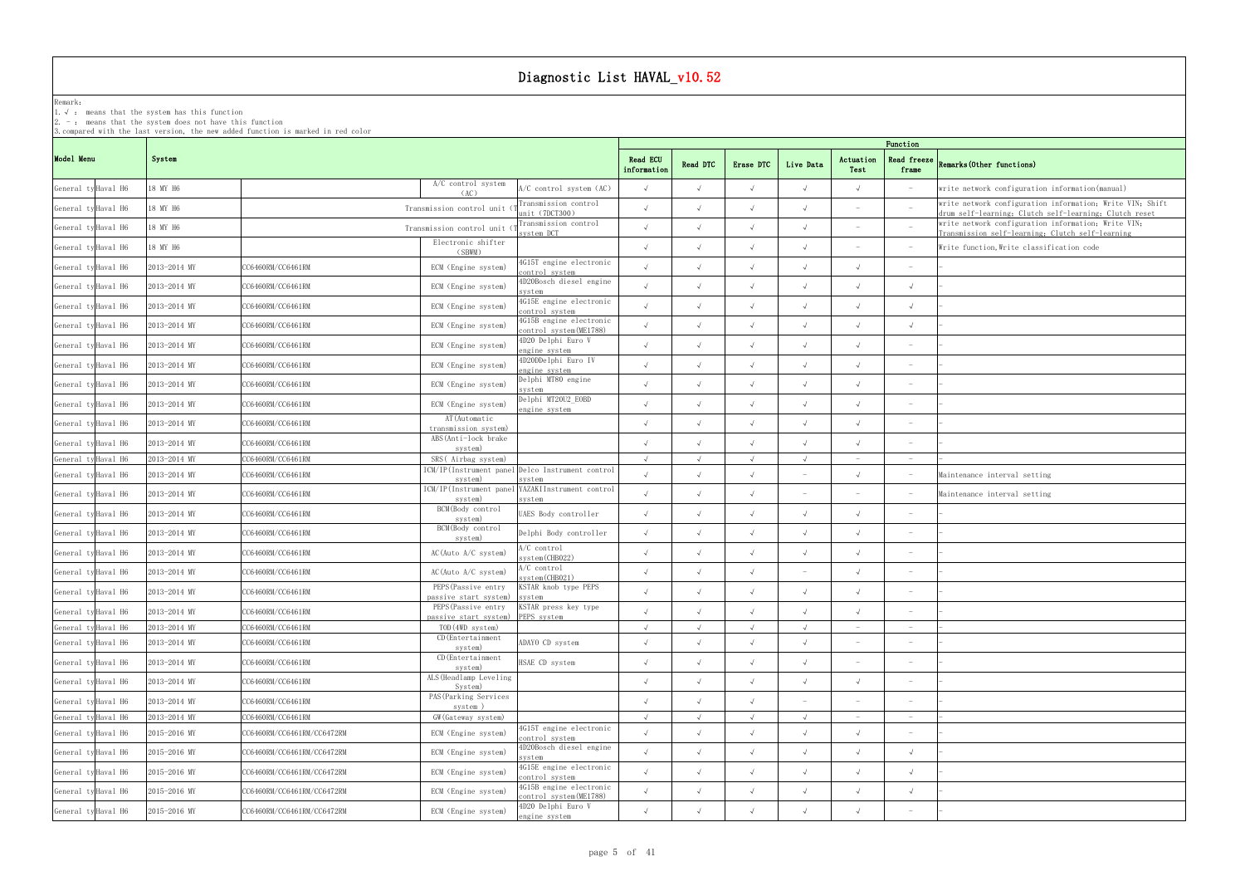### Remark: The contract of the contract of  $\mathbb{R}$  and  $\mathbb{R}$  are contract of  $\mathbb{R}$  and  $\mathbb{R}$  are contract of  $\mathbb{R}$  and  $\mathbb{R}$  are contract of  $\mathbb{R}$  and  $\mathbb{R}$  are contract of  $\mathbb{R}$  and  $\mathbb{R}$  are cont

1.√ : means that the systemhas this function

2. - : means that the system does not have this function

| Function                     |                                                                                                                     |
|------------------------------|---------------------------------------------------------------------------------------------------------------------|
| Read freeze<br>frame         | Remarks (Other functions)                                                                                           |
| $\overline{\phantom{a}}$     | write network configuration information (manual)                                                                    |
| $\qquad \qquad -$            | write network configuration information; Write VIN; Shift<br>drum self-learning; Clutch self-learning; Clutch reset |
| $\overline{\phantom{a}}$     | write network configuration information; Write VIN;<br>Transmission self-learning; Clutch self-learning             |
| $\qquad \qquad -$            | Write function, Write classification code                                                                           |
|                              |                                                                                                                     |
| $\sqrt{ }$                   |                                                                                                                     |
| $\checkmark$                 |                                                                                                                     |
| $\checkmark$                 |                                                                                                                     |
| $\overline{\phantom{a}}$     |                                                                                                                     |
| $\overbrace{\qquad \qquad }$ |                                                                                                                     |
|                              |                                                                                                                     |
| $\overline{a}$               |                                                                                                                     |
| $\overline{\phantom{a}}$     |                                                                                                                     |
| $\overline{a}$               |                                                                                                                     |
| $\overline{\phantom{a}}$     |                                                                                                                     |
| $\overline{\phantom{a}}$     | Maintenance interval setting                                                                                        |
| $\overline{\phantom{a}}$     | Maintenance interval setting                                                                                        |
| $\overline{a}$               |                                                                                                                     |
|                              |                                                                                                                     |
|                              |                                                                                                                     |
|                              |                                                                                                                     |
|                              |                                                                                                                     |
| $\overline{\phantom{0}}$     |                                                                                                                     |
| $\overline{\phantom{0}}$     |                                                                                                                     |
|                              |                                                                                                                     |
|                              |                                                                                                                     |
|                              |                                                                                                                     |
| $\overline{\phantom{0}}$     |                                                                                                                     |
|                              |                                                                                                                     |
| $\sqrt{}$                    |                                                                                                                     |
| $\sqrt{}$                    |                                                                                                                     |
| $\sqrt{}$                    |                                                                                                                     |
|                              |                                                                                                                     |

|                     |              | Function                                                                                                |                         |            |            |                          |                   |                                 |                                                                                                                     |  |
|---------------------|--------------|---------------------------------------------------------------------------------------------------------|-------------------------|------------|------------|--------------------------|-------------------|---------------------------------|---------------------------------------------------------------------------------------------------------------------|--|
| Model Menu          | System       |                                                                                                         | Read ECU<br>information | Read DTC   | Erase DTC  | Live Data                | Actuation<br>Test | Read freeze<br>frame            | Remarks (Other functions)                                                                                           |  |
| General ty Haval H6 | 18 MY H6     | A/C control system<br>A/C control system (AC)<br>(AC)                                                   |                         | $\sqrt{ }$ |            | $\sqrt{ }$               |                   |                                 | write network configuration information (manual)                                                                    |  |
| General ty Haval H6 | 18 MY H6     | ransmission control<br>Transmission control unit<br>unit (7DCT300)                                      |                         |            |            |                          |                   |                                 | write network configuration information; Write VIN; Shift<br>drum self-learning: Clutch self-learning: Clutch reset |  |
| General ty Haval H6 | 18 MY H6     | Transmission control<br>Transmission control unit<br>system DCT                                         |                         |            |            |                          |                   |                                 | write network configuration information; Write VIN;<br>Transmission self-learning; Clutch self-learning             |  |
| General ty Haval H6 | 18 MY H6     | Electronic shifter<br>(SBWM)                                                                            |                         |            |            |                          |                   |                                 | Write function, Write classification code                                                                           |  |
| General ty Haval H6 | 2013-2014 MY | 4G15T engine electronic<br>CC6460RM/CC6461RM<br>ECM (Engine system)<br>control system                   |                         | $\sqrt{ }$ |            | $\sqrt{ }$               |                   |                                 |                                                                                                                     |  |
| General ty Haval H6 | 2013-2014 MY | 4D20Bosch diesel engine<br>CC6460RM/CC6461RM<br>ECM (Engine system)<br>svstem                           |                         |            |            |                          |                   | $\sqrt{ }$                      |                                                                                                                     |  |
| General ty Haval H6 | 2013-2014 MY | 4G15E engine electronic<br>CC6460RM/CC6461RM<br>ECM (Engine system)<br>control system                   |                         |            |            |                          |                   | $\sqrt{ }$                      |                                                                                                                     |  |
| General ty Haval H6 | 2013-2014 MY | 4G15B engine electronic<br>CC6460RM/CC6461RM<br>ECM (Engine system)<br>control system(ME1788)           |                         |            |            |                          |                   | $\sqrt{ }$                      |                                                                                                                     |  |
| General ty Haval H6 | 2013-2014 MY | 4D20 Delphi Euro V<br>CC6460RM/CC6461RM<br>ECM (Engine system)<br>engine system                         |                         | $\sqrt{ }$ |            |                          |                   |                                 |                                                                                                                     |  |
| General ty Haval H6 | 2013-2014 MY | 4D20DDelphi Euro IV<br>CC6460RM/CC6461RM<br>ECM (Engine system)<br>engine system                        |                         | $\sqrt{ }$ |            |                          |                   | $\overline{\phantom{a}}$        |                                                                                                                     |  |
| General ty Haval H6 | 2013-2014 MY | Delphi MT80 engine<br>CC6460RM/CC6461RM<br>ECM (Engine system)<br>system                                |                         |            |            |                          |                   | $\overline{\phantom{m}}$        |                                                                                                                     |  |
| General ty Haval H6 | 2013-2014 MY | Delphi MT20U2 EOBD<br>CC6460RM/CC6461RM<br>ECM (Engine system)<br>engine system                         |                         | $\sqrt{ }$ |            |                          |                   | $\overline{\phantom{a}}$        |                                                                                                                     |  |
| General ty Haval H6 | 2013-2014 MY | AT (Automatic<br>CC6460RM/CC6461RM<br>transmission system)                                              |                         |            |            | $\sqrt{ }$               |                   | $\overline{\phantom{a}}$        |                                                                                                                     |  |
| General ty Haval H6 | 2013-2014 MY | ABS(Anti-lock brake<br>CC6460RM/CC6461RM<br>system)                                                     |                         |            |            |                          |                   |                                 |                                                                                                                     |  |
| General ty Haval H6 | 2013-2014 MY | CC6460RM/CC6461RM<br>SRS(Airbag system)                                                                 |                         | $\sqrt{ }$ |            | $\sqrt{ }$               |                   | $\hspace{0.1mm}-\hspace{0.1mm}$ |                                                                                                                     |  |
| General ty Haval H6 | 2013-2014 MY | ICM/IP(Instrument panel Delco Instrument control<br>CC6460RM/CC6461RM<br>system)<br>svstem              |                         |            |            |                          |                   |                                 | Maintenance interval setting                                                                                        |  |
| General ty Haval H6 | 2013-2014 MY | YAZAKIInstrument control<br>ICM/IP(Instrument panel<br>CC6460RM/CC6461RM<br>system)<br>system           |                         |            |            |                          |                   |                                 | Maintenance interval setting                                                                                        |  |
| General ty Haval H6 | 2013-2014 MY | BCM(Body control<br>CC6460RM/CC6461RM<br>UAES Body controller<br>system)                                |                         |            |            |                          |                   | $\overline{\phantom{a}}$        |                                                                                                                     |  |
| General ty Haval H6 | 2013-2014 MY | BCM(Body control<br>Delphi Body controller<br>CC6460RM/CC6461RM<br>system)                              | $\sqrt{ }$              | $\sqrt{ }$ | $\sqrt{ }$ | $\sqrt{ }$               |                   |                                 |                                                                                                                     |  |
| General ty Haval H6 | 2013-2014 MY | A/C control<br>CC6460RM/CC6461RM<br>$AC$ (Auto $A/C$ system)<br>system (CHB022)                         |                         | $\sqrt{ }$ |            | $\sqrt{ }$               |                   | $\overline{\phantom{a}}$        |                                                                                                                     |  |
| General ty Haval H6 | 2013-2014 MY | A/C control<br>CC6460RM/CC6461RM<br>AC(Auto A/C system)<br>system (CHBO21)                              |                         |            |            | $\overline{\phantom{0}}$ |                   | $\overline{\phantom{a}}$        |                                                                                                                     |  |
| General ty Haval H6 | 2013-2014 MY | PEPS (Passive entry<br>KSTAR knob type PEPS<br>CC6460RM/CC6461RM<br>passive start system)<br>system     |                         |            |            |                          |                   |                                 |                                                                                                                     |  |
| General ty Haval H6 | 2013-2014 MY | PEPS (Passive entry KSTAR press key type<br>CC6460RM/CC6461RM<br>passive start system) PEPS system      |                         | $\sqrt{ }$ | $\sqrt{ }$ | $\sqrt{ }$               |                   | $\hspace{0.1mm}-\hspace{0.1mm}$ |                                                                                                                     |  |
| General ty Haval H6 | 2013-2014 MY | CC6460RM/CC6461RM<br>TOD (4WD system)                                                                   | $\sqrt{ }$              | $\sqrt{ }$ | $\sqrt{ }$ | $\sqrt{ }$               |                   | $\hspace{0.1mm}-\hspace{0.1mm}$ |                                                                                                                     |  |
| General ty Haval H6 | 2013-2014 MY | CD (Entertainment<br>CC6460RM/CC6461RM<br>ADAYO CD system<br>system)                                    |                         | $\sqrt{ }$ |            | $\sqrt{ }$               |                   |                                 |                                                                                                                     |  |
| General ty Haval H6 | 2013-2014 MY | CD (Entertainment<br>CC6460RM/CC6461RM<br>HSAE CD system<br>system)                                     | $\sqrt{ }$              | $\sqrt{ }$ | $\sqrt{ }$ | $\sqrt{ }$               |                   |                                 |                                                                                                                     |  |
| General ty Haval H6 | 2013-2014 MY | ALS (Headlamp Leveling<br>CC6460RM/CC6461RM<br>System)                                                  |                         | $\sqrt{ }$ | $\sqrt{ }$ | $\sqrt{ }$               |                   | $\overline{\phantom{a}}$        |                                                                                                                     |  |
| General ty Haval H6 | 2013-2014 MY | PAS (Parking Services<br>CC6460RM/CC6461RM<br>system)                                                   |                         |            |            |                          |                   |                                 |                                                                                                                     |  |
| General ty Haval H6 | 2013-2014 MY | CC6460RM/CC6461RM<br>GW (Gateway system)                                                                |                         |            |            |                          |                   | $\hspace{0.1mm}-\hspace{0.1mm}$ |                                                                                                                     |  |
| General ty Haval H6 | 2015-2016 MY | 4G15T engine electronic<br>CC6460RM/CC6461RM/CC6472RM<br>ECM (Engine system)<br>control system          |                         |            |            |                          |                   |                                 |                                                                                                                     |  |
| General ty Haval H6 | 2015-2016 MY | 4D20Bosch diesel engine<br>CC6460RM/CC6461RM/CC6472RM<br>ECM (Engine system)<br>system                  |                         | $\sqrt{ }$ | $\sqrt{ }$ | $\sqrt{ }$               |                   | $\sqrt{ }$                      |                                                                                                                     |  |
| General ty Haval H6 | 2015-2016 MY | 4G15E engine electronic<br>ECM (Engine system)<br>CC6460RM/CC6461RM/CC6472RM<br>control system          |                         | $\sqrt{ }$ | $\sqrt{ }$ | $\sqrt{ }$               |                   | $\sqrt{ }$                      |                                                                                                                     |  |
| General ty Haval H6 | 2015-2016 MY | 4G15B engine electronic<br>ECM (Engine system)<br>CC6460RM/CC6461RM/CC6472RM<br>control system (ME1788) |                         | $\sqrt{ }$ |            | $\sqrt{ }$               |                   | $\sqrt{ }$                      |                                                                                                                     |  |
| General ty Haval H6 | 2015-2016 MY | 4D20 Delphi Euro V<br>CC6460RM/CC6461RM/CC6472RM<br>ECM (Engine system)<br>engine system                |                         |            |            |                          |                   | $\overline{\phantom{a}}$        |                                                                                                                     |  |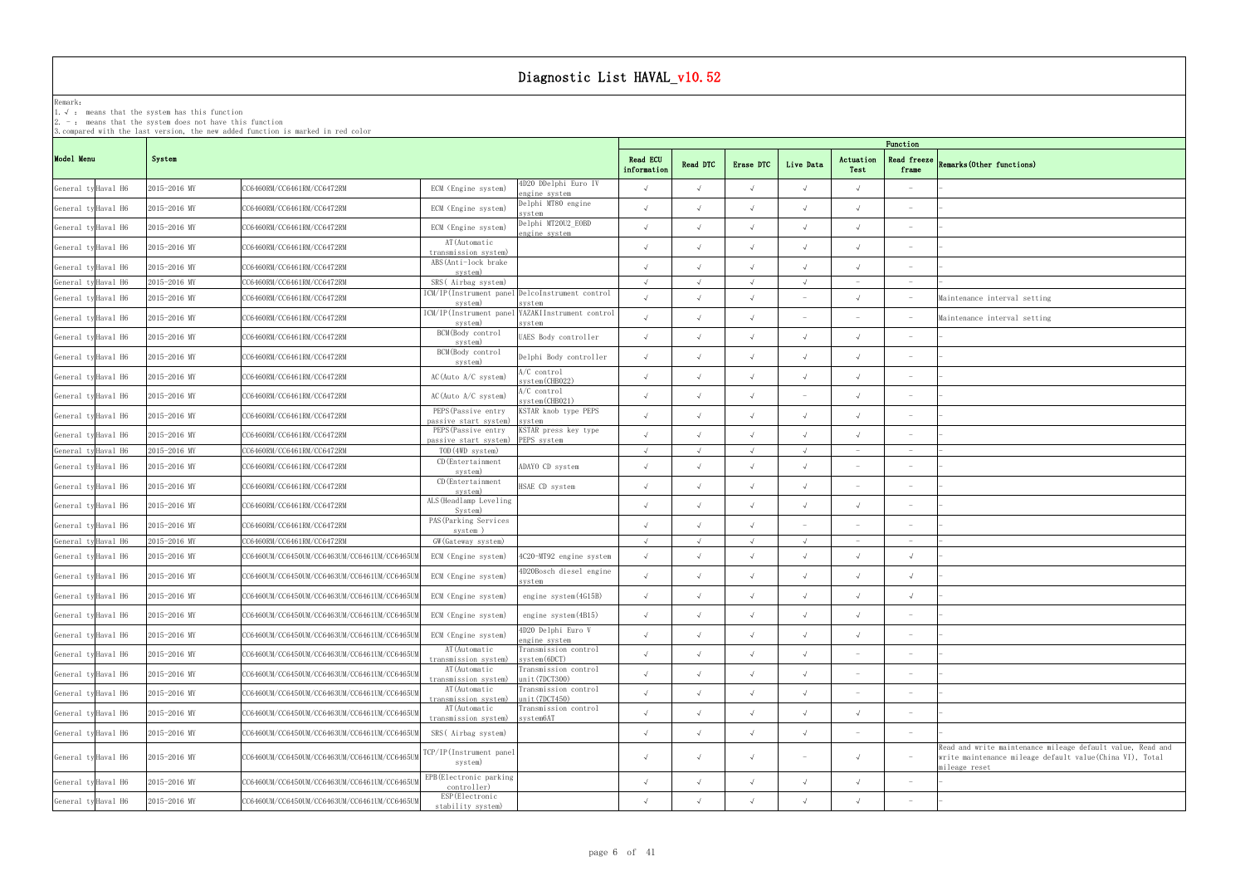### Remark: The contract of the contract of  $\mathbb{R}$  and  $\mathbb{R}$  are contract of  $\mathbb{R}$  and  $\mathbb{R}$  are contract of  $\mathbb{R}$  and  $\mathbb{R}$  are contract of  $\mathbb{R}$  and  $\mathbb{R}$  are contract of  $\mathbb{R}$  and  $\mathbb{R}$  are cont

1.√ : means that the systemhas this function

2. - : means that the system does not have this function

| Function                     |                                                                           |
|------------------------------|---------------------------------------------------------------------------|
| Read freeze<br>frame         | Remarks (Other functions)                                                 |
|                              |                                                                           |
| $\overline{\phantom{0}}$     |                                                                           |
| $\overline{a}$               |                                                                           |
|                              |                                                                           |
| $\overline{\phantom{0}}$     |                                                                           |
| $\overline{\phantom{a}}$     |                                                                           |
| -                            | Maintenance interval setting                                              |
| $\overline{\phantom{0}}$     | Maintenance interval setting                                              |
| $\overline{\phantom{0}}$     |                                                                           |
| $\overline{\phantom{0}}$     |                                                                           |
|                              |                                                                           |
|                              |                                                                           |
|                              |                                                                           |
| $\overbrace{\qquad \qquad }$ |                                                                           |
| $\overline{\phantom{0}}$     | L                                                                         |
|                              |                                                                           |
| $\overline{a}$               |                                                                           |
| $\overline{\phantom{0}}$     |                                                                           |
| $\overline{\phantom{a}}$     |                                                                           |
| $\checkmark$                 | ÷.                                                                        |
| $\checkmark$                 |                                                                           |
| $\checkmark$                 |                                                                           |
| $\qquad \qquad -$            |                                                                           |
| $\overbrace{\qquad \qquad }$ |                                                                           |
| $\qquad \qquad -$            |                                                                           |
| $\qquad \qquad -$            |                                                                           |
| $\overline{\phantom{a}}$     |                                                                           |
| $\qquad \qquad -$            |                                                                           |
| $\qquad \qquad -$            |                                                                           |
|                              | Read and write maintenance mileage default value, Read and                |
| $\overline{\phantom{a}}$     | write maintenance mileage default value(China VI), Total<br>mileage reset |
| $\overline{\phantom{a}}$     | $\overline{\phantom{0}}$                                                  |
| $\qquad \qquad -$            |                                                                           |

|                     |              | 3. compared with the last version, the new added function is marked in red color |                                              |                                                            |                                |            |            |                                 |                          |                                 |                                                                                                                                  |
|---------------------|--------------|----------------------------------------------------------------------------------|----------------------------------------------|------------------------------------------------------------|--------------------------------|------------|------------|---------------------------------|--------------------------|---------------------------------|----------------------------------------------------------------------------------------------------------------------------------|
| Model Menu          | System       |                                                                                  |                                              |                                                            | <b>Read ECU</b><br>information | Read DTC   | Erase DTC  | Live Data                       | Actuation<br>Test        | Function<br>frame               | Read freeze Remarks (Other functions)                                                                                            |
| General ty Haval H6 | 2015-2016 MY | CC6460RM/CC6461RM/CC6472RM                                                       | ECM (Engine system)                          | 4D20 DDelphi Euro IV<br>engine system                      | $\sqrt{ }$                     | $\sqrt{ }$ | $\sqrt{ }$ |                                 | $\sqrt{}$                |                                 |                                                                                                                                  |
| General ty Haval H6 | 2015-2016 MY | CC6460RM/CC6461RM/CC6472RM                                                       | ECM (Engine system)                          | Delphi MT80 engine<br>system                               | $\sqrt{ }$                     | $\sqrt{ }$ | $\sqrt{ }$ |                                 | $\sqrt{}$                | $\overline{\phantom{a}}$        |                                                                                                                                  |
| General ty Haval H6 | 2015-2016 MY | CC6460RM/CC6461RM/CC6472RM                                                       | ECM (Engine system)                          | Delphi MT20U2_EOBD<br>engine system                        | $\sqrt{ }$                     | $\sqrt{ }$ |            |                                 | $\sqrt{}$                | $\overline{\phantom{a}}$        |                                                                                                                                  |
| General ty Haval H6 | 2015-2016 MY | CC6460RM/CC6461RM/CC6472RM                                                       | AT (Automatic<br>transmission system)        |                                                            | $\sqrt{ }$                     | $\sqrt{ }$ | $\sqrt{ }$ |                                 | $\sqrt{ }$               | $\hspace{0.1mm}-\hspace{0.1mm}$ |                                                                                                                                  |
| General ty Haval H6 | 2015-2016 MY | CC6460RM/CC6461RM/CC6472RM                                                       | ABS (Anti-lock brake<br>system)              |                                                            | $\sqrt{ }$                     | $\sqrt{ }$ | $\sqrt{ }$ |                                 | $\sqrt{ }$               |                                 |                                                                                                                                  |
| General ty Haval H6 | 2015-2016 MY | CC6460RM/CC6461RM/CC6472RM                                                       | SRS(Airbag system)                           |                                                            | $\sqrt{ }$                     | $\sqrt{ }$ |            |                                 | $\sim$                   | $\overline{\phantom{a}}$        |                                                                                                                                  |
| General ty Haval H6 | 2015-2016 MY | CC6460RM/CC6461RM/CC6472RM                                                       | system)                                      | ICM/IP(Instrument panel DelcoInstrument control<br>svstem  | $\sqrt{ }$                     | $\sqrt{ }$ | $\sqrt{ }$ |                                 | $\sqrt{ }$               |                                 | Maintenance interval setting                                                                                                     |
| General ty Haval H6 | 2015-2016 MY | CC6460RM/CC6461RM/CC6472RM                                                       | system)                                      | ICM/IP(Instrument panel YAZAKIInstrument control<br>svstem | $\sqrt{ }$                     | $\sqrt{ }$ |            |                                 |                          | $\overline{\phantom{a}}$        | Maintenance interval setting                                                                                                     |
| General ty Haval H6 | 2015-2016 MY | CC6460RM/CC6461RM/CC6472RM                                                       | BCM (Body control<br>system)                 | UAES Body controller                                       | $\sqrt{2}$                     | $\sqrt{ }$ | $\sqrt{ }$ |                                 |                          |                                 |                                                                                                                                  |
| General ty Haval H6 | 2015-2016 MY | CC6460RM/CC6461RM/CC6472RM                                                       | BCM(Body control                             | Delphi Body controller                                     | $\sqrt{ }$                     | $\sqrt{ }$ | $\sqrt{ }$ | $\sqrt{ }$                      | $\sqrt{ }$               | $\overline{\phantom{a}}$        |                                                                                                                                  |
| General ty Haval H6 | 2015-2016 MY | CC6460RM/CC6461RM/CC6472RM                                                       | system)<br>AC(Auto A/C system)               | $A/C$ control<br>system (CHB022)                           | $\sqrt{ }$                     | $\sqrt{ }$ | $\sqrt{ }$ | $\sqrt{ }$                      | $\sqrt{ }$               |                                 |                                                                                                                                  |
| General ty Haval H6 | 2015-2016 MY | CC6460RM/CC6461RM/CC6472RM                                                       | AC(Auto A/C system)                          | $A/C$ control<br>system(CHB021)                            | $\sqrt{ }$                     | $\sqrt{ }$ | $\sqrt{ }$ | $\hspace{0.1mm}-\hspace{0.1mm}$ | $\sqrt{ }$               | $\hspace{0.1mm}-\hspace{0.1mm}$ |                                                                                                                                  |
| General ty Haval H6 | 2015-2016 MY | CC6460RM/CC6461RM/CC6472RM                                                       | PEPS (Passive entry<br>passive start system) | KSTAR knob type PEPS<br>system                             | $\sqrt{ }$                     | $\sqrt{ }$ | $\sqrt{ }$ |                                 | $\sqrt{ }$               | $\overline{\phantom{a}}$        |                                                                                                                                  |
| General ty Haval H6 | 2015-2016 MY | CC6460RM/CC6461RM/CC6472RM                                                       | PEPS (Passive entry<br>passive start system) | KSTAR press key type<br>PEPS system                        |                                | $\sqrt{ }$ |            |                                 |                          | $\sim$                          |                                                                                                                                  |
| General ty Haval H6 | 2015-2016 MY | CC6460RM/CC6461RM/CC6472RM                                                       | TOD (4WD system)                             |                                                            | $\sqrt{ }$                     | $\sqrt{ }$ | $\sqrt{ }$ | $\sqrt{ }$                      |                          |                                 |                                                                                                                                  |
| General ty Haval H6 | 2015-2016 MY | CC6460RM/CC6461RM/CC6472RM                                                       | CD (Entertainment<br>system)                 | ADAYO CD system                                            | $\sqrt{ }$                     | $\sqrt{ }$ |            |                                 | $\overline{\phantom{a}}$ | $\overline{\phantom{a}}$        |                                                                                                                                  |
| General ty Haval H6 | 2015-2016 MY | CC6460RM/CC6461RM/CC6472RM                                                       | CD (Entertainment<br>system)                 | HSAE CD system                                             | $\sqrt{ }$                     | $\sqrt{ }$ | $\sqrt{ }$ |                                 |                          | $\overline{\phantom{a}}$        |                                                                                                                                  |
| General ty Haval H6 | 2015-2016 MY | CC6460RM/CC6461RM/CC6472RM                                                       | ALS (Headlamp Leveling<br>System)            |                                                            | $\sqrt{ }$                     | $\sqrt{ }$ | $\sqrt{ }$ |                                 | $\sqrt{2}$               | $\overline{\phantom{a}}$        |                                                                                                                                  |
| General ty Haval H6 | 2015-2016 MY | CC6460RM/CC6461RM/CC6472RM                                                       | PAS (Parking Services<br>system)             |                                                            | $\sqrt{ }$                     | $\sqrt{ }$ | $\sqrt{ }$ |                                 |                          | $\overline{\phantom{a}}$        |                                                                                                                                  |
| General ty Haval H6 | 2015-2016 MY | CC6460RM/CC6461RM/CC6472RM                                                       | GW (Gateway system)                          |                                                            | $\sqrt{ }$                     | $\lambda$  |            |                                 |                          |                                 |                                                                                                                                  |
| General ty Haval H6 | 2015-2016 MY | CC6460UM/CC6450UM/CC6463UM/CC6461UM/CC6465UM                                     | ECM (Engine system)                          | 4C20-MT92 engine system                                    | $\sqrt{ }$                     | $\sqrt{ }$ |            |                                 |                          | $\sqrt{ }$                      |                                                                                                                                  |
| General ty Haval H6 | 2015-2016 MY | CC6460UM/CC6450UM/CC6463UM/CC6461UM/CC6465UM                                     | ECM (Engine system)                          | 4D20Bosch diesel engine                                    | $\sqrt{ }$                     | $\sqrt{ }$ |            |                                 |                          |                                 |                                                                                                                                  |
| General ty Haval H6 | 2015-2016 MY | CC6460UM/CC6450UM/CC6463UM/CC6461UM/CC6465UM                                     | ECM (Engine system)                          | system<br>engine system (4G15B)                            | $\sqrt{ }$                     | $\sqrt{ }$ |            |                                 |                          | $\sqrt{ }$                      |                                                                                                                                  |
| General ty Haval H6 | 2015-2016 MY | CC6460UM/CC6450UM/CC6463UM/CC6461UM/CC6465UM                                     | ECM (Engine system)                          | engine system (4B15)                                       | $\sqrt{ }$                     | $\sqrt{ }$ | $\sqrt{ }$ |                                 |                          |                                 |                                                                                                                                  |
| General ty Haval H6 | 2015-2016 MY | CC6460UM/CC6450UM/CC6463UM/CC6461UM/CC6465UM                                     | ECM (Engine system)                          | 4D20 Delphi Euro V                                         | $\sqrt{ }$                     | $\sqrt{ }$ | $\sqrt{ }$ | $\sqrt{ }$                      | $\sqrt{ }$               | $\overline{\phantom{m}}$        |                                                                                                                                  |
| General ty Haval H6 | 2015-2016 MY | CC6460UM/CC6450UM/CC6463UM/CC6461UM/CC6465UM                                     | AT (Automatic<br>transmission system)        | engine system<br>Transmission control<br>system(6DCT)      | $\sqrt{ }$                     | $\sqrt{ }$ | $\sqrt{ }$ |                                 |                          | $\overline{\phantom{a}}$        |                                                                                                                                  |
| General ty Haval H6 | 2015-2016 MY | CC6460UM/CC6450UM/CC6463UM/CC6461UM/CC6465UM                                     | AT (Automatic<br>transmission system)        | Transmission control<br>unit(7DCT300)                      | $\sqrt{ }$                     | $\sqrt{ }$ | $\sqrt{ }$ |                                 | $\overline{\phantom{0}}$ | $\overline{\phantom{a}}$        |                                                                                                                                  |
| General ty Haval H6 | 2015-2016 MY | CC6460UM/CC6450UM/CC6463UM/CC6461UM/CC6465UM                                     | AT (Automatic<br>transmission system)        | Transmission control<br>unit(7DCT450)                      | $\sqrt{ }$                     | $\sqrt{ }$ | $\sqrt{ }$ | $\sqrt{ }$                      |                          | $\overline{\phantom{a}}$        |                                                                                                                                  |
| General ty Haval H6 | 2015-2016 MY | CC6460UM/CC6450UM/CC6463UM/CC6461UM/CC6465UM                                     | AT (Automatic<br>transmission system)        | Transmission control<br>system6AT                          | $\sqrt{ }$                     | $\sqrt{ }$ | $\sqrt{ }$ |                                 |                          | $\overline{\phantom{a}}$        |                                                                                                                                  |
| General ty Haval H6 | 2015-2016 MY | CC6460UM/CC6450UM/CC6463UM/CC6461UM/CC6465UM                                     | SRS( Airbag system)                          |                                                            | $\sqrt{2}$                     | $\sqrt{ }$ | $\sqrt{ }$ |                                 |                          |                                 |                                                                                                                                  |
| General ty Haval H6 | 2015-2016 MY | CC6460UM/CC6450UM/CC6463UM/CC6461UM/CC6465UM                                     | TCP/IP(Instrument panel<br>system)           |                                                            | $\sqrt{ }$                     | $\sqrt{ }$ | $\sqrt{ }$ | $\overline{\phantom{a}}$        | $\sqrt{}$                | $\hspace{0.1mm}-\hspace{0.1mm}$ | Read and write maintenance mileage default value, Rea<br>write maintenance mileage default value (China VI), To<br>mileage reset |
| General ty Haval H6 | 2015-2016 MY | CC6460UM/CC6450UM/CC6463UM/CC6461UM/CC6465UM                                     | EPB (Electronic parking<br>controller)       |                                                            | $\sqrt{ }$                     | $\sqrt{ }$ | $\sqrt{ }$ | $\sqrt{ }$                      | $\sqrt{ }$               | $\overline{\phantom{a}}$        |                                                                                                                                  |
| General ty Haval H6 | 2015-2016 MY | CC6460UM/CC6450UM/CC6463UM/CC6461UM/CC6465UM                                     | ESP (Electronic<br>stability system)         |                                                            | $\sqrt{ }$                     | $\sqrt{ }$ | $\sqrt{ }$ |                                 |                          |                                 |                                                                                                                                  |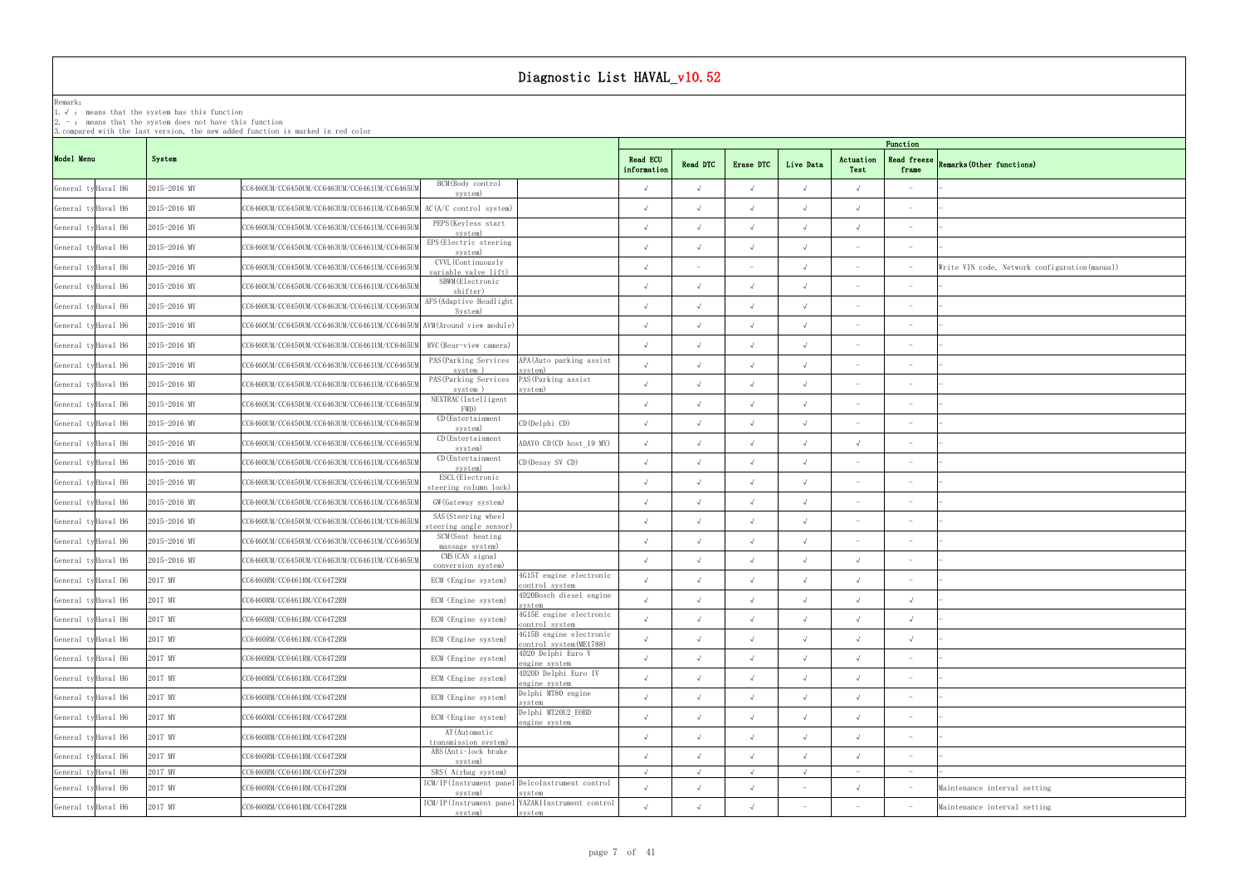### Remark: The contract of the contract of  $\mathbb{R}$  and  $\mathbb{R}$  are contract of  $\mathbb{R}$  and  $\mathbb{R}$  are contract of  $\mathbb{R}$  and  $\mathbb{R}$  are contract of  $\mathbb{R}$  and  $\mathbb{R}$  are contract of  $\mathbb{R}$  and  $\mathbb{R}$  are cont

1.√ : means that the systemhas this function

2. - : means that the system does not have this function

| Function                 |                                                |
|--------------------------|------------------------------------------------|
| Read freeze<br>frame     | Remarks (Other functions)                      |
| $\overline{\phantom{0}}$ |                                                |
|                          |                                                |
| $\overline{\phantom{a}}$ | $\overline{\phantom{0}}$                       |
|                          |                                                |
| $\overline{\phantom{0}}$ | Write VIN code, Network configuration (manual) |
|                          | $\overline{\phantom{0}}$                       |
|                          | $\overline{a}$                                 |
| $\overline{\phantom{0}}$ |                                                |
|                          |                                                |
|                          |                                                |
|                          |                                                |
|                          |                                                |
| $\overline{\phantom{0}}$ |                                                |
|                          |                                                |
| $\overline{\phantom{0}}$ | $\overline{\phantom{0}}$                       |
|                          |                                                |
|                          |                                                |
|                          |                                                |
| $\overline{\phantom{0}}$ |                                                |
| -                        |                                                |
| $\checkmark$             | $\overline{\phantom{0}}$                       |
| $\sqrt{}$                | $\qquad \qquad -$                              |
| $\checkmark$             |                                                |
| $\overline{\phantom{0}}$ | $\overline{\phantom{0}}$                       |
| $\overline{\phantom{0}}$ | ÷.                                             |
|                          |                                                |
| $\overline{\phantom{0}}$ | ÷.                                             |
| $\overline{\phantom{0}}$ |                                                |
| $\overline{\phantom{0}}$ | $\overline{\phantom{0}}$                       |
| $\overline{a}$           | $\overline{a}$                                 |
| $\overline{\phantom{0}}$ | Maintenance interval setting                   |
| $\overline{\phantom{0}}$ | Maintenance interval setting                   |

|                     |              | 3. compared with the last version, the new added function is marked in red color |                                               |                                                            |                         |            |            |            |                          | Function                        |                                                |
|---------------------|--------------|----------------------------------------------------------------------------------|-----------------------------------------------|------------------------------------------------------------|-------------------------|------------|------------|------------|--------------------------|---------------------------------|------------------------------------------------|
| Model Menu          | System       |                                                                                  |                                               |                                                            | Read ECU<br>information | Read DTC   | Erase DTC  | Live Data  | Actuation<br>Test        | <b>Read freeze</b><br>frame     | <b>Remarks (Other functions)</b>               |
| General ty Haval H6 | 2015-2016 MY | CC6460UM/CC6450UM/CC6463UM/CC6461UM/CC6465UM                                     | BCM(Body control<br>system)                   |                                                            | $\sqrt{ }$              | $\sqrt{ }$ |            |            | $\sqrt{ }$               |                                 |                                                |
| General ty Haval H6 | 2015-2016 MY | CC6460UM/CC6450UM/CC6463UM/CC6461UM/CC6465U!                                     | AC(A/C control system)                        |                                                            | $\sqrt{ }$              | $\sqrt{ }$ |            |            | $\sqrt{ }$               | $\hspace{0.1mm}-\hspace{0.1mm}$ |                                                |
| General ty Haval H6 | 2015-2016 MY | CC6460UM/CC6450UM/CC6463UM/CC6461UM/CC6465U                                      | PEPS (Keyless start<br>system)                |                                                            | $\sqrt{ }$              |            |            |            | $\sqrt{ }$               | $\hspace{0.1mm}-\hspace{0.1mm}$ |                                                |
| General ty Haval H6 | 2015-2016 MY | CC6460UM/CC6450UM/CC6463UM/CC6461UM/CC6465U                                      | EPS (Electric steering<br>system)             |                                                            | $\sqrt{ }$              | $\sqrt{ }$ | $\sqrt{ }$ |            |                          | $\hspace{0.1mm}-\hspace{0.1mm}$ |                                                |
| General ty Haval H6 | 2015-2016 MY | CC6460UM/CC6450UM/CC6463UM/CC6461UM/CC6465U                                      | CVVL (Continuously<br>variable valve lift)    |                                                            | $\sqrt{ }$              |            |            |            |                          |                                 | Write VIN code, Network configuration (manual) |
| General ty Haval H6 | 2015-2016 MY | CC6460UM/CC6450UM/CC6463UM/CC6461UM/CC6465Ul                                     | SBWM (Electronic<br>shifter)                  |                                                            | $\sqrt{ }$              | $\sqrt{ }$ |            |            | $\overline{\phantom{0}}$ | $\overline{\phantom{0}}$        |                                                |
| General ty Haval H6 | 2015-2016 MY | CC6460UM/CC6450UM/CC6463UM/CC6461UM/CC6465Ul                                     | AFS (Adaptive Headlight<br>System)            |                                                            | $\sqrt{ }$              |            |            |            |                          |                                 |                                                |
| General ty Haval H6 | 2015-2016 MY | CC6460UM/CC6450UM/CC6463UM/CC6461UM/CC6465UM AVM (Around view module)            |                                               |                                                            | $\sqrt{ }$              | $\sqrt{ }$ |            |            |                          |                                 |                                                |
| General ty Haval H6 | 2015-2016 MY | CC6460UM/CC6450UM/CC6463UM/CC6461UM/CC6465UI                                     | RVC (Rear-view camera)                        |                                                            | $\sqrt{ }$              | $\sqrt{ }$ |            |            |                          | $\overline{\phantom{a}}$        |                                                |
| General ty Haval H6 | 2015-2016 MY | CC6460UM/CC6450UM/CC6463UM/CC6461UM/CC6465Ul                                     | PAS (Parking Services<br>system)              | APA (Auto parking assist<br>ystem)                         | $\sqrt{ }$              | $\sqrt{ }$ |            |            | $\sim$                   | $\hspace{0.1mm}-\hspace{0.1mm}$ |                                                |
| General ty Haval H6 | 2015-2016 MY | CC6460UM/CC6450UM/CC6463UM/CC6461UM/CC6465U                                      | system)                                       | PAS (Parking Services PAS (Parking assist<br>system)       | $\sqrt{ }$              |            |            |            | $\overline{\phantom{a}}$ | $\hspace{0.1mm}-\hspace{0.1mm}$ |                                                |
| General ty Haval H6 | 2015-2016 MY | CC6460UM/CC6450UM/CC6463UM/CC6461UM/CC6465U                                      | NEXTRAC (Intelligent<br>FWD)                  |                                                            | $\sqrt{ }$              | $\sqrt{ }$ |            |            | $\overline{\phantom{0}}$ | $\overline{\phantom{a}}$        |                                                |
| General ty Haval H6 | 2015-2016 MY | CC6460UM/CC6450UM/CC6463UM/CC6461UM/CC6465U                                      | CD (Entertainment<br>system)                  | $CD$ (Delphi $CD$ )                                        | $\sqrt{ }$              | $\sqrt{ }$ |            |            |                          |                                 |                                                |
| General ty Haval H6 | 2015-2016 MY | CC6460UM/CC6450UM/CC6463UM/CC6461UM/CC6465U                                      | CD (Entertainment<br>system)                  | ADAYO CD(CD host_19 MY)                                    | $\sqrt{ }$              | $\sqrt{ }$ |            |            | $\sqrt{ }$               | $\hspace{0.1mm}$                |                                                |
| General ty Haval H6 | 2015-2016 MY | CC6460UM/CC6450UM/CC6463UM/CC6461UM/CC6465Ul                                     | CD (Entertainment<br>system)                  | CD (Desay SV CD)                                           | $\sqrt{ }$              | $\sqrt{ }$ |            |            |                          | $\overline{\phantom{a}}$        |                                                |
| General ty Haval H6 | 2015-2016 MY | CC6460UM/CC6450UM/CC6463UM/CC6461UM/CC6465Ul                                     | ESCL (Electronic<br>steering column lock)     |                                                            | $\sqrt{ }$              | $\sqrt{ }$ |            |            |                          |                                 |                                                |
| General ty Haval H6 | 2015-2016 MY | CC6460UM/CC6450UM/CC6463UM/CC6461UM/CC6465UM                                     | GW (Gateway system)                           |                                                            | $\sqrt{ }$              | $\sqrt{ }$ | $\sqrt{ }$ |            |                          |                                 |                                                |
| General ty Haval H6 | 2015-2016 MY | CC6460UM/CC6450UM/CC6463UM/CC6461UM/CC6465U!                                     | SAS (Steering wheel<br>teering angle sensor); |                                                            | $\sqrt{ }$              | $\sqrt{ }$ | $\sqrt{ }$ |            | $\overline{\phantom{a}}$ | $\hspace{0.1mm}-\hspace{0.1mm}$ |                                                |
| General ty Haval H6 | 2015-2016 MY | CC6460UM/CC6450UM/CC6463UM/CC6461UM/CC6465UM                                     | SCM(Seat heating<br>massage system)           |                                                            | $\sqrt{ }$              | $\sqrt{ }$ |            |            |                          | $\hspace{0.1mm}-\hspace{0.1mm}$ |                                                |
| General ty Haval H6 | 2015-2016 MY | CC6460UM/CC6450UM/CC6463UM/CC6461UM/CC6465Ul                                     | CMS (CAN signal<br>conversion system)         |                                                            | $\sqrt{ }$              | $\sqrt{ }$ |            |            | $\sqrt{ }$               | $\hspace{0.1mm}-\hspace{0.1mm}$ |                                                |
| General ty Haval H6 | 2017 MY      | CC6460RM/CC6461RM/CC6472RM                                                       | ECM (Engine system)                           | 4G15T engine electronic<br>control system                  | $\sqrt{ }$              | $\sqrt{ }$ | $\sqrt{ }$ |            | $\sqrt{ }$               |                                 |                                                |
| General ty Haval H6 | 2017 MY      | CC6460RM/CC6461RM/CC6472RM                                                       | ECM (Engine system)                           | 4D20Bosch diesel engine<br>system                          | $\cdot$                 |            |            |            |                          |                                 |                                                |
| General ty Haval H6 | 2017 MY      | CC6460RM/CC6461RM/CC6472RM                                                       | ECM (Engine system)                           | 4G15E engine electronic<br>control system                  | $\sqrt{ }$              | $\sqrt{ }$ | $\sqrt{ }$ |            | $\sqrt{ }$               | $\sqrt{ }$                      |                                                |
| General ty Haval H6 | 2017 MY      | CC6460RM/CC6461RM/CC6472RM                                                       | ECM (Engine system)                           | 4G15B engine electronic<br>control system(ME1788)          | $\sqrt{ }$              | $\sqrt{ }$ |            |            | $\sqrt{ }$               | $\sqrt{ }$                      |                                                |
| General ty Haval H6 | 2017 MY      | CC6460RM/CC6461RM/CC6472RM                                                       | ECM (Engine system)                           | 4D20 Delphi Euro V<br>ngine system                         | $\sqrt{ }$              | $\sqrt{ }$ | $\sqrt{ }$ | $\sqrt{ }$ | $\sqrt{ }$               |                                 |                                                |
| General ty Haval H6 | 2017 MY      | CC6460RM/CC6461RM/CC6472RM                                                       | ECM (Engine system)                           | 4D20D Delphi Euro IV<br>engine system                      | $\sqrt{ }$              | $\sqrt{ }$ | $\sqrt{ }$ | $\sqrt{ }$ | $\sqrt{ }$               | $\hspace{0.1mm}-\hspace{0.1mm}$ |                                                |
| General ty Haval H6 | 2017 MY      | CC6460RM/CC6461RM/CC6472RM                                                       | ECM (Engine system)                           | Delphi MT80 engine<br>system                               | $\sqrt{ }$              | $\sqrt{ }$ | $\sqrt{ }$ |            | $\sqrt{ }$               | $\hspace{0.1mm}-\hspace{0.1mm}$ |                                                |
| General ty Haval H6 | 2017 MY      | CC6460RM/CC6461RM/CC6472RM                                                       | ECM (Engine system)                           | Delphi MT20U2_EOBD<br>engine system                        | $\sqrt{ }$              | $\sqrt{ }$ | $\sqrt{ }$ | $\sqrt{ }$ | $\sqrt{ }$               | $\hspace{0.1mm}-\hspace{0.1mm}$ |                                                |
| General ty Haval H6 | 2017 MY      | CC6460RM/CC6461RM/CC6472RM                                                       | AT (Automatic<br>transmission system)         |                                                            | $\sqrt{ }$              | $\sqrt{ }$ | $\sqrt{ }$ |            | $\sqrt{ }$               | $\hspace{0.1mm}-\hspace{0.1mm}$ |                                                |
| General ty Haval H6 | 2017 MY      | CC6460RM/CC6461RM/CC6472RM                                                       | ABS(Anti-lock brake<br>system)                |                                                            | $\sqrt{ }$              | $\sqrt{ }$ | $\sqrt{ }$ |            | $\sqrt{ }$               | $\hspace{0.1mm}-\hspace{0.1mm}$ |                                                |
| General ty Haval H6 | 2017 MY      | CC6460RM/CC6461RM/CC6472RM                                                       | SRS(Airbag system)                            |                                                            | $\sqrt{ }$              | $\sqrt{ }$ | $\sqrt{ }$ | $\sqrt{ }$ | $\sim$                   | $ \,$                           |                                                |
| General ty Haval H6 | 2017 MY      | CC6460RM/CC6461RM/CC6472RM                                                       | system)                                       | ICM/IP(Instrument panel DelcoInstrument control<br>system  | $\sqrt{ }$              | $\sqrt{ }$ |            |            | $\sqrt{ }$               |                                 | Maintenance interval setting                   |
| General ty Haval H6 | 2017 MY      | CC6460RM/CC6461RM/CC6472RM                                                       | system)                                       | ICM/IP(Instrument panel YAZAKIInstrument control<br>system | $\sqrt{ }$              |            |            |            |                          |                                 | Maintenance interval setting                   |
|                     |              |                                                                                  |                                               |                                                            |                         |            |            |            |                          |                                 |                                                |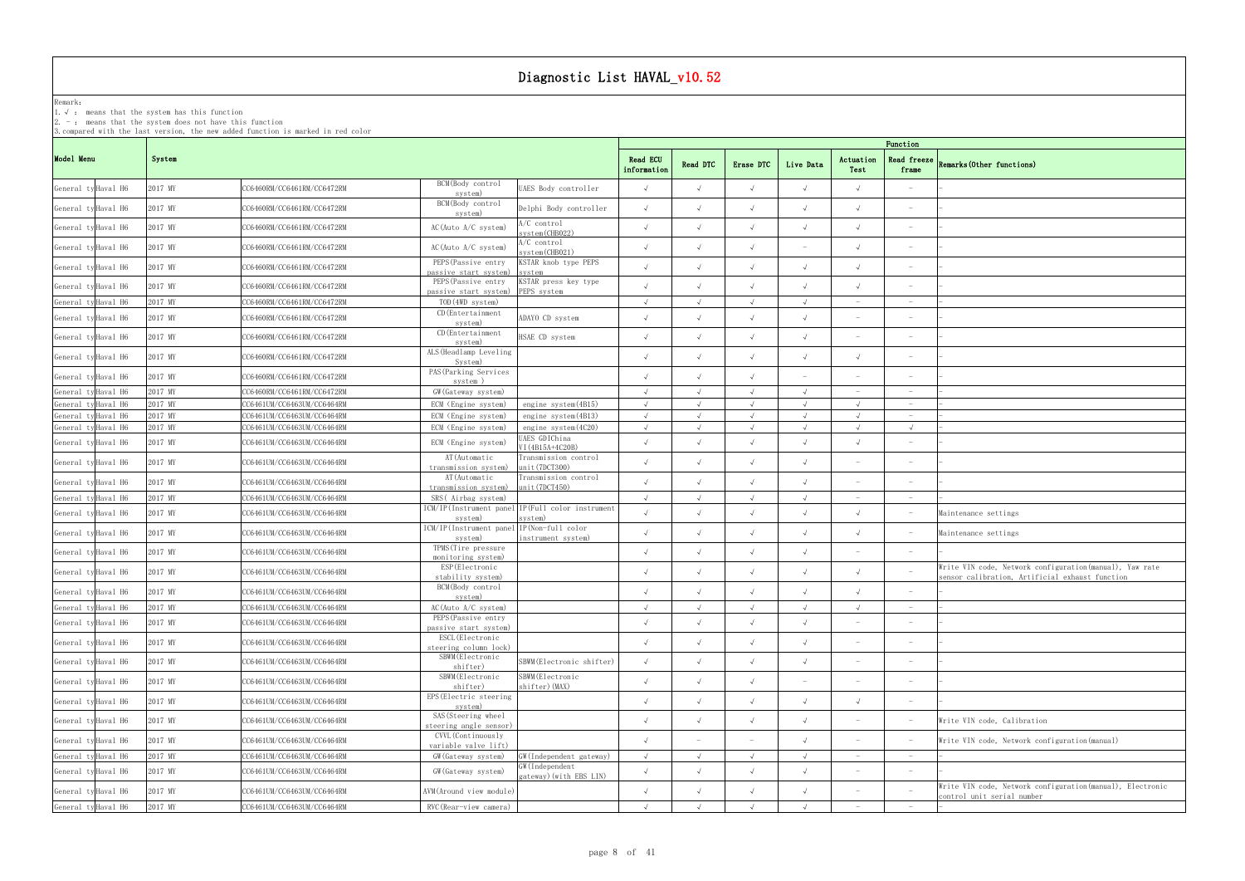### Remark: The contract of the contract of  $\mathbb{R}$  and  $\mathbb{R}$  are contract of  $\mathbb{R}$  and  $\mathbb{R}$  are contract of  $\mathbb{R}$  and  $\mathbb{R}$  are contract of  $\mathbb{R}$  and  $\mathbb{R}$  are contract of  $\mathbb{R}$  and  $\mathbb{R}$  are cont

1.√ : means that the systemhas this function

2. - : means that the system does not have this function

| Function                     |                                                                                                             |
|------------------------------|-------------------------------------------------------------------------------------------------------------|
| Read freeze<br>frame         | Remarks (Other functions)                                                                                   |
|                              |                                                                                                             |
| $\overline{\phantom{a}}$     |                                                                                                             |
|                              |                                                                                                             |
| $\overline{\phantom{a}}$     |                                                                                                             |
| -                            |                                                                                                             |
|                              |                                                                                                             |
|                              | ۰                                                                                                           |
| $\overline{\phantom{a}}$     |                                                                                                             |
|                              |                                                                                                             |
| $\overline{\phantom{a}}$     |                                                                                                             |
|                              |                                                                                                             |
| $\overline{\phantom{0}}$     |                                                                                                             |
|                              |                                                                                                             |
| $\checkmark$                 |                                                                                                             |
|                              |                                                                                                             |
|                              |                                                                                                             |
|                              |                                                                                                             |
|                              | Maintenance settings                                                                                        |
| $\overline{\phantom{a}}$     | Maintenance settings                                                                                        |
|                              |                                                                                                             |
| $\overline{\phantom{a}}$     | Write VIN code, Network configuration (manual), Yaw rate<br>sensor calibration, Artificial exhaust function |
|                              |                                                                                                             |
| $\overline{\phantom{a}}$     |                                                                                                             |
| $\overbrace{\qquad \qquad }$ |                                                                                                             |
| $\overline{a}$               |                                                                                                             |
| $\qquad \qquad -$            |                                                                                                             |
| $\overline{\phantom{m}}$     |                                                                                                             |
| $\overline{\phantom{0}}$     |                                                                                                             |
| $\overline{\phantom{a}}$     | Write VIN code, Calibration                                                                                 |
| $\qquad \qquad -$            | Write VIN code, Network configuration (manual)                                                              |
| $\overline{\phantom{a}}$     | $\overline{a}$                                                                                              |
| $\qquad \qquad -$            | Write VIN code, Network configuration (manual), Electronic                                                  |
| $\qquad \qquad -$            | control unit serial number                                                                                  |
| $\overline{\phantom{a}}$     |                                                                                                             |

|                     |         |                            |                                                      |                                                             |                                |            |            |            |                          | Function                        |                                                                                                             |
|---------------------|---------|----------------------------|------------------------------------------------------|-------------------------------------------------------------|--------------------------------|------------|------------|------------|--------------------------|---------------------------------|-------------------------------------------------------------------------------------------------------------|
| Model Menu          | System  |                            |                                                      |                                                             | <b>Read ECU</b><br>information | Read DTC   | Erase DTC  | Live Data  | Actuation<br>Test        | <b>Read freeze</b><br>frame     | Remarks (Other functions)                                                                                   |
| General ty Haval H6 | 2017 MY | CC6460RM/CC6461RM/CC6472RM | BCM(Body control<br>system)                          | UAES Body controller                                        | $\sqrt{ }$                     | $\sqrt{ }$ | $\sqrt{ }$ |            | $\sqrt{ }$               | $\overline{\phantom{a}}$        |                                                                                                             |
| General ty Haval H6 | 2017 MY | CC6460RM/CC6461RM/CC6472RM | BCM(Body control<br>system)                          | Delphi Body controller                                      | $\sqrt{ }$                     | $\sqrt{ }$ |            |            |                          | $\hspace{0.1mm}-\hspace{0.1mm}$ |                                                                                                             |
| General ty Haval H6 | 2017 MY | CC6460RM/CC6461RM/CC6472RM | AC(Auto A/C system)                                  | A/C control<br>system(CHB022)                               | $\sqrt{ }$                     | $\sqrt{ }$ |            |            | $\sqrt{ }$               | $\hspace{0.1mm}-\hspace{0.1mm}$ |                                                                                                             |
| General ty Haval H6 | 2017 MY | CC6460RM/CC6461RM/CC6472RM | AC(Auto A/C system)                                  | /C control<br>system (CHB021)                               | $\sqrt{ }$                     | $\sqrt{ }$ |            |            | $\sqrt{ }$               | $\overline{\phantom{a}}$        |                                                                                                             |
| General ty Haval H6 | 2017 MY | CC6460RM/CC6461RM/CC6472RM | PEPS (Passive entry<br>passive start system)         | KSTAR knob type PEPS<br>system                              | $\sqrt{ }$                     |            |            |            | $\sqrt{ }$               | $\overline{\phantom{a}}$        |                                                                                                             |
| General ty Haval H6 | 2017 MY | CC6460RM/CC6461RM/CC6472RM | PEPS (Passive entry<br>passive start system)         | KSTAR press key type<br>PEPS system                         | $\sqrt{ }$                     |            |            |            |                          |                                 |                                                                                                             |
| General ty Haval H6 | 2017 MY | CC6460RM/CC6461RM/CC6472RM | TOD(4WD system)                                      |                                                             |                                |            |            |            | $\overline{\phantom{a}}$ |                                 |                                                                                                             |
| General ty Haval H6 | 2017 MY | CC6460RM/CC6461RM/CC6472RM | CD (Entertainment<br>system)                         | ADAYO CD system                                             | $\sqrt{ }$                     |            |            |            |                          |                                 |                                                                                                             |
| General ty Haval H6 | 2017 MY | CC6460RM/CC6461RM/CC6472RM | CD (Entertainment<br>system)                         | HSAE CD system                                              | $\sqrt{ }$                     | $\sqrt{ }$ | $\sqrt{ }$ |            |                          | $\hspace{0.1mm}$                |                                                                                                             |
| General ty Haval H6 | 2017 MY | CC6460RM/CC6461RM/CC6472RM | ALS (Headlamp Leveling<br>System)                    |                                                             | $\sqrt{ }$                     | $\sqrt{ }$ |            |            | $\sqrt{ }$               | $\overline{\phantom{a}}$        |                                                                                                             |
| General ty Haval H6 | 2017 MY | CC6460RM/CC6461RM/CC6472RM | PAS (Parking Services<br>system)                     |                                                             | $\sqrt{ }$                     | $\sqrt{ }$ |            |            |                          | $\hspace{0.1mm}$                |                                                                                                             |
| General ty Haval H6 | 2017 MY | CC6460RM/CC6461RM/CC6472RM | GW (Gateway system)                                  |                                                             | $\sqrt{ }$                     |            |            |            |                          |                                 |                                                                                                             |
| General ty Haval H6 | 2017 MY | CC6461UM/CC6463UM/CC6464RM | ECM (Engine system)                                  | engine system(4B15)                                         | $\sqrt{ }$                     | $\sqrt{ }$ | $\sqrt{ }$ |            | $\sqrt{ }$               | $\hspace{0.1mm}-\hspace{0.1mm}$ |                                                                                                             |
| General ty Haval H6 | 2017 MY | CC6461UM/CC6463UM/CC6464RM | ECM (Engine system)                                  | engine system(4B13)                                         | $\sqrt{ }$                     | $\sqrt{ }$ |            | $\sqrt{ }$ | $\sqrt{ }$               | $\hspace{0.1mm}-\hspace{0.1mm}$ |                                                                                                             |
| General ty Haval H6 | 2017 MY | CC6461UM/CC6463UM/CC6464RM | ECM (Engine system)                                  | engine system(4C20)                                         | $\sqrt{ }$                     |            |            |            | $\sqrt{ }$               | $\sqrt{ }$                      |                                                                                                             |
| General ty Haval H6 | 2017 MY | CC6461UM/CC6463UM/CC6464RM | ECM (Engine system)                                  | AES GDIChina<br>VI (4B15A+4C20B)                            | $\sqrt{ }$                     |            |            |            | $\sqrt{ }$               | $\overline{\phantom{a}}$        |                                                                                                             |
| General ty Haval H6 | 2017 MY | CC6461UM/CC6463UM/CC6464RM | AT (Automatic<br>transmission system)                | Transmission control<br>unit(7DCT300)                       | $\sqrt{ }$                     |            |            |            |                          |                                 |                                                                                                             |
| General ty Haval H6 | 2017 MY | CC6461UM/CC6463UM/CC6464RM | AT (Automatic<br>transmission system)                | Transmission control<br>unit(7DCT450)                       | $\sqrt{ }$                     | $\sqrt{ }$ |            |            |                          | $\hspace{0.1mm}$                |                                                                                                             |
| General ty Haval H6 | 2017 MY | CC6461UM/CC6463UM/CC6464RM | SRS(Airbag system)                                   |                                                             | $\sqrt{ }$                     | $\sqrt{ }$ |            |            |                          | $\hspace{0.1mm}-\hspace{0.1mm}$ |                                                                                                             |
| General ty Haval H6 | 2017 MY | CC6461UM/CC6463UM/CC6464RM | system)                                              | ICM/IP(Instrument panel IP(Full color instrument<br>system) | $\sqrt{ }$                     | $\sqrt{ }$ |            |            | $\sqrt{ }$               | $\hspace{0.1mm}-\hspace{0.1mm}$ | Maintenance settings                                                                                        |
| General ty Haval H6 | 2017 MY | CC6461UM/CC6463UM/CC6464RM | ICM/IP(Instrument panel IP(Non-full color<br>system) | instrument system)                                          | $\sqrt{ }$                     | $\sqrt{ }$ |            |            | $\sqrt{ }$               |                                 | Maintenance settings                                                                                        |
| General ty Haval H6 | 2017 MY | CC6461UM/CC6463UM/CC6464RM | TPMS (Tire pressure<br>monitoring system)            |                                                             | $\sqrt{ }$                     |            |            |            | $\sim$                   | $\hspace{0.1mm}-\hspace{0.1mm}$ |                                                                                                             |
| General ty Haval H6 | 2017 MY | CC6461UM/CC6463UM/CC6464RM | ESP (Electronic<br>stability system)                 |                                                             | $\sqrt{ }$                     |            |            |            | $\sqrt{ }$               |                                 | Write VIN code, Network configuration (manual), Yaw rate<br>sensor calibration. Artificial exhaust function |
| General ty Haval H6 | 2017 MY | CC6461UM/CC6463UM/CC6464RM | BCM(Body control<br>system)                          |                                                             | $\sqrt{ }$                     | $\sqrt{ }$ |            |            | $\sqrt{ }$               | $\hspace{0.1mm}-\hspace{0.1mm}$ |                                                                                                             |
| General ty Haval H6 | 2017 MY | CC6461UM/CC6463UM/CC6464RM | AC(Auto A/C system)                                  |                                                             | $\sqrt{ }$                     | $\sqrt{ }$ | $\sqrt{ }$ | $\sqrt{ }$ | $\sqrt{ }$               | $\hspace{0.1mm}$                |                                                                                                             |
| General ty Haval H6 | 2017 MY | CC6461UM/CC6463UM/CC6464RM | PEPS (Passive entry<br>passive start system)         |                                                             | $\sqrt{ }$                     | $\sqrt{ }$ | $\sqrt{ }$ |            |                          |                                 |                                                                                                             |
| General ty Haval H6 | 2017 MY | CC6461UM/CC6463UM/CC6464RM | ESCL (Electronic<br>steering column lock)            |                                                             | $\sqrt{ }$                     | $\sqrt{ }$ | $\sqrt{ }$ |            |                          | $\hspace{0.1mm}-\hspace{0.1mm}$ |                                                                                                             |
| General ty Haval H6 | 2017 MY | CC6461UM/CC6463UM/CC6464RM | SBWM (Electronic<br>shifter)                         | SBWM (Electronic shifter)                                   | $\sqrt{ }$                     | $\sqrt{ }$ |            |            |                          | $\overline{\phantom{a}}$        |                                                                                                             |
| General ty Haval H6 | 2017 MY | CC6461UM/CC6463UM/CC6464RM | SBWM (Electronic<br>shifter)                         | SBWM(Electronic<br>shifter) (MAX)                           | $\sqrt{ }$                     | $\sqrt{ }$ | $\sqrt{ }$ |            |                          | $\overline{\phantom{a}}$        |                                                                                                             |
| General ty Haval H6 | 2017 MY | CC6461UM/CC6463UM/CC6464RM | EPS (Electric steering<br>system)                    |                                                             | $\sqrt{ }$                     | $\sqrt{ }$ | $\sqrt{ }$ | $\sqrt{ }$ | $\sqrt{ }$               | $\hspace{0.1mm}-\hspace{0.1mm}$ |                                                                                                             |
| General ty Haval H6 | 2017 MY | CC6461UM/CC6463UM/CC6464RM | SAS (Steering wheel<br>steering angle sensor)        |                                                             | $\sqrt{ }$                     | $\sqrt{ }$ | $\sqrt{ }$ |            |                          |                                 | Write VIN code, Calibration                                                                                 |
| General ty Haval H6 | 2017 MY | CC6461UM/CC6463UM/CC6464RM | CVVL (Continuously<br>variable valve lift)           |                                                             | $\sqrt{ }$                     |            |            |            | $\overline{\phantom{a}}$ | $\hspace{0.1mm}-\hspace{0.1mm}$ | Write VIN code, Network configuration (manual)                                                              |
| General ty Haval H6 | 2017 MY | CC6461UM/CC6463UM/CC6464RM | GW (Gateway system)                                  | GW(Independent gateway)                                     | $\sqrt{ }$                     | $\sqrt{ }$ | $\sqrt{ }$ | $\sqrt{ }$ | $\sim$                   | $\sim$                          |                                                                                                             |
| General ty Haval H6 | 2017 MY | CC6461UM/CC6463UM/CC6464RM | GW (Gateway system)                                  | GW (Independent<br>gateway) (with EBS LIN)                  | $\sqrt{ }$                     | $\sqrt{ }$ |            |            |                          | $\hspace{0.1mm}-\hspace{0.1mm}$ |                                                                                                             |
| General ty Haval H6 | 2017 MY | CC6461UM/CC6463UM/CC6464RM | AVM(Around view module)                              |                                                             | $\sqrt{ }$                     | $\sqrt{ }$ |            |            | $\overline{\phantom{a}}$ |                                 | Write VIN code, Network configuration (manual), Electronic<br>control unit serial number                    |
| General ty Haval H6 | 2017 MY | CC6461UM/CC6463UM/CC6464RM | RVC (Rear-view camera)                               |                                                             | $\cdot$                        |            |            |            |                          |                                 |                                                                                                             |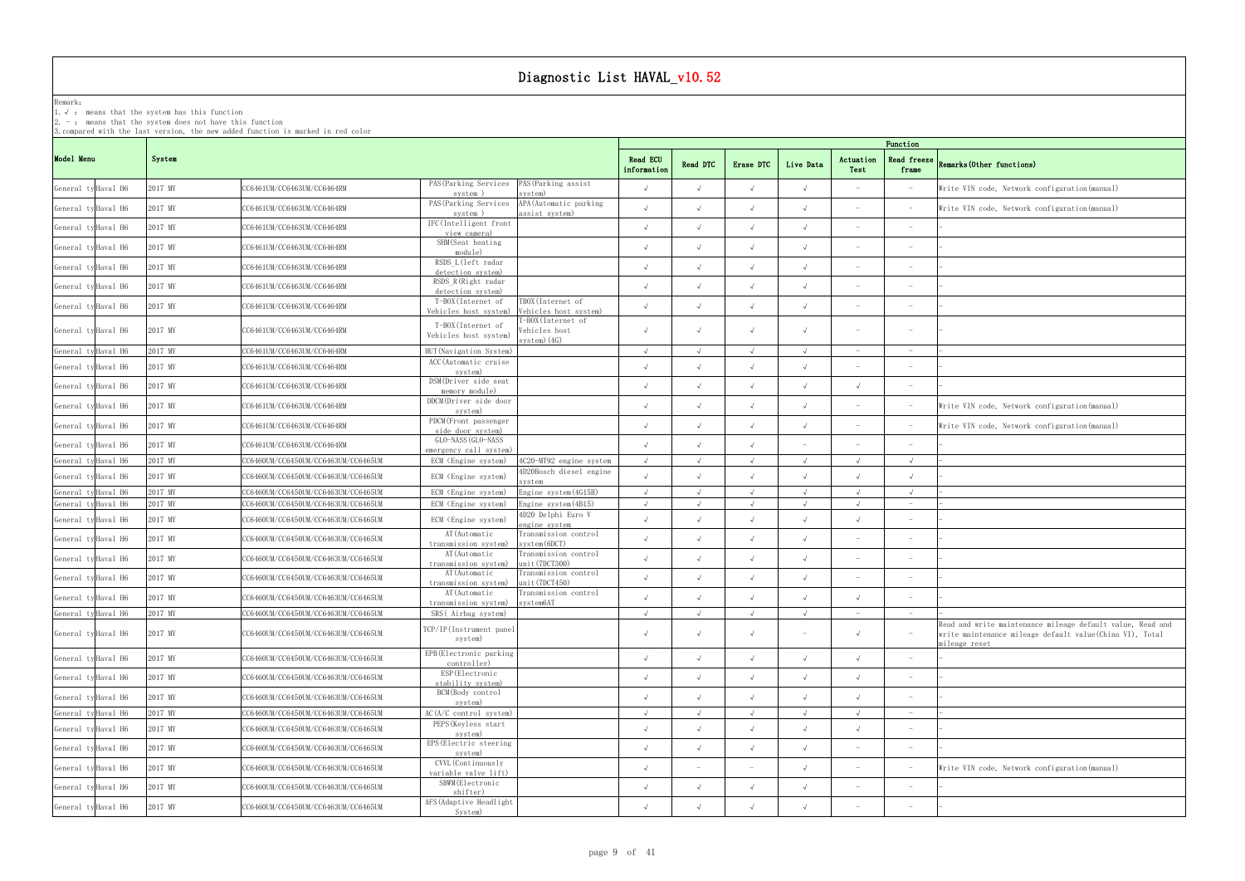### Remark: The contract of the contract of  $\mathbb{R}$  and  $\mathbb{R}$  are contract of  $\mathbb{R}$  and  $\mathbb{R}$  are contract of  $\mathbb{R}$  and  $\mathbb{R}$  are contract of  $\mathbb{R}$  and  $\mathbb{R}$  are contract of  $\mathbb{R}$  and  $\mathbb{R}$  are cont

1.√ : means that the systemhas this function

2. - : means that the system does not have this function

| Function                     |                                                                                                                                         |
|------------------------------|-----------------------------------------------------------------------------------------------------------------------------------------|
| Read freeze<br>frame         | Remarks (Other functions)                                                                                                               |
|                              | Write VIN code, Network configuration (manual)                                                                                          |
|                              | Write VIN code, Network configuration (manual)                                                                                          |
|                              |                                                                                                                                         |
|                              |                                                                                                                                         |
|                              |                                                                                                                                         |
| $\overline{\phantom{0}}$     |                                                                                                                                         |
|                              |                                                                                                                                         |
|                              |                                                                                                                                         |
|                              |                                                                                                                                         |
| $\qquad \qquad -$            |                                                                                                                                         |
|                              |                                                                                                                                         |
|                              |                                                                                                                                         |
|                              | Write VIN code, Network configuration (manual)                                                                                          |
| $\overline{\phantom{0}}$     | Write VIN code, Network configuration (manual)                                                                                          |
|                              |                                                                                                                                         |
| $\sqrt{}$                    |                                                                                                                                         |
| $\sqrt{}$                    |                                                                                                                                         |
| $\sqrt{}$                    |                                                                                                                                         |
| $\overline{a}$               |                                                                                                                                         |
| $\overline{\phantom{0}}$     |                                                                                                                                         |
|                              |                                                                                                                                         |
|                              |                                                                                                                                         |
|                              |                                                                                                                                         |
| $\overline{\phantom{0}}$     |                                                                                                                                         |
| $\overline{\phantom{0}}$     | $\overline{a}$                                                                                                                          |
| -                            | Read and write maintenance mileage default value, Read and<br>write maintenance mileage default value(China VI), Total<br>mileage reset |
| $\overline{a}$               |                                                                                                                                         |
|                              |                                                                                                                                         |
| $\overline{\phantom{0}}$     |                                                                                                                                         |
| $\qquad \qquad -$            | L                                                                                                                                       |
| $\overbrace{\qquad \qquad }$ |                                                                                                                                         |
| $\overline{\phantom{0}}$     |                                                                                                                                         |
| $\qquad \qquad -$            | Write VIN code, Network configuration (manual)                                                                                          |
| $\overline{\phantom{0}}$     | $\overline{\phantom{0}}$                                                                                                                |
|                              |                                                                                                                                         |
|                              |                                                                                                                                         |

|                     |                     |         |                                     |                                                                                                      |                         |                          |            |                          |                                 | Function                        |                                                                                                                                          |
|---------------------|---------------------|---------|-------------------------------------|------------------------------------------------------------------------------------------------------|-------------------------|--------------------------|------------|--------------------------|---------------------------------|---------------------------------|------------------------------------------------------------------------------------------------------------------------------------------|
| Model Menu          |                     | System  |                                     |                                                                                                      | Read ECU<br>information | Read DTC                 | Erase DTC  | Live Data                | Actuation<br>Test               | Read freeze<br>frame            | Remarks (Other functions)                                                                                                                |
| General ty Haval H6 |                     | 2017 MY | CC6461UM/CC6463UM/CC6464RM          | PAS (Parking Services PAS (Parking assist<br>system)<br>system)                                      |                         | $\sqrt{ }$               | $\sqrt{ }$ | $\sqrt{ }$               |                                 |                                 | Write VIN code, Network configuration (manual)                                                                                           |
| General ty Haval H6 |                     | 2017 MY | CC6461UM/CC6463UM/CC6464RM          | PAS (Parking Services<br>APA (Automatic parking<br>system)<br>assist system)                         | $\sqrt{ }$              | $\sqrt{ }$               |            |                          |                                 |                                 | Write VIN code, Network configuration (manual)                                                                                           |
| General ty Haval H6 |                     | 2017 MY | CC6461UM/CC6463UM/CC6464RM          | IFC(Intelligent front<br>view camera)                                                                | $\sqrt{ }$              | $\sqrt{ }$               |            |                          |                                 | $\hspace{0.1mm}-\hspace{0.1mm}$ |                                                                                                                                          |
| General ty Haval H6 |                     | 2017 MY | CC6461UM/CC6463UM/CC6464RM          | SHM(Seat heating<br>module)                                                                          | $\mathcal{L}$           |                          |            |                          |                                 |                                 |                                                                                                                                          |
| General ty Haval H6 |                     | 2017 MY | CC6461UM/CC6463UM/CC6464RM          | RSDS L(left radar<br>detection system)                                                               | $\sqrt{ }$              | $\sqrt{ }$               | $\sqrt{ }$ |                          |                                 | $\hspace{0.1mm}-\hspace{0.1mm}$ |                                                                                                                                          |
| General ty Haval H6 |                     | 2017 MY | CC6461UM/CC6463UM/CC6464RM          | RSDS R(Right radar<br>detection system)                                                              | $\sqrt{ }$              |                          |            |                          |                                 |                                 |                                                                                                                                          |
| General ty Haval H6 |                     | 2017 MY | CC6461UM/CC6463UM/CC6464RM          | T-BOX(Internet of<br>TBOX(Internet of<br>Vehicles host system)<br>Vehicles host system)              | $\sqrt{ }$              | $\sqrt{ }$               |            |                          |                                 | $\sim$                          |                                                                                                                                          |
| General ty Haval H6 |                     | 2017 MY | CC6461UM/CC6463UM/CC6464RM          | T-BOX(Internet of<br>T-BOX(Internet of<br>Vehicles host<br>Vehicles host system)<br>$s$ vstem $(4G)$ | $\sqrt{ }$              | $\sqrt{ }$               |            |                          |                                 |                                 |                                                                                                                                          |
| General ty Haval H6 |                     | 2017 MY | CC6461UM/CC6463UM/CC6464RM          | HUT (Navigation System)                                                                              |                         |                          |            | $\sqrt{ }$               | $\hspace{0.1mm}-\hspace{0.1mm}$ |                                 |                                                                                                                                          |
| General ty Haval H6 |                     | 2017 MY | CC6461UM/CC6463UM/CC6464RM          | ACC (Automatic cruise<br>system)                                                                     | $\sqrt{ }$              | $\sqrt{ }$               | $\sqrt{ }$ |                          |                                 |                                 |                                                                                                                                          |
| General ty Haval H6 |                     | 2017 MY | CC6461UM/CC6463UM/CC6464RM          | DSM(Driver side seat<br>memory module)                                                               | $\sqrt{ }$              | $\sqrt{ }$               | $\sqrt{ }$ |                          | $\sqrt{ }$                      | $\overline{\phantom{a}}$        |                                                                                                                                          |
| General ty Haval H6 |                     | 2017 MY | CC6461UM/CC6463UM/CC6464RM          | DDCM(Driver side door<br>system)                                                                     | $\sqrt{ }$              | $\sqrt{ }$               | $\Lambda$  |                          |                                 |                                 | Write VIN code, Network configuration (manual)                                                                                           |
| General ty Haval H6 |                     | 2017 MY | CC6461UM/CC6463UM/CC6464RM          | PDCM (Front passenger<br>side door system)                                                           | $\sqrt{ }$              | $\sqrt{ }$               |            |                          |                                 |                                 | Write VIN code, Network configuration (manual)                                                                                           |
| General ty Haval H6 |                     | 2017 MY | CC6461UM/CC6463UM/CC6464RM          | GLO-NASS (GLO-NASS<br>emergency call system)                                                         | $\sqrt{ }$              |                          |            |                          |                                 |                                 |                                                                                                                                          |
|                     | General ty Haval H6 | 2017 MY | CC6460UM/CC6450UM/CC6463UM/CC6465UM | 4C20-MT92 engine system<br>ECM (Engine system)                                                       | $\sqrt{ }$              |                          |            |                          | $\sqrt{ }$                      |                                 |                                                                                                                                          |
| General ty Haval H6 |                     | 2017 MY | CC6460UM/CC6450UM/CC6463UM/CC6465UM | 4D20Bosch diesel engine<br>ECM (Engine system)                                                       | $\lambda$               |                          |            |                          |                                 | $\sqrt{ }$                      |                                                                                                                                          |
| General ty Haval H6 |                     | 2017 MY | CC6460UM/CC6450UM/CC6463UM/CC6465UM | Engine system (4G15B)<br>ECM (Engine system)                                                         | $\sqrt{ }$              |                          |            | $\sqrt{ }$               |                                 | $\sqrt{ }$                      |                                                                                                                                          |
|                     | General ty Haval H6 | 2017 MY | CC6460UM/CC6450UM/CC6463UM/CC6465UM | ECM (Engine system)<br>Engine system (4B15)                                                          | $\sqrt{ }$              |                          |            |                          |                                 |                                 |                                                                                                                                          |
|                     | General ty Haval H6 | 2017 MY | CC6460UM/CC6450UM/CC6463UM/CC6465UM | 4D20 Delphi Euro V<br>ECM (Engine system)<br>engine system                                           | $\sqrt{ }$              |                          |            |                          |                                 |                                 |                                                                                                                                          |
|                     | General ty Haval H6 | 2017 MY | CC6460UM/CC6450UM/CC6463UM/CC6465UM | AT (Automatic<br>Transmission control<br>$s$ vstem $(6DCT)$<br>transmission system)                  | $\cdot$                 |                          |            |                          |                                 |                                 |                                                                                                                                          |
|                     | General ty Haval H6 | 2017 MY | CC6460UM/CC6450UM/CC6463UM/CC6465UM | AT (Automatic<br>Transmission control<br>unit(7DCT300)<br>transmission system)                       |                         |                          |            |                          |                                 |                                 |                                                                                                                                          |
|                     | General ty Haval H6 | 2017 MY | CC6460UM/CC6450UM/CC6463UM/CC6465UM | Transmission control<br>AT (Automatic<br>unit(7DCT450)<br>transmission system)                       | $\sqrt{ }$              | $\sqrt{ }$               | $\sqrt{ }$ | $\sqrt{ }$               |                                 |                                 |                                                                                                                                          |
|                     | General ty Haval H6 | 2017 MY | CC6460UM/CC6450UM/CC6463UM/CC6465UM | Transmission control<br>AT (Automatic<br>transmission system) system6AT                              | $\sqrt{ }$              | $\sqrt{ }$               |            |                          | $\sqrt{ }$                      |                                 |                                                                                                                                          |
|                     | General ty Haval H6 | 2017 MY | CC6460UM/CC6450UM/CC6463UM/CC6465UM | SRS(Airbag system)                                                                                   | $\sqrt{ }$              | $\sqrt{ }$               | $\sqrt{ }$ | $\sqrt{ }$               | $\sim$                          |                                 |                                                                                                                                          |
| General ty Haval H6 |                     | 2017 MY | CC6460UM/CC6450UM/CC6463UM/CC6465UM | TCP/IP(Instrument panel<br>system)                                                                   | $\sqrt{ }$              | $\sqrt{ }$               | $\sqrt{ }$ | $\overline{\phantom{0}}$ | $\sqrt{ }$                      |                                 | Read and write maintenance mileage default value, Read and<br>write maintenance mileage default value (China VI), Total<br>mileage reset |
|                     | General ty Haval H6 | 2017 MY | CC6460UM/CC6450UM/CC6463UM/CC6465UM | EPB(Electronic parking<br>controller)                                                                | $\sqrt{ }$              | $\sqrt{ }$               | $\sqrt{ }$ | $\sqrt{ }$               | $\sqrt{ }$                      |                                 |                                                                                                                                          |
|                     | General ty Haval H6 | 2017 MY | CC6460UM/CC6450UM/CC6463UM/CC6465UM | ESP (Electronic<br>stability system)                                                                 | $\sqrt{ }$              | $\sqrt{ }$               | $\sqrt{ }$ | $\sqrt{ }$               | $\sqrt{ }$                      |                                 |                                                                                                                                          |
|                     | General ty Haval H6 | 2017 MY | CC6460UM/CC6450UM/CC6463UM/CC6465UM | BCM(Body control<br>system)                                                                          | $\sqrt{ }$              | $\sqrt{ }$               | $\sqrt{ }$ | $\sqrt{ }$               | $\sqrt{ }$                      |                                 |                                                                                                                                          |
|                     | General ty Haval H6 | 2017 MY | CC6460UM/CC6450UM/CC6463UM/CC6465UM | AC(A/C control system)                                                                               | $\sqrt{ }$              | $\sqrt{ }$               | $\sqrt{ }$ | $\sqrt{ }$               | $\sqrt{ }$                      | $ \,$                           |                                                                                                                                          |
|                     | General ty Haval H6 | 2017 MY | CC6460UM/CC6450UM/CC6463UM/CC6465UM | PEPS (Keyless start<br>system)                                                                       | $\sqrt{ }$              | $\sqrt{ }$               | $\sqrt{ }$ | $\sqrt{ }$               | $\sqrt{ }$                      |                                 |                                                                                                                                          |
|                     | General ty Haval H6 | 2017 MY | CC6460UM/CC6450UM/CC6463UM/CC6465UM | EPS (Electric steering<br>system)                                                                    | $\sqrt{ }$              | $\sqrt{ }$               | $\sqrt{ }$ | $\sqrt{ }$               |                                 | $\hspace{0.1mm}-\hspace{0.1mm}$ |                                                                                                                                          |
|                     | General ty Haval H6 | 2017 MY | CC6460UM/CC6450UM/CC6463UM/CC6465UM | CVVL (Continuously<br>variable valve lift)                                                           | $\sqrt{ }$              | $\overline{\phantom{a}}$ |            |                          | $\overline{\phantom{a}}$        | $\hspace{0.1mm}-\hspace{0.1mm}$ | Write VIN code, Network configuration (manual)                                                                                           |
|                     | General ty Haval H6 | 2017 MY | CC6460UM/CC6450UM/CC6463UM/CC6465UM | SBWM (Electronic<br>shifter)                                                                         | $\sqrt{ }$              | $\sqrt{ }$               | $\sqrt{ }$ |                          | $\overline{\phantom{a}}$        | $\hspace{0.1mm}-\hspace{0.1mm}$ |                                                                                                                                          |
|                     | General ty Haval H6 | 2017 MY | CC6460UM/CC6450UM/CC6463UM/CC6465UM | AFS (Adaptive Headlight<br>System)                                                                   | $\sqrt{ }$              | $\sqrt{ }$               |            |                          |                                 |                                 |                                                                                                                                          |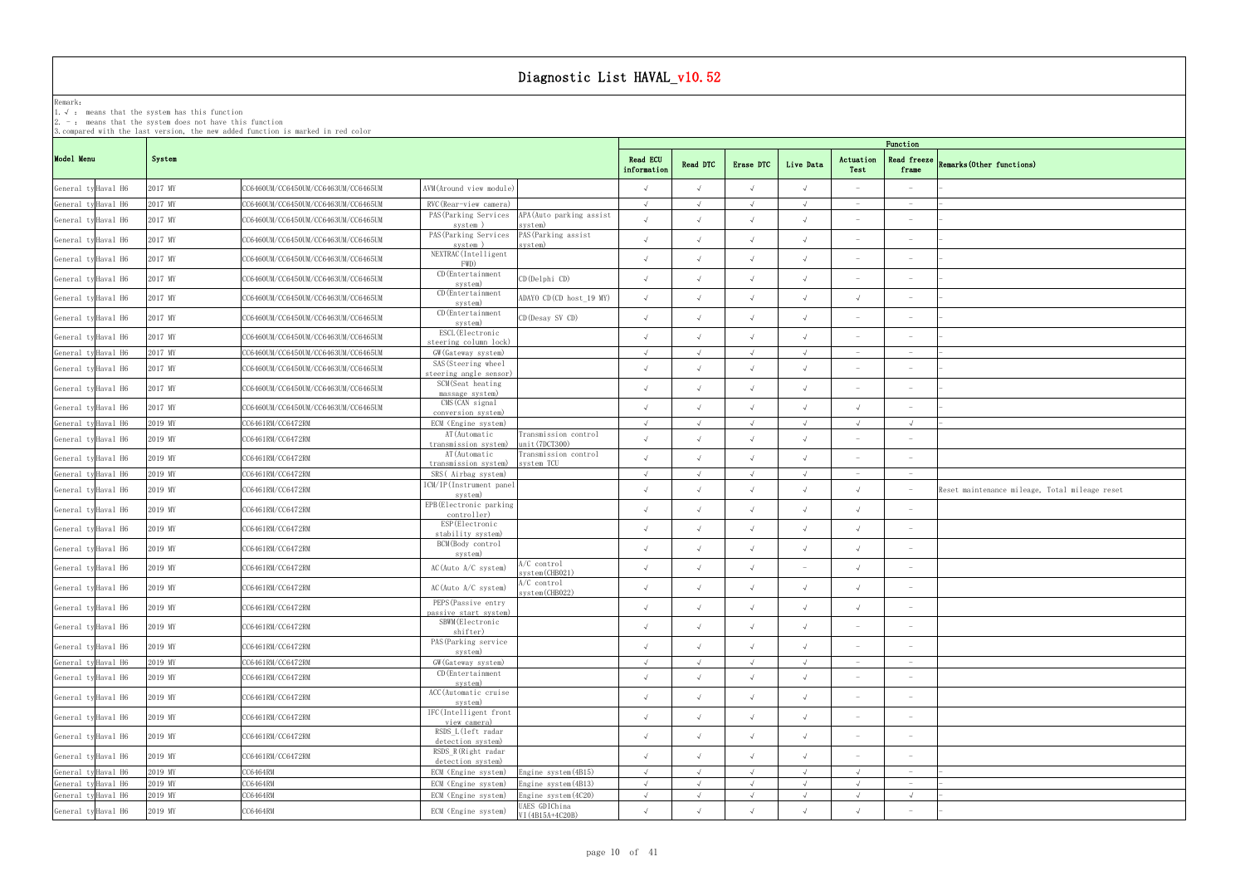Remark: The contract of the contract of  $\mathbb{R}$  and  $\mathbb{R}$  are contract of  $\mathbb{R}$  and  $\mathbb{R}$  are contract of  $\mathbb{R}$  and  $\mathbb{R}$  are contract of  $\mathbb{R}$  and  $\mathbb{R}$  are contract of  $\mathbb{R}$  and  $\mathbb{R}$  are cont 1.√ : means that the systemhas this function

2. - : means that the system does not have this function

| Function                      |                                                |
|-------------------------------|------------------------------------------------|
| Read freeze<br>frame          | Remarks (Other functions)                      |
| $\overline{\phantom{0}}$      | $\overline{\phantom{0}}$                       |
| $\overline{\phantom{0}}$      | $\overline{a}$                                 |
|                               | -                                              |
|                               |                                                |
| $\overline{a}$                | $\overline{\phantom{0}}$                       |
| $\overline{a}$                | $\overline{\phantom{0}}$                       |
| $\overline{\phantom{0}}$      | $\overline{a}$                                 |
| $\overline{a}$                |                                                |
| $\overline{a}$                | $\overline{\phantom{0}}$                       |
| $\overline{\phantom{0}}$      | $\overline{a}$                                 |
| $\overline{a}$                |                                                |
| $\overline{\phantom{0}}$      | $\overline{\phantom{0}}$                       |
|                               | -                                              |
| $\sqrt{}$                     | $\overline{\phantom{0}}$                       |
|                               |                                                |
| $\overline{\phantom{0}}$      |                                                |
| $\overline{\phantom{0}}$      |                                                |
|                               | Reset maintenance mileage, Total mileage reset |
| $\overline{\phantom{0}}$      |                                                |
|                               |                                                |
|                               |                                                |
| $\overline{\phantom{0}}$      |                                                |
| -                             |                                                |
| $\qquad \qquad -$             |                                                |
| $\overline{\phantom{0}}$      |                                                |
| $\overline{\phantom{0}}$      |                                                |
| $\qquad \qquad -$             |                                                |
| $\overline{\phantom{0}}$      |                                                |
| $\overline{\phantom{0}}$      |                                                |
| $\overline{\phantom{0}}$      |                                                |
| $\overline{\phantom{0}}$      |                                                |
| $\overline{\phantom{a}}$      |                                                |
| $\qquad \qquad -$             | $\overline{\phantom{0}}$<br>$\frac{1}{2}$      |
| $\frac{1}{2}$<br>$\checkmark$ | $\overline{a}$                                 |
| $\overline{\phantom{0}}$      |                                                |

|                     |                     |         |                                     |                                                                                |                         |            |            |            |                          | Function                        |                                                |  |  |  |
|---------------------|---------------------|---------|-------------------------------------|--------------------------------------------------------------------------------|-------------------------|------------|------------|------------|--------------------------|---------------------------------|------------------------------------------------|--|--|--|
| Model Menu          |                     | System  |                                     |                                                                                | Read ECU<br>information | Read DTC   | Erase DTC  | Live Data  | Actuation<br>Test        | <b>Read freeze</b><br>frame     | Remarks (Other functions)                      |  |  |  |
|                     | General ty Haval H6 | 2017 MY | CC6460UM/CC6450UM/CC6463UM/CC6465UM | AVM (Around view module)                                                       |                         |            | $\sqrt{ }$ | $\sqrt{ }$ | $\sim$                   |                                 |                                                |  |  |  |
| General ty Haval H6 |                     | 2017 MY | CC6460UM/CC6450UM/CC6463UM/CC6465UM | RVC (Rear-view camera)                                                         |                         |            |            | $\sqrt{ }$ |                          |                                 |                                                |  |  |  |
| General ty Haval H6 |                     | 2017 MY | CC6460UM/CC6450UM/CC6463UM/CC6465UM | APA (Auto parking assist<br>PAS (Parking Services<br>system)<br>system)        | $\sqrt{ }$              |            | $\sqrt{ }$ | $\sqrt{ }$ | $\overline{\phantom{a}}$ | $\overline{\phantom{a}}$        |                                                |  |  |  |
| General ty Haval H6 |                     | 2017 MY | CC6460UM/CC6450UM/CC6463UM/CC6465UM | PAS (Parking Services<br>PAS (Parking assist<br>system<br>system)              |                         |            | $\sqrt{ }$ | $\sqrt{ }$ | $\overline{\phantom{a}}$ | $\overline{\phantom{a}}$        |                                                |  |  |  |
| General ty Haval H6 |                     | 2017 MY | CC6460UM/CC6450UM/CC6463UM/CC6465UM | NEXTRAC (Intelligent<br>FWD)                                                   |                         |            | $\sqrt{ }$ | $\sqrt{ }$ | $\overline{\phantom{a}}$ | $\overline{\phantom{a}}$        |                                                |  |  |  |
| General ty Haval H6 |                     | 2017 MY | CC6460UM/CC6450UM/CC6463UM/CC6465UM | $CD$ (Entertainment<br>CD (Delphi CD)<br>system)                               | $\sqrt{ }$              |            | $\sqrt{ }$ | $\sqrt{ }$ | $\overline{\phantom{a}}$ |                                 |                                                |  |  |  |
|                     | General ty Haval H6 | 2017 MY | CC6460UM/CC6450UM/CC6463UM/CC6465UM | CD (Entertainment<br>ADAYO CD (CD host_19 MY)<br>system)                       |                         |            | $\sqrt{ }$ | $\sqrt{ }$ | $\sqrt{ }$               | $\overline{\phantom{a}}$        |                                                |  |  |  |
| General ty Haval H6 |                     | 2017 MY | CC6460UM/CC6450UM/CC6463UM/CC6465UM | CD (Entertainment<br>CD (Desay SV CD)<br>system)                               | $\sqrt{ }$              |            | $\sqrt{ }$ | $\sqrt{ }$ | $\overline{\phantom{a}}$ | $ \,$                           |                                                |  |  |  |
| General ty Haval H6 |                     | 2017 MY | CC6460UM/CC6450UM/CC6463UM/CC6465UM | ESCL (Electronic<br>steering column lock)                                      |                         |            | $\sqrt{ }$ | $\sqrt{ }$ | $\overline{\phantom{a}}$ | $\overline{\phantom{a}}$        |                                                |  |  |  |
| General ty Haval H6 |                     | 2017 MY | CC6460UM/CC6450UM/CC6463UM/CC6465UM | GW (Gateway system)                                                            |                         |            | $\sqrt{ }$ | $\sqrt{ }$ | $\sim$                   | $\hspace{0.1mm}-\hspace{0.1mm}$ |                                                |  |  |  |
| General ty Haval H6 |                     | 2017 MY | CC6460UM/CC6450UM/CC6463UM/CC6465UM | SAS (Steering wheel<br>steering angle sensor)                                  |                         |            | $\sqrt{ }$ | $\sqrt{ }$ | $\overline{\phantom{a}}$ | $ \,$                           |                                                |  |  |  |
| General ty Haval H6 |                     | 2017 MY | CC6460UM/CC6450UM/CC6463UM/CC6465UM | SCM(Seat heating<br>massage system)                                            | $\sqrt{ }$              |            | $\sqrt{ }$ | $\sqrt{ }$ | $\overline{\phantom{a}}$ | $\qquad \qquad -$               |                                                |  |  |  |
|                     | General ty Haval H6 | 2017 MY | CC6460UM/CC6450UM/CC6463UM/CC6465UM | CMS (CAN signal<br>conversion system)                                          |                         |            | $\sqrt{ }$ | $\sqrt{ }$ | $\sqrt{ }$               |                                 |                                                |  |  |  |
| General ty Haval H6 |                     | 2019 MY | CC6461RM/CC6472RM                   | ECM (Engine system)                                                            | $\sqrt{ }$              | $\lambda$  | $\sqrt{ }$ | $\sqrt{ }$ | $\sqrt{ }$               | $\sqrt{ }$                      |                                                |  |  |  |
| General ty Haval H6 |                     | 2019 MY | CC6461RM/CC6472RM                   | AT (Automatic<br>Transmission control<br>transmission system)<br>unit(7DCT300) |                         |            | $\sqrt{ }$ | $\sqrt{ }$ | $\sim$                   |                                 |                                                |  |  |  |
| General ty Haval H6 |                     | 2019 MY | CC6461RM/CC6472RM                   | AT (Automatic<br>Transmission control<br>transmission system)<br>system TCU    |                         |            |            | $\sqrt{ }$ | $\sim$                   |                                 |                                                |  |  |  |
| General ty Haval H6 |                     | 2019 MY | CC6461RM/CC6472RM                   | SRS(Airbag system)                                                             |                         |            |            | $\cdot$    |                          |                                 |                                                |  |  |  |
| General ty Haval H6 |                     | 2019 MY | CC6461RM/CC6472RM                   | ICM/IP(Instrument panel<br>system)                                             |                         |            | $\sqrt{ }$ | $\sqrt{ }$ | $\sqrt{ }$               |                                 | Reset maintenance mileage, Total mileage reset |  |  |  |
| General ty Haval H6 |                     | 2019 MY | CC6461RM/CC6472RM                   | EPB(Electronic parking<br>controller)                                          |                         |            | $\sqrt{ }$ | $\sqrt{ }$ | $\sqrt{ }$               |                                 |                                                |  |  |  |
| General ty Haval H6 |                     | 2019 MY | CC6461RM/CC6472RM                   | ESP (Electronic<br>stability system)                                           |                         |            | $\sqrt{ }$ | $\sqrt{ }$ | $\sqrt{ }$               | $\qquad \qquad -$               |                                                |  |  |  |
|                     | General ty Haval H6 | 2019 MY | CC6461RM/CC6472RM                   | BCM(Body control<br>system)                                                    |                         |            | $\sqrt{ }$ | $\sqrt{ }$ | $\sqrt{ }$               |                                 |                                                |  |  |  |
| General ty Haval H6 |                     | 2019 MY | CC6461RM/CC6472RM                   | A/C control<br>AC(Auto A/C system)<br>system (CHB021)                          | $\sqrt{ }$              |            | $\sqrt{ }$ | $-$        | $\sqrt{ }$               | $\overline{\phantom{a}}$        |                                                |  |  |  |
| General ty Haval H6 |                     | 2019 MY | CC6461RM/CC6472RM                   | $A/C$ control<br>AC(Auto A/C system)<br>system(CHB022)                         |                         |            | $\sqrt{ }$ | $\sqrt{ }$ | $\sqrt{ }$               | $ \,$                           |                                                |  |  |  |
|                     | General ty Haval H6 | 2019 MY | CC6461RM/CC6472RM                   | PEPS (Passive entry<br>passive start system)                                   | $\sqrt{ }$              |            | $\sqrt{ }$ | $\sqrt{ }$ | $\sqrt{ }$               |                                 |                                                |  |  |  |
| General ty Haval H6 |                     | 2019 MY | CC6461RM/CC6472RM                   | SBWM (Electronic<br>shifter)                                                   | $\sqrt{ }$              | $\sqrt{ }$ | $\sqrt{ }$ | $\sqrt{ }$ | $\overline{\phantom{a}}$ | $\hspace{0.1mm}-\hspace{0.1mm}$ |                                                |  |  |  |
| General ty Haval H6 |                     | 2019 MY | CC6461RM/CC6472RM                   | PAS (Parking service<br>system)                                                |                         |            | $\sqrt{ }$ | $\sqrt{ }$ | $\overline{\phantom{a}}$ |                                 |                                                |  |  |  |
| General ty Haval H6 |                     | 2019 MY | CC6461RM/CC6472RM                   | GW (Gateway system)                                                            | $\sqrt{ }$              |            | $\sqrt{ }$ | $\sqrt{ }$ | $\sim$                   | $\hspace{0.1mm}-\hspace{0.1mm}$ |                                                |  |  |  |
| General ty Haval H6 |                     | 2019 MY | CC6461RM/CC6472RM                   | CD (Entertainment<br>system)                                                   | $\sqrt{ }$              |            | $\sqrt{ }$ | $\sqrt{ }$ | $\overline{\phantom{a}}$ | $\overline{\phantom{a}}$        |                                                |  |  |  |
| General ty Haval H6 |                     | 2019 MY | CC6461RM/CC6472RM                   | ACC (Automatic cruise<br>system)                                               | $\sqrt{ }$              |            | $\sqrt{ }$ | $\sqrt{ }$ | $\overline{\phantom{a}}$ | $\overline{\phantom{a}}$        |                                                |  |  |  |
| General ty Haval H6 |                     | 2019 MY | CC6461RM/CC6472RM                   | IFC(Intelligent front<br>view camera)                                          | $\sqrt{ }$              |            | $\sqrt{ }$ | $\sqrt{ }$ | $\overline{\phantom{a}}$ | $ \,$                           |                                                |  |  |  |
| General ty Haval H6 |                     | 2019 MY | CC6461RM/CC6472RM                   | RSDS L(left radar<br>detection system)                                         | $\sqrt{ }$              | $\sqrt{ }$ | $\sqrt{ }$ | $\sqrt{ }$ | $\overline{\phantom{a}}$ | $\overline{\phantom{a}}$        |                                                |  |  |  |
| General ty Haval H6 |                     | 2019 MY | CC6461RM/CC6472RM                   | RSDS_R(Right radar<br>detection system)                                        | $\sqrt{ }$              |            | $\sqrt{ }$ | $\sqrt{ }$ | $\overline{\phantom{a}}$ |                                 |                                                |  |  |  |
| General ty Haval H6 |                     | 2019 MY | CC6464RM                            | ECM (Engine system)<br>Engine system (4B15)                                    | $\sqrt{ }$              | $\sqrt{ }$ | $\sqrt{ }$ | $\sqrt{ }$ | $\sqrt{ }$               | $-$                             |                                                |  |  |  |
| General ty Haval H6 |                     | 2019 MY | CC6464RM                            | ECM (Engine system)<br>Engine system (4B13)                                    | $\sqrt{ }$              | $\sqrt{ }$ | $\sqrt{ }$ | $\sqrt{ }$ | $\sqrt{ }$               | $ \,$                           |                                                |  |  |  |
| General ty Haval H6 |                     | 2019 MY | CC6464RM                            | Engine system (4C20)<br>ECM (Engine system)                                    | $\sqrt{ }$              | $\sqrt{ }$ | $\sqrt{ }$ | $\sqrt{ }$ | $\sqrt{ }$               | $\sqrt{ }$                      |                                                |  |  |  |
| General ty Haval H6 |                     | 2019 MY | CC6464RM                            | UAES GDIChina<br>ECM (Engine system)<br>VI (4B15A+4C20B)                       |                         |            | $\sqrt{ }$ | $\sqrt{ }$ | $\sqrt{ }$               |                                 |                                                |  |  |  |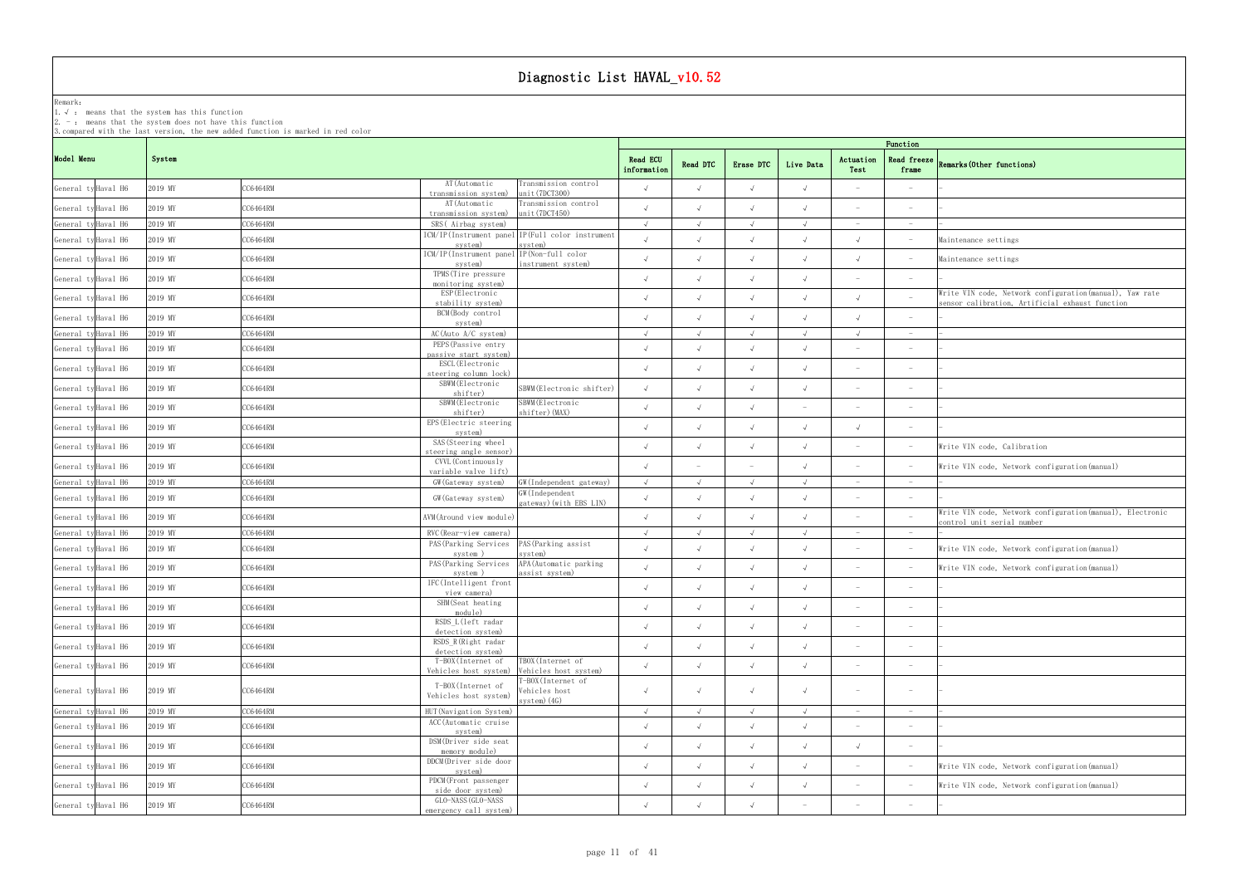### Remark: The contract of the contract of  $\mathbb{R}$  and  $\mathbb{R}$  are contract of  $\mathbb{R}$  and  $\mathbb{R}$  are contract of  $\mathbb{R}$  and  $\mathbb{R}$  are contract of  $\mathbb{R}$  and  $\mathbb{R}$  are contract of  $\mathbb{R}$  and  $\mathbb{R}$  are cont

1.√ : means that the systemhas this function

2. - : means that the system does not have this function

| Function                 |                                                                                                             |
|--------------------------|-------------------------------------------------------------------------------------------------------------|
| Read freeze<br>frame     | Remarks (Other functions)                                                                                   |
|                          |                                                                                                             |
|                          |                                                                                                             |
| $\overline{a}$           |                                                                                                             |
|                          | Maintenance settings                                                                                        |
|                          | Maintenance settings                                                                                        |
|                          |                                                                                                             |
|                          | Write VIN code, Network configuration (manual), Yaw rate<br>sensor calibration, Artificial exhaust function |
|                          |                                                                                                             |
| $\overline{a}$           |                                                                                                             |
|                          |                                                                                                             |
| $\overline{\phantom{0}}$ |                                                                                                             |
|                          |                                                                                                             |
|                          |                                                                                                             |
|                          |                                                                                                             |
|                          | Write VIN code, Calibration                                                                                 |
|                          | Write VIN code, Network configuration (manual)                                                              |
| $\overline{\phantom{0}}$ |                                                                                                             |
|                          |                                                                                                             |
|                          | Write VIN code, Network configuration (manual), Electronic<br>control unit serial number                    |
|                          |                                                                                                             |
|                          | Write VIN code, Network configuration (manual)                                                              |
|                          | Write VIN code, Network configuration (manual)                                                              |
|                          |                                                                                                             |
|                          |                                                                                                             |
|                          |                                                                                                             |
|                          |                                                                                                             |
|                          |                                                                                                             |
|                          |                                                                                                             |
|                          |                                                                                                             |
|                          |                                                                                                             |
|                          |                                                                                                             |
|                          | Write VIN code, Network configuration (manual)                                                              |
|                          | Write VIN code, Network configuration (manual)                                                              |
|                          |                                                                                                             |
|                          |                                                                                                             |

|                     |                     |         |          |                                                                     | Function<br><b>Read ECU</b>                                 |            |            |            |                          |                                 |                                 |                                                                                          |  |  |
|---------------------|---------------------|---------|----------|---------------------------------------------------------------------|-------------------------------------------------------------|------------|------------|------------|--------------------------|---------------------------------|---------------------------------|------------------------------------------------------------------------------------------|--|--|
| Model Menu          |                     | System  |          |                                                                     |                                                             |            |            | Erase DTC  | Live Data                | Actuation<br>Test               | <b>Read freeze</b><br>frame     | Remarks (Other functions)                                                                |  |  |
| General ty Haval H6 |                     | 2019 MY | CC6464RM | AT (Automatic<br>transmission system)                               | Transmission control<br>unit(7DCT300)                       | $\sqrt{ }$ | $\sqrt{ }$ |            |                          |                                 |                                 |                                                                                          |  |  |
| General ty Haval H6 |                     | 2019 MY | CC6464RM | AT (Automatic<br>transmission system)                               | Transmission control<br>unit(7DCT450)                       | $\sqrt{ }$ | $\sqrt{ }$ |            |                          | $\overline{\phantom{a}}$        | $\hspace{0.1mm}$                |                                                                                          |  |  |
| General ty Haval H6 |                     | 2019 MY | CC6464RM | SRS(Airbag system)                                                  |                                                             | $\sqrt{ }$ | $\sqrt{ }$ | $\sqrt{ }$ | $\sqrt{ }$               | $\hspace{0.1mm}-\hspace{0.1mm}$ | $\hspace{0.1mm}-\hspace{0.1mm}$ |                                                                                          |  |  |
| General ty Haval H6 |                     | 2019 MY | CC6464RM | system)                                                             | ICM/IP(Instrument panel IP(Full color instrument<br>svstem) | $\sqrt{ }$ | $\sqrt{ }$ | $\sqrt{ }$ | $\sqrt{ }$               | $\sqrt{ }$                      | $\hspace{0.1mm}-\hspace{0.1mm}$ | Maintenance settings                                                                     |  |  |
| General ty Haval H6 |                     | 2019 MY | CC6464RM | ICM/IP(Instrument panel IP(Non-full color<br>system)                | instrument system)                                          | $\sqrt{ }$ | $\sqrt{ }$ | $\sqrt{ }$ |                          | $\sqrt{ }$                      |                                 | Maintenance settings                                                                     |  |  |
|                     | General ty Haval H6 | 2019 MY | CC6464RM | TPMS (Tire pressure<br>monitoring system)                           |                                                             | $\sqrt{ }$ | $\sqrt{ }$ | $\sqrt{ }$ |                          | $\sim$                          | $ \,$                           |                                                                                          |  |  |
|                     | General ty Haval H6 | 2019 MY | CC6464RM | ESP (Electronic                                                     |                                                             | $\sqrt{ }$ |            |            |                          | $\sqrt{ }$                      |                                 | Write VIN code, Network configuration (manual), Yaw rate                                 |  |  |
|                     | General ty Haval H6 | 2019 MY | CC6464RM | stability system)<br>BCM(Body control                               |                                                             | $\sqrt{ }$ | $\sqrt{ }$ | $\sqrt{ }$ |                          | $\sqrt{ }$                      | $\hspace{0.1mm}-\hspace{0.1mm}$ | sensor calibration, Artificial exhaust function                                          |  |  |
|                     | General ty Haval H6 | 2019 MY | CC6464RM | system)<br>$AC$ (Auto $A/C$ system)                                 |                                                             | $\sqrt{ }$ | $\sqrt{ }$ | $\sqrt{ }$ | $\sqrt{ }$               | $\sqrt{ }$                      |                                 |                                                                                          |  |  |
|                     |                     |         |          | PEPS (Passive entry                                                 |                                                             |            |            |            |                          |                                 |                                 |                                                                                          |  |  |
|                     | General ty Haval H6 | 2019 MY | CC6464RM | passive start system)                                               |                                                             | $\sqrt{ }$ | $\sqrt{ }$ | $\sqrt{ }$ |                          | $\overline{\phantom{a}}$        |                                 |                                                                                          |  |  |
|                     | General ty Haval H6 | 2019 MY | CC6464RM | ESCL (Electronic<br>steering column lock)                           |                                                             | $\sqrt{ }$ | $\sqrt{ }$ | $\sqrt{ }$ | $\sqrt{ }$               | $\overline{\phantom{a}}$        | $\hspace{0.1mm}-\hspace{0.1mm}$ |                                                                                          |  |  |
|                     | General ty Haval H6 | 2019 MY | CC6464RM | SBWM (Electronic<br>shifter)                                        | SBWM(Electronic shifter)                                    | $\sqrt{ }$ | $\sqrt{ }$ |            |                          | $\overline{\phantom{a}}$        | $\overline{\phantom{a}}$        |                                                                                          |  |  |
|                     | General ty Haval H6 | 2019 MY | CC6464RM | SBWM (Electronic<br>shifter)                                        | SBWM(Electronic<br>shifter) (MAX)                           | $\sqrt{ }$ | $\sqrt{ }$ |            | $\overline{\phantom{a}}$ | $\overline{\phantom{a}}$        | $\overline{\phantom{a}}$        |                                                                                          |  |  |
|                     | General ty Haval H6 | 2019 MY | CC6464RM | EPS (Electric steering<br>system)                                   |                                                             | $\sqrt{ }$ | $\sqrt{ }$ | $\sqrt{ }$ |                          | $\sqrt{ }$                      | $\hspace{0.1mm}-\hspace{0.1mm}$ |                                                                                          |  |  |
|                     | General ty Haval H6 | 2019 MY | CC6464RM | SAS (Steering wheel<br>steering angle sensor)                       |                                                             | $\sqrt{ }$ | $\sqrt{ }$ | $\sqrt{ }$ |                          |                                 | $\hspace{0.1mm}-\hspace{0.1mm}$ | Write VIN code, Calibration                                                              |  |  |
|                     | General ty Haval H6 | 2019 MY | CC6464RM | CVVL (Continuously<br>variable valve lift)                          |                                                             | $\sqrt{ }$ |            |            |                          | $\overline{\phantom{a}}$        | $\hspace{0.1mm}-\hspace{0.1mm}$ | Write VIN code, Network configuration (manual)                                           |  |  |
|                     | General ty Haval H6 | 2019 MY | CC6464RM | GW (Gateway system)                                                 | GW(Independent gateway)                                     | $\sqrt{ }$ | $\sqrt{ }$ | $\sqrt{ }$ | $\sqrt{ }$               | $-$                             | $\hspace{0.1mm}-\hspace{0.1mm}$ |                                                                                          |  |  |
|                     | General ty Haval H6 | 2019 MY | CC6464RM | GW (Gateway system)                                                 | GW(Independent<br>gateway) (with EBS LIN)                   | $\sqrt{ }$ | $\sqrt{ }$ |            |                          | $\overline{\phantom{m}}$        |                                 |                                                                                          |  |  |
|                     | General ty Haval H6 | 2019 MY | CC6464RM | AVM(Around view module)                                             |                                                             | $\sqrt{ }$ | $\sqrt{ }$ | $\sqrt{ }$ |                          | $\overline{\phantom{m}}$        |                                 | Write VIN code, Network configuration (manual), Electronic<br>control unit serial number |  |  |
|                     | General ty Haval H6 | 2019 MY | CC6464RM | RVC (Rear-view camera)                                              |                                                             | $\sqrt{ }$ | $\sqrt{ }$ | $\sqrt{ }$ | $\sqrt{ }$               | $\overline{\phantom{a}}$        |                                 |                                                                                          |  |  |
|                     | General ty Haval H6 | 2019 MY | CC6464RM | PAS (Parking Services<br>system)                                    | PAS (Parking assist<br>svstem)                              | $\sqrt{ }$ | $\sqrt{ }$ | $\sqrt{ }$ |                          | $\overline{\phantom{a}}$        | $\hspace{0.1mm}-\hspace{0.1mm}$ | Write VIN code, Network configuration (manual)                                           |  |  |
|                     | General ty Haval H6 | 2019 MY | CC6464RM | PAS (Parking Services<br>system)                                    | APA (Automatic parking<br>assist system)                    | $\sqrt{ }$ | $\sqrt{ }$ | $\sqrt{ }$ |                          | $\overline{\phantom{a}}$        | $\hspace{0.1mm}-\hspace{0.1mm}$ | Write VIN code, Network configuration (manual)                                           |  |  |
|                     | General ty Haval H6 | 2019 MY | CC6464RM | IFC(Intelligent front<br>view camera)                               |                                                             | $\sqrt{ }$ | $\sqrt{ }$ | $\sqrt{ }$ | $\sqrt{ }$               | $\sim$                          | $ \,$                           |                                                                                          |  |  |
|                     | General ty Haval H6 | 2019 MY | C6464RM  | SHM(Seat heating                                                    |                                                             | $\sqrt{ }$ | $\sqrt{ }$ | $\sqrt{ }$ |                          |                                 |                                 |                                                                                          |  |  |
|                     | General ty Haval H6 | 2019 MY | CC6464RM | module)<br>RSDS L(left radar<br>detection system)                   |                                                             | $\sqrt{ }$ | $\sqrt{ }$ | $\sqrt{ }$ | $\sqrt{ }$               | $\sim$                          | $\sim$                          |                                                                                          |  |  |
|                     | General ty Haval H6 | 2019 MY | CC6464RM | RSDS_R(Right radar<br>detection system)                             |                                                             | $\sqrt{ }$ | $\sqrt{ }$ | $\sqrt{ }$ |                          | $\overline{\phantom{a}}$        | $\sim$                          |                                                                                          |  |  |
|                     | General ty Haval H6 | 2019 MY | CC6464RM | T-BOX(Internet of                                                   | TBOX(Internet of                                            | $\sqrt{ }$ | $\sqrt{ }$ | $\sqrt{ }$ | $\sqrt{ }$               | $\hspace{0.1mm}-\hspace{0.1mm}$ | $\hspace{0.1mm}-\hspace{0.1mm}$ |                                                                                          |  |  |
|                     | General ty Haval H6 | 2019 MY | CC6464RM | Vehicles host system)<br>T-BOX(Internet of<br>Vehicles host system) | Vehicles host system)<br>-BOX(Internet of<br>Vehicles host  | $\sqrt{ }$ | $\sqrt{ }$ | $\sqrt{ }$ |                          | $\hspace{0.1mm}-\hspace{0.1mm}$ | $\hspace{0.1mm}-\hspace{0.1mm}$ |                                                                                          |  |  |
|                     | General ty Haval H6 | 2019 MY | CC6464RM | HUT (Navigation System)                                             | system) (4G)                                                | $\sqrt{ }$ | $\sqrt{ }$ | $\sqrt{ }$ | $\sqrt{ }$               | $\sim$                          | $\hspace{0.1mm}-\hspace{0.1mm}$ |                                                                                          |  |  |
|                     | General ty Haval H6 | 2019 MY | CC6464RM | ACC (Automatic cruise                                               |                                                             | $\sqrt{ }$ | $\sqrt{ }$ | $\sqrt{ }$ | $\sqrt{ }$               |                                 | $\hspace{0.1mm}-\hspace{0.1mm}$ |                                                                                          |  |  |
|                     | General ty Haval H6 | 2019 MY | CC6464RM | system)<br>DSM (Driver side seat                                    |                                                             | $\sqrt{ }$ | $\sqrt{ }$ | $\sqrt{ }$ |                          | $\sqrt{ }$                      | $\sim$                          |                                                                                          |  |  |
|                     | General ty Haval H6 | 2019 MY | CC6464RM | memory module)<br>DDCM(Driver side door                             |                                                             | $\sqrt{ }$ | $\sqrt{ }$ | $\sqrt{ }$ | $\sqrt{ }$               | $\overline{\phantom{a}}$        |                                 | Write VIN code, Network configuration (manual)                                           |  |  |
|                     |                     |         |          | system)<br>PDCM(Front passenger                                     |                                                             |            |            |            |                          |                                 |                                 |                                                                                          |  |  |
|                     | General ty Haval H6 | 2019 MY | CC6464RM | side door system)<br>GLO-NASS (GLO-NASS                             |                                                             | $\sqrt{ }$ | $\sqrt{ }$ | $\sqrt{ }$ | $\sqrt{ }$               | $\hspace{0.1mm}-\hspace{0.1mm}$ |                                 | Write VIN code, Network configuration (manual)                                           |  |  |
|                     | General ty Haval H6 | 2019 MY | CC6464RM | emergency call system)                                              |                                                             | $\sqrt{ }$ | $\sqrt{ }$ | $\sqrt{ }$ | $\overline{\phantom{a}}$ |                                 |                                 |                                                                                          |  |  |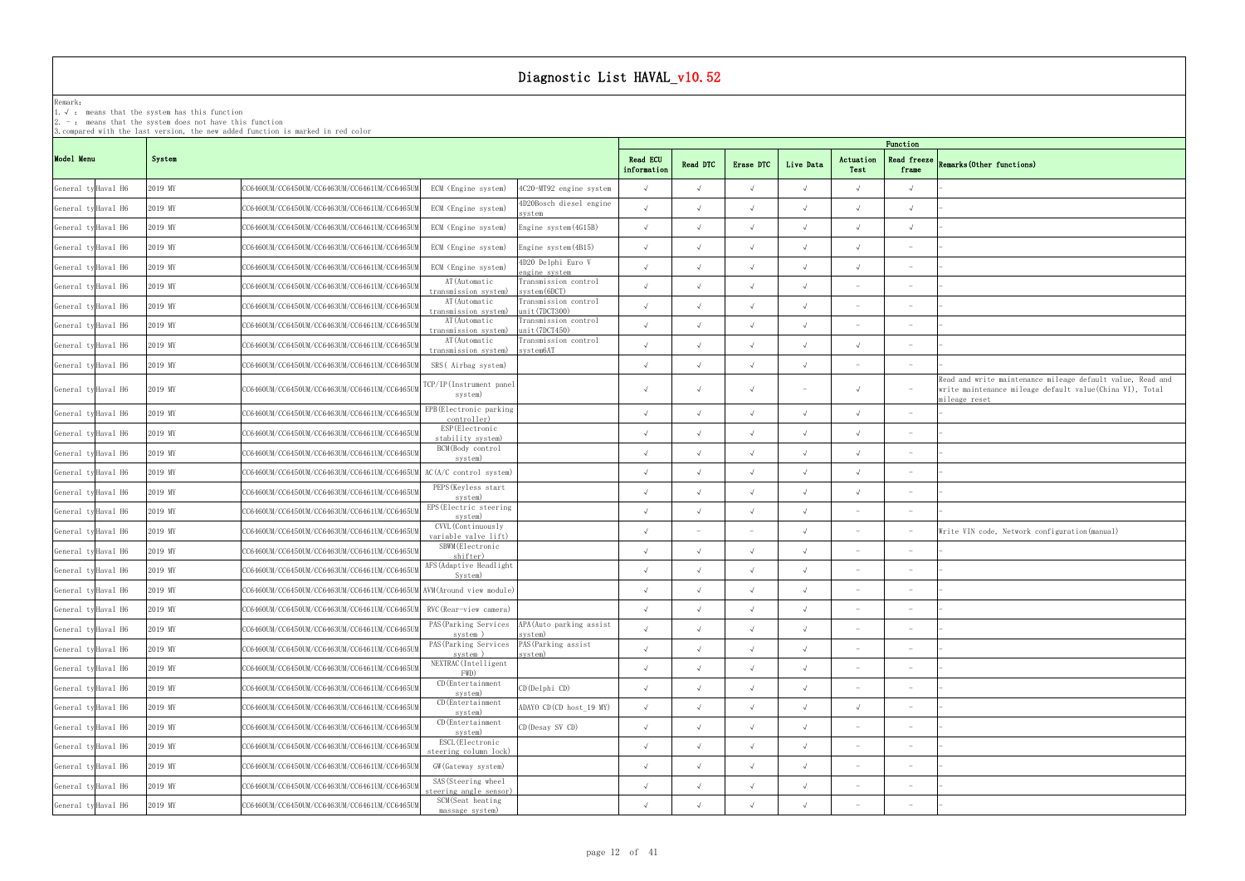### Remark: The contract of the contract of  $\mathbb{R}$  and  $\mathbb{R}$  are contract of  $\mathbb{R}$  and  $\mathbb{R}$  are contract of  $\mathbb{R}$  and  $\mathbb{R}$  are contract of  $\mathbb{R}$  and  $\mathbb{R}$  are contract of  $\mathbb{R}$  and  $\mathbb{R}$  are cont

1.√ : means that the systemhas this function

2. - : means that the system does not have this function

| Function                          |                                                                                                                                         |
|-----------------------------------|-----------------------------------------------------------------------------------------------------------------------------------------|
| Read freeze<br>frame              | Remarks (Other functions)                                                                                                               |
| $\checkmark$                      |                                                                                                                                         |
| $\sqrt{ }$                        |                                                                                                                                         |
| $\sqrt{}$                         |                                                                                                                                         |
| $\overline{a}$                    |                                                                                                                                         |
| $\qquad \qquad -$                 |                                                                                                                                         |
| $\overline{\phantom{m}}$          |                                                                                                                                         |
| $\overline{\phantom{0}}$          |                                                                                                                                         |
| $\qquad \qquad -$                 |                                                                                                                                         |
| $\overline{\phantom{0}}$          |                                                                                                                                         |
| $\overline{\phantom{0}}$          |                                                                                                                                         |
| $\overline{\phantom{0}}$          | Read and write maintenance mileage default value, Read and<br>write maintenance mileage default value(China VI), Total<br>mileage reset |
| $\overline{a}$                    |                                                                                                                                         |
| $\overline{\phantom{0}}$          |                                                                                                                                         |
|                                   |                                                                                                                                         |
|                                   |                                                                                                                                         |
| $\overline{\phantom{0}}$          |                                                                                                                                         |
| $\overline{\phantom{a}}$          |                                                                                                                                         |
| $\overline{\phantom{0}}$          | Write VIN code, Network configuration (manual)                                                                                          |
| $\qquad \qquad -$                 |                                                                                                                                         |
| $\qquad \qquad -$                 |                                                                                                                                         |
| $\qquad \qquad -$                 |                                                                                                                                         |
|                                   |                                                                                                                                         |
|                                   |                                                                                                                                         |
| $\overline{\phantom{0}}$          |                                                                                                                                         |
| $\overline{a}$                    | L                                                                                                                                       |
| $\overline{\phantom{a}}$          | -                                                                                                                                       |
| $\overline{\phantom{a}}$          | L.                                                                                                                                      |
| $\overline{\phantom{a}}$          |                                                                                                                                         |
| $\qquad \qquad -$                 |                                                                                                                                         |
| $\overline{\phantom{0}}$          |                                                                                                                                         |
| $\overline{a}$                    |                                                                                                                                         |
| $\hspace{1.0cm} - \hspace{1.0cm}$ |                                                                                                                                         |

| 3. compared with the last version, the new added function is marked in red color<br>Function |                     |         |                                                                       |                                                      |                                                           |                         |            |            |            |                          |                                 |                                                                                                                                          |
|----------------------------------------------------------------------------------------------|---------------------|---------|-----------------------------------------------------------------------|------------------------------------------------------|-----------------------------------------------------------|-------------------------|------------|------------|------------|--------------------------|---------------------------------|------------------------------------------------------------------------------------------------------------------------------------------|
| Model Menu                                                                                   |                     | System  |                                                                       |                                                      |                                                           | Read ECU<br>information | Read DTC   | Erase DTC  | Live Data  | Actuation<br>Test        | Read freeze<br>frame            | Remarks (Other functions)                                                                                                                |
| General ty Haval H6                                                                          |                     | 2019 MY | CC6460UM/CC6450UM/CC6463UM/CC6461UM/CC6465UM                          | ECM (Engine system)                                  | 4C20-MT92 engine system                                   | $\sqrt{ }$              | $\sqrt{ }$ |            |            |                          | $\sqrt{ }$                      |                                                                                                                                          |
| General ty Haval H6                                                                          |                     | 2019 MY | CC6460UM/CC6450UM/CC6463UM/CC6461UM/CC6465UI                          | ECM (Engine system)                                  | 4D20Bosch diesel engine<br>system                         | $\sqrt{ }$              | $\sqrt{ }$ |            |            |                          | $\sqrt{ }$                      |                                                                                                                                          |
| General ty Haval H6                                                                          |                     | 2019 MY | CC6460UM/CC6450UM/CC6463UM/CC6461UM/CC6465UM                          | ECM (Engine system)                                  | Engine system (4G15B)                                     | $\sqrt{ }$              |            |            |            |                          | $\sqrt{ }$                      |                                                                                                                                          |
| General ty Haval H6                                                                          |                     | 2019 MY | CC6460UM/CC6450UM/CC6463UM/CC6461UM/CC6465UI                          | ECM (Engine system)                                  | Engine system (4B15)                                      | $\sqrt{ }$              | $\sqrt{ }$ | $\sqrt{ }$ | $\sqrt{ }$ |                          | $\hspace{0.1mm}-\hspace{0.1mm}$ |                                                                                                                                          |
| General ty Haval H6                                                                          |                     | 2019 MY | CC6460UM/CC6450UM/CC6463UM/CC6461UM/CC6465UM                          | ECM (Engine system)                                  | 4D20 Delphi Euro V<br>engine system                       | $\sqrt{ }$              | $\sqrt{ }$ |            |            | $\sqrt{ }$               |                                 |                                                                                                                                          |
|                                                                                              | General ty Haval H6 | 2019 MY | CC6460UM/CC6450UM/CC6463UM/CC6461UM/CC6465UM                          | AT(Automatic<br>transmission system)                 | Transmission control<br>system (6DCT)                     | $\sqrt{ }$              | $\sqrt{ }$ |            | $\sqrt{ }$ |                          | $\overline{\phantom{a}}$        |                                                                                                                                          |
|                                                                                              | General ty Haval H6 | 2019 MY | CC6460UM/CC6450UM/CC6463UM/CC6461UM/CC6465UM                          | AT (Automatic<br>transmission system)                | Transmission control<br>unit(7DCT300)                     | $\lambda$               |            |            |            |                          |                                 |                                                                                                                                          |
|                                                                                              | General ty Haval H6 | 2019 MY | CC6460UM/CC6450UM/CC6463UM/CC6461UM/CC6465UM                          | AT (Automatic<br>transmission system)                | Transmission control<br>unit(7DCT450)                     | $\sqrt{ }$              | $\sqrt{ }$ | $\sqrt{ }$ | $\sqrt{ }$ |                          |                                 |                                                                                                                                          |
|                                                                                              | General ty Haval H6 | 2019 MY | CC6460UM/CC6450UM/CC6463UM/CC6461UM/CC6465UM                          | AT (Automatic<br>transmission system)                | Transmission control<br>system6AT                         | $\sqrt{ }$              | $\sqrt{ }$ |            | $\sqrt{ }$ | $\sqrt{ }$               |                                 |                                                                                                                                          |
|                                                                                              | General ty Haval H6 | 2019 MY | CC6460UM/CC6450UM/CC6463UM/CC6461UM/CC6465UM                          | SRS (Airbag system)                                  |                                                           | $\sqrt{ }$              | $\sqrt{ }$ |            |            | $\sim$                   | $\hspace{0.1mm}-\hspace{0.1mm}$ |                                                                                                                                          |
|                                                                                              | General ty Haval H6 | 2019 MY | CC6460UM/CC6450UM/CC6463UM/CC6461UM/CC6465UM                          | TCP/IP(Instrument panel<br>system)                   |                                                           | $\sqrt{ }$              | $\sqrt{ }$ |            |            | $\sqrt{ }$               |                                 | Read and write maintenance mileage default value, Read and<br>write maintenance mileage default value (China VI), Total<br>mileage reset |
|                                                                                              | General ty Haval H6 | 2019 MY | CC6460UM/CC6450UM/CC6463UM/CC6461UM/CC6465UM                          | EPB (Electronic parking<br>controller)               |                                                           | $\sqrt{ }$              | $\sqrt{ }$ | $\sqrt{ }$ | $\sqrt{ }$ |                          |                                 |                                                                                                                                          |
|                                                                                              | General ty Haval H6 | 2019 MY | CC6460UM/CC6450UM/CC6463UM/CC6461UM/CC6465UM                          | ESP (Electronic<br>stability system)                 |                                                           | $\sqrt{ }$              | $\sqrt{ }$ |            |            |                          |                                 |                                                                                                                                          |
|                                                                                              | General ty Haval H6 | 2019 MY | CC6460UM/CC6450UM/CC6463UM/CC6461UM/CC6465UM                          | BCM(Body control<br>system)                          |                                                           | $\sqrt{ }$              | $\sqrt{ }$ |            |            |                          | $\hspace{0.1mm}-\hspace{0.1mm}$ |                                                                                                                                          |
|                                                                                              | General ty Haval H6 | 2019 MY | CC6460UM/CC6450UM/CC6463UM/CC6461UM/CC6465UM AC(A/C control system)   |                                                      |                                                           | $\sqrt{ }$              | $\sqrt{ }$ | $\sqrt{ }$ |            | $\sqrt{ }$               | $\overline{\phantom{a}}$        |                                                                                                                                          |
|                                                                                              | General ty Haval H6 | 2019 MY | CC6460UM/CC6450UM/CC6463UM/CC6461UM/CC6465U                           | PEPS (Keyless start<br>system)                       |                                                           | $\sqrt{ }$              | $\sqrt{ }$ | $\sqrt{ }$ | $\sqrt{ }$ | $\sqrt{ }$               | $\hspace{0.1mm}-\hspace{0.1mm}$ |                                                                                                                                          |
|                                                                                              | General ty Haval H6 | 2019 MY | CC6460UM/CC6450UM/CC6463UM/CC6461UM/CC6465U                           | EPS (Electric steering<br>system)                    |                                                           | $\sqrt{ }$              | $\sqrt{ }$ | $\sqrt{ }$ | $\sqrt{ }$ |                          |                                 |                                                                                                                                          |
|                                                                                              | General ty Haval H6 | 2019 MY | CC6460UM/CC6450UM/CC6463UM/CC6461UM/CC6465U                           | CVVL (Continuously<br>variable valve lift)           |                                                           | $\sqrt{ }$              |            |            |            |                          |                                 | Write VIN code, Network configuration (manual)                                                                                           |
|                                                                                              | General ty Haval H6 | 2019 MY | CC6460UM/CC6450UM/CC6463UM/CC6461UM/CC6465UM                          | SBWM (Electronic<br>shifter)                         |                                                           | $\sqrt{ }$              |            |            |            |                          |                                 |                                                                                                                                          |
|                                                                                              | General ty Haval H6 | 2019 MY | CC6460UM/CC6450UM/CC6463UM/CC6461UM/CC6465UM                          | AFS (Adaptive Headlight<br>System)                   |                                                           | $\sqrt{ }$              | $\sqrt{ }$ | $\sqrt{ }$ | $\sqrt{ }$ |                          |                                 |                                                                                                                                          |
|                                                                                              | General ty Haval H6 | 2019 MY | CC6460UM/CC6450UM/CC6463UM/CC6461UM/CC6465UM AVM (Around view module) |                                                      |                                                           | $\sqrt{ }$              |            |            |            |                          |                                 |                                                                                                                                          |
|                                                                                              | General ty Haval H6 | 2019 MY | CC6460UM/CC6450UM/CC6463UM/CC6461UM/CC6465UM RVC (Rear-view camera)   |                                                      |                                                           | $\sqrt{ }$              |            |            |            |                          |                                 |                                                                                                                                          |
|                                                                                              | General ty Haval H6 | 2019 MY | CC6460UM/CC6450UM/CC6463UM/CC6461UM/CC6465UI                          | system)                                              | PAS (Parking Services APA (Auto parking assist<br>system) | $\sqrt{ }$              |            | $\sqrt{ }$ |            | $\overline{\phantom{a}}$ | $\hspace{0.1mm}-\hspace{0.1mm}$ |                                                                                                                                          |
|                                                                                              | General ty Haval H6 | 2019 MY | CC6460UM/CC6450UM/CC6463UM/CC6461UM/CC6465U                           | PAS (Parking Services PAS (Parking assist<br>system) | system)                                                   | $\sqrt{ }$              | $\sqrt{ }$ | $\sqrt{ }$ |            | $\overline{\phantom{a}}$ | $\hspace{0.1mm}-\hspace{0.1mm}$ |                                                                                                                                          |
|                                                                                              | General ty Haval H6 | 2019 MY | CC6460UM/CC6450UM/CC6463UM/CC6461UM/CC6465U                           | NEXTRAC(Intelligent<br>FWD)                          |                                                           | $\sqrt{ }$              | $\sqrt{ }$ | $\sqrt{ }$ | $\sqrt{ }$ |                          |                                 |                                                                                                                                          |
|                                                                                              | General ty Haval H6 | 2019 MY | CC6460UM/CC6450UM/CC6463UM/CC6461UM/CC6465UI                          | CD (Entertainment<br>system)                         | CD(Delphi CD)                                             | $\sqrt{ }$              | $\sqrt{ }$ |            |            |                          |                                 |                                                                                                                                          |
|                                                                                              | General ty Haval H6 | 2019 MY | CC6460UM/CC6450UM/CC6463UM/CC6461UM/CC6465UM                          | CD (Entertainment<br>system)                         | ADAYO CD (CD host_19 MY)                                  | $\sqrt{ }$              | $\sqrt{ }$ | $\sqrt{ }$ | $\sqrt{ }$ | $\sqrt{ }$               | $\overline{\phantom{a}}$        |                                                                                                                                          |
|                                                                                              | General ty Haval H6 | 2019 MY | CC6460UM/CC6450UM/CC6463UM/CC6461UM/CC6465UM                          | CD (Entertainment<br>system)                         | CD (Desay SV CD)                                          | $\sqrt{ }$              | $\sqrt{ }$ | $\sqrt{ }$ | $\sqrt{ }$ |                          |                                 |                                                                                                                                          |
|                                                                                              | General ty Haval H6 | 2019 MY | CC6460UM/CC6450UM/CC6463UM/CC6461UM/CC6465UM                          | ESCL (Electronic<br>steering column lock)            |                                                           | $\sqrt{ }$              | $\sqrt{ }$ | $\sqrt{ }$ | $\sqrt{ }$ |                          |                                 |                                                                                                                                          |
|                                                                                              | General ty Haval H6 | 2019 MY | CC6460UM/CC6450UM/CC6463UM/CC6461UM/CC6465UM                          | GW (Gateway system)                                  |                                                           | $\sqrt{ }$              | $\sqrt{ }$ | $\sqrt{ }$ | $\sqrt{ }$ | $\overline{\phantom{a}}$ | $\hspace{0.1mm}-\hspace{0.1mm}$ |                                                                                                                                          |
|                                                                                              | General ty Haval H6 | 2019 MY | CC6460UM/CC6450UM/CC6463UM/CC6461UM/CC6465UM                          | SAS (Steering wheel<br>steering angle sensor)        |                                                           | $\sqrt{ }$              | $\sqrt{ }$ | $\sqrt{}$  |            | $\overline{\phantom{a}}$ | $\hspace{0.1mm}-\hspace{0.1mm}$ |                                                                                                                                          |
|                                                                                              | General ty Haval H6 | 2019 MY | CC6460UM/CC6450UM/CC6463UM/CC6461UM/CC6465UM                          | SCM(Seat heating<br>massage system)                  |                                                           | $\sqrt{ }$              |            |            |            |                          | $\hspace{0.1mm}-\hspace{0.1mm}$ |                                                                                                                                          |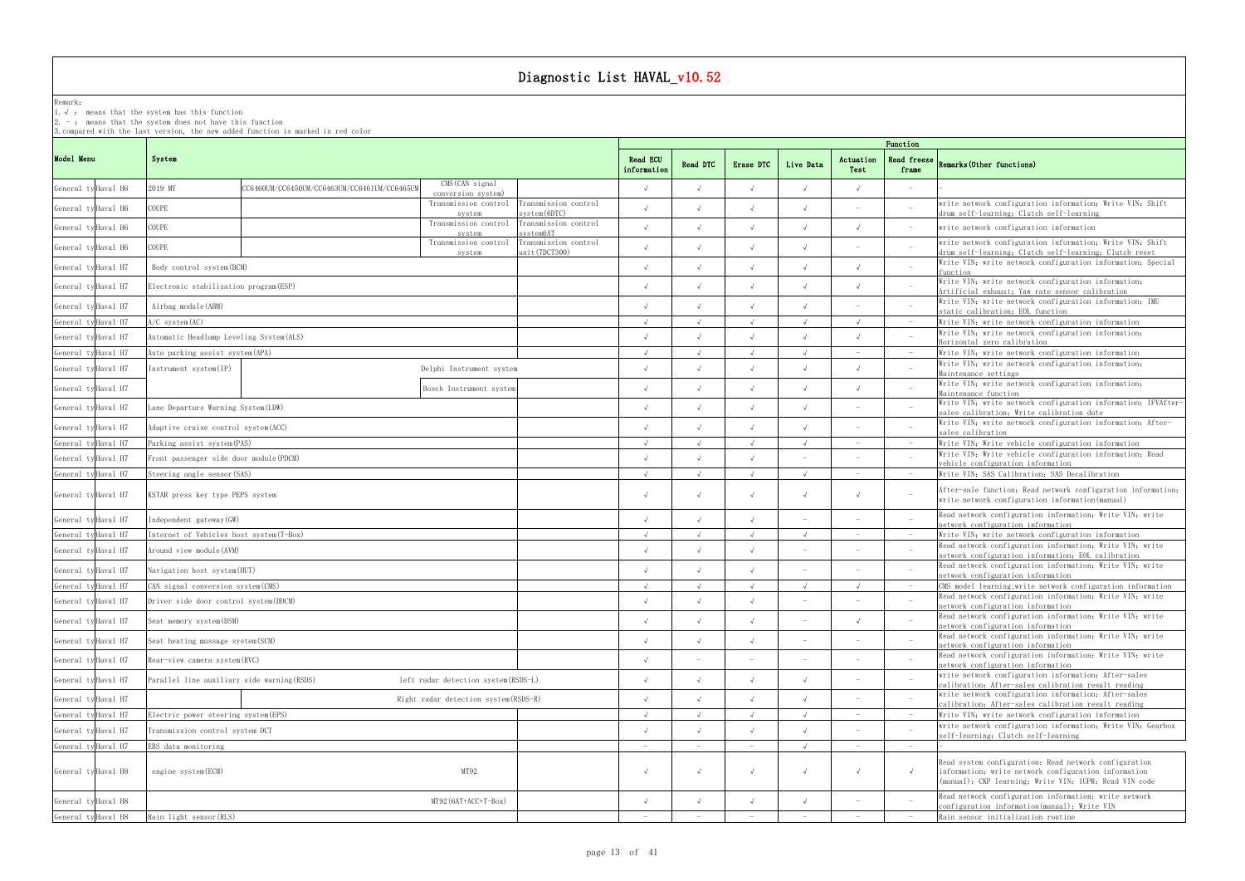### Remark: The contract of the contract of  $\mathbb{R}$  and  $\mathbb{R}$  are contract of  $\mathbb{R}$  and  $\mathbb{R}$  are contract of  $\mathbb{R}$  and  $\mathbb{R}$  are contract of  $\mathbb{R}$  and  $\mathbb{R}$  are contract of  $\mathbb{R}$  and  $\mathbb{R}$  are cont

1.√ : means that the systemhas this function

2. - : means that the system does not have this function

|                     |                                                         |                                                           | Function                             |                         |            |            |            |                                 |                                 |                                                                                                                                                                         |  |  |  |  |
|---------------------|---------------------------------------------------------|-----------------------------------------------------------|--------------------------------------|-------------------------|------------|------------|------------|---------------------------------|---------------------------------|-------------------------------------------------------------------------------------------------------------------------------------------------------------------------|--|--|--|--|
| Model Menu          | System                                                  |                                                           |                                      | Read ECU<br>information | Read DTC   | Erase DTC  | Live Data  | Actuation<br>Test               | Read freeze<br>frame            | Remarks (Other functions)                                                                                                                                               |  |  |  |  |
| General ty Haval H6 | 2019 MY<br>CC6460UM/CC6450UM/CC6463UM/CC6461UM/CC6465UM | $\overline{\text{CMS}}$ (CAN signal<br>conversion system) |                                      |                         |            |            |            |                                 |                                 |                                                                                                                                                                         |  |  |  |  |
| General ty Haval H6 | COUPE                                                   | Transmission control<br>system                            | ransmission control<br>svstem(6DTC)  |                         |            |            |            |                                 |                                 | write network configuration information; Write VIN; Shift<br>drum self-learning; Clutch self-learning                                                                   |  |  |  |  |
| General ty Haval H6 | COUPE                                                   | Transmission control<br>system                            | Transmission control<br>svstem6AT    |                         |            |            |            |                                 | $\hspace{0.1mm}-\hspace{0.1mm}$ | write network configuration information                                                                                                                                 |  |  |  |  |
| General ty Haval H6 | COUPE                                                   | Transmission control                                      | Transmission control<br>nit(7DCT300) |                         |            |            |            |                                 |                                 | write network configuration information; Write VIN; Shift<br>drum self-learning; Clutch self-learning; Clutch reset                                                     |  |  |  |  |
| General ty Haval H7 | Body control system (BCM)                               | system                                                    |                                      |                         |            |            |            |                                 |                                 | Write VIN; write network configuration information; Special<br>function                                                                                                 |  |  |  |  |
| General ty Haval H7 | Electronic stabilization program (ESP)                  |                                                           |                                      |                         |            |            |            |                                 |                                 | Write VIN; write network configuration information;<br>Artificial exhaust; Yaw rate sensor calibration                                                                  |  |  |  |  |
| General ty Haval H7 | Airbag module (ABM)                                     |                                                           |                                      |                         |            |            |            |                                 |                                 | Write VIN; write network configuration information; IMU<br>static calibration; EOL function                                                                             |  |  |  |  |
| General ty Haval H7 | $A/C$ system $(AC)$                                     |                                                           |                                      |                         |            |            |            |                                 | $\hspace{0.1mm}-\hspace{0.1mm}$ | Write VIN; write network configuration information                                                                                                                      |  |  |  |  |
| General ty Haval H7 | Automatic Headlamp Leveling System (ALS)                |                                                           |                                      |                         |            |            |            |                                 |                                 | Write VIN; write network configuration information;<br>Horizontal zero calibration                                                                                      |  |  |  |  |
| General ty Haval H7 | Auto parking assist system (APA)                        |                                                           |                                      |                         |            |            |            |                                 | $\hspace{0.1mm}-\hspace{0.1mm}$ | Write VIN; write network configuration information                                                                                                                      |  |  |  |  |
| General ty Haval H7 | $Instrument$ system $/IP$ )                             | Delphi Instrument system                                  |                                      |                         |            |            |            |                                 |                                 | Write VIN; write network configuration information;                                                                                                                     |  |  |  |  |
| General ty Haval H7 |                                                         | Bosch Instrument system                                   |                                      |                         |            |            |            |                                 |                                 | Maintenance settings<br>Write VIN; write network configuration information;<br>Maintenance function                                                                     |  |  |  |  |
| General ty Haval H7 | Lane Departure Warning System(LDW)                      |                                                           |                                      |                         |            |            |            |                                 |                                 | Write VIN; write network configuration information; IFVAfter-<br>sales calibration; Write calibration date                                                              |  |  |  |  |
| General ty Haval H7 | Adaptive cruise control system(ACC)                     |                                                           |                                      |                         |            |            |            |                                 |                                 | Write VIN; write network configuration information; After-<br>sales calibration                                                                                         |  |  |  |  |
| General ty Haval H7 | Parking assist system (PAS)                             |                                                           |                                      | $\sqrt{ }$              | $\sqrt{ }$ | $\sqrt{ }$ | $\sqrt{ }$ | $\sim$                          | $-$                             | Write VIN; Write vehicle configuration information                                                                                                                      |  |  |  |  |
| General ty Haval H7 | Front passenger side door module (PDCM)                 |                                                           |                                      |                         |            |            |            |                                 |                                 | Write VIN; Write vehicle configuration information; Read<br>vehicle configuration information                                                                           |  |  |  |  |
| General ty Haval H7 | Steering angle sensor (SAS)                             |                                                           |                                      | $\sqrt{ }$              | $\sqrt{ }$ | $\sqrt{ }$ | $\sqrt{ }$ | $\hspace{0.1mm}-\hspace{0.1mm}$ | $-$                             | Write VIN; SAS Calibration; SAS Decalibration                                                                                                                           |  |  |  |  |
| General ty Haval H7 | KSTAR press key type PEPS system                        |                                                           |                                      |                         |            |            |            |                                 | $\overline{\phantom{a}}$        | After-sale function, Read network configuration information,<br>write network configuration information (manual)                                                        |  |  |  |  |
| General ty Haval H7 | Independent gateway (GW)                                |                                                           |                                      |                         |            |            |            |                                 |                                 | Read network configuration information; Write VIN; write<br>network configuration information                                                                           |  |  |  |  |
| General ty Haval H7 | Internet of Vehicles host system (T-Box)                |                                                           |                                      |                         |            |            |            |                                 | $\hspace{0.1mm}-\hspace{0.1mm}$ | Write VIN; write network configuration information                                                                                                                      |  |  |  |  |
| General ty Haval H7 | Around view module (AVM)                                |                                                           |                                      |                         |            |            |            |                                 |                                 | Read network configuration information, Write VIN, write<br>network configuration information; EOL calibration                                                          |  |  |  |  |
| General ty Haval H7 | Navigation host system(HUT)                             |                                                           |                                      |                         |            |            |            |                                 |                                 | Read network configuration information; Write VIN; write<br>network configuration information                                                                           |  |  |  |  |
| General ty Haval H7 | CAN signal conversion system (CMS)                      |                                                           |                                      |                         |            |            |            |                                 | $\hspace{0.1mm}-\hspace{0.1mm}$ | CMS model learning; write network configuration information                                                                                                             |  |  |  |  |
| General ty Haval H7 | Driver side door control system (DDCM)                  |                                                           |                                      |                         |            |            |            |                                 |                                 | Read network configuration information; Write VIN; write<br>network configuration information                                                                           |  |  |  |  |
| General ty Haval H7 | Seat memory system (DSM)                                |                                                           |                                      |                         |            |            |            |                                 |                                 | Read network configuration information; Write VIN; write<br>network configuration information                                                                           |  |  |  |  |
| General ty Haval H7 | Seat heating massage system (SCM)                       |                                                           |                                      |                         |            |            |            |                                 |                                 | Read network configuration information; Write VIN; write<br>network configuration information                                                                           |  |  |  |  |
| General ty Haval H7 | Rear-view camera system(RVC)                            |                                                           |                                      |                         |            |            |            |                                 |                                 | Read network configuration information; Write VIN; write<br>network configuration information                                                                           |  |  |  |  |
| General ty Haval H7 | Parallel line auxiliary side warning (RSDS)             | left radar detection system (RSDS-L)                      |                                      |                         |            |            |            |                                 |                                 | write network configuration information; After-sales<br>calibration, After-sales calibration result reading                                                             |  |  |  |  |
| General ty Haval H7 |                                                         | Right radar detection system (RSDS-R)                     |                                      |                         |            |            |            |                                 |                                 | write network configuration information; After-sales<br>calibration; After-sales calibration result reading                                                             |  |  |  |  |
| General ty Haval H7 | Electric power steering system (EPS)                    |                                                           |                                      | $\sqrt{ }$              | $\sqrt{ }$ |            | $\sqrt{ }$ |                                 | $-$                             | Write VIN; write network configuration information                                                                                                                      |  |  |  |  |
| General ty Haval H7 | Transmission control system DCT                         |                                                           |                                      |                         |            |            |            |                                 |                                 | write network configuration information; Write VIN; Gearbox<br>self-learning; Clutch self-learning                                                                      |  |  |  |  |
| General ty Haval H7 | EBS data monitoring                                     |                                                           |                                      |                         |            |            | $\sqrt{ }$ |                                 | $-$                             |                                                                                                                                                                         |  |  |  |  |
| General ty Haval H8 | engine system (ECM)                                     | MT92                                                      |                                      |                         | $\sqrt{ }$ |            | $\sqrt{ }$ |                                 | $\sqrt{ }$                      | Read system configuration; Read network configuration<br>information, write network configuration information<br>(manual); CKP learning; Write VIN; IUPR; Read VIN code |  |  |  |  |
| General ty Haval H8 |                                                         | $MT92 (6AT+ACC+T-Box)$                                    |                                      |                         |            |            |            |                                 |                                 | Read network configuration information; write network<br>configuration information(manual); Write VIN                                                                   |  |  |  |  |
| General ty Haval H8 | Rain light sensor (RLS)                                 |                                                           |                                      |                         |            |            |            |                                 |                                 | Rain sensor initialization routine                                                                                                                                      |  |  |  |  |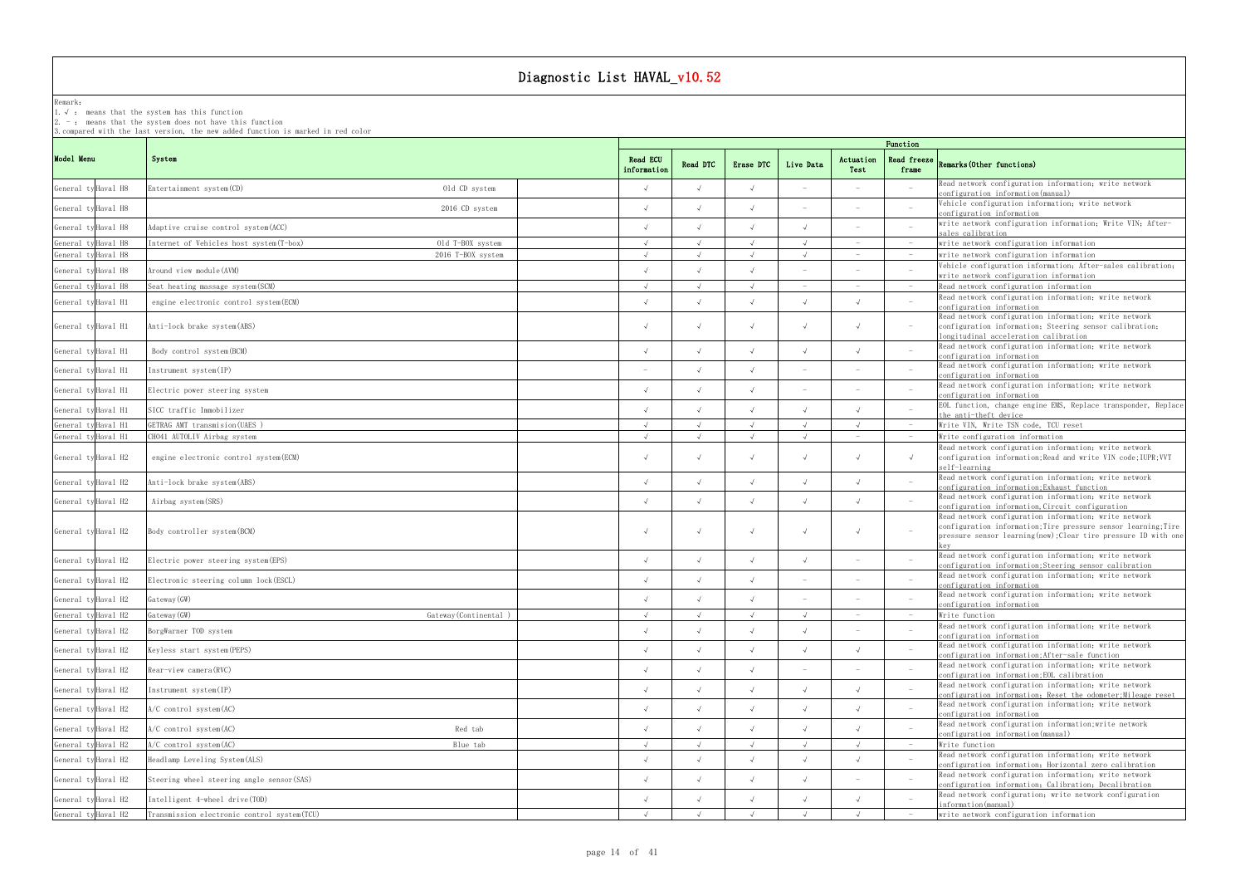Remark: The contract of the contract of  $\mathbb{R}$  and  $\mathbb{R}$  are contract of  $\mathbb{R}$  and  $\mathbb{R}$  are contract of  $\mathbb{R}$  and  $\mathbb{R}$  are contract of  $\mathbb{R}$  and  $\mathbb{R}$  are contract of  $\mathbb{R}$  and  $\mathbb{R}$  are cont

1.√ : means that the systemhas this function

2. - : means that the system does not have this function

|                     |                                              |                      |                                |            |            |                          |                   | Function                        |                                                                                                                                                                                            |
|---------------------|----------------------------------------------|----------------------|--------------------------------|------------|------------|--------------------------|-------------------|---------------------------------|--------------------------------------------------------------------------------------------------------------------------------------------------------------------------------------------|
| Model Menu          | System                                       |                      | <b>Read ECU</b><br>information | Read DTC   | Erase DTC  | Live Data                | Actuation<br>Test | <b>Read freeze</b><br>frame     | Remarks (Other functions)                                                                                                                                                                  |
| General ty Haval H8 | Entertainment system (CD)                    | Old CD system        |                                |            |            |                          |                   |                                 | Read network configuration information; write network<br>configuration information(manual)                                                                                                 |
| General ty Haval H8 |                                              | 2016 CD system       |                                |            |            |                          |                   |                                 | Vehicle configuration information; write network<br>configuration information                                                                                                              |
| General ty Haval H8 | Adaptive cruise control system (ACC)         |                      |                                |            |            |                          |                   |                                 | write network configuration information; Write VIN; After-<br>sales calibration                                                                                                            |
| General ty Haval H8 | Internet of Vehicles host system(T-box)      | Old T-BOX system     |                                |            |            |                          |                   |                                 | write network configuration information                                                                                                                                                    |
| General ty Haval H8 |                                              | 2016 T-BOX system    |                                |            |            |                          |                   |                                 | write network configuration information                                                                                                                                                    |
| General ty Haval H8 | Around view module (AVM)                     |                      |                                |            |            |                          |                   |                                 | Vehicle configuration information; After-sales calibration;                                                                                                                                |
| General ty Haval H8 | Seat heating massage system (SCM)            |                      |                                |            |            |                          |                   |                                 | write network configuration information<br>Read network configuration information                                                                                                          |
| General ty Haval H1 | engine electronic control system (ECM)       |                      |                                |            |            |                          |                   | $\overline{\phantom{0}}$        | Read network configuration information; write network                                                                                                                                      |
| General ty Haval H1 | Anti-lock brake system (ABS)                 |                      |                                |            |            | $\sqrt{ }$               |                   | $-$                             | configuration information<br>Read network configuration information; write network<br>configuration information; Steering sensor calibration;                                              |
| General ty Haval H1 | Body control system (BCM)                    |                      |                                |            |            |                          |                   |                                 | longitudinal acceleration calibration<br>Read network configuration information, write network                                                                                             |
| General ty Haval H1 | Instrument system(IP)                        |                      |                                |            |            |                          |                   |                                 | configuration information<br>Read network configuration information; write network                                                                                                         |
|                     |                                              |                      |                                |            |            |                          |                   |                                 | configuration information<br>Read network configuration information; write network                                                                                                         |
| General ty Haval H1 | Electric power steering system               |                      |                                |            |            |                          |                   |                                 | configuration information                                                                                                                                                                  |
| General ty Haval H1 | SICC traffic Immobilizer                     |                      |                                |            |            |                          |                   |                                 | EOL function, change engine EMS, Replace transponder, Replace<br>the anti-theft device                                                                                                     |
| General ty Haval H1 | GETRAG AMT transmision (UAES)                |                      | $\sqrt{ }$                     | $\sqrt{ }$ | $\sqrt{ }$ | $\sqrt{ }$               | $\sqrt{ }$        | $-$                             | Write VIN, Write TSN code, TCU reset                                                                                                                                                       |
| General ty Haval H1 | CH041 AUTOLIV Airbag system                  |                      |                                |            |            |                          |                   |                                 | Write configuration information                                                                                                                                                            |
| General ty Haval H2 | engine electronic control system (ECM)       |                      |                                |            |            | $\sqrt{ }$               |                   | $\sqrt{ }$                      | Read network configuration information; write network<br>configuration information; Read and write VIN code; IUPR; VVT<br>self-learning                                                    |
| General ty Haval H2 | Anti-lock brake system (ABS)                 |                      | $\sqrt{ }$                     | $\sqrt{ }$ |            | $\sqrt{ }$               |                   |                                 | Read network configuration information; write network<br>configuration information; Exhaust function                                                                                       |
| General ty Haval H2 | Airbag system (SRS)                          |                      |                                |            |            | $\sqrt{ }$               |                   |                                 | Read network configuration information; write network<br>configuration information, Circuit configuration                                                                                  |
| General ty Haval H2 | Body controller system (BCM)                 |                      |                                |            |            | $\sqrt{ }$               |                   | $\sim$                          | Read network configuration information; write network<br>configuration information; Tire pressure sensor learning; Tire<br>pressure sensor learning (new); Clear tire pressure ID with one |
| General ty Haval H2 | Electric power steering system (EPS)         |                      |                                |            |            |                          |                   |                                 | Read network configuration information; write network<br>configuration information;Steering sensor calibration                                                                             |
| General ty Haval H2 | Electronic steering column lock (ESCL)       |                      |                                |            |            |                          |                   |                                 | Read network configuration information; write network<br>configuration information                                                                                                         |
| General ty Haval H2 | Gateway (GW)                                 |                      |                                | $\sqrt{ }$ |            | $\overline{\phantom{a}}$ |                   | $\hspace{0.1mm}-\hspace{0.1mm}$ | Read network configuration information; write network                                                                                                                                      |
|                     |                                              |                      |                                |            |            |                          |                   |                                 | configuration information                                                                                                                                                                  |
| General ty Haval H2 | Gateway (GW)                                 | Gateway (Continental |                                |            |            |                          |                   | $\hspace{0.1mm}$                | Write function<br>Read network configuration information; write network                                                                                                                    |
| General ty Haval H2 | BorgWarner TOD system                        |                      |                                |            |            |                          |                   |                                 | configuration information                                                                                                                                                                  |
| General ty Haval H2 | Keyless start system (PEPS)                  |                      |                                |            |            |                          |                   |                                 | Read network configuration information; write network<br>configuration information; After-sale function                                                                                    |
| General ty Haval H2 | Rear-view camera (RVC)                       |                      |                                |            |            |                          |                   |                                 | Read network configuration information; write network<br>configuration information; EOL calibration                                                                                        |
| General ty Haval H2 | Instrument system(IP)                        |                      |                                |            |            | $\sqrt{ }$               |                   |                                 | Read network configuration information; write network<br>configuration information; Reset the odometer; Mileage reset                                                                      |
| General ty Haval H2 | $A/C$ control system $(AC)$                  |                      | $\sqrt{ }$                     |            | $\sqrt{ }$ | $\sqrt{ }$               |                   |                                 | Read network configuration information; write network<br>configuration information                                                                                                         |
| General ty Haval H2 | $A/C$ control system $(AC)$                  | Red tab              |                                |            |            |                          |                   |                                 | Read network configuration information; write network<br>configuration information(manual)                                                                                                 |
| General ty Haval H2 | A/C control system(AC)                       | Blue tab             |                                |            |            |                          |                   |                                 | Write function                                                                                                                                                                             |
| General ty Haval H2 | Headlamp Leveling System (ALS)               |                      |                                |            |            |                          |                   |                                 | Read network configuration information; write network<br>configuration information; Horizontal zero calibration                                                                            |
| General ty Haval H2 | Steering wheel steering angle sensor (SAS)   |                      |                                |            |            |                          |                   |                                 | Read network configuration information; write network<br>configuration information; Calibration; Decalibration                                                                             |
| General ty Haval H2 | Intelligent 4-wheel drive (TOD)              |                      |                                |            |            |                          |                   |                                 | Read network configuration; write network configuration<br>information(manual)                                                                                                             |
| General ty Haval H2 | Transmission electronic control system (TCU) |                      |                                |            |            |                          |                   |                                 | write network configuration information                                                                                                                                                    |
|                     |                                              |                      |                                |            |            |                          |                   |                                 |                                                                                                                                                                                            |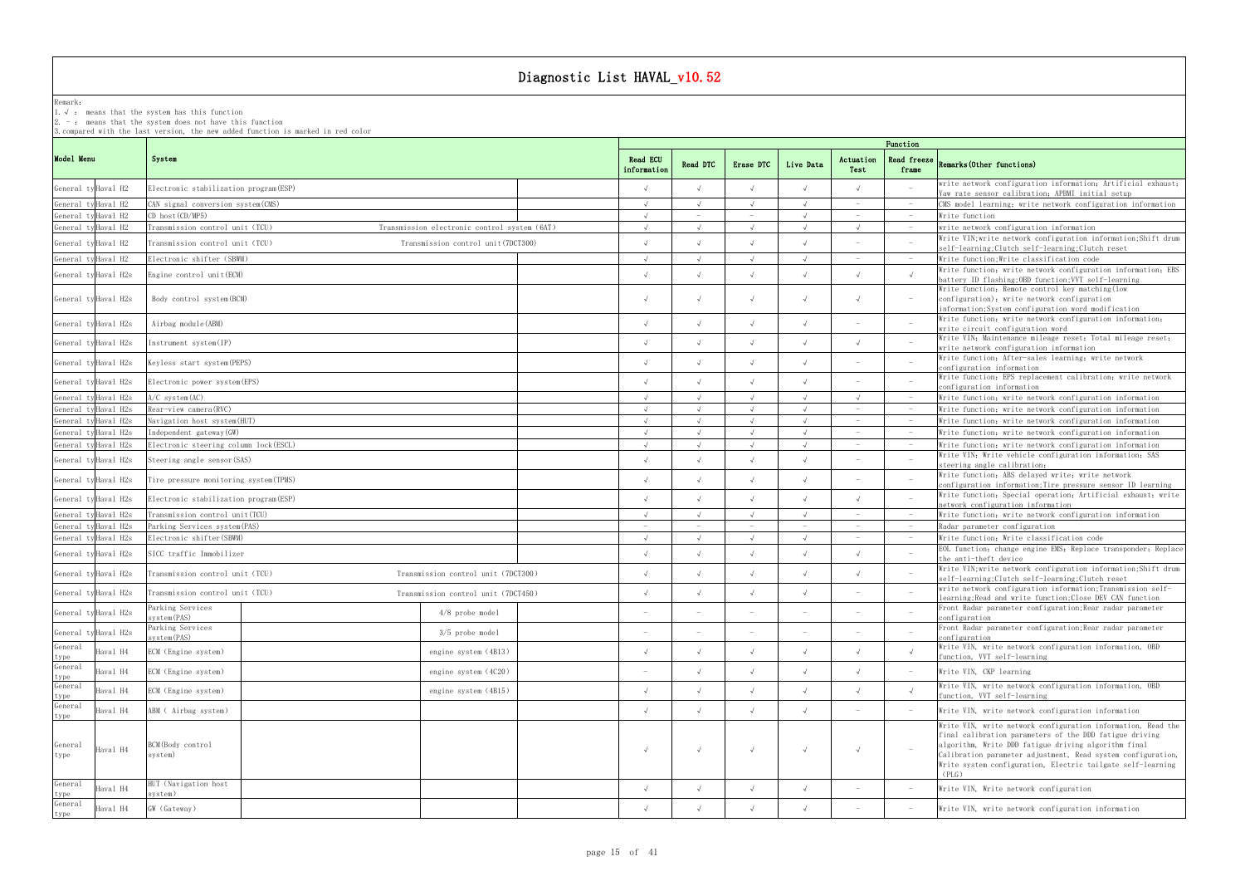Remark:

1.√ : means that the systemhas this function

2. - : means that the system does not have this function

3.compared with the last version, the new added function is marked in red color

## frame Remarks(Other functions)

|                    |                      |                                        |                                              |                         | Function   |            |                          |                                 |                                 |                                                                                                                                                                                                                                                                                                                         |  |  |  |  |
|--------------------|----------------------|----------------------------------------|----------------------------------------------|-------------------------|------------|------------|--------------------------|---------------------------------|---------------------------------|-------------------------------------------------------------------------------------------------------------------------------------------------------------------------------------------------------------------------------------------------------------------------------------------------------------------------|--|--|--|--|
| Model Menu         |                      | System                                 |                                              | Read ECU<br>information | Read DTC   | Erase DTC  | Live Data                | Actuation<br>Test               | <b>Read freeze</b><br>frame     | Remarks (Other functions)                                                                                                                                                                                                                                                                                               |  |  |  |  |
|                    | General ty Haval H2  | Electronic stabilization program (ESP) |                                              |                         |            | $\sqrt{ }$ |                          |                                 |                                 | write network configuration information; Artificial exhaust;<br>Yaw rate sensor calibration; APBMI initial setup                                                                                                                                                                                                        |  |  |  |  |
|                    | General tyHaval H2   | CAN signal conversion system (CMS)     |                                              | $\sqrt{ }$              |            | $\sqrt{ }$ |                          | $\hspace{0.1mm}-\hspace{0.1mm}$ | $\hspace{0.1mm}-\hspace{0.1mm}$ | CMS model learning; write network configuration information                                                                                                                                                                                                                                                             |  |  |  |  |
|                    | General ty Haval H2  | $CD$ host $(CD/MP5)$                   |                                              |                         |            |            |                          |                                 | $\hspace{0.1mm}-\hspace{0.1mm}$ | Write function                                                                                                                                                                                                                                                                                                          |  |  |  |  |
|                    | General ty Haval H2  | Transmission control unit (TCU)        | Transmission electronic control system (6AT) |                         |            | $\lambda$  |                          |                                 | $ \,$                           | write network configuration information                                                                                                                                                                                                                                                                                 |  |  |  |  |
|                    | General ty Haval H2  | Transmission control unit (TCU)        |                                              |                         |            | $\sqrt{ }$ |                          |                                 |                                 | Write VIN; write network configuration information; Shift drum                                                                                                                                                                                                                                                          |  |  |  |  |
|                    |                      |                                        | Transmission control unit (7DCT300)          |                         |            |            |                          |                                 |                                 | self-learning; Clutch self-learning; Clutch reset                                                                                                                                                                                                                                                                       |  |  |  |  |
|                    | General tyHaval H2   | Electronic shifter (SBWM)              |                                              |                         |            | $\lambda$  |                          |                                 |                                 | Write function: Write classification code                                                                                                                                                                                                                                                                               |  |  |  |  |
|                    | General ty Haval H2s | Engine control unit (ECM)              |                                              |                         | $\sqrt{ }$ | $\sqrt{ }$ |                          |                                 | $\sqrt{ }$                      | Write function; write network configuration information; EBS<br>battery ID flashing; OBD function; VVT self-learning                                                                                                                                                                                                    |  |  |  |  |
|                    | General ty Haval H2s | Body control system (BCM)              |                                              |                         | $\sqrt{ }$ | $\sqrt{ }$ |                          |                                 | $-$                             | Write function; Remote control key matching (low<br>configuration), write network configuration<br>information; System configuration word modification                                                                                                                                                                  |  |  |  |  |
|                    | General ty Haval H2s | Airbag module (ABM)                    |                                              |                         |            | $\sqrt{ }$ |                          |                                 |                                 | Write function, write network configuration information,<br>write circuit configuration word                                                                                                                                                                                                                            |  |  |  |  |
|                    | General ty Haval H2s | Instrument system(IP)                  |                                              |                         | $\sqrt{ }$ | $\sqrt{ }$ |                          |                                 |                                 | Write VIN; Maintenance mileage reset; Total mileage reset;<br>write network configuration information                                                                                                                                                                                                                   |  |  |  |  |
|                    | General ty Haval H2s | Keyless start system (PEPS)            |                                              |                         | $\sqrt{ }$ | $\sqrt{ }$ |                          |                                 |                                 | Write function; After-sales learning; write network<br>configuration information<br>Write function; EPS replacement calibration; write network                                                                                                                                                                          |  |  |  |  |
|                    | General ty Haval H2s | Electronic power system (EPS)          |                                              |                         |            | $\sqrt{ }$ |                          |                                 |                                 | configuration information                                                                                                                                                                                                                                                                                               |  |  |  |  |
|                    | General ty Haval H2s | $A/C$ system $(AC)$                    |                                              |                         |            | $\cdot$    |                          |                                 |                                 | Write function; write network configuration information                                                                                                                                                                                                                                                                 |  |  |  |  |
|                    | General tyHaval H2s  | Rear-view camera(RVC)                  |                                              |                         |            | $\lambda$  |                          |                                 |                                 | Write function; write network configuration information                                                                                                                                                                                                                                                                 |  |  |  |  |
|                    | General tyHaval H2s  | Navigation host system(HUT)            |                                              |                         | $\sqrt{ }$ | $\sqrt{ }$ |                          |                                 | $\hspace{0.1mm}-\hspace{0.1mm}$ | Write function, write network configuration information                                                                                                                                                                                                                                                                 |  |  |  |  |
|                    | General ty Haval H2s | Independent gateway(GW)                |                                              |                         | $\sqrt{ }$ | $\sqrt{ }$ |                          |                                 | $\hspace{0.1mm}-\hspace{0.1mm}$ | Write function, write network configuration information                                                                                                                                                                                                                                                                 |  |  |  |  |
|                    | General ty Haval H2s | Electronic steering column lock (ESCL) |                                              | $\sqrt{ }$              | $\sqrt{ }$ | $\sqrt{ }$ |                          |                                 | $-$                             | Write function, write network configuration information                                                                                                                                                                                                                                                                 |  |  |  |  |
|                    | General ty Haval H2s | Steering angle sensor(SAS)             |                                              |                         |            | $\sqrt{ }$ |                          |                                 |                                 | Write VIN; Write vehicle configuration information; SAS<br>steering angle calibration;                                                                                                                                                                                                                                  |  |  |  |  |
|                    | General ty Haval H2s | Tire pressure monitoring system (TPMS) |                                              |                         |            | $\lambda$  |                          |                                 | $\overline{\phantom{0}}$        | Write function; ABS delayed write; write network<br>configuration information; Tire pressure sensor ID learning                                                                                                                                                                                                         |  |  |  |  |
|                    | General ty Haval H2s | Electronic stabilization program (ESP) |                                              |                         |            | $\sqrt{ }$ |                          |                                 |                                 | Write function; Special operation; Artificial exhaust; write<br>network configuration information                                                                                                                                                                                                                       |  |  |  |  |
|                    | General ty Haval H2s | Transmission control unit(TCU)         |                                              |                         |            |            |                          |                                 |                                 | Write function; write network configuration information                                                                                                                                                                                                                                                                 |  |  |  |  |
|                    | General ty Haval H2s | Parking Services system (PAS)          |                                              |                         |            |            |                          |                                 |                                 | Radar parameter configuration                                                                                                                                                                                                                                                                                           |  |  |  |  |
|                    | General ty Haval H2s | Electronic shifter(SBWM)               |                                              | $\sqrt{ }$              | $\sqrt{ }$ | $\sqrt{ }$ |                          |                                 | $\hspace{0.1mm}-\hspace{0.1mm}$ | Write function; Write classification code<br>EOL function; change engine EMS; Replace transponder; Replace                                                                                                                                                                                                              |  |  |  |  |
|                    | General ty Haval H2s | SICC traffic Immobilizer               |                                              |                         | $\sqrt{ }$ | $\sqrt{ }$ |                          |                                 |                                 | the anti-theft device<br>Write VIN; write network configuration information; Shift drum                                                                                                                                                                                                                                 |  |  |  |  |
|                    | General ty Haval H2s | Transmission control unit (TCU)        | Transmission control unit (7DCT300)          |                         | $\sqrt{ }$ | $\sqrt{ }$ |                          |                                 |                                 | self-learning; Clutch self-learning; Clutch reset<br>write network configuration information; Transmission self-                                                                                                                                                                                                        |  |  |  |  |
|                    | General ty Haval H2s | Transmission control unit (TCU)        | Transmission control unit (7DCT450)          |                         | $\sqrt{ }$ | $\sqrt{ }$ |                          |                                 |                                 | learning;Read and write function;Close DEV CAN function                                                                                                                                                                                                                                                                 |  |  |  |  |
|                    | General ty Haval H2s | Parking Services<br>system(PAS)        | $4/8$ probe model                            |                         |            |            | $\overline{\phantom{a}}$ |                                 |                                 | Front Radar parameter configuration; Rear radar parameter<br>configuration                                                                                                                                                                                                                                              |  |  |  |  |
|                    | General ty Haval H2s | Parking Services<br>system(PAS)        | $3/5$ probe model                            |                         |            |            |                          |                                 |                                 | Front Radar parameter configuration; Rear radar parameter<br>configuration                                                                                                                                                                                                                                              |  |  |  |  |
| General<br>General | Haval H4             | ECM (Engine system)                    | engine system (4B13)                         |                         | $\sqrt{ }$ | $\sqrt{ }$ |                          |                                 | $\sqrt{ }$                      | Write VIN, write network configuration information, OBD<br>function, VVT self-learning                                                                                                                                                                                                                                  |  |  |  |  |
| type<br>General    | Haval H4             | ECM (Engine system)                    | engine system (4C20)                         |                         |            | $\sqrt{ }$ |                          |                                 | $\hspace{0.1mm}-\hspace{0.1mm}$ | Write VIN, CKP learning<br>Write VIN, write network configuration information, OBD                                                                                                                                                                                                                                      |  |  |  |  |
| type<br>General    | Haval H4             | ECM (Engine system)                    | engine system (4B15)                         |                         | $\sqrt{ }$ | $\sqrt{ }$ |                          |                                 | $\sqrt{ }$                      | function, VVT self-learning                                                                                                                                                                                                                                                                                             |  |  |  |  |
| type               | Haval H4             | ABM ( Airbag system)                   |                                              | $\sqrt{ }$              | $\sqrt{ }$ | $\sqrt{ }$ | $\sqrt{ }$               |                                 |                                 | Write VIN, write network configuration information                                                                                                                                                                                                                                                                      |  |  |  |  |
| General            | Haval H4             | BCM(Body control<br>system)            |                                              |                         | $\sqrt{ }$ | $\sqrt{ }$ | $\sqrt{ }$               |                                 | $-$                             | Write VIN, write network configuration information, Read the<br>final calibration parameters of the DDD fatigue driving<br>algorithm, Write DDD fatigue driving algorithm final<br>Calibration parameter adjustment, Read system configuration,<br>Write system configuration, Electric tailgate self-learning<br>(PLG) |  |  |  |  |
| General<br>type    | Haval H4             | HUT (Navigation host<br>system)        |                                              | $\sqrt{ }$              | $\sqrt{ }$ | $\sqrt{ }$ |                          |                                 | $\hspace{0.1mm}-\hspace{0.1mm}$ | Write VIN, Write network configuration                                                                                                                                                                                                                                                                                  |  |  |  |  |
| General            | Haval H4             | GW (Gateway)                           |                                              |                         |            | $\sqrt{ }$ |                          |                                 |                                 | Write VIN, write network configuration information                                                                                                                                                                                                                                                                      |  |  |  |  |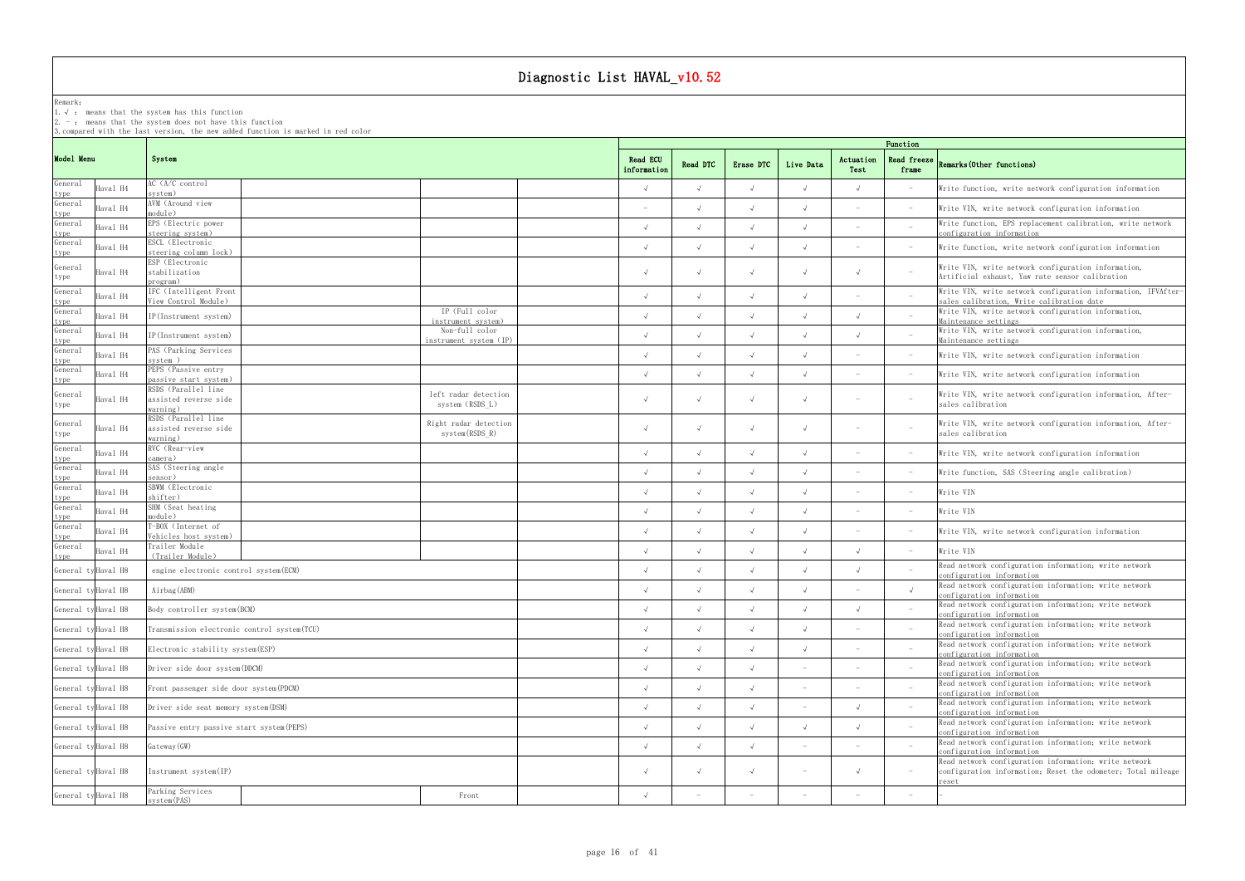Remark:

1.√ : means that the systemhas this function

2. - : means that the system does not have this function

3.compared with the last version, the new added function is marked in red color

## frame Remarks(Other functions)

|                 |                     |                                                |                                         |                         | Function   |            |                          |                          |                                 |                                                                                                                       |  |  |  |
|-----------------|---------------------|------------------------------------------------|-----------------------------------------|-------------------------|------------|------------|--------------------------|--------------------------|---------------------------------|-----------------------------------------------------------------------------------------------------------------------|--|--|--|
| Model Menu      |                     | System                                         |                                         | Read ECU<br>information | Read DTC   | Erase DTC  | Live Data                | Actuation<br>Test        | frame                           | Read freeze Remarks (Other functions)                                                                                 |  |  |  |
| General<br>type | Haval H4            | AC (A/C control<br>system)                     |                                         |                         |            |            |                          |                          |                                 | Write function, write network configuration information                                                               |  |  |  |
| General         | Haval H4            | AVM (Around view<br>module)                    |                                         |                         |            |            |                          |                          |                                 | Write VIN, write network configuration information                                                                    |  |  |  |
| type<br>General | Haval H4            | EPS (Electric power<br>steering system)        |                                         | $\sqrt{ }$              |            |            |                          |                          | $\overline{\phantom{a}}$        | Write function, EPS replacement calibration, write network                                                            |  |  |  |
| type<br>General | Haval H4            | ESCL (Electronic                               |                                         |                         |            |            |                          |                          | $\hspace{0.1mm}-\hspace{0.1mm}$ | configuration information<br>Write function, write network configuration information                                  |  |  |  |
| type            |                     | steering column lock)<br>ESP (Electronic       |                                         |                         |            |            |                          |                          |                                 |                                                                                                                       |  |  |  |
| General<br>type | Haval H4            | stabilization<br>program)                      |                                         | $\sqrt{ }$              |            |            |                          |                          | $\hspace{0.1mm}-\hspace{0.1mm}$ | Write VIN, write network configuration information,<br>Artificial exhaust, Yaw rate sensor calibration                |  |  |  |
| General         | Haval H4            | IFC (Intelligent Front                         |                                         | $\sqrt{ }$              |            |            |                          |                          |                                 | Write VIN, write network configuration information, IFVAfter-                                                         |  |  |  |
| type<br>General | Haval H4            | View Control Module)<br>IP(Instrument system)  | IP (Full color                          | $\sqrt{ }$              |            |            |                          |                          | $\overline{a}$                  | sales calibration, Write calibration date<br>Write VIN, write network configuration information,                      |  |  |  |
| type<br>General |                     |                                                | instrument system)<br>Non-full color    |                         |            |            |                          |                          |                                 | Maintenance settings<br>Write VIN, write network configuration information,                                           |  |  |  |
| type<br>General | Haval H4            | IP(Instrument system)<br>PAS (Parking Services | instrument system (IP)                  |                         |            |            |                          |                          | $\hspace{0.1mm}-\hspace{0.1mm}$ | Maintenance settings                                                                                                  |  |  |  |
| type            | Haval H4            | system)                                        |                                         | $\sqrt{ }$              |            |            |                          |                          | $\hspace{0.1mm}-\hspace{0.1mm}$ | Write VIN, write network configuration information                                                                    |  |  |  |
| General<br>type | Haval H4            | PEPS (Passive entry<br>passive start system)   |                                         |                         |            |            |                          |                          | $\hspace{0.1mm}-\hspace{0.1mm}$ | Write VIN, write network configuration information                                                                    |  |  |  |
| General         | Haval H4            | RSDS (Parallel line<br>assisted reverse side   | left radar detection                    | $\sqrt{ }$              |            |            |                          | $\overline{\phantom{a}}$ | $\overline{\phantom{a}}$        | Write VIN, write network configuration information, After-                                                            |  |  |  |
| type            |                     | warning)                                       | system (RSDS L)                         |                         |            |            |                          |                          |                                 | sales calibration                                                                                                     |  |  |  |
| General         | Haval H4            | RSDS (Parallel line<br>assisted reverse side   | Right radar detection<br>system(RSDS R) | $\sqrt{ }$              |            |            |                          |                          | $\hspace{0.1mm}-\hspace{0.1mm}$ | Write VIN, write network configuration information, After-<br>sales calibration                                       |  |  |  |
| type<br>General |                     | warning)<br>RVC (Rear-view                     |                                         |                         |            |            |                          |                          |                                 |                                                                                                                       |  |  |  |
| type            | Haval H4            | camera)                                        |                                         | $\sqrt{ }$              |            |            |                          |                          | $\hspace{0.1mm}$                | Write VIN, write network configuration information                                                                    |  |  |  |
| General<br>type | Haval H4            | SAS (Steering angle<br>sensor)                 |                                         | $\sqrt{ }$              |            |            |                          |                          | $\hspace{0.1mm}-\hspace{0.1mm}$ | Write function, SAS (Steering angle calibration)                                                                      |  |  |  |
| General         | Haval H4            | SBWM (Electronic<br>shifter)                   |                                         | $\sqrt{ }$              |            |            |                          |                          | $\hspace{0.1mm}-\hspace{0.1mm}$ | Write VIN                                                                                                             |  |  |  |
| type<br>General | Haval H4            | SHM (Seat heating<br>module)                   |                                         | $\sqrt{ }$              |            |            |                          |                          | $\sim$                          | Write VIN                                                                                                             |  |  |  |
| type<br>General | Haval H4            | T-BOX (Internet of                             |                                         | $\sqrt{ }$              |            |            |                          |                          | $\hspace{0.1mm}-\hspace{0.1mm}$ | Write VIN, write network configuration information                                                                    |  |  |  |
| type<br>General | Haval H4            | Vehicles host system)<br>Trailer Module        |                                         |                         |            |            |                          |                          | $\sim$                          | Write VIN                                                                                                             |  |  |  |
| type            |                     | (Trailer Module)                               |                                         |                         |            |            |                          |                          |                                 | Read network configuration information; write network                                                                 |  |  |  |
|                 | General ty Haval H8 | engine electronic control system (ECM)         |                                         |                         |            |            |                          |                          |                                 | configuration information                                                                                             |  |  |  |
|                 | General ty Haval H8 | Airbag (ABM)                                   |                                         | $\sqrt{ }$              |            |            |                          |                          | $\sqrt{ }$                      | Read network configuration information, write network<br>configuration information                                    |  |  |  |
|                 | General ty Haval H8 | Body controller system (BCM)                   |                                         | $\sqrt{ }$              | $\sqrt{ }$ | $\sqrt{ }$ | $\sqrt{ }$               | $\sqrt{ }$               |                                 | Read network configuration information; write network<br>configuration information                                    |  |  |  |
|                 | General ty Haval H8 | Transmission electronic control system (TCU)   |                                         | $\sqrt{ }$              |            |            |                          |                          |                                 | Read network configuration information; write network<br>configuration information                                    |  |  |  |
|                 | General ty Haval H8 | Electronic stability system (ESP)              |                                         | $\sqrt{ }$              |            |            |                          |                          |                                 | Read network configuration information; write network                                                                 |  |  |  |
|                 | General ty Haval H8 | Driver side door system (DDCM)                 |                                         | $\sqrt{ }$              |            |            |                          |                          |                                 | configuration information<br>Read network configuration information; write network                                    |  |  |  |
|                 |                     |                                                |                                         |                         |            |            |                          |                          |                                 | configuration information<br>Read network configuration information; write network                                    |  |  |  |
|                 | General ty Haval H8 | Front passenger side door system (PDCM)        |                                         | $\sqrt{ }$              |            |            |                          |                          |                                 | configuration information<br>Read network configuration information; write network                                    |  |  |  |
|                 | General ty Haval H8 | Driver side seat memory system (DSM)           |                                         | $\sqrt{ }$              |            |            |                          |                          |                                 | configuration information                                                                                             |  |  |  |
|                 | General ty Haval H8 | Passive entry passive start system (PEPS)      |                                         | $\sqrt{ }$              |            |            |                          |                          |                                 | Read network configuration information; write network<br>configuration information                                    |  |  |  |
|                 | General ty Haval H8 | Gateway (GW)                                   |                                         | $\sqrt{ }$              |            |            |                          |                          |                                 | Read network configuration information; write network<br>configuration information                                    |  |  |  |
|                 | General ty Haval H8 | Instrument system (IP)                         |                                         | $\sqrt{ }$              |            |            | $\overline{\phantom{a}}$ | $\sqrt{ }$               | $\hspace{0.1mm}-\hspace{0.1mm}$ | Read network configuration information; write network<br>configuration information; Reset the odometer; Total mileage |  |  |  |
|                 |                     | Parking Services                               | Front                                   | $\sqrt{ }$              |            |            |                          |                          |                                 | reset                                                                                                                 |  |  |  |
|                 | General ty Haval H8 | system (PAS)                                   |                                         |                         |            |            |                          |                          |                                 |                                                                                                                       |  |  |  |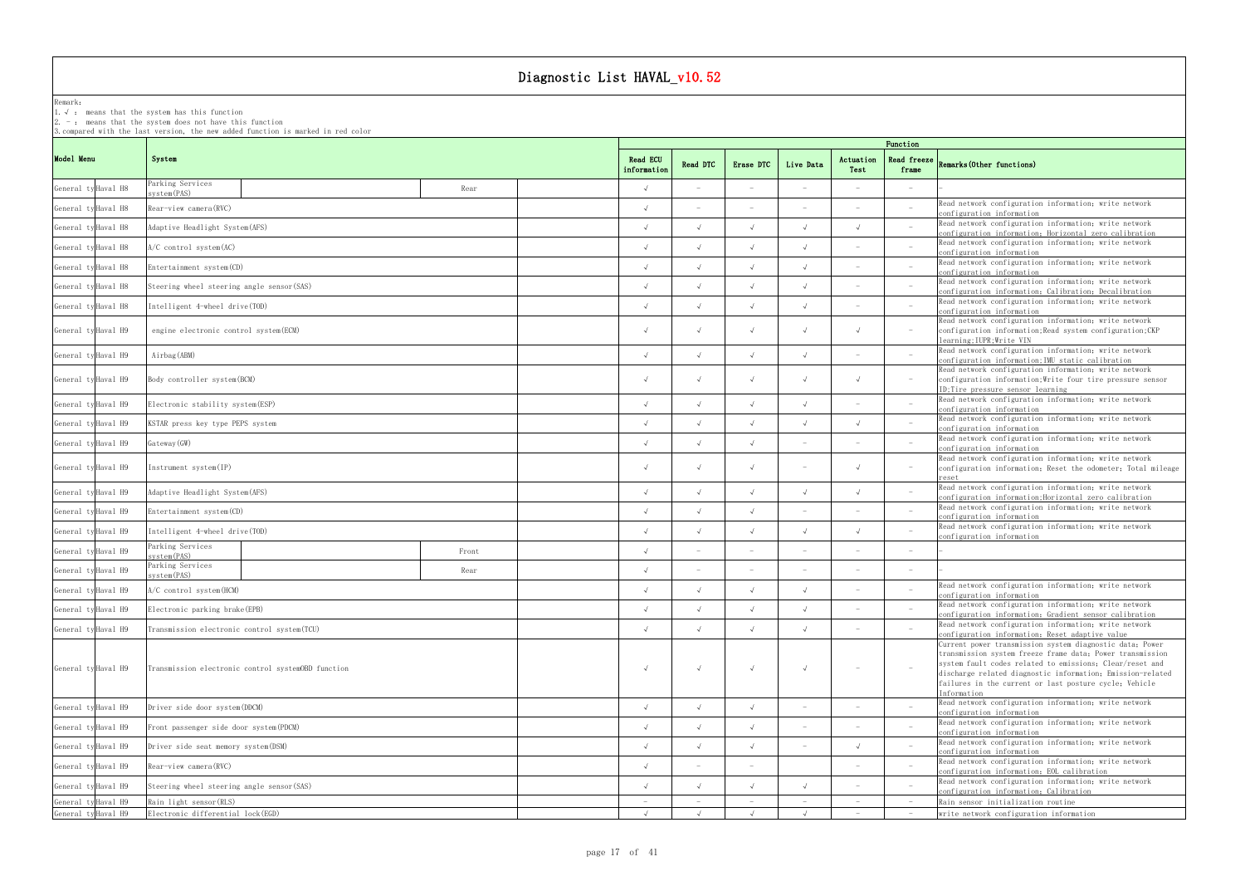Remark: The contract of the contract of  $\mathbb{R}$  and  $\mathbb{R}$  are contract of  $\mathbb{R}$  and  $\mathbb{R}$  are contract of  $\mathbb{R}$  and  $\mathbb{R}$  are contract of  $\mathbb{R}$  and  $\mathbb{R}$  are contract of  $\mathbb{R}$  and  $\mathbb{R}$  are cont

1.√ : means that the systemhas this function

2. - : means that the system does not have this function

|            |                     | 3. compared with the last version, the new added function is marked in red color |            |                         | Function   |            |            |                                 |                                                                                                                                                                                                                                                                                                                          |                                         |                                                                                                                 |  |  |  |  |
|------------|---------------------|----------------------------------------------------------------------------------|------------|-------------------------|------------|------------|------------|---------------------------------|--------------------------------------------------------------------------------------------------------------------------------------------------------------------------------------------------------------------------------------------------------------------------------------------------------------------------|-----------------------------------------|-----------------------------------------------------------------------------------------------------------------|--|--|--|--|
| Model Menu |                     | System                                                                           |            | Read ECU<br>information | Read DTC   | Erase DTC  | Live Data  | Actuation<br>Test               | frame                                                                                                                                                                                                                                                                                                                    | Read freeze $Remarks(0$ ther functions) |                                                                                                                 |  |  |  |  |
|            | General ty Haval H8 | Parking Services<br>system (PAS)                                                 |            | Rear                    | $\sqrt{ }$ |            |            |                                 |                                                                                                                                                                                                                                                                                                                          |                                         |                                                                                                                 |  |  |  |  |
|            | General ty Haval H8 | Rear-view camera (RVC)                                                           |            |                         | $\sqrt{ }$ |            |            |                                 |                                                                                                                                                                                                                                                                                                                          | $\overline{a}$                          | Read network configuration information; write network<br>configuration information                              |  |  |  |  |
|            | General ty Haval H8 | Adaptive Headlight System(AFS)                                                   |            |                         |            |            |            | $\overline{\phantom{a}}$        | Read network configuration information; write network<br>configuration information; Horizontal zero calibration                                                                                                                                                                                                          |                                         |                                                                                                                 |  |  |  |  |
|            | General ty Haval H8 | $A/C$ control system $(AC)$                                                      |            |                         | $\sqrt{ }$ |            |            |                                 |                                                                                                                                                                                                                                                                                                                          |                                         | Read network configuration information; write network<br>configuration information                              |  |  |  |  |
|            | General ty Haval H8 | Entertainment system (CD)                                                        |            |                         | $\sqrt{ }$ |            |            |                                 |                                                                                                                                                                                                                                                                                                                          |                                         | Read network configuration information; write network<br>configuration information                              |  |  |  |  |
|            | General ty Haval H8 | Steering wheel steering angle sensor (SAS)                                       |            |                         | $\sqrt{ }$ |            |            |                                 |                                                                                                                                                                                                                                                                                                                          |                                         | Read network configuration information; write network                                                           |  |  |  |  |
|            | General ty Haval H8 | Intelligent 4-wheel drive (TOD)                                                  |            |                         |            |            |            |                                 |                                                                                                                                                                                                                                                                                                                          |                                         | configuration information; Calibration; Decalibration<br>Read network configuration information; write network  |  |  |  |  |
|            | General ty Haval H9 | engine electronic control system (ECM)                                           | $\sqrt{ }$ |                         |            |            | $\sqrt{ }$ | $\hspace{0.1mm}-\hspace{0.1mm}$ | configuration information<br>Read network configuration information; write network<br>configuration information; Read system configuration; CKP                                                                                                                                                                          |                                         |                                                                                                                 |  |  |  |  |
|            | General ty Haval H9 | Airbag (ABM)                                                                     |            |                         | $\sqrt{ }$ |            |            |                                 |                                                                                                                                                                                                                                                                                                                          |                                         | learning;IUPR;Write VIN<br>Read network configuration information; write network                                |  |  |  |  |
|            | General ty Haval H9 | Body controller system (BCM)                                                     | $\sqrt{ }$ |                         |            | $\sqrt{ }$ | $\sqrt{ }$ | $\hspace{0.1mm}-\hspace{0.1mm}$ | configuration information; IMU static calibration<br>Read network configuration information; write network<br>configuration information; Write four tire pressure sensor<br>ID; Tire pressure sensor learning                                                                                                            |                                         |                                                                                                                 |  |  |  |  |
|            | General ty Haval H9 | Electronic stability system (ESP)                                                |            |                         |            |            |            | $\sim$                          | Read network configuration information; write network<br>configuration information                                                                                                                                                                                                                                       |                                         |                                                                                                                 |  |  |  |  |
|            | General ty Haval H9 | KSTAR press key type PEPS system                                                 | $\sqrt{ }$ |                         |            |            | $\sqrt{ }$ |                                 | Read network configuration information; write network<br>configuration information                                                                                                                                                                                                                                       |                                         |                                                                                                                 |  |  |  |  |
|            | General ty Haval H9 | Gateway (GW)                                                                     | $\sqrt{ }$ |                         |            |            |            |                                 | Read network configuration information; write network<br>configuration information                                                                                                                                                                                                                                       |                                         |                                                                                                                 |  |  |  |  |
|            | General ty Haval H9 | Instrument system (IP)                                                           | $\sqrt{ }$ |                         |            |            | $\sqrt{ }$ | $\hspace{0.1mm}-\hspace{0.1mm}$ | Read network configuration information; write network<br>configuration information; Reset the odometer; Total mileage<br>reset                                                                                                                                                                                           |                                         |                                                                                                                 |  |  |  |  |
|            | General ty Haval H9 | Adaptive Headlight System(AFS)                                                   |            |                         |            |            |            |                                 | $\sqrt{ }$                                                                                                                                                                                                                                                                                                               |                                         | Read network configuration information; write network<br>configuration information; Horizontal zero calibration |  |  |  |  |
|            | General ty Haval H9 | Entertainment system (CD)                                                        |            |                         | $\sqrt{ }$ |            |            |                                 |                                                                                                                                                                                                                                                                                                                          |                                         | Read network configuration information; write network<br>configuration information                              |  |  |  |  |
|            | General ty Haval H9 | Intelligent 4-wheel drive (TOD)                                                  |            |                         |            |            |            |                                 |                                                                                                                                                                                                                                                                                                                          |                                         | Read network configuration information; write network<br>configuration information                              |  |  |  |  |
|            | General ty Haval H9 | Parking Services<br>system (PAS)                                                 |            | Front                   |            |            |            |                                 |                                                                                                                                                                                                                                                                                                                          |                                         |                                                                                                                 |  |  |  |  |
|            | General ty Haval H9 | Parking Services<br>system (PAS)                                                 |            | Rear                    | $\sqrt{ }$ |            |            |                                 |                                                                                                                                                                                                                                                                                                                          |                                         |                                                                                                                 |  |  |  |  |
|            | General ty Haval H9 | A/C control system (HCM)                                                         |            |                         | $\sqrt{ }$ |            |            |                                 |                                                                                                                                                                                                                                                                                                                          |                                         | Read network configuration information; write network<br>configuration information                              |  |  |  |  |
|            | General ty Haval H9 | Electronic parking brake (EPB)                                                   |            |                         |            |            |            |                                 |                                                                                                                                                                                                                                                                                                                          |                                         | Read network configuration information, write network<br>configuration information; Gradient sensor calibration |  |  |  |  |
|            | General ty Haval H9 | Transmission electronic control system (TCU)                                     |            |                         | $\sqrt{ }$ |            |            |                                 |                                                                                                                                                                                                                                                                                                                          |                                         | Read network configuration information; write network<br>configuration information; Reset adaptive value        |  |  |  |  |
|            | General ty Haval H9 | Transmission electronic control systemOBD function                               | $\sqrt{ }$ |                         |            |            | $\sim$     |                                 | Current power transmission system diagnostic data; Power<br>transmission system freeze frame data; Power transmission<br>system fault codes related to emissions; Clear/reset and<br>discharge related diagnostic information; Emission-related<br>failures in the current or last posture cycle; Vehicle<br>Information |                                         |                                                                                                                 |  |  |  |  |
|            | General ty Haval H9 | Driver side door system (DDCM)                                                   | $\sqrt{ }$ |                         |            |            |            |                                 | Read network configuration information; write network<br>configuration information                                                                                                                                                                                                                                       |                                         |                                                                                                                 |  |  |  |  |
|            | General ty Haval H9 | Front passenger side door system (PDCM)                                          | $\sqrt{ }$ |                         |            |            |            |                                 | Read network configuration information; write network<br>configuration information                                                                                                                                                                                                                                       |                                         |                                                                                                                 |  |  |  |  |
|            | General ty Haval H9 | Driver side seat memory system (DSM)                                             | $\sqrt{ }$ |                         |            |            | $\sqrt{ }$ |                                 | Read network configuration information; write network<br>configuration information                                                                                                                                                                                                                                       |                                         |                                                                                                                 |  |  |  |  |
|            | General ty Haval H9 | Rear-view camera (RVC)                                                           | $\sqrt{ }$ |                         |            |            |            |                                 | Read network configuration information; write network<br>configuration information; EOL calibration                                                                                                                                                                                                                      |                                         |                                                                                                                 |  |  |  |  |
|            | General ty Haval H9 | Steering wheel steering angle sensor (SAS)                                       | $\sqrt{ }$ |                         |            |            |            |                                 | Read network configuration information; write network<br>configuration information; Calibration                                                                                                                                                                                                                          |                                         |                                                                                                                 |  |  |  |  |
|            | General ty Haval H9 | Rain light sensor (RLS)                                                          |            |                         |            |            |            |                                 | Rain sensor initialization routine                                                                                                                                                                                                                                                                                       |                                         |                                                                                                                 |  |  |  |  |
|            | General ty Haval H9 | Electronic differential lock(EGD)                                                |            | $\sqrt{ }$              |            |            |            |                                 | $-$                                                                                                                                                                                                                                                                                                                      | write network configuration information |                                                                                                                 |  |  |  |  |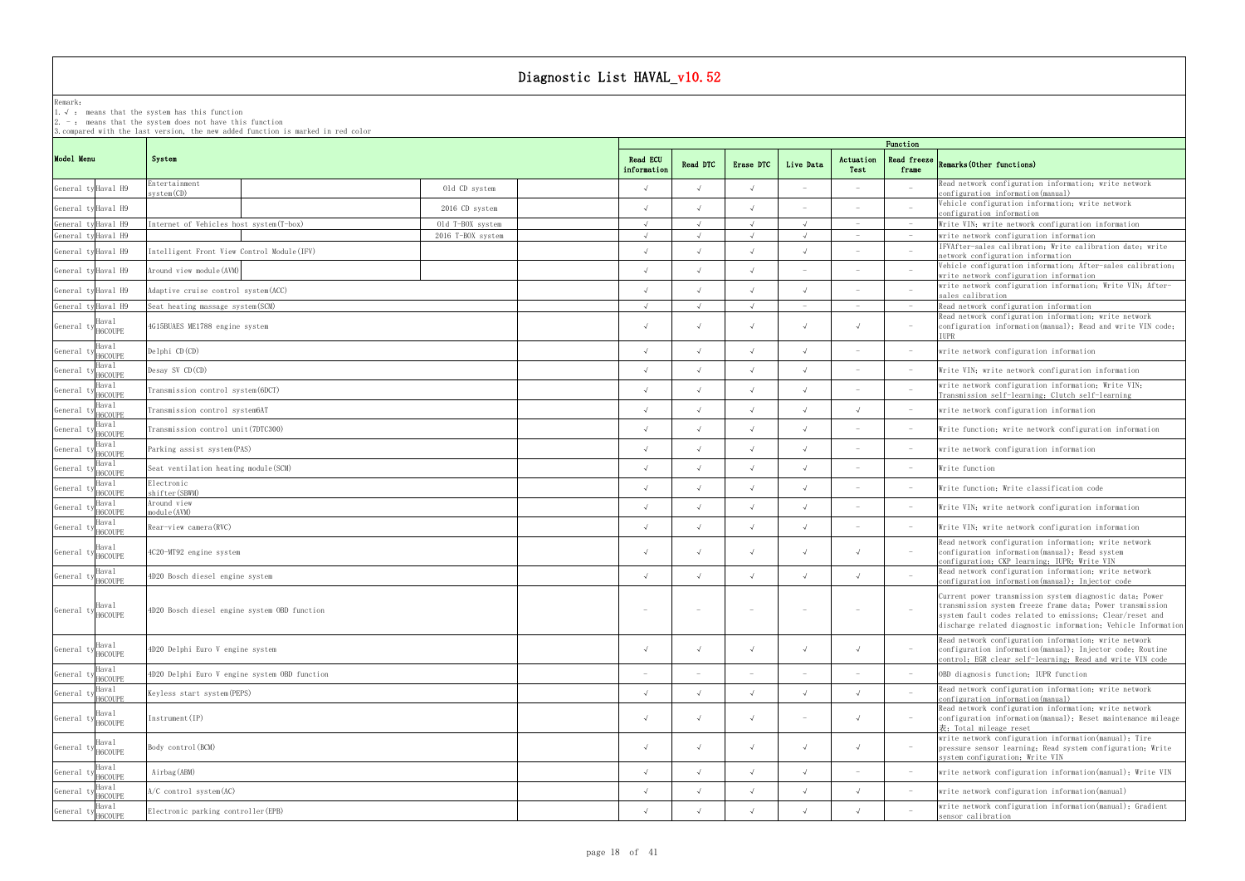Remark: The contract of the contract of  $\mathbb{R}$  and  $\mathbb{R}$  are contract of  $\mathbb{R}$  and  $\mathbb{R}$  are contract of  $\mathbb{R}$  and  $\mathbb{R}$  are contract of  $\mathbb{R}$  and  $\mathbb{R}$  are contract of  $\mathbb{R}$  and  $\mathbb{R}$  are cont

1.√ : means that the systemhas this function

2. - : means that the system does not have this function

|                                     |                                               |                   |                                | Function                 |                          |                                 |                          |                                 |                                                                                                                                                                                                                                                    |  |  |  |  |
|-------------------------------------|-----------------------------------------------|-------------------|--------------------------------|--------------------------|--------------------------|---------------------------------|--------------------------|---------------------------------|----------------------------------------------------------------------------------------------------------------------------------------------------------------------------------------------------------------------------------------------------|--|--|--|--|
| Model Menu                          | System                                        |                   | <b>Read ECU</b><br>information | Read DTC                 | Erase DTC                | Live Data                       | Actuation<br>Test        | <b>Read freeze</b><br>frame     | Remarks (Other functions)                                                                                                                                                                                                                          |  |  |  |  |
| General ty Haval H9                 | Entertainment<br>system(CD)                   | Old CD system     | $\sqrt{ }$                     |                          |                          | $\overline{\phantom{a}}$        |                          | $\overline{\phantom{a}}$        | Read network configuration information; write network<br>configuration information(manual)                                                                                                                                                         |  |  |  |  |
| General ty Haval H9                 |                                               | 2016 CD system    |                                |                          |                          |                                 |                          |                                 | Vehicle configuration information; write network<br>configuration information                                                                                                                                                                      |  |  |  |  |
| General ty Haval H9                 | Internet of Vehicles host system (T-box)      | Old T-BOX system  |                                |                          |                          |                                 |                          |                                 | Write VIN; write network configuration information                                                                                                                                                                                                 |  |  |  |  |
| General ty Haval H9                 |                                               | 2016 T-BOX system | $\sqrt{ }$                     | $\sqrt{ }$               | $\sqrt{ }$               | $\sqrt{ }$                      |                          | $\hspace{0.1mm}$                | write network configuration information                                                                                                                                                                                                            |  |  |  |  |
| General ty Haval H9                 | Intelligent Front View Control Module(IFV)    |                   |                                |                          |                          |                                 |                          | $\overline{\phantom{a}}$        | IFVAfter-sales calibration; Write calibration date; write<br>network configuration information                                                                                                                                                     |  |  |  |  |
| General ty Haval H9                 | Around view module (AVM)                      |                   |                                |                          |                          | $\overline{\phantom{a}}$        |                          |                                 | Vehicle configuration information; After-sales calibration;<br>write network configuration information                                                                                                                                             |  |  |  |  |
| General ty Haval H9                 | Adaptive cruise control system (ACC)          |                   |                                |                          |                          |                                 |                          |                                 | write network configuration information; Write VIN; After-<br>sales calibration                                                                                                                                                                    |  |  |  |  |
| General ty Haval H9                 | Seat heating massage system (SCM)             |                   | $\sqrt{ }$                     | $\sqrt{ }$               |                          | $\hspace{0.1mm}-\hspace{0.1mm}$ |                          | $\hspace{0.1mm}$                | Read network configuration information                                                                                                                                                                                                             |  |  |  |  |
| laval<br>General ty H6COUPE         | 4G15BUAES ME1788 engine system                |                   |                                |                          | $\sqrt{ }$               | $\sqrt{ }$                      |                          | $\hspace{0.1mm}-\hspace{0.1mm}$ | Read network configuration information; write network<br>configuration information(manual); Read and write VIN code;<br>TUPR                                                                                                                       |  |  |  |  |
| Haval<br>General 1<br>H6COUPE       | Delphi CD(CD)                                 |                   |                                |                          |                          |                                 |                          | $\hspace{0.1mm}$                | write network configuration information                                                                                                                                                                                                            |  |  |  |  |
| Haval<br>General 1<br>H6COUPE       | Desay SV CD(CD)                               |                   |                                |                          |                          |                                 | $\overline{\phantom{a}}$ | $\hspace{0.1mm}$                | Write VIN; write network configuration information                                                                                                                                                                                                 |  |  |  |  |
| Haval<br>General t<br>H6COUPE       | Transmission control system (6DCT)            |                   |                                |                          |                          |                                 |                          |                                 | write network configuration information; Write VIN;<br>Transmission self-learning; Clutch self-learning                                                                                                                                            |  |  |  |  |
| Haval<br>General<br>H6COUPE         | Transmission control system6AT                |                   |                                |                          |                          |                                 |                          | $\overline{\phantom{a}}$        | write network configuration information                                                                                                                                                                                                            |  |  |  |  |
| Haval<br>General<br>H6COUPE         | Transmission control unit (7DTC300)           |                   |                                |                          |                          |                                 |                          | $\hspace{0.1mm}$                | Write function, write network configuration information                                                                                                                                                                                            |  |  |  |  |
| Haval<br>General<br>H6COUPE         | Parking assist system (PAS)                   |                   |                                |                          |                          |                                 |                          | $\hspace{0.1mm}$                | write network configuration information                                                                                                                                                                                                            |  |  |  |  |
| Haval<br>General<br><b>H6COLIPE</b> | Seat ventilation heating module (SCM)         |                   |                                |                          |                          |                                 |                          | $\hspace{0.1mm}-\hspace{0.1mm}$ | Write function                                                                                                                                                                                                                                     |  |  |  |  |
| Haval<br>General<br>H6COUPE         | Electronic<br>shifter (SBWM)                  |                   |                                |                          |                          |                                 |                          | $\hspace{0.1mm}-\hspace{0.1mm}$ | Write function; Write classification code                                                                                                                                                                                                          |  |  |  |  |
| Haval<br>General t<br>H6COUPE       | Around view<br>module (AVM)                   |                   |                                |                          |                          |                                 |                          | $\hspace{0.1mm}$                | Write VIN; write network configuration information                                                                                                                                                                                                 |  |  |  |  |
| Haval<br>General ty<br>H6COUPE      | Rear-view camera (RVC)                        |                   | $\sqrt{ }$                     | $\sqrt{ }$               | $\sqrt{ }$               | $\sqrt{ }$                      | $\overline{\phantom{a}}$ | $-$                             | Write VIN; write network configuration information                                                                                                                                                                                                 |  |  |  |  |
| Haval<br>General ty H6COUPE         | 4C20-MT92 engine system                       |                   | $\sqrt{ }$                     | $\sqrt{ }$               | $\sqrt{ }$               | $\sqrt{ }$                      | $\sqrt{ }$               | $-$                             | Read network configuration information; write network<br>configuration information(manual); Read system<br>configuration; CKP learning; IUPR; Write VIN                                                                                            |  |  |  |  |
| Haval<br>General $\,$ t<br>H6COUPE  | 4D20 Bosch diesel engine system               |                   | $\sqrt{ }$                     | $\sqrt{ }$               | $\sqrt{ }$               | $\sqrt{ }$                      | $\sqrt{ }$               | $\overline{\phantom{0}}$        | Read network configuration information; write network<br>configuration information(manual); Injector code                                                                                                                                          |  |  |  |  |
| Haval<br>General ty H6COUPE         | 4D20 Bosch diesel engine system OBD function  |                   |                                |                          |                          |                                 |                          |                                 | Current power transmission system diagnostic data, Power<br>transmission system freeze frame data; Power transmission<br>system fault codes related to emissions; Clear/reset and<br>discharge related diagnostic information; Vehicle Information |  |  |  |  |
| Haval<br>General ty H6COUPE         | 4D20 Delphi Euro V engine system              |                   | $\sqrt{ }$                     | $\sqrt{ }$               | $\sqrt{ }$               | $\sqrt{ }$                      | $\sqrt{ }$               | $-$                             | Read network configuration information; write network<br>configuration information(manual); Injector code; Routine<br>control; EGR clear self-learning; Read and write VIN code                                                                    |  |  |  |  |
| Haval<br>General ty H6COUPE         | 4D20 Delphi Euro V engine system OBD function |                   |                                | $\overline{\phantom{a}}$ | $\overline{\phantom{a}}$ | $\hspace{0.1mm}-\hspace{0.1mm}$ | $\overline{\phantom{a}}$ | $-$                             | OBD diagnosis function; IUPR function                                                                                                                                                                                                              |  |  |  |  |
| Haval<br>General t<br>H6COUPE       | Keyless start system (PEPS)                   |                   | $\sqrt{ }$                     | $\sqrt{ }$               |                          | $\sqrt{ }$                      |                          | $\hspace{0.1mm}-\hspace{0.1mm}$ | Read network configuration information; write network<br>configuration information(manual)                                                                                                                                                         |  |  |  |  |
| Haval<br>General ty H6COUPE         | Instrument (IP)                               |                   | $\sqrt{ }$                     | $\sqrt{ }$               | $\sqrt{ }$               | $\hspace{0.1mm}-\hspace{0.1mm}$ | $\sqrt{ }$               | $\hspace{0.1mm}-\hspace{0.1mm}$ | Read network configuration information; write network<br>configuration information(manual); Reset maintenance mileage<br>表; Total mileage reset                                                                                                    |  |  |  |  |
| Haval<br>General ty H6COUPE         | Body control (BCM)                            |                   | $\sqrt{ }$                     | $\sqrt{ }$               | $\sqrt{ }$               | $\sqrt{ }$                      | $\sqrt{ }$               | $-$                             | write network configuration information (manual); Tire<br>pressure sensor learning; Read system configuration; Write<br>system configuration; Write VIN                                                                                            |  |  |  |  |
| Haval<br>General ty H6COUPE         | Airbag (ABM)                                  |                   | $\sqrt{ }$                     | $\sqrt{ }$               | $\sqrt{ }$               | $\sqrt{ }$                      | $\overline{\phantom{a}}$ | $\hspace{0.1mm}$                | write network configuration information(manual); Write VIN                                                                                                                                                                                         |  |  |  |  |
| Haval<br>General ty H6COUPE         | A/C control system(AC)                        |                   |                                |                          |                          |                                 |                          | $\hspace{0.1mm}$                | write network configuration information (manual)                                                                                                                                                                                                   |  |  |  |  |
| Haval<br>General ty H6COUPE         | Electronic parking controller (EPB)           |                   |                                |                          |                          |                                 |                          |                                 | write network configuration information(manual); Gradient<br>sensor calibration                                                                                                                                                                    |  |  |  |  |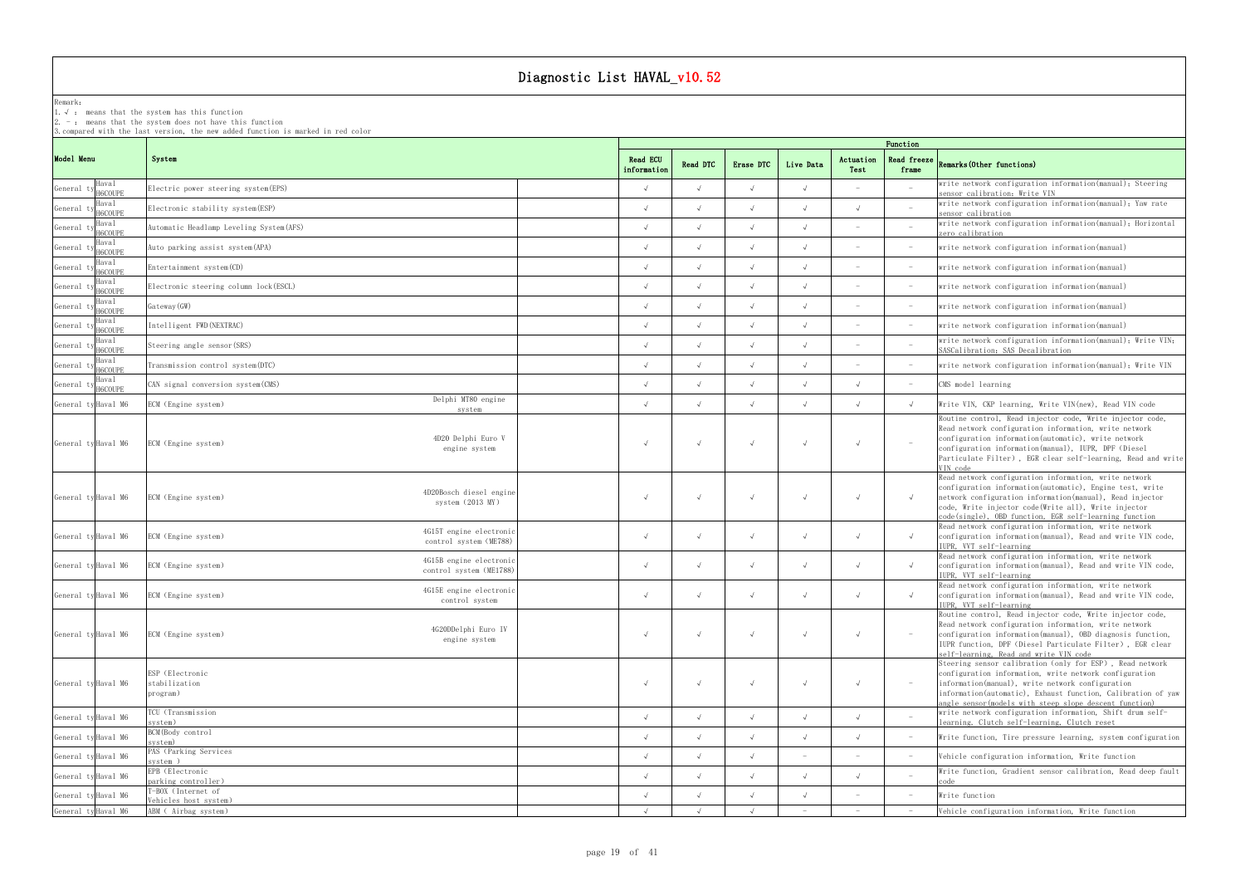Remark: The contract of the contract of the contract of the contract of the contract of the contract of the contract of the contract of the contract of the contract of the contract of the contract of the contract of the co

1.√ : means that the systemhas this function

2. - : means that the system does not have this function

| <b>4.1100AC</b><br>frame | Remarks (Other functions)                                                                                                                                                                                                                                                                                      |
|--------------------------|----------------------------------------------------------------------------------------------------------------------------------------------------------------------------------------------------------------------------------------------------------------------------------------------------------------|
|                          | write network configuration information(manual); Steering<br>sensor calibration; Write VIN                                                                                                                                                                                                                     |
|                          | write network configuration information(manual), Yaw rate<br>sensor calibration                                                                                                                                                                                                                                |
|                          | write network configuration information(manual); Horizontal<br>zero calibration                                                                                                                                                                                                                                |
|                          | write network configuration information(manual)                                                                                                                                                                                                                                                                |
|                          | write network configuration information(manual)                                                                                                                                                                                                                                                                |
|                          | write network configuration information(manual)                                                                                                                                                                                                                                                                |
|                          | write network configuration information(manual)                                                                                                                                                                                                                                                                |
|                          | write network configuration information(manual)                                                                                                                                                                                                                                                                |
|                          | write network configuration information(manual), Write VIN,<br>SASCalibration, SAS Decalibration                                                                                                                                                                                                               |
|                          | write network configuration information(manual); Write VIN                                                                                                                                                                                                                                                     |
|                          | CMS model learning                                                                                                                                                                                                                                                                                             |
| $\sqrt{ }$               | Write VIN, CKP learning, Write VIN(new), Read VIN code                                                                                                                                                                                                                                                         |
|                          | Routine control, Read injector code, Write injector code,<br>Read network configuration information, write network<br>configuration information (automatic), write network<br>configuration information(manual), IUPR, DPF (Diesel<br>Particulate Filter), EGR clear self-learning, Read and write<br>VIN code |
| $\sqrt{ }$               | Read network configuration information, write network<br>configuration information(automatic), Engine test, write<br>network configuration information(manual), Read injector<br>code, Write injector code(Write all), Write injector<br>code(single), OBD function, EGR self-learning function                |
| $\sqrt{}$                | Read network configuration information, write network<br>configuration information(manual), Read and write VIN code,<br>IUPR, VVT self-learning                                                                                                                                                                |
| $\sqrt{}$                | Read network configuration information, write network<br>configuration information(manual), Read and write VIN code,<br>IUPR, VVT self-learning                                                                                                                                                                |
| $\sqrt{}$                | Read network configuration information, write network<br>configuration information(manual), Read and write VIN code,<br>IUPR, VVT self-learning                                                                                                                                                                |
|                          | Routine control, Read injector code, Write injector code,<br>Read network configuration information, write network<br>configuration information(manual), OBD diagnosis function,<br>IUPR function, DPF (Diesel Particulate Filter), EGR clear<br>self-learning, Read and write VIN code                        |
|                          | Steering sensor calibration (only for ESP), Read network<br>configuration information, write network configuration<br>information(manual), write network configuration<br>information(automatic), Exhaust function, Calibration of yaw<br>angle sensor(models with steep slope descent function)               |
|                          | write network configuration information, Shift drum self-<br>learning, Clutch self-learning, Clutch reset                                                                                                                                                                                                      |
| $\overline{a}$           | Write function, Tire pressure learning, system configuration                                                                                                                                                                                                                                                   |
|                          | Vehicle configuration information, Write function                                                                                                                                                                                                                                                              |
|                          | Write function, Gradient sensor calibration, Read deep fault<br>code                                                                                                                                                                                                                                           |
|                          | Write function                                                                                                                                                                                                                                                                                                 |
|                          | Vehicle configuration information, Write function                                                                                                                                                                                                                                                              |

|            |                     | 3.compared with the last version, the new added function is marked in red color |                         | Function   |            |                                 |                   |                                 |                                                                                                                                                                                                                                                                                                                |  |  |  |  |  |
|------------|---------------------|---------------------------------------------------------------------------------|-------------------------|------------|------------|---------------------------------|-------------------|---------------------------------|----------------------------------------------------------------------------------------------------------------------------------------------------------------------------------------------------------------------------------------------------------------------------------------------------------------|--|--|--|--|--|
| Model Menu |                     | System                                                                          | Read ECU<br>information | Read DTC   | Erase DTC  | Live Data                       | Actuation<br>Test | frame                           | Read freeze $R$ emarks (Other functions)                                                                                                                                                                                                                                                                       |  |  |  |  |  |
| General ty | Haval<br>H6COUPE    | Electric power steering system (EPS)                                            | $\sqrt{ }$              |            |            |                                 |                   | $-$                             | write network configuration information(manual); Steering<br>sensor calibration; Write VIN                                                                                                                                                                                                                     |  |  |  |  |  |
| General ty | Haval<br>H6COUPE    | Electronic stability system (ESP)                                               |                         |            |            |                                 |                   | $\overline{a}$                  | write network configuration information(manual); Yaw rate<br>sensor calibration                                                                                                                                                                                                                                |  |  |  |  |  |
| General t  | Haval<br>H6COUPE    | Automatic Headlamp Leveling System (AFS)                                        |                         |            |            |                                 |                   |                                 | write network configuration information (manual); Horizontal<br>zero calibration                                                                                                                                                                                                                               |  |  |  |  |  |
| General t  | Haval<br>H6COUPE    | Auto parking assist system(APA)                                                 | $\sqrt{ }$              |            |            |                                 |                   | $\hspace{0.1mm}-\hspace{0.1mm}$ | write network configuration information (manual)                                                                                                                                                                                                                                                               |  |  |  |  |  |
| General t  | Haval<br>H6COUPE    | Entertainment system (CD)                                                       |                         |            |            |                                 |                   | $\overline{\phantom{a}}$        | write network configuration information (manual)                                                                                                                                                                                                                                                               |  |  |  |  |  |
| General t  | Haval<br>H6COUPE    | Electronic steering column lock (ESCL)                                          |                         |            |            |                                 |                   | $\hspace{0.1mm}-\hspace{0.1mm}$ | write network configuration information(manual)                                                                                                                                                                                                                                                                |  |  |  |  |  |
| General t  | Haval<br>H6COUPE    | Gateway (GW)                                                                    | $\sqrt{ }$              |            |            |                                 |                   | $\hspace{0.1mm}-\hspace{0.1mm}$ | write network configuration information (manual)                                                                                                                                                                                                                                                               |  |  |  |  |  |
| General ty | Haval<br>H6COUPE    | Intelligent FWD (NEXTRAC)                                                       | $\sqrt{ }$              |            |            |                                 |                   | $\hspace{0.1mm}-\hspace{0.1mm}$ | write network configuration information (manual)                                                                                                                                                                                                                                                               |  |  |  |  |  |
| General ty | Haval<br>H6COUPE    | Steering angle sensor (SRS)                                                     |                         |            |            |                                 |                   | $\hspace{0.1mm}-\hspace{0.1mm}$ | write network configuration information(manual); Write VIN;<br>SASCalibration; SAS Decalibration                                                                                                                                                                                                               |  |  |  |  |  |
| General ty | Haval<br>H6COUPE    | Transmission control system (DTC)                                               |                         |            |            |                                 |                   | $\sim$                          | write network configuration information (manual); Write VIN                                                                                                                                                                                                                                                    |  |  |  |  |  |
| General ty | Haval<br>H6COUPE    | CAN signal conversion system (CMS)                                              | $\sqrt{ }$              |            |            |                                 | $\sqrt{ }$        | $\sim$                          | CMS model learning                                                                                                                                                                                                                                                                                             |  |  |  |  |  |
|            | General ty Haval M6 | Delphi MT80 engine<br>ECM (Engine system)<br>system                             | $\sqrt{ }$              |            |            |                                 | $\sqrt{ }$        | $\sqrt{ }$                      | Write VIN, CKP learning, Write VIN(new), Read VIN code                                                                                                                                                                                                                                                         |  |  |  |  |  |
|            | General ty Haval M6 | 4D20 Delphi Euro V<br>ECM (Engine system)<br>engine system                      | $\sqrt{ }$              |            |            |                                 | $\sqrt{ }$        | $\overline{\phantom{0}}$        | Routine control, Read injector code, Write injector code,<br>Read network configuration information, write network<br>configuration information (automatic), write network<br>configuration information(manual), IUPR, DPF (Diesel<br>Particulate Filter), EGR clear self-learning, Read and write<br>VIN code |  |  |  |  |  |
|            | General ty Haval M6 | 4D20Bosch diesel engine<br>ECM (Engine system)<br>system $(2013 \, \text{MY})$  |                         |            |            |                                 |                   |                                 | Read network configuration information, write network<br>configuration information(automatic), Engine test, write<br>network configuration information (manual), Read injector<br>code, Write injector code(Write all), Write injector<br>code(single), OBD function, EGR self-learning function               |  |  |  |  |  |
|            | General ty Haval M6 | 4G15T engine electronic<br>ECM (Engine system)<br>control system (ME788)        | $\sqrt{ }$              |            |            |                                 | $\sqrt{ }$        | $\sqrt{ }$                      | Read network configuration information, write network<br>configuration information(manual), Read and write VIN code,<br>IUPR, VVT self-learning                                                                                                                                                                |  |  |  |  |  |
|            | General ty Haval M6 | 4G15B engine electronio<br>ECM (Engine system)<br>control system (ME1788)       |                         |            |            |                                 |                   |                                 | Read network configuration information, write network<br>configuration information (manual), Read and write VIN code,<br>IUPR, VVT self-learning                                                                                                                                                               |  |  |  |  |  |
|            | General ty Haval M6 | 4G15E engine electronic<br>ECM (Engine system)<br>control system                |                         |            |            |                                 |                   | $\sqrt{ }$                      | Read network configuration information, write network<br>configuration information(manual). Read and write VIN code.<br>IUPR, VVT self-learning                                                                                                                                                                |  |  |  |  |  |
|            | General ty Haval M6 | 4G20DDelphi Euro IV<br>ECM (Engine system)<br>engine system                     | $\sqrt{ }$              |            | $\sqrt{ }$ |                                 | $\sqrt{ }$        | $\sim$                          | Routine control, Read injector code, Write injector code,<br>Read network configuration information, write network<br>configuration information(manual), OBD diagnosis function,<br>IUPR function, DPF (Diesel Particulate Filter), EGR clear<br>self-learning, Read and write VIN code                        |  |  |  |  |  |
|            | General ty Haval M6 | ESP (Electronic<br>stabilization<br>program)                                    | $\sqrt{ }$              |            | $\sqrt{ }$ |                                 | $\sqrt{ }$        | $\hspace{0.1mm}-\hspace{0.1mm}$ | Steering sensor calibration (only for ESP), Read network<br>configuration information, write network configuration<br>information(manual), write network configuration<br>information(automatic), Exhaust function, Calibration of yaw<br>angle sensor (models with steep slope descent function)              |  |  |  |  |  |
|            | General ty Haval M6 | TCU (Transmission<br>system)                                                    | $\sqrt{ }$              | $\sqrt{ }$ | $\sqrt{ }$ | $\sqrt{ }$                      | $\sqrt{ }$        | $\sim$                          | write network configuration information, Shift drum self-<br>learning, Clutch self-learning, Clutch reset                                                                                                                                                                                                      |  |  |  |  |  |
|            | General ty Haval M6 | BCM(Body control<br>system)                                                     | $\sqrt{ }$              |            |            |                                 | $\sqrt{ }$        | $-$                             | Write function, Tire pressure learning, system configuration                                                                                                                                                                                                                                                   |  |  |  |  |  |
|            | General ty Haval M6 | PAS (Parking Services)<br>system)                                               | $\sqrt{ }$              |            |            | $\overline{\phantom{0}}$        |                   | $\sim$                          | Vehicle configuration information, Write function                                                                                                                                                                                                                                                              |  |  |  |  |  |
|            | General ty Haval M6 | EPB (Electronic<br>parking controller)                                          |                         |            |            |                                 | $\sqrt{ }$        | $\overline{a}$                  | Write function, Gradient sensor calibration, Read deep fault                                                                                                                                                                                                                                                   |  |  |  |  |  |
|            | General ty Haval M6 | T-BOX (Internet of<br>Vehicles host system)                                     | $\sqrt{ }$              |            |            |                                 |                   | $\overline{\phantom{a}}$        | Write function                                                                                                                                                                                                                                                                                                 |  |  |  |  |  |
|            | General ty Haval M6 | ABM ( Airbag system)                                                            | $\sqrt{ }$              |            |            | $\hspace{0.1mm}-\hspace{0.1mm}$ |                   | $\hspace{0.1mm}-\hspace{0.1mm}$ | Vehicle configuration information, Write function                                                                                                                                                                                                                                                              |  |  |  |  |  |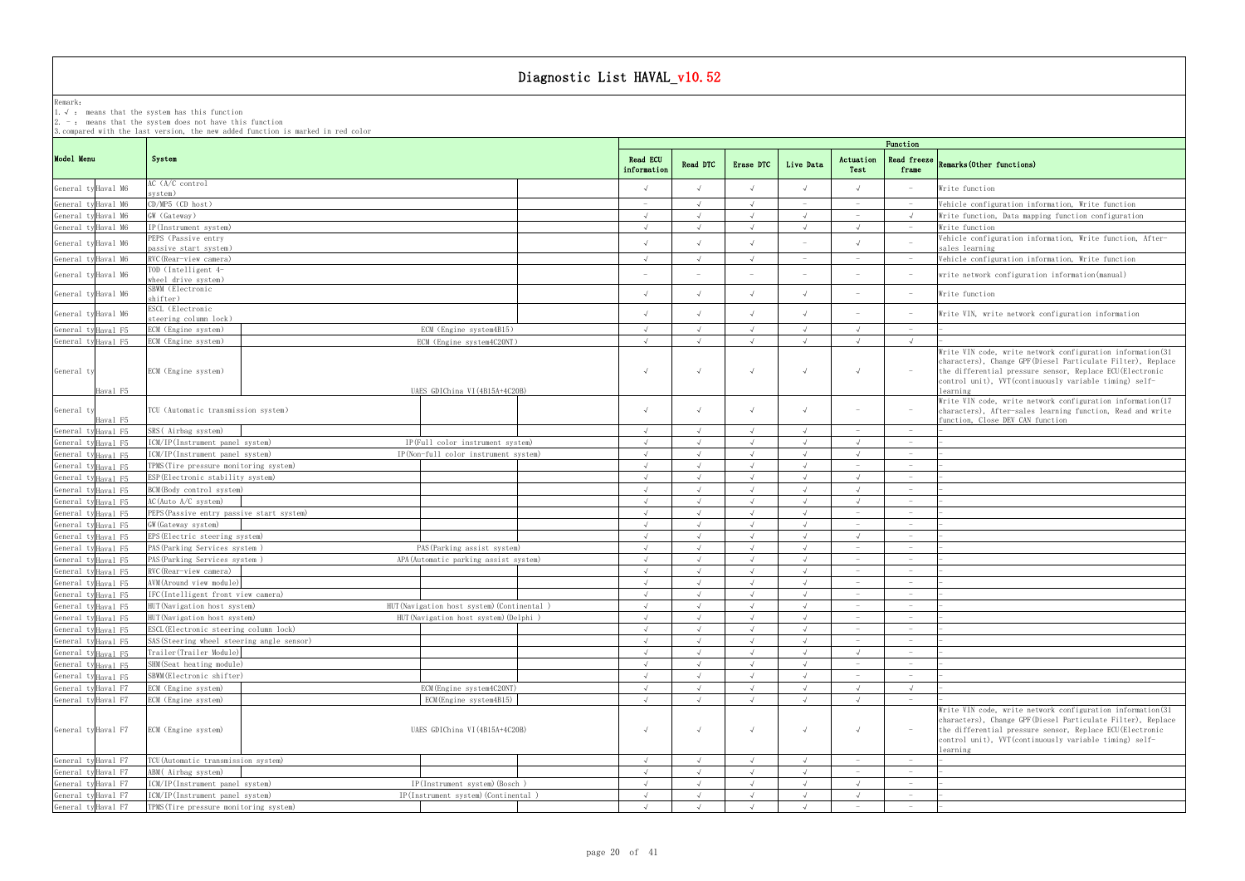Remark: The contract of the contract of the contract of the contract of the contract of the contract of the contract of the contract of the contract of the contract of the contract of the contract of the contract of the co

1.√ : means that the systemhas this function

2. - : means that the system does not have this function

|                     |                                |                                            |  |                                            |        |                         |            | Function         |            |                                                     |                                                   |                                                                                                                                                                                                                                                                 |  |  |  |  |  |
|---------------------|--------------------------------|--------------------------------------------|--|--------------------------------------------|--------|-------------------------|------------|------------------|------------|-----------------------------------------------------|---------------------------------------------------|-----------------------------------------------------------------------------------------------------------------------------------------------------------------------------------------------------------------------------------------------------------------|--|--|--|--|--|
| Model Menu          |                                | System                                     |  |                                            |        | Read ECU<br>information | Read DTC   | Erase DTC        | Live Data  | Actuation<br>Test                                   | <b>Read freeze</b><br>frame                       | Remarks (Other functions)                                                                                                                                                                                                                                       |  |  |  |  |  |
|                     | General ty Haval M6            | AC (A/C control<br>system)                 |  |                                            |        |                         |            |                  | $\sqrt{ }$ |                                                     |                                                   | Write function                                                                                                                                                                                                                                                  |  |  |  |  |  |
|                     | General ty Haval M6            | CD/MP5 (CD host)                           |  |                                            | $\sim$ |                         |            |                  |            | $\hspace{0.1mm}$                                    | Vehicle configuration information, Write function |                                                                                                                                                                                                                                                                 |  |  |  |  |  |
|                     | General ty Haval M6            | GW (Gateway)                               |  | $\sqrt{ }$                                 |        |                         |            | $\hspace{0.1mm}$ | $\sqrt{ }$ | Write function, Data mapping function configuration |                                                   |                                                                                                                                                                                                                                                                 |  |  |  |  |  |
|                     | General ty Haval M6            | IP(Instrument system)                      |  |                                            |        |                         |            |                  |            |                                                     | Write function                                    |                                                                                                                                                                                                                                                                 |  |  |  |  |  |
|                     |                                | PEPS (Passive entry                        |  |                                            |        |                         |            |                  |            |                                                     |                                                   | Vehicle configuration information, Write function, After-                                                                                                                                                                                                       |  |  |  |  |  |
|                     | General ty Haval M6            | passive start system)                      |  |                                            |        |                         |            |                  |            |                                                     |                                                   | sales learning                                                                                                                                                                                                                                                  |  |  |  |  |  |
|                     | General ty Haval M6            | RVC (Rear-view camera)                     |  |                                            |        | $\sqrt{ }$              |            |                  |            |                                                     |                                                   | Vehicle configuration information, Write function                                                                                                                                                                                                               |  |  |  |  |  |
|                     | General ty Haval M6            | TOD (Intelligent 4-<br>wheel drive system) |  |                                            |        |                         |            |                  | $\sim$     |                                                     | $\hspace{0.1mm}-\hspace{0.1mm}$                   | write network configuration information (manual)                                                                                                                                                                                                                |  |  |  |  |  |
|                     | General ty Haval M6            | SBWM (Electronic<br>shifter)               |  |                                            |        |                         |            |                  |            |                                                     | $\sim$                                            | Write function                                                                                                                                                                                                                                                  |  |  |  |  |  |
|                     | General ty Haval M6            | ESCL (Electronic<br>steering column lock)  |  |                                            |        |                         |            |                  | $\sqrt{ }$ |                                                     | $\overline{\phantom{a}}$                          | Write VIN, write network configuration information                                                                                                                                                                                                              |  |  |  |  |  |
|                     | General ty Haval F5            | ECM (Engine system)                        |  | ECM (Engine system4B15)                    |        | $\sqrt{ }$              | $\sqrt{ }$ |                  | $\sqrt{ }$ | $\sqrt{ }$                                          | $\hspace{0.1mm}-\hspace{0.1mm}$                   |                                                                                                                                                                                                                                                                 |  |  |  |  |  |
|                     | General ty Haval F5            | ECM (Engine system)                        |  | ECM (Engine system4C20NT)                  |        |                         |            |                  |            |                                                     |                                                   |                                                                                                                                                                                                                                                                 |  |  |  |  |  |
| General ty          | Haval F5                       | ECM (Engine system)                        |  | UAES GDIChina VI (4B15A+4C20B)             |        |                         | $\sqrt{ }$ |                  | $\sqrt{ }$ |                                                     | $\hspace{0.1mm}-\hspace{0.1mm}$                   | Write VIN code, write network configuration information (31)<br>characters), Change GPF (Diesel Particulate Filter), Replace<br>the differential pressure sensor, Replace ECU (Electronic<br>control unit), VVT (continuously variable timing) self-<br>earning |  |  |  |  |  |
| General ty          | Haval F5                       | TCU (Automatic transmission system)        |  |                                            |        |                         |            |                  | $\sqrt{ }$ |                                                     | $\overline{\phantom{a}}$                          | Write VIN code, write network configuration information (17<br>characters), After-sales learning function, Read and write<br>function, Close DEV CAN function                                                                                                   |  |  |  |  |  |
|                     | General ty Haval F5            | SRS(Airbag system)                         |  |                                            |        | $\sqrt{ }$              |            |                  |            | $\hspace{0.1mm}-\hspace{0.1mm}$                     | $\hspace{0.1mm}-\hspace{0.1mm}$                   |                                                                                                                                                                                                                                                                 |  |  |  |  |  |
|                     | General ty Haval F5            | ICM/IP(Instrument panel system)            |  | IP(Full color instrument system)           |        | $\sqrt{ }$              |            |                  | $\sqrt{ }$ |                                                     | $\hspace{0.1mm}-\hspace{0.1mm}$                   |                                                                                                                                                                                                                                                                 |  |  |  |  |  |
|                     | General ty Haval F5            | ICM/IP(Instrument panel system)            |  | IP(Non-full color instrument system)       |        | $\sqrt{ }$              |            |                  |            |                                                     | $\hspace{0.1mm}-\hspace{0.1mm}$                   |                                                                                                                                                                                                                                                                 |  |  |  |  |  |
|                     | General tyHaval F5             | TPMS (Tire pressure monitoring system)     |  |                                            |        |                         |            |                  |            |                                                     |                                                   |                                                                                                                                                                                                                                                                 |  |  |  |  |  |
|                     | General ty Haval F5            | ESP (Electronic stability system)          |  |                                            |        |                         |            |                  |            |                                                     |                                                   |                                                                                                                                                                                                                                                                 |  |  |  |  |  |
|                     | General tyHaval F5             | BCM(Body control system)                   |  |                                            |        | $\sqrt{ }$              |            |                  |            |                                                     | $\hspace{0.1mm}-\hspace{0.1mm}$                   |                                                                                                                                                                                                                                                                 |  |  |  |  |  |
|                     | General ty Haval F5            | AC(Auto A/C system)                        |  |                                            |        | $\sqrt{ }$              |            |                  |            |                                                     | $\hspace{0.1mm}-\hspace{0.1mm}$                   |                                                                                                                                                                                                                                                                 |  |  |  |  |  |
|                     | General tyHaval F5             | PEPS (Passive entry passive start system)  |  |                                            |        | $\sqrt{ }$              |            |                  |            |                                                     | $\hspace{0.1mm}-\hspace{0.1mm}$                   |                                                                                                                                                                                                                                                                 |  |  |  |  |  |
|                     | General ty Haval F5            | GW (Gateway system)                        |  |                                            |        | $\sqrt{ }$              |            |                  | $\sqrt{ }$ |                                                     | $\hspace{0.1mm}-\hspace{0.1mm}$                   |                                                                                                                                                                                                                                                                 |  |  |  |  |  |
|                     | General tyHaval F5             | EPS (Electric steering system)             |  |                                            |        |                         |            |                  |            |                                                     | $\hspace{0.1mm}-\hspace{0.1mm}$                   |                                                                                                                                                                                                                                                                 |  |  |  |  |  |
|                     | General ty Haval F5            | PAS (Parking Services system)              |  | PAS (Parking assist system)                |        |                         |            |                  |            |                                                     |                                                   |                                                                                                                                                                                                                                                                 |  |  |  |  |  |
|                     | General ty Haval F5            | PAS (Parking Services system)              |  | APA (Automatic parking assist system)      |        |                         |            |                  |            |                                                     |                                                   |                                                                                                                                                                                                                                                                 |  |  |  |  |  |
|                     | General ty <sub>Haval</sub> F5 | RVC (Rear-view camera)                     |  |                                            |        | $\sqrt{ }$              |            |                  | $\sqrt{ }$ | $\hspace{0.1mm}-\hspace{0.1mm}$                     | $\hspace{0.1mm}-\hspace{0.1mm}$                   |                                                                                                                                                                                                                                                                 |  |  |  |  |  |
|                     | General tyHaval F5             | AVM (Around view module)                   |  |                                            |        | $\sqrt{ }$              |            |                  |            | $\sim$                                              | $\hspace{0.1mm}-\hspace{0.1mm}$                   |                                                                                                                                                                                                                                                                 |  |  |  |  |  |
|                     | General ty Haval F5            | IFC(Intelligent front view camera)         |  |                                            |        |                         |            |                  |            |                                                     | $\hspace{0.1mm}-\hspace{0.1mm}$                   |                                                                                                                                                                                                                                                                 |  |  |  |  |  |
|                     | General ty Haval F5            | HUT (Navigation host system)               |  | HUT (Navigation host system) (Continental) |        |                         |            |                  |            | $\sim$                                              | $\hspace{0.1mm}-\hspace{0.1mm}$                   |                                                                                                                                                                                                                                                                 |  |  |  |  |  |
|                     | General ty Haval F5            | HUT (Navigation host system)               |  | HUT (Navigation host system) (Delphi)      |        | $\sqrt{ }$              |            |                  |            |                                                     | $\hspace{0.1mm}-\hspace{0.1mm}$                   |                                                                                                                                                                                                                                                                 |  |  |  |  |  |
|                     | General ty Haval F5            | ESCL (Electronic steering column lock)     |  |                                            |        | $\sqrt{ }$              |            |                  |            |                                                     |                                                   |                                                                                                                                                                                                                                                                 |  |  |  |  |  |
|                     | General ty Haval F5            | SAS (Steering wheel steering angle sensor) |  |                                            |        |                         |            |                  |            |                                                     | $\hspace{0.1mm}-\hspace{0.1mm}$                   |                                                                                                                                                                                                                                                                 |  |  |  |  |  |
|                     | General ty Haval F5            | Trailer (Trailer Module)                   |  |                                            |        | $\sqrt{ }$              |            |                  |            | $\sqrt{ }$                                          | $\hspace{0.1mm}-\hspace{0.1mm}$                   |                                                                                                                                                                                                                                                                 |  |  |  |  |  |
|                     | General ty Haval F5            | SHM(Seat heating module)                   |  |                                            |        | $\sqrt{ }$              |            |                  |            | $\hspace{0.1mm}-\hspace{0.1mm}$                     | $\hspace{0.1mm}-\hspace{0.1mm}$                   |                                                                                                                                                                                                                                                                 |  |  |  |  |  |
|                     | General ty Haval F5            | SBWM (Electronic shifter)                  |  |                                            |        | $\sqrt{ }$              |            |                  |            |                                                     | $\hspace{0.1mm}-\hspace{0.1mm}$                   |                                                                                                                                                                                                                                                                 |  |  |  |  |  |
|                     | General ty Haval F7            | ECM (Engine system)                        |  | ECM (Engine system4C20NT)                  |        | $\sqrt{ }$              |            |                  | $\sqrt{ }$ |                                                     | $\sqrt{ }$                                        |                                                                                                                                                                                                                                                                 |  |  |  |  |  |
|                     | General ty Haval F7            | ECM (Engine system)                        |  | ECM (Engine system4B15)                    |        |                         |            |                  |            |                                                     | $\hspace{0.1mm}-\hspace{0.1mm}$                   |                                                                                                                                                                                                                                                                 |  |  |  |  |  |
|                     | General ty Haval F7            | ECM (Engine system)                        |  | UAES GDIChina VI (4B15A+4C20B)             |        |                         | $\sqrt{ }$ |                  |            |                                                     | $\hspace{0.1mm}-\hspace{0.1mm}$                   | Write VIN code, write network configuration information (31<br>characters), Change GPF (Diesel Particulate Filter), Replace<br>the differential pressure sensor, Replace ECU (Electronic<br>control unit), VVT (continuously variable timing) self-<br>learning |  |  |  |  |  |
|                     | General ty Haval F7            | TCU (Automatic transmission system)        |  |                                            |        | $\sqrt{ }$              |            |                  | $\sqrt{ }$ |                                                     | $\hspace{0.1mm}-\hspace{0.1mm}$                   |                                                                                                                                                                                                                                                                 |  |  |  |  |  |
|                     | General ty Haval F7            | ABM (Airbag system)                        |  |                                            |        | $\sqrt{ }$              |            |                  |            | $\hspace{0.1mm}-\hspace{0.1mm}$                     | $\hspace{0.1mm}-\hspace{0.1mm}$                   |                                                                                                                                                                                                                                                                 |  |  |  |  |  |
|                     |                                | ICM/IP(Instrument panel system)            |  | IP(Instrument system) (Bosch)              |        | $\sqrt{ }$              |            |                  |            |                                                     | $\hspace{0.1mm}-\hspace{0.1mm}$                   |                                                                                                                                                                                                                                                                 |  |  |  |  |  |
|                     |                                |                                            |  |                                            |        |                         |            |                  |            |                                                     |                                                   |                                                                                                                                                                                                                                                                 |  |  |  |  |  |
| General ty Haval F7 | General ty Haval F7            | ICM/IP(Instrument panel system)            |  | IP(Instrument system) (Continental)        |        | $\sqrt{ }$              |            |                  |            |                                                     |                                                   |                                                                                                                                                                                                                                                                 |  |  |  |  |  |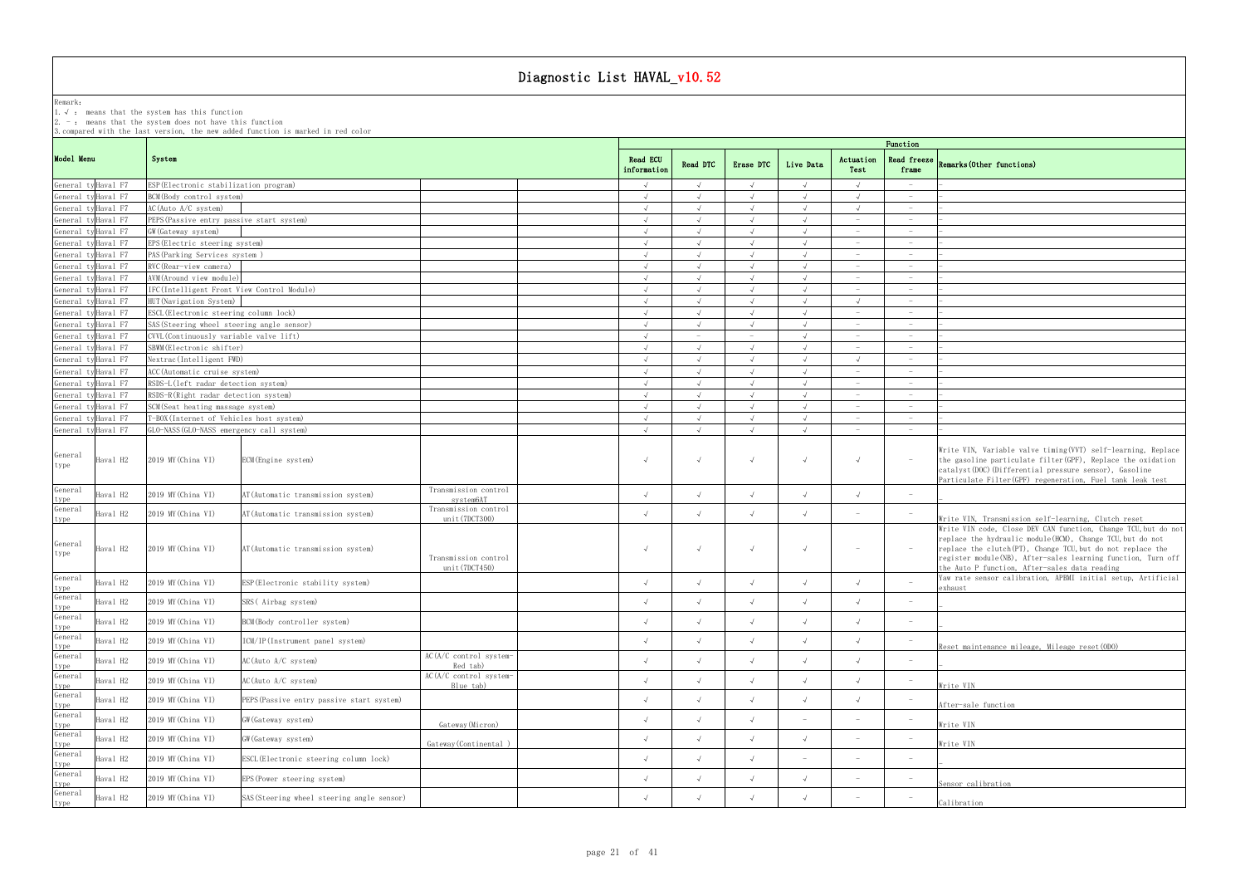Remark: The contract of the contract of the contract of the contract of the contract of the contract of the contract of the contract of the contract of the contract of the contract of the contract of the contract of the co

1.√ : means that the systemhas this function

2. - : means that the system does not have this function

| Function                 |                                                                                                                                                                                                                                                                                                              |
|--------------------------|--------------------------------------------------------------------------------------------------------------------------------------------------------------------------------------------------------------------------------------------------------------------------------------------------------------|
| Read freeze<br>frame     | Remarks (Other functions)                                                                                                                                                                                                                                                                                    |
|                          |                                                                                                                                                                                                                                                                                                              |
| $\overline{\phantom{a}}$ |                                                                                                                                                                                                                                                                                                              |
| $\overline{\phantom{a}}$ |                                                                                                                                                                                                                                                                                                              |
| $\overline{\phantom{0}}$ |                                                                                                                                                                                                                                                                                                              |
|                          |                                                                                                                                                                                                                                                                                                              |
| $\overline{a}$           |                                                                                                                                                                                                                                                                                                              |
| $\overline{\phantom{m}}$ |                                                                                                                                                                                                                                                                                                              |
| $\overline{\phantom{a}}$ |                                                                                                                                                                                                                                                                                                              |
| $\overline{\phantom{a}}$ |                                                                                                                                                                                                                                                                                                              |
|                          |                                                                                                                                                                                                                                                                                                              |
| $\overline{a}$           |                                                                                                                                                                                                                                                                                                              |
|                          |                                                                                                                                                                                                                                                                                                              |
| $\qquad \qquad -$        |                                                                                                                                                                                                                                                                                                              |
| $\overline{\phantom{a}}$ |                                                                                                                                                                                                                                                                                                              |
| $\overline{\phantom{a}}$ |                                                                                                                                                                                                                                                                                                              |
| $\qquad \qquad -$        |                                                                                                                                                                                                                                                                                                              |
| $\overline{\phantom{0}}$ |                                                                                                                                                                                                                                                                                                              |
|                          |                                                                                                                                                                                                                                                                                                              |
| $\qquad \qquad -$        |                                                                                                                                                                                                                                                                                                              |
| $\equiv$                 |                                                                                                                                                                                                                                                                                                              |
|                          | Write VIN, Variable valve timing (VVT) self-learning, Replace<br>the gasoline particulate filter (GPF), Replace the oxidation<br>catalyst (DOC) (Differential pressure sensor), Gasoline<br>Particulate Filter (GPF) regeneration, Fuel tank leak test                                                       |
|                          |                                                                                                                                                                                                                                                                                                              |
|                          | Write VIN, Transmission self-learning, Clutch reset                                                                                                                                                                                                                                                          |
|                          | Write VIN code, Close DEV CAN function, Change TCU, but do not<br>replace the hydraulic module (HCM), Change TCU, but do not<br>replace the clutch (PT), Change TCU, but do not replace the<br>register module(NB), After-sales learning function, Turn off<br>the Auto P function, After-sales data reading |
|                          | Yaw rate sensor calibration, APBMI initial setup, Artificial<br>exhaust                                                                                                                                                                                                                                      |
| $\overline{a}$           |                                                                                                                                                                                                                                                                                                              |
| $\overline{\phantom{0}}$ |                                                                                                                                                                                                                                                                                                              |
| $\overline{\phantom{a}}$ | Reset maintenance mileage, Mileage reset (ODO)                                                                                                                                                                                                                                                               |
| $\overline{\phantom{0}}$ |                                                                                                                                                                                                                                                                                                              |
| $\overline{\phantom{0}}$ | Write VIN                                                                                                                                                                                                                                                                                                    |
| $\overline{\phantom{0}}$ | After-sale function                                                                                                                                                                                                                                                                                          |
| -                        | Write VIN                                                                                                                                                                                                                                                                                                    |
| $\overline{\phantom{m}}$ | Write VIN                                                                                                                                                                                                                                                                                                    |
| $\overline{\phantom{0}}$ |                                                                                                                                                                                                                                                                                                              |
| $\overline{\phantom{0}}$ | <u>Sensor calibration</u>                                                                                                                                                                                                                                                                                    |
|                          | Calibration                                                                                                                                                                                                                                                                                                  |

|                                            |                                                                   |                                            |                                       |  |                          |                          |                                 | Function                 |                                        |                                                      |                                                                                                                                                                         |  |  |  |  |  |
|--------------------------------------------|-------------------------------------------------------------------|--------------------------------------------|---------------------------------------|--|--------------------------|--------------------------|---------------------------------|--------------------------|----------------------------------------|------------------------------------------------------|-------------------------------------------------------------------------------------------------------------------------------------------------------------------------|--|--|--|--|--|
| Model Menu                                 | System                                                            |                                            |                                       |  | Read ECU<br>information  | Read DTC                 | Erase DTC                       | Live Data                | Actuation<br>Test                      | Read freeze<br>frame                                 | Remarks (Other functions)                                                                                                                                               |  |  |  |  |  |
| General ty Haval F7                        | ESP (Electronic stabilization program)                            |                                            |                                       |  |                          | $\sqrt{ }$               | $\sqrt{ }$                      | $\sqrt{ }$               | $\sqrt{ }$                             | $\hspace{0.1mm}-\hspace{0.1mm}$                      |                                                                                                                                                                         |  |  |  |  |  |
| General ty Haval F7                        | BCM(Body control system)                                          |                                            |                                       |  | $\sqrt{ }$               | $\sqrt{ }$               | $\sqrt{ }$                      | $\sqrt{ }$               | $\sqrt{ }$                             |                                                      |                                                                                                                                                                         |  |  |  |  |  |
| General ty Haval F7                        | AC(Auto A/C system)                                               |                                            |                                       |  | $\sqrt{ }$               | $\sqrt{ }$               | $\sqrt{ }$                      | $\sqrt{ }$               | $\sqrt{ }$                             | $\overline{\phantom{a}}$                             |                                                                                                                                                                         |  |  |  |  |  |
| General ty Haval F7                        | PEPS (Passive entry passive start system)                         |                                            |                                       |  | $\sqrt{ }$               | $\sqrt{ }$               | $\sqrt{ }$                      | $\sqrt{ }$               |                                        | $\overline{\phantom{a}}$                             |                                                                                                                                                                         |  |  |  |  |  |
| General ty Haval F7                        | GW (Gateway system)                                               |                                            |                                       |  | $\sqrt{ }$               | $\sqrt{ }$               | $\sqrt{ }$                      | $\sqrt{ }$               |                                        | $\overline{\phantom{a}}$                             |                                                                                                                                                                         |  |  |  |  |  |
| General ty Haval F7                        | EPS (Electric steering system)                                    |                                            |                                       |  | $\sqrt{ }$               | $\sqrt{ }$               | $\sqrt{ }$                      | $\sqrt{ }$               | $\overline{\phantom{a}}$               | $\overline{\phantom{a}}$                             |                                                                                                                                                                         |  |  |  |  |  |
| General ty Haval F7                        | PAS (Parking Services system)                                     |                                            |                                       |  | $\sqrt{ }$               | $\sqrt{ }$               | $\sqrt{ }$                      | $\sqrt{ }$               | $\sim$                                 | $\overline{\phantom{a}}$                             |                                                                                                                                                                         |  |  |  |  |  |
| General ty Haval F7                        | RVC (Rear-view camera)                                            |                                            |                                       |  | $\sqrt{ }$               | $\sqrt{ }$               | $\sqrt{ }$                      | $\sqrt{ }$               |                                        | $\overline{\phantom{a}}$                             |                                                                                                                                                                         |  |  |  |  |  |
| Haval F7<br>General t                      | AVM (Around view module)                                          |                                            |                                       |  | $\sqrt{ }$<br>$\sqrt{ }$ | $\sqrt{ }$               | $\sqrt{ }$                      | $\sqrt{ }$<br>$\sqrt{ }$ | $\overline{\phantom{a}}$               | $\overline{\phantom{a}}$                             |                                                                                                                                                                         |  |  |  |  |  |
| Haval F7<br>General ty                     | IFC(Intelligent Front View Control Module)                        |                                            |                                       |  | $\sqrt{ }$               | $\sqrt{ }$<br>$\sqrt{ }$ | $\sqrt{ }$<br>$\sqrt{ }$        | $\sqrt{ }$               | $\overline{\phantom{a}}$<br>$\sqrt{ }$ | $\overline{\phantom{a}}$<br>$\overline{\phantom{a}}$ |                                                                                                                                                                         |  |  |  |  |  |
| General ty Haval F7<br>General ty Haval F7 | HUT (Navigation System)<br>ESCL (Electronic steering column lock) |                                            |                                       |  | $\sqrt{ }$               | $\sqrt{ }$               | $\sqrt{ }$                      | $\sqrt{ }$               | $\overline{\phantom{a}}$               | $\overline{\phantom{a}}$                             |                                                                                                                                                                         |  |  |  |  |  |
| General ty Haval F7                        | SAS (Steering wheel steering angle sensor)                        |                                            |                                       |  | $\sqrt{ }$               | $\sqrt{ }$               | $\sqrt{ }$                      | $\sqrt{ }$               | $\overline{\phantom{a}}$               | $\overline{\phantom{m}}$                             |                                                                                                                                                                         |  |  |  |  |  |
| General ty Haval F7                        | CVVL (Continuously variable valve lift)                           |                                            |                                       |  | $\sqrt{ }$               | $\sim$                   | $\hspace{0.1mm}-\hspace{0.1mm}$ | $\sqrt{ }$               | $\sim$                                 | $\overline{\phantom{a}}$                             |                                                                                                                                                                         |  |  |  |  |  |
| General t<br>Haval F7                      | SBWM (Electronic shifter)                                         |                                            |                                       |  | $\sqrt{ }$               | $\sqrt{ }$               | $\sqrt{ }$                      | $\sqrt{ }$               |                                        | $\overline{\phantom{a}}$                             |                                                                                                                                                                         |  |  |  |  |  |
| Haval F7<br>General t                      | Nextrac(Intelligent FWD)                                          |                                            |                                       |  | $\sqrt{ }$               | $\sqrt{ }$               | $\sqrt{ }$                      | $\sqrt{}$                | $\sqrt{ }$                             | $\overline{\phantom{a}}$                             |                                                                                                                                                                         |  |  |  |  |  |
| Haval F7<br>General                        | ACC (Automatic cruise system)                                     |                                            |                                       |  | $\sqrt{ }$               | $\sqrt{ }$               | $\sqrt{ }$                      | $\sqrt{ }$               | $\overline{\phantom{a}}$               | $\overline{\phantom{a}}$                             |                                                                                                                                                                         |  |  |  |  |  |
| General ty Haval F7                        | RSDS-L(left radar detection system)                               |                                            |                                       |  | $\sqrt{ }$               | $\sqrt{ }$               | $\sqrt{ }$                      | $\sqrt{ }$               | $\overline{\phantom{a}}$               | $\overline{\phantom{m}}$                             |                                                                                                                                                                         |  |  |  |  |  |
| General ty Haval F7                        | RSDS-R(Right radar detection system)                              |                                            |                                       |  | $\sqrt{ }$               | $\sqrt{ }$               | $\sqrt{ }$                      | $\sqrt{ }$               |                                        | $\overline{\phantom{a}}$                             |                                                                                                                                                                         |  |  |  |  |  |
| General ty Haval F7                        | SCM(Seat heating massage system)                                  |                                            |                                       |  | $\sqrt{ }$               | $\sqrt{ }$               | $\sqrt{ }$                      | $\sqrt{}$                | $\equiv$                               | $\overline{\phantom{a}}$                             |                                                                                                                                                                         |  |  |  |  |  |
| Haval F7<br>General ty                     | T-BOX (Internet of Vehicles host system)                          |                                            |                                       |  | $\sqrt{ }$               | $\sqrt{ }$               | $\sqrt{ }$                      | $\sqrt{ }$               | $\overline{\phantom{a}}$               | $\hspace{0.1mm}-\hspace{0.1mm}$                      |                                                                                                                                                                         |  |  |  |  |  |
| General ty Haval F7                        | GLO-NASS (GLO-NASS emergency call system)                         |                                            |                                       |  | $\sqrt{ }$               | $\sqrt{ }$               | $\sqrt{ }$                      | $\sqrt{ }$               |                                        | $\overline{\phantom{a}}$                             |                                                                                                                                                                         |  |  |  |  |  |
| General<br>Haval H2<br>type                | 2019 MY (China VI)                                                | ECM (Engine system)                        |                                       |  | $\sqrt{ }$               | $\sqrt{ }$               | $\sqrt{ }$                      | $\sqrt{ }$               | $\sqrt{ }$                             | $\overline{\phantom{a}}$                             | Write VIN, Variable valve timi<br>the gasoline particulate filte<br>catalyst (DOC) (Differential pre<br>Particulate Filter (GPF) regene                                 |  |  |  |  |  |
| General<br>Haval H2<br>type                | 2019 MY (China VI)                                                | AT (Automatic transmission system)         | Transmission control<br>system6AT     |  | $\sqrt{ }$               | $\sqrt{ }$               | $\sqrt{ }$                      | $\sqrt{ }$               | $\sqrt{ }$                             | $\overline{\phantom{a}}$                             |                                                                                                                                                                         |  |  |  |  |  |
| General<br>Haval H2<br>type                | 2019 MY (China VI)                                                | AT (Automatic transmission system)         | Transmission control<br>unit(7DCT300) |  | $\sqrt{ }$               | $\sqrt{ }$               | $\sqrt{ }$                      | $\sqrt{ }$               |                                        |                                                      | Write VIN, Transmission self-1                                                                                                                                          |  |  |  |  |  |
| General<br>Haval H2<br>type                | 2019 MY (China VI)                                                | AT (Automatic transmission system)         | Transmission control<br>unit(7DCT450) |  | $\sqrt{ }$               | $\sqrt{ }$               | $\sqrt{ }$                      | $\sqrt{ }$               |                                        |                                                      | Write VIN code, Close DEV CAN<br>replace the hydraulic module (H<br>replace the clutch (PT), Change<br>register module(NB), After-sal<br>the Auto P function, After-sal |  |  |  |  |  |
| General<br>Haval H2<br>type                | 2019 MY (China VI)                                                | ESP (Electronic stability system)          |                                       |  | $\sqrt{ }$               | $\sqrt{ }$               | $\sqrt{ }$                      | $\sqrt{ }$               | $\sqrt{ }$                             |                                                      | Yaw rate sensor calibration, A<br>exhaust                                                                                                                               |  |  |  |  |  |
| General<br>Haval H2<br>type<br>General     | 2019 MY (China VI)                                                | SRS(Airbag system)                         |                                       |  | $\sqrt{ }$               | $\sqrt{ }$               | $\sqrt{ }$                      | $\sqrt{ }$               | $\sqrt{ }$                             | $\overline{\phantom{a}}$                             |                                                                                                                                                                         |  |  |  |  |  |
| Haval H2<br>type<br>General                | 2019 MY (China VI)                                                | BCM (Body controller system)               |                                       |  | $\sqrt{ }$               | $\sqrt{ }$               | $\sqrt{ }$                      | $\sqrt{ }$               | $\sqrt{ }$                             | $\overline{\phantom{a}}$                             |                                                                                                                                                                         |  |  |  |  |  |
| Haval H2<br>type<br>General                | 2019 MY (China VI)                                                | ICM/IP(Instrument panel system)            |                                       |  | $\sqrt{ }$               | $\sqrt{ }$               | $\sqrt{ }$                      | $\sqrt{ }$               | $\sqrt{ }$                             | $\overline{\phantom{m}}$                             | Reset maintenance mileage, Mil                                                                                                                                          |  |  |  |  |  |
| Haval H2<br>type<br>General                | 2019 MY (China VI)                                                | AC(Auto A/C system)                        | AC(A/C control system-<br>Red tab)    |  | $\sqrt{ }$               | $\sqrt{ }$               | $\sqrt{ }$                      | $\sqrt{ }$               | $\sqrt{ }$                             | $\overline{\phantom{m}}$                             |                                                                                                                                                                         |  |  |  |  |  |
| Haval H2<br>type                           | 2019 MY (China VI)                                                | AC(Auto A/C system)                        | AC(A/C control system-<br>Blue tab)   |  | $\sqrt{ }$               | $\sqrt{ }$               | $\sqrt{ }$                      | $\sqrt{ }$               | $\sqrt{ }$                             | $\overline{\phantom{0}}$                             | Write VIN                                                                                                                                                               |  |  |  |  |  |
| General<br>Haval H2<br>type                | 2019 MY (China VI)                                                | PEPS (Passive entry passive start system)  |                                       |  | $\sqrt{ }$               | $\sqrt{ }$               | $\sqrt{ }$                      | $\sqrt{ }$               | $\sqrt{ }$                             | $\overline{\phantom{0}}$                             | After-sale function                                                                                                                                                     |  |  |  |  |  |
| General<br>Haval H2<br>type<br>General     | 2019 MY (China VI)                                                | GW (Gateway system)                        | Gateway (Micron)                      |  | $\sqrt{ }$               | $\sqrt{ }$               | $\sqrt{ }$                      |                          |                                        |                                                      | Write VIN                                                                                                                                                               |  |  |  |  |  |
| Haval H2<br>type<br>General                | 2019 MY (China VI)                                                | GW (Gateway system)                        | Gateway (Continental)                 |  | $\sqrt{ }$               | $\sqrt{ }$               | $\sqrt{ }$                      | $\sqrt{ }$               | $\overline{\phantom{a}}$               |                                                      | Write VIN                                                                                                                                                               |  |  |  |  |  |
| Haval H2<br>type                           | 2019 MY (China VI)                                                | ESCL (Electronic steering column lock)     |                                       |  | $\sqrt{ }$               | $\sqrt{ }$               | $\sqrt{ }$                      |                          |                                        | $\overline{\phantom{a}}$                             |                                                                                                                                                                         |  |  |  |  |  |
| General<br>Haval H2<br>type                | 2019 MY (China VI)                                                | EPS (Power steering system)                |                                       |  | $\sqrt{ }$               | $\sqrt{ }$               | $\sqrt{}$                       | $\sqrt{ }$               |                                        | $\overline{\phantom{a}}$                             | Sensor calibration                                                                                                                                                      |  |  |  |  |  |
| General<br>Haval H2<br>type                | 2019 MY (China VI)                                                | SAS (Steering wheel steering angle sensor) |                                       |  | $\sqrt{ }$               | $\sqrt{ }$               | $\sqrt{ }$                      | $\sqrt{ }$               |                                        |                                                      | Calibration                                                                                                                                                             |  |  |  |  |  |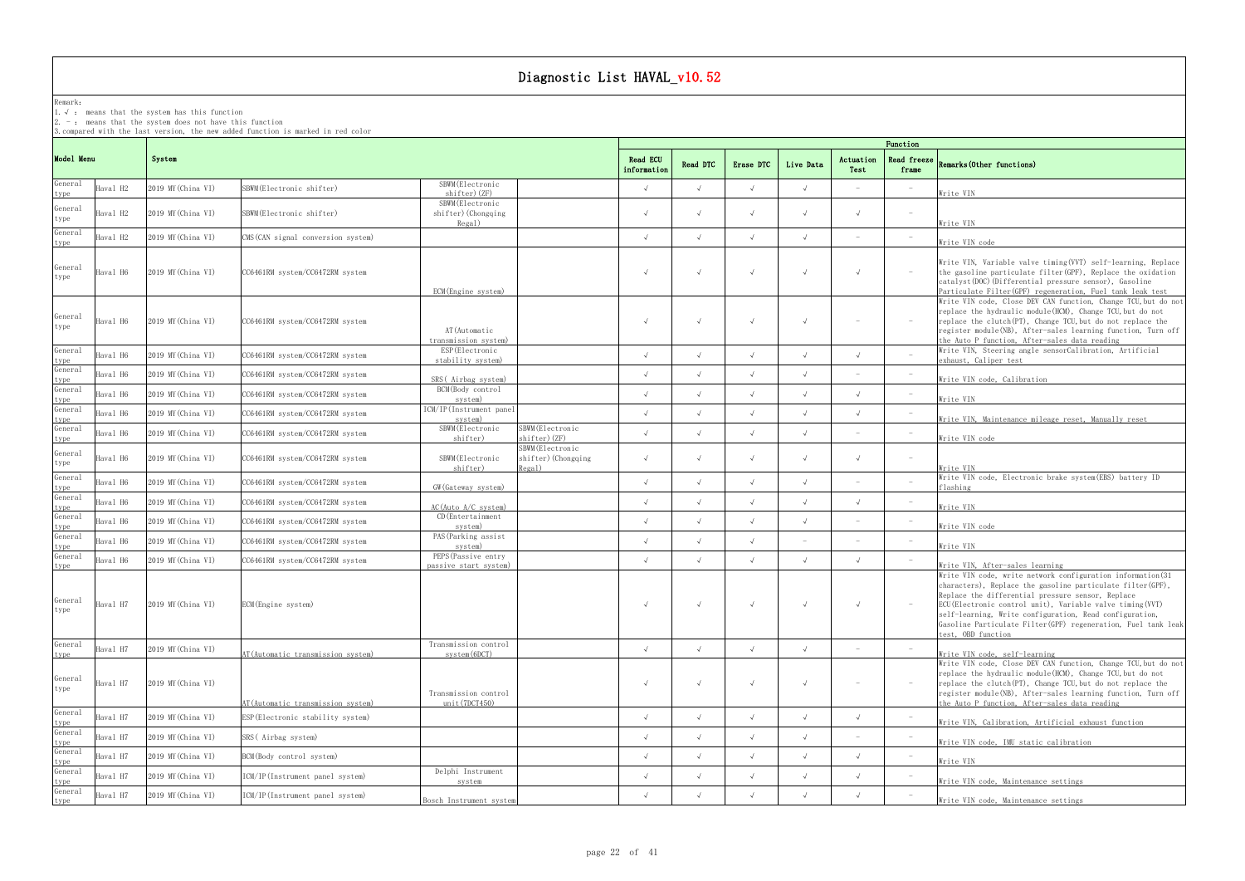## Remark:

1.√ : means that the systemhas this function

 $2. -:$  means that the system does not have this function

3.compared with the last version, the new added function is marked in red color

## frame Remarks(Other functions)

|                                        |                             |                                    |                                                                                   |           | Function   |                   |                             |                           |                                 |                                                                                                                                                                                                                                                                                                                                                                                               |  |  |  |  |
|----------------------------------------|-----------------------------|------------------------------------|-----------------------------------------------------------------------------------|-----------|------------|-------------------|-----------------------------|---------------------------|---------------------------------|-----------------------------------------------------------------------------------------------------------------------------------------------------------------------------------------------------------------------------------------------------------------------------------------------------------------------------------------------------------------------------------------------|--|--|--|--|
| Model Menu                             | System                      | <b>Read ECU</b><br>information     | Read DTC                                                                          | Erase DTC | Live Data  | Actuation<br>Test | <b>Read freeze</b><br>frame | Remarks (Other functions) |                                 |                                                                                                                                                                                                                                                                                                                                                                                               |  |  |  |  |
| General<br>Haval H2<br>type            | 2019 MY (China VI)          | SBWM(Electronic shifter)           | SBWM (Electronic<br>shifter) (ZF)                                                 |           |            |                   | $\sqrt{ }$                  |                           | $\overline{\phantom{a}}$        | Write VIN                                                                                                                                                                                                                                                                                                                                                                                     |  |  |  |  |
| General<br>Haval H2<br>type            | 2019 MY (China VI)          | SBWM(Electronic shifter)           | SBWM (Electronic<br>shifter) (Chongqing<br>Regal)                                 |           |            |                   | $\sqrt{ }$                  |                           | $\hspace{0.1mm}-\hspace{0.1mm}$ | Write VIN                                                                                                                                                                                                                                                                                                                                                                                     |  |  |  |  |
| General<br>Haval H2<br>type            | 2019 MY (China VI)          | CMS (CAN signal conversion system) |                                                                                   |           |            |                   | $\sqrt{ }$                  |                           | $\hspace{0.1mm}-\hspace{0.1mm}$ | Write VIN code                                                                                                                                                                                                                                                                                                                                                                                |  |  |  |  |
| General<br>Haval H6<br>type            | 2019 MY (China VI)          | CC6461RM system/CC6472RM system    | ECM (Engine system)                                                               |           |            |                   |                             |                           | $\sim$                          | Write VIN, Variable valve timing (VVT) self-learning, Replace<br>the gasoline particulate filter (GPF), Replace the oxidation<br>catalyst (DOC) (Differential pressure sensor), Gasoline<br>Particulate Filter(GPF) regeneration, Fuel tank leak test                                                                                                                                         |  |  |  |  |
| General<br>Haval H6<br>type            | 2019 MY (China VI)          | CC6461RM system/CC6472RM system    | AT (Automatic<br>transmission system)                                             |           |            |                   |                             |                           | $\hspace{0.1mm}-\hspace{0.1mm}$ | Write VIN code, Close DEV CAN function, Change TCU, but do not<br>replace the hydraulic module(HCM), Change TCU,but do not<br>replace the clutch (PT), Change TCU, but do not replace the<br>register module(NB), After-sales learning function, Turn off<br>the Auto P function, After-sales data reading                                                                                    |  |  |  |  |
| General<br>Haval H6                    | 2019 MY (China VI)          | CC6461RM system/CC6472RM system    | ESP (Electronic<br>stability system)                                              |           |            |                   | $\cdot$                     |                           | $\sim$                          | Write VIN, Steering angle sensorCalibration, Artificial<br>exhaust, Caliper test                                                                                                                                                                                                                                                                                                              |  |  |  |  |
| type<br>General<br>Haval H6            | 2019 MY (China VI)          | CC6461RM system/CC6472RM system    | SRS(Airbag system)                                                                |           |            |                   | $\sqrt{ }$                  |                           |                                 | Write VIN code, Calibration                                                                                                                                                                                                                                                                                                                                                                   |  |  |  |  |
| type<br>General<br>Haval H6            | 2019 MY (China VI)          | CC6461RM system/CC6472RM system    | BCM(Body control<br>system)                                                       |           |            |                   | $\sqrt{ }$                  |                           | $\overline{\phantom{a}}$        | Write VIN                                                                                                                                                                                                                                                                                                                                                                                     |  |  |  |  |
| type<br>General<br>Haval H6            | 2019 MY (China VI)          | CC6461RM system/CC6472RM system    | ICM/IP(Instrument panel<br>system)                                                |           |            |                   | $\sqrt{ }$                  |                           | $\hspace{0.1mm}-\hspace{0.1mm}$ | Write VIN, Maintenance mileage reset, Manually reset                                                                                                                                                                                                                                                                                                                                          |  |  |  |  |
| type<br>General<br>Haval H6<br>type    | 2019 MY (China VI)          | CC6461RM system/CC6472RM system    | SBWM (Electronic<br>SBWM(Electronic<br>shifter) (ZF)<br>shifter)                  |           |            |                   | $\sqrt{ }$                  |                           |                                 | Write VIN code                                                                                                                                                                                                                                                                                                                                                                                |  |  |  |  |
| General<br>Haval H6<br>type            | 2019 MY (China VI)          | CC6461RM system/CC6472RM system    | SBWM (Electronic<br>shifter) (Chongqing<br>SBWM (Electronic<br>shifter)<br>Regal) |           |            |                   | $\sqrt{ }$                  |                           | $\overline{\phantom{a}}$        | Write VIN                                                                                                                                                                                                                                                                                                                                                                                     |  |  |  |  |
| General<br>Haval H6                    | 2019 MY (China VI)          | CC6461RM system/CC6472RM system    | GW (Gateway system)                                                               |           |            |                   | $\sqrt{ }$                  |                           |                                 | Write VIN code, Electronic brake system (EBS) battery ID<br>flashing                                                                                                                                                                                                                                                                                                                          |  |  |  |  |
| type<br>General<br>Haval H6            | 2019 MY (China VI)          | CC6461RM system/CC6472RM system    | $AC$ (Auto $A/C$ system)                                                          |           |            |                   | $\sqrt{ }$                  |                           | $\overline{\phantom{a}}$        | Write VIN                                                                                                                                                                                                                                                                                                                                                                                     |  |  |  |  |
| type<br>General<br>Haval H6            | 2019 MY (China VI)          | CC6461RM system/CC6472RM system    | CD (Entertainment<br>system)                                                      |           |            |                   | $\sqrt{ }$                  |                           | $\overline{\phantom{a}}$        | Write VIN code                                                                                                                                                                                                                                                                                                                                                                                |  |  |  |  |
| type<br>General<br>Haval H6<br>type    | 2019 MY (China VI)          | CC6461RM system/CC6472RM system    | PAS (Parking assist<br>system)                                                    |           |            |                   | $\overline{\phantom{a}}$    |                           | $\overline{a}$                  | Write VIN                                                                                                                                                                                                                                                                                                                                                                                     |  |  |  |  |
| General<br>Haval H6<br>type            | 2019 MY (China VI)          | CC6461RM system/CC6472RM system    | PEPS (Passive entry<br>passive start system)                                      |           |            |                   | $\sqrt{ }$                  |                           |                                 | Write VIN, After-sales learning                                                                                                                                                                                                                                                                                                                                                               |  |  |  |  |
| General<br>type                        | Haval H7 2019 MY (China VI) | ECM (Engine system)                |                                                                                   |           | $\sqrt{ }$ |                   | $\sqrt{ }$                  |                           |                                 | Write VIN code, write network configuration information (31<br>characters), Replace the gasoline particulate filter(GPF),<br>Replace the differential pressure sensor, Replace<br>ECU(Electronic control unit), Variable valve timing (VVT)<br>self-learning, Write configuration, Read configuration,<br>Gasoline Particulate Filter(GPF) regeneration, Fuel tank leak<br>test. OBD function |  |  |  |  |
| General<br>Haval H7<br>type            | 2019 MY (China VI)          | AT (Automatic transmission system) | Transmission control<br>system(6DCT)                                              |           | $\sqrt{ }$ |                   | $\sqrt{ }$                  |                           |                                 | Write VIN code, self-learning                                                                                                                                                                                                                                                                                                                                                                 |  |  |  |  |
| General<br>Haval H7<br>type            | 2019 MY (China VI)          | AT (Automatic transmission system) | Transmission control<br>unit(7DCT450)                                             |           | $\sqrt{ }$ |                   |                             |                           |                                 | Write VIN code, Close DEV CAN function, Change TCU, but do not<br>replace the hydraulic module (HCM), Change TCU, but do not<br>replace the clutch (PT), Change TCU, but do not replace the<br>register module(NB), After-sales learning function, Turn off<br>the Auto P function, After-sales data reading                                                                                  |  |  |  |  |
| General<br>Haval H7<br>type<br>General | 2019 MY (China VI)          | ESP (Electronic stability system)  |                                                                                   |           |            |                   | $\sqrt{ }$                  |                           |                                 | Write VIN, Calibration, Artificial exhaust function                                                                                                                                                                                                                                                                                                                                           |  |  |  |  |
| Haval H7                               | 2019 MY (China VI)          | SRS(Airbag system)                 |                                                                                   |           | $\sqrt{ }$ |                   | $\sqrt{ }$                  |                           | $\hspace{0.1mm}-\hspace{0.1mm}$ | Write VIN code, IMU static calibration                                                                                                                                                                                                                                                                                                                                                        |  |  |  |  |
| $\frac{type}{General}$<br>Haval H7     | 2019 MY (China VI)          | BCM (Body control system)          |                                                                                   |           |            |                   | $\sqrt{ }$                  |                           |                                 | Write VIN                                                                                                                                                                                                                                                                                                                                                                                     |  |  |  |  |
| type<br>General<br>Haval H7            | 2019 MY (China VI)          | ICM/IP(Instrument panel system)    | Delphi Instrument<br>system                                                       |           |            |                   | $\sqrt{ }$                  |                           |                                 | Write VIN code, Maintenance settings                                                                                                                                                                                                                                                                                                                                                          |  |  |  |  |
| type<br>General<br>Haval H7<br>type    | 2019 MY (China VI)          | ICM/IP(Instrument panel system)    | Bosch Instrument system                                                           |           |            |                   | $\sqrt{ }$                  |                           |                                 | Write VIN code, Maintenance settings                                                                                                                                                                                                                                                                                                                                                          |  |  |  |  |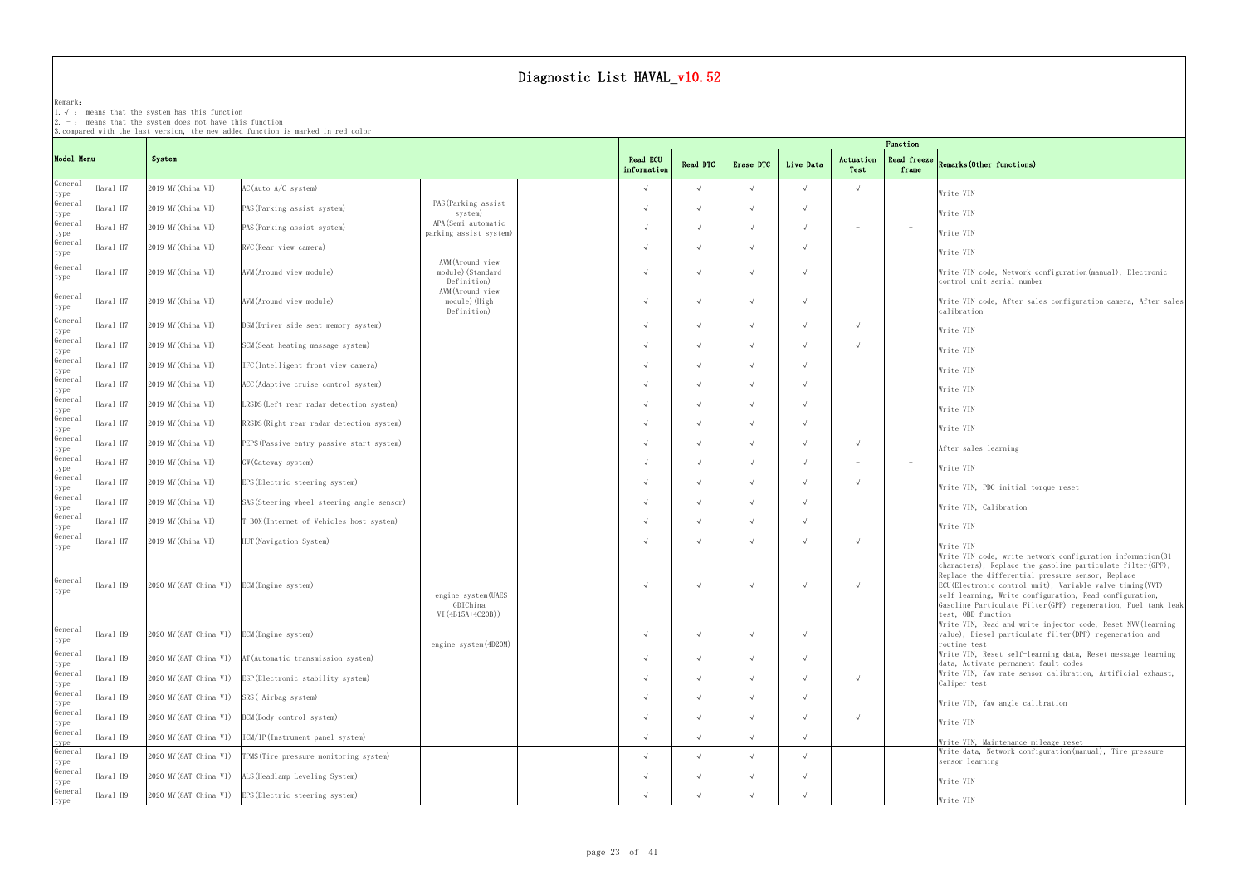### Remark:

1.√ : means that the systemhas this function

2. - : means that the system does not have this function

3.compared with the last version, the new added function is marked in red color

## frame Remarks(Other functions)

|                                |          |                                            |                                                       |                                                      |  | Function   |            |            |            |                   |                                 |                                                                                                                                                                                                                                                                                                                                                                                                 |  |  |  |  |
|--------------------------------|----------|--------------------------------------------|-------------------------------------------------------|------------------------------------------------------|--|------------|------------|------------|------------|-------------------|---------------------------------|-------------------------------------------------------------------------------------------------------------------------------------------------------------------------------------------------------------------------------------------------------------------------------------------------------------------------------------------------------------------------------------------------|--|--|--|--|
| Model Menu                     |          | System                                     |                                                       |                                                      |  |            | Read DTC   | Erase DTC  | Live Data  | Actuation<br>Test | Read freeze<br>frame            | Remarks (Other functions)                                                                                                                                                                                                                                                                                                                                                                       |  |  |  |  |
| General<br>type                | Haval H7 | 2019 MY (China VI)                         | AC(Auto A/C system)                                   |                                                      |  |            |            | $\sqrt{ }$ | $\sqrt{ }$ |                   |                                 | Write VIN                                                                                                                                                                                                                                                                                                                                                                                       |  |  |  |  |
| General                        | Haval H7 | 2019 MY (China VI)                         | PAS(Parking assist system)                            | PAS (Parking assist<br>system)                       |  |            |            | $\sqrt{ }$ |            |                   |                                 | Write VIN                                                                                                                                                                                                                                                                                                                                                                                       |  |  |  |  |
| type<br>General<br>type        | Haval H7 | 2019 MY (China VI)                         | PAS(Parking assist system)                            | APA (Semi-automatic<br>parking assist system)        |  |            |            | $\sqrt{ }$ | $\sqrt{ }$ |                   | $\hspace{0.1mm}-\hspace{0.1mm}$ | Write VIN                                                                                                                                                                                                                                                                                                                                                                                       |  |  |  |  |
| General<br>type                | Haval H7 | 2019 MY (China VI)                         | RVC(Rear-view camera)                                 |                                                      |  | $\lambda$  |            | $\sqrt{ }$ | $\sqrt{ }$ |                   |                                 | Write VIN                                                                                                                                                                                                                                                                                                                                                                                       |  |  |  |  |
| General<br>type                | Haval H7 | 2019 MY (China VI)                         | AVM(Around view module)                               | AVM (Around view<br>module) (Standard<br>Definition) |  | $\sqrt{ }$ |            | $\sqrt{ }$ | $\sqrt{ }$ |                   |                                 | Write VIN code, Network configuration (manual), Electronic<br>control unit serial number                                                                                                                                                                                                                                                                                                        |  |  |  |  |
| General<br>type                | Haval H7 | 2019 MY (China VI)                         | AVM(Around view module)                               | AVM (Around view<br>module)(High<br>Definition)      |  |            |            | $\sqrt{ }$ | $\sqrt{ }$ |                   |                                 | Write VIN code, After-sales configuration camera, After-sales<br>calibration                                                                                                                                                                                                                                                                                                                    |  |  |  |  |
| General<br>type                | Haval H7 | 2019 MY (China VI)                         | DSM(Driver side seat memory system)                   |                                                      |  |            |            | $\sqrt{ }$ | $\sqrt{ }$ |                   |                                 | Write VIN                                                                                                                                                                                                                                                                                                                                                                                       |  |  |  |  |
| General                        | Haval H7 | 2019 MY (China VI)                         | SCM(Seat heating massage system)                      |                                                      |  |            |            | $\sqrt{ }$ | $\sqrt{ }$ |                   |                                 | Write VIN                                                                                                                                                                                                                                                                                                                                                                                       |  |  |  |  |
| type<br>General                | Haval H7 | 2019 MY (China VI)                         | IFC(Intelligent front view camera)                    |                                                      |  |            |            | $\sqrt{ }$ |            |                   |                                 | Write VIN                                                                                                                                                                                                                                                                                                                                                                                       |  |  |  |  |
| $\frac{type}{General}$<br>type | Haval H7 | 2019 MY (China VI)                         | ACC (Adaptive cruise control system)                  |                                                      |  |            |            | $\sqrt{ }$ | $\sqrt{ }$ |                   |                                 | Write VIN                                                                                                                                                                                                                                                                                                                                                                                       |  |  |  |  |
| General<br>type                | Haval H7 | 2019 MY (China VI)                         | LRSDS(Left rear radar detection system)               |                                                      |  |            |            | $\sqrt{ }$ | $\sqrt{ }$ |                   |                                 | Write VIN                                                                                                                                                                                                                                                                                                                                                                                       |  |  |  |  |
| General<br>type                | Haval H7 | 2019 MY (China VI)                         | RRSDS (Right rear radar detection system)             |                                                      |  |            |            | $\sqrt{ }$ |            |                   |                                 | Write VIN                                                                                                                                                                                                                                                                                                                                                                                       |  |  |  |  |
| General<br>type                | Haval H7 | 2019 MY (China VI)                         | PEPS(Passive entry passive start system)              |                                                      |  |            |            | $\sqrt{ }$ |            |                   |                                 | After-sales learning                                                                                                                                                                                                                                                                                                                                                                            |  |  |  |  |
| General<br>type                | Haval H7 | 2019 MY (China VI)                         | GW(Gateway system)                                    |                                                      |  |            |            | $\sqrt{ }$ | $\sqrt{ }$ |                   |                                 | Write VIN                                                                                                                                                                                                                                                                                                                                                                                       |  |  |  |  |
| General<br>type                | Haval H7 | 2019 MY (China VI)                         | EPS (Electric steering system)                        |                                                      |  |            |            | $\sqrt{ }$ | $\sqrt{ }$ |                   |                                 | Write VIN, PDC initial torque reset                                                                                                                                                                                                                                                                                                                                                             |  |  |  |  |
| General<br>type                | Haval H7 | 2019 MY (China VI)                         | SAS(Steering wheel steering angle sensor)             |                                                      |  |            |            | $\sqrt{ }$ | $\sqrt{ }$ |                   |                                 | Write VIN, Calibration                                                                                                                                                                                                                                                                                                                                                                          |  |  |  |  |
| General<br>type                | Haval H7 | 2019 MY (China VI)                         | -BOX(Internet of Vehicles host system)                |                                                      |  |            |            | $\sqrt{ }$ |            |                   |                                 | Write VIN                                                                                                                                                                                                                                                                                                                                                                                       |  |  |  |  |
| General<br>type                | Haval H7 | 2019 MY (China VI)                         | HUT(Navigation System)                                |                                                      |  |            |            | $\sqrt{ }$ | $\sqrt{ }$ |                   |                                 | Write VIN                                                                                                                                                                                                                                                                                                                                                                                       |  |  |  |  |
| General<br>type                | Haval H9 | 2020 MY (8AT China VI) ECM (Engine system) |                                                       | engine system(UAES<br>GDIChina<br>$VI(4B15A+4C20B))$ |  |            |            | $\sqrt{ }$ | $\sqrt{ }$ |                   |                                 | Write VIN code, write network configuration information(31<br>characters), Replace the gasoline particulate filter (GPF),<br>Replace the differential pressure sensor, Replace<br>ECU (Electronic control unit), Variable valve timing (VVT)<br>self-learning, Write configuration, Read configuration,<br>Gasoline Particulate Filter (GPF) regeneration, Fuel tank leak<br>test, OBD function |  |  |  |  |
| General<br>type                | Haval H9 | 2020 MY (8AT China VI)                     | ECM (Engine system)                                   | engine system (4D20M)                                |  | $\sqrt{ }$ |            | $\sqrt{ }$ | $\sqrt{ }$ |                   | $\hspace{0.1mm}-\hspace{0.1mm}$ | Write VIN, Read and write injector code, Reset NVV (learning<br>value), Diesel particulate filter (DPF) regeneration and<br>routine test                                                                                                                                                                                                                                                        |  |  |  |  |
| General<br>type                | Haval H9 | 2020 MY (8AT China VI)                     | AT (Automatic transmission system)                    |                                                      |  |            | $\sqrt{ }$ | $\sqrt{ }$ | $\sqrt{ }$ |                   |                                 | Write VIN, Reset self-learning data, Reset message learning<br>data, Activate permanent fault codes                                                                                                                                                                                                                                                                                             |  |  |  |  |
| General<br>type                | Haval H9 | 2020 MY (8AT China VI)                     | ESP (Electronic stability system)                     |                                                      |  |            |            | $\sqrt{ }$ | $\sqrt{ }$ |                   |                                 | Write VIN, Yaw rate sensor calibration, Artificial exhaust,<br>Caliper test                                                                                                                                                                                                                                                                                                                     |  |  |  |  |
| General<br>type                | Haval H9 | 2020 MY (8AT China VI)                     | SRS (Airbag system)                                   |                                                      |  |            |            | $\sqrt{ }$ |            |                   |                                 | Write VIN, Yaw angle calibration                                                                                                                                                                                                                                                                                                                                                                |  |  |  |  |
| General<br>type                | Haval H9 | 2020 MY (8AT China VI)                     | BCM (Body control system)                             |                                                      |  |            |            | $\sqrt{ }$ | $\sqrt{ }$ |                   |                                 | Write VIN                                                                                                                                                                                                                                                                                                                                                                                       |  |  |  |  |
| General<br>type                | Haval H9 | 2020 MY (8AT China VI)                     | ICM/IP(Instrument panel system)                       |                                                      |  | $\sqrt{ }$ | $\sqrt{ }$ | $\sqrt{ }$ | $\sqrt{ }$ |                   |                                 | Write VIN, Maintenance mileage reset                                                                                                                                                                                                                                                                                                                                                            |  |  |  |  |
| General<br>type                | Haval H9 | 2020 MY (8AT China VI)                     | TPMS (Tire pressure monitoring system)                |                                                      |  |            |            | $\sqrt{ }$ | $\sqrt{ }$ |                   |                                 | Write data, Network configuration (manual), Tire pressure<br>sensor learning                                                                                                                                                                                                                                                                                                                    |  |  |  |  |
| General                        | Haval H9 | 2020 MY (8AT China VI)                     | ALS (Headlamp Leveling System)                        |                                                      |  |            |            |            |            |                   |                                 | Write VIN                                                                                                                                                                                                                                                                                                                                                                                       |  |  |  |  |
| type<br>General<br>type        | Haval H9 |                                            | 2020 MY (8AT China VI) EPS (Electric steering system) |                                                      |  | $\sqrt{ }$ |            | $\sqrt{ }$ | $\sqrt{ }$ |                   |                                 | Write VIN                                                                                                                                                                                                                                                                                                                                                                                       |  |  |  |  |
|                                |          |                                            |                                                       |                                                      |  |            |            |            |            |                   |                                 |                                                                                                                                                                                                                                                                                                                                                                                                 |  |  |  |  |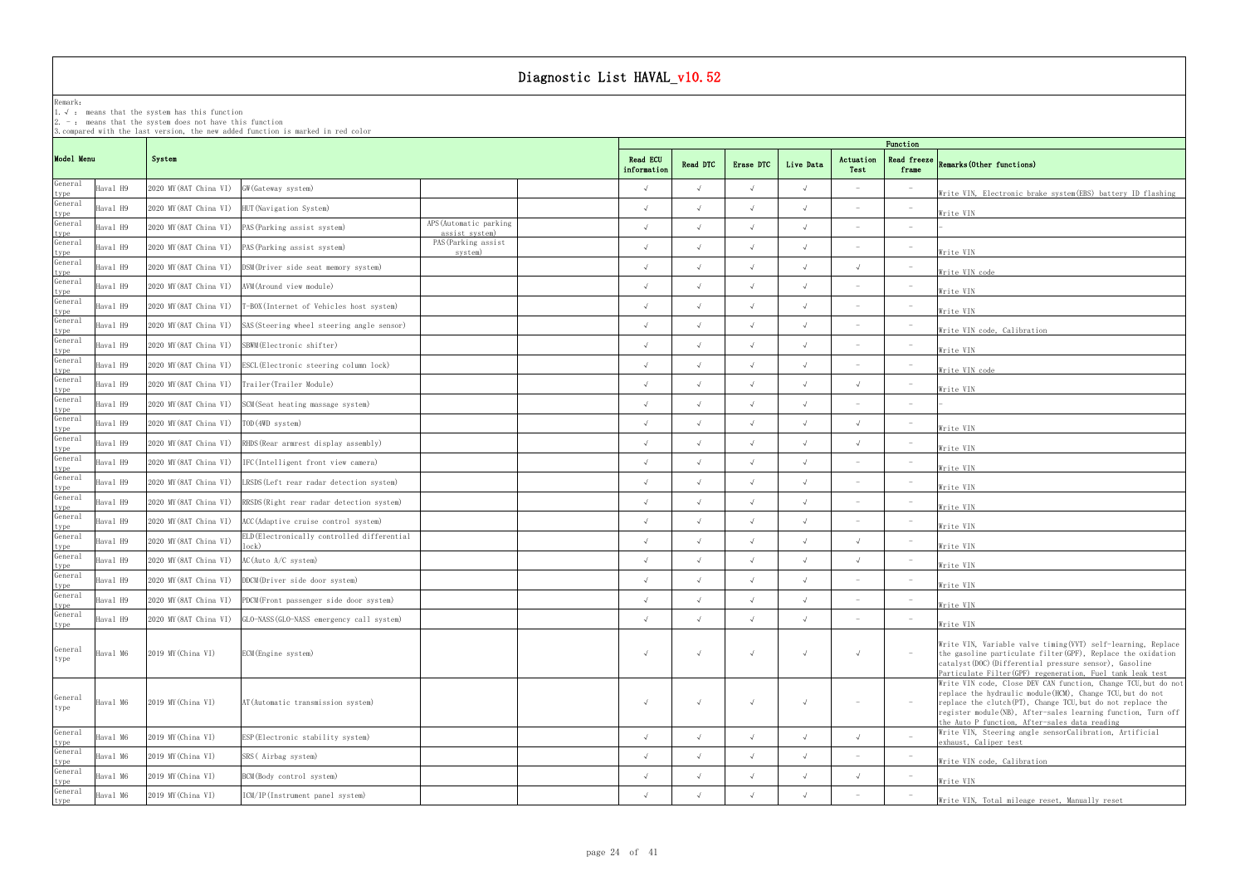### Remark: The contract of the contract of the contract of the contract of the contract of the contract of the contract of the contract of the contract of the contract of the contract of the contract of the contract of the co

1.√ : means that the systemhas this function

2. - : means that the system does not have this function

3.compared with the last version, the new added function is marked in red color

### Read freeze  $\begin{bmatrix} 0 & 1 & 0 & 1 \end{bmatrix}$ frame Remarks(Other functions)

| <u>Write VIN, Electronic brake system(EBS) battery ID flashing</u>                                                                                                                                                                                                                                                                                                                                                                                  |
|-----------------------------------------------------------------------------------------------------------------------------------------------------------------------------------------------------------------------------------------------------------------------------------------------------------------------------------------------------------------------------------------------------------------------------------------------------|
| Write VIN                                                                                                                                                                                                                                                                                                                                                                                                                                           |
|                                                                                                                                                                                                                                                                                                                                                                                                                                                     |
| Write VIN                                                                                                                                                                                                                                                                                                                                                                                                                                           |
| Write VIN code                                                                                                                                                                                                                                                                                                                                                                                                                                      |
| <u>Write VIN</u>                                                                                                                                                                                                                                                                                                                                                                                                                                    |
| <u>Write VIN</u>                                                                                                                                                                                                                                                                                                                                                                                                                                    |
| Write VIN code, Calibration                                                                                                                                                                                                                                                                                                                                                                                                                         |
| Write VIN                                                                                                                                                                                                                                                                                                                                                                                                                                           |
| Write VIN code <b>Secondary Service Service Service Service</b>                                                                                                                                                                                                                                                                                                                                                                                     |
| <u> Write VIN</u>                                                                                                                                                                                                                                                                                                                                                                                                                                   |
|                                                                                                                                                                                                                                                                                                                                                                                                                                                     |
| Write VIN                                                                                                                                                                                                                                                                                                                                                                                                                                           |
| Write VIN                                                                                                                                                                                                                                                                                                                                                                                                                                           |
| <u>Write VIN</u>                                                                                                                                                                                                                                                                                                                                                                                                                                    |
| <u>Write VIN</u>                                                                                                                                                                                                                                                                                                                                                                                                                                    |
| Write VIN                                                                                                                                                                                                                                                                                                                                                                                                                                           |
| <u>Write VIN</u>                                                                                                                                                                                                                                                                                                                                                                                                                                    |
| Write VIN                                                                                                                                                                                                                                                                                                                                                                                                                                           |
| <u>Write VIN</u>                                                                                                                                                                                                                                                                                                                                                                                                                                    |
| <u> Write VIN</u>                                                                                                                                                                                                                                                                                                                                                                                                                                   |
| <u> Write VIN</u>                                                                                                                                                                                                                                                                                                                                                                                                                                   |
| Write VIN                                                                                                                                                                                                                                                                                                                                                                                                                                           |
| Write VIN, Variable valve timing (VVT) self-learning, Replace<br>the gasoline particulate filter (GPF), Replace the oxidation<br>catalyst (DOC) (Differential pressure sensor), Gasoline<br>Particulate Filter(GPF) regeneration, Fuel tank leak test<br>Write VIN code, Close DEV CAN function, Change TCU, but do not<br>replace the hydraulic module (HCM), Change TCU, but do not<br>replace the clutch(PT), Change TCU, but do not replace the |
| register module(NB), After-sales learning function, Turn off                                                                                                                                                                                                                                                                                                                                                                                        |

|                                            |                        | 3. compared with the last version, the new added function is marked in red color |                                          |            |            | Function   |            |                                 |                                 |                                                                                                                                                                                                                                                                                                              |  |  |  |  |
|--------------------------------------------|------------------------|----------------------------------------------------------------------------------|------------------------------------------|------------|------------|------------|------------|---------------------------------|---------------------------------|--------------------------------------------------------------------------------------------------------------------------------------------------------------------------------------------------------------------------------------------------------------------------------------------------------------|--|--|--|--|
| Model Menu                                 | System                 |                                                                                  |                                          |            |            | Erase DTC  | Live Data  | Actuation<br>Test               | frame                           | Read freeze Remarks (Other functions)                                                                                                                                                                                                                                                                        |  |  |  |  |
| General<br>Haval H9<br>type                | 2020 MY (8AT China VI) | GW (Gateway system)                                                              |                                          | $\sqrt{ }$ | $\sqrt{ }$ | $\sqrt{ }$ | $\sqrt{ }$ | $\sim$                          | $\hspace{0.1mm}-\hspace{0.1mm}$ | Write VIN, Electronic brake system (EBS) battery ID flashing                                                                                                                                                                                                                                                 |  |  |  |  |
| General<br>Haval H9                        | 2020 MY (8AT China VI) | HUT (Navigation System)                                                          |                                          |            | $\sqrt{ }$ |            | $\sqrt{ }$ |                                 |                                 | Write VIN                                                                                                                                                                                                                                                                                                    |  |  |  |  |
| type<br>General<br>Haval H9                | 2020 MY (8AT China VI) | PAS (Parking assist system)                                                      | APS (Automatic parking<br>assist system) | $\sqrt{ }$ | $\sqrt{ }$ | $\sqrt{ }$ | $\sqrt{ }$ | $\sim$                          |                                 |                                                                                                                                                                                                                                                                                                              |  |  |  |  |
| type<br>General<br>Haval H9                | 2020 MY (8AT China VI) | PAS (Parking assist system)                                                      | PAS (Parking assist<br>system)           |            |            |            |            | $\overline{\phantom{a}}$        | $\overline{\phantom{a}}$        | Write VIN                                                                                                                                                                                                                                                                                                    |  |  |  |  |
| $\frac{type}{General}$<br>Haval H9         | 2020 MY (8AT China VI) | DSM (Driver side seat memory system)                                             |                                          |            | $\sqrt{ }$ |            | $\sqrt{ }$ | $\sqrt{ }$                      |                                 | Write VIN code                                                                                                                                                                                                                                                                                               |  |  |  |  |
| type<br>General<br>Haval H9                | 2020 MY (8AT China VI) | AVM (Around view module)                                                         |                                          | $\sqrt{ }$ | $\sqrt{ }$ | $\sqrt{ }$ | $\sqrt{ }$ | $\sim$                          |                                 | Write VIN                                                                                                                                                                                                                                                                                                    |  |  |  |  |
| type<br>General<br>Haval H9                | 2020 MY (8AT China VI) | T-BOX (Internet of Vehicles host system)                                         |                                          |            | $\sqrt{ }$ |            |            | $\sim$                          |                                 | Write VIN                                                                                                                                                                                                                                                                                                    |  |  |  |  |
| type<br>General<br>Haval H9                | 2020 MY (8AT China VI) | SAS (Steering wheel steering angle sensor)                                       |                                          |            | $\sqrt{ }$ |            |            | $\overline{\phantom{a}}$        |                                 | Write VIN code, Calibration                                                                                                                                                                                                                                                                                  |  |  |  |  |
| type<br>General<br>Haval H9                | 2020 MY (8AT China VI) | SBWM (Electronic shifter)                                                        |                                          |            | $\sqrt{ }$ |            |            | $\sim$                          |                                 | Write VIN                                                                                                                                                                                                                                                                                                    |  |  |  |  |
| type<br>General<br>Haval H9                | 2020 MY (8AT China VI) | ESCL (Electronic steering column lock)                                           |                                          |            | $\sqrt{ }$ | $\sqrt{ }$ | $\sqrt{ }$ | $\hspace{0.1mm}-\hspace{0.1mm}$ |                                 | Write VIN code                                                                                                                                                                                                                                                                                               |  |  |  |  |
| type<br>General<br>Haval H9                | 2020 MY (8AT China VI) | Trailer (Trailer Module)                                                         |                                          |            | $\sqrt{ }$ |            |            | $\sqrt{ }$                      | $\hspace{0.1mm}-\hspace{0.1mm}$ | Write VIN                                                                                                                                                                                                                                                                                                    |  |  |  |  |
| type<br>General<br>Haval H9                |                        | 2020 MY (8AT China VI) SCM (Seat heating massage system)                         |                                          |            |            |            |            | $\sim$                          |                                 |                                                                                                                                                                                                                                                                                                              |  |  |  |  |
| $\frac{type}{General}$<br>Haval H9         | 2020 MY (8AT China VI) | TOD (4WD system)                                                                 |                                          | $\sqrt{ }$ |            |            | $\sqrt{ }$ | $\sqrt{ }$                      |                                 | Write VIN                                                                                                                                                                                                                                                                                                    |  |  |  |  |
| $\frac{type}{General}$<br>Haval H9         | 2020 MY (8AT China VI) | RHDS (Rear armrest display assembly)                                             |                                          | $\sqrt{ }$ | $\sqrt{ }$ | $\sqrt{ }$ | $\sqrt{ }$ | $\sqrt{ }$                      |                                 | Write VIN                                                                                                                                                                                                                                                                                                    |  |  |  |  |
| type<br>General<br>Haval H9                | 2020 MY (8AT China VI) | IFC(Intelligent front view camera)                                               |                                          |            | $\sqrt{ }$ |            |            | $\hspace{0.1mm}-\hspace{0.1mm}$ |                                 | Write VIN                                                                                                                                                                                                                                                                                                    |  |  |  |  |
| type<br>General<br>Haval H9                | 2020 MY (8AT China VI) | LRSDS (Left rear radar detection system)                                         |                                          |            | $\lambda$  |            |            | $\overline{\phantom{a}}$        |                                 | Write VIN                                                                                                                                                                                                                                                                                                    |  |  |  |  |
| $\frac{type}{General}$<br>Haval H9         | 2020 MY (8AT China VI) | RRSDS (Right rear radar detection system)                                        |                                          |            | $\sqrt{ }$ |            |            | $\hspace{0.1mm}-\hspace{0.1mm}$ |                                 | Write VIN                                                                                                                                                                                                                                                                                                    |  |  |  |  |
| type<br>General<br>Haval H9                | 2020 MY (8AT China VI) | ACC (Adaptive cruise control system)                                             |                                          |            | $\sqrt{ }$ | $\sqrt{ }$ | $\sqrt{ }$ |                                 |                                 | Write VIN                                                                                                                                                                                                                                                                                                    |  |  |  |  |
| $\frac{type}{General}$<br>Haval H9         | 2020 MY (8AT China VI) | ELD (Electronically controlled differential<br>lock)                             |                                          |            | $\sqrt{ }$ | $\sqrt{ }$ | $\sqrt{ }$ | $\sqrt{ }$                      |                                 | Write VIN                                                                                                                                                                                                                                                                                                    |  |  |  |  |
| type<br>General<br>Haval H9<br>type        | 2020 MY (8AT China VI) | AC(Auto A/C system)                                                              |                                          |            | $\sqrt{ }$ | $\sqrt{ }$ | $\sqrt{ }$ | $\sqrt{ }$                      |                                 | Write VIN                                                                                                                                                                                                                                                                                                    |  |  |  |  |
| General<br>Haval H9                        |                        | 2020 MY (8AT China VI) DDCM (Driver side door system)                            |                                          |            |            |            | $\sqrt{ }$ | $\sim$                          |                                 | Write VIN                                                                                                                                                                                                                                                                                                    |  |  |  |  |
| type<br>General<br>Haval H9                |                        | 2020 MY (8AT China VI) PDCM (Front passenger side door system)                   |                                          | $\sqrt{ }$ | $\sqrt{ }$ |            | $\sqrt{ }$ |                                 |                                 | Write VIN                                                                                                                                                                                                                                                                                                    |  |  |  |  |
| $\frac{type}{General}$<br>Haval H9<br>type | 2020 MY (8AT China VI) | GLO-NASS (GLO-NASS emergency call system)                                        |                                          | $\sqrt{ }$ | $\sqrt{ }$ | $\sqrt{ }$ | $\sqrt{ }$ | $\sim$                          |                                 | Write VIN                                                                                                                                                                                                                                                                                                    |  |  |  |  |
| General<br>Haval M6<br>type                | 2019 MY (China VI)     | ECM (Engine system)                                                              |                                          | $\sqrt{ }$ | $\sqrt{ }$ | $\sqrt{ }$ | $\sqrt{ }$ | $\sqrt{ }$                      |                                 | Write VIN, Variable valve timing (VVT) self-learning, Replace<br>the gasoline particulate filter (GPF), Replace the oxidation<br>catalyst (DOC) (Differential pressure sensor), Gasoline<br>Particulate Filter (GPF) regeneration, Fuel tank leak test                                                       |  |  |  |  |
| General<br>Haval M6<br>type                | 2019 MY (China VI)     | AT (Automatic transmission system)                                               |                                          | $\sqrt{ }$ | $\sqrt{ }$ | $\sqrt{ }$ | $\sqrt{ }$ |                                 |                                 | Write VIN code, Close DEV CAN function, Change TCU, but do not<br>replace the hydraulic module (HCM), Change TCU, but do not<br>replace the clutch (PT), Change TCU, but do not replace the<br>register module(NB), After-sales learning function, Turn off<br>the Auto P function, After-sales data reading |  |  |  |  |
| General<br>Haval M6                        | 2019 MY (China VI)     | ESP (Electronic stability system)                                                |                                          | $\sqrt{ }$ | $\sqrt{ }$ | $\sqrt{ }$ | $\sqrt{ }$ | $\sqrt{ }$                      | $\hspace{0.1mm}-\hspace{0.1mm}$ | Write VIN, Steering angle sensorCalibration, Artificial<br>exhaust, Caliper test                                                                                                                                                                                                                             |  |  |  |  |
| $\frac{type}{General}$<br>Haval M6<br>type | 2019 MY (China VI)     | SRS (Airbag system)                                                              |                                          | $\sqrt{ }$ | $\sqrt{ }$ | $\sqrt{ }$ | $\sqrt{ }$ | $\overline{\phantom{a}}$        | $\hspace{0.1mm}-\hspace{0.1mm}$ | Write VIN code, Calibration                                                                                                                                                                                                                                                                                  |  |  |  |  |
| General<br>Haval M6                        | 2019 MY (China VI)     | BCM (Body control system)                                                        |                                          | $\sqrt{ }$ | $\sqrt{ }$ | $\sqrt{ }$ | $\sqrt{ }$ | $\sqrt{ }$                      |                                 | Write VIN                                                                                                                                                                                                                                                                                                    |  |  |  |  |
| $\frac{type}{General}$<br>Haval M6<br>type | 2019 MY (China VI)     | ICM/IP(Instrument panel system)                                                  |                                          |            | $\sqrt{ }$ |            |            | $\sim$                          |                                 | Write VIN, Total mileage reset, Manually reset                                                                                                                                                                                                                                                               |  |  |  |  |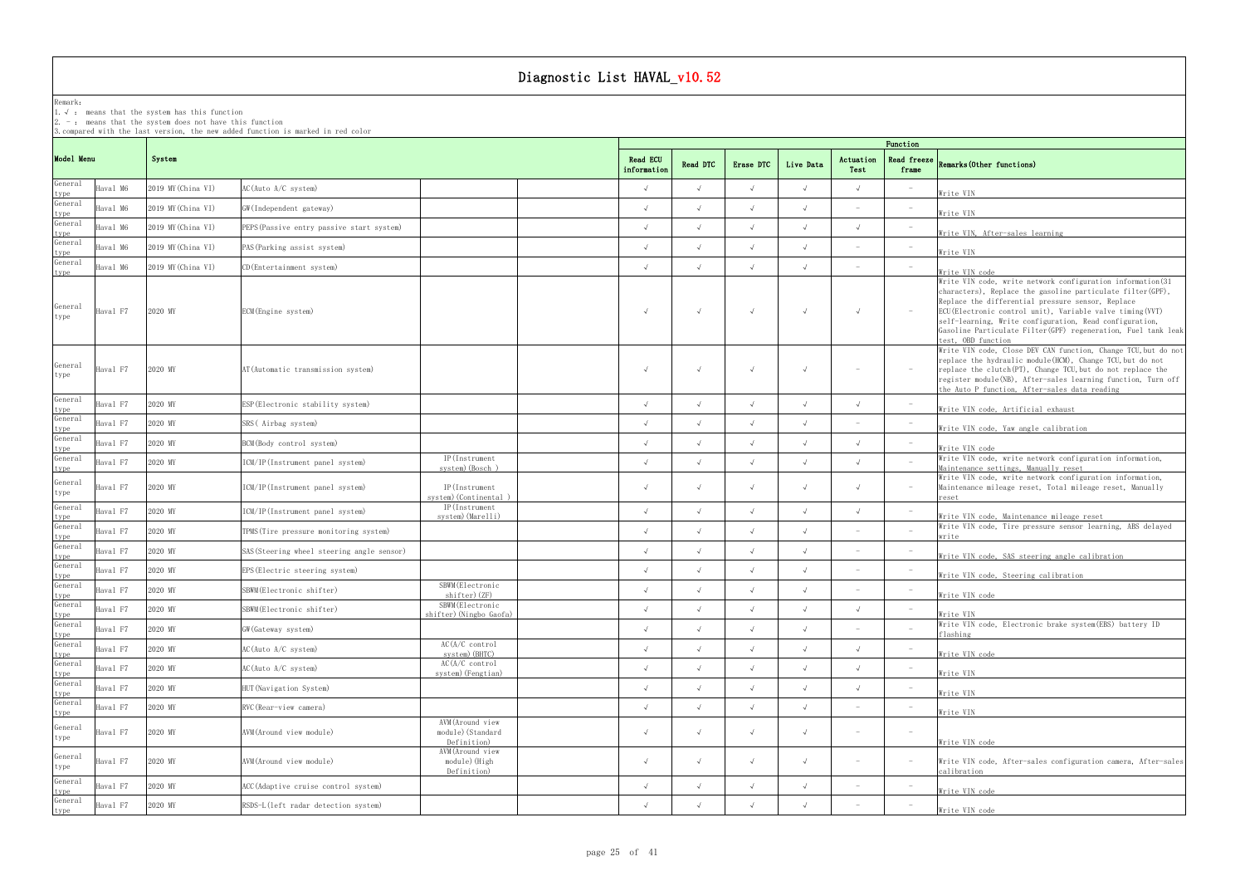## Remark:

1.√ : means that the systemhas this function

 $2. -:$  means that the system does not have this function

3.compared with the last version, the new added function is marked in red color

## frame Remarks(Other functions)

|                         |          |                    |                                            |                                                      |  | Function   |            |                  |            |                   |                                 |                                                                                                                                                                                                                                                                                                                                                                                                  |  |  |  |
|-------------------------|----------|--------------------|--------------------------------------------|------------------------------------------------------|--|------------|------------|------------------|------------|-------------------|---------------------------------|--------------------------------------------------------------------------------------------------------------------------------------------------------------------------------------------------------------------------------------------------------------------------------------------------------------------------------------------------------------------------------------------------|--|--|--|
| Model Menu              |          | System             |                                            |                                                      |  |            | Read DTC   | <b>Erase DTC</b> | Live Data  | Actuation<br>Test | Read freeze<br>frame            | Remarks (Other functions)                                                                                                                                                                                                                                                                                                                                                                        |  |  |  |
| General<br>type         | Haval M6 | 2019 MY (China VI) | AC(Auto A/C system)                        |                                                      |  |            |            | $\sqrt{ }$       | $\sqrt{ }$ |                   |                                 | Write VIN                                                                                                                                                                                                                                                                                                                                                                                        |  |  |  |
| General<br>type         | Haval M6 | 2019 MY (China VI) | GW(Independent gateway)                    |                                                      |  |            |            | $\sqrt{ }$       | $\sqrt{ }$ |                   | $\overline{\phantom{0}}$        | Write VIN                                                                                                                                                                                                                                                                                                                                                                                        |  |  |  |
| General                 | Haval M6 | 2019 MY (China VI) | PEPS (Passive entry passive start system)  |                                                      |  |            |            | $\sqrt{ }$       |            |                   |                                 | Write VIN, After-sales learning                                                                                                                                                                                                                                                                                                                                                                  |  |  |  |
| type<br>General<br>type | Haval M6 | 2019 MY (China VI) | PAS (Parking assist system)                |                                                      |  |            |            | $\sqrt{ }$       | $\sqrt{ }$ |                   |                                 | Write VIN                                                                                                                                                                                                                                                                                                                                                                                        |  |  |  |
| General<br>type         | Haval M6 | 2019 MY (China VI) | CD (Entertainment system)                  |                                                      |  | $\sqrt{ }$ |            | $\sqrt{ }$       | $\sqrt{ }$ |                   |                                 | Write VIN code                                                                                                                                                                                                                                                                                                                                                                                   |  |  |  |
| General<br>type         | Haval F7 | 2020 MY            | ECM (Engine system)                        |                                                      |  | $\sqrt{ }$ |            | $\sqrt{ }$       | $\sqrt{ }$ |                   |                                 | Write VIN code, write network configuration information (31<br>characters), Replace the gasoline particulate filter (GPF),<br>Replace the differential pressure sensor, Replace<br>ECU (Electronic control unit), Variable valve timing (VVT)<br>self-learning, Write configuration, Read configuration,<br>Gasoline Particulate Filter (GPF) regeneration, Fuel tank leak<br>test, OBD function |  |  |  |
| General<br>type         | Haval F7 | 2020 MY            | AT (Automatic transmission system)         |                                                      |  |            |            | $\sqrt{ }$       | $\sqrt{ }$ |                   |                                 | Write VIN code, Close DEV CAN function, Change TCU, but do not<br>replace the hydraulic module (HCM), Change TCU, but do not<br>replace the clutch (PT), Change TCU, but do not replace the<br>register module(NB), After-sales learning function, Turn off<br>the Auto P function, After-sales data reading                                                                                     |  |  |  |
| General                 | Haval F7 | 2020 MY            | ESP(Electronic stability system)           |                                                      |  |            |            | $\sqrt{ }$       | $\sqrt{ }$ |                   | $ \,$                           | Write VIN code, Artificial exhaust                                                                                                                                                                                                                                                                                                                                                               |  |  |  |
| type<br>General<br>type | Haval F7 | 2020 MY            | SRS (Airbag system)                        |                                                      |  |            | $\sqrt{ }$ | $\sqrt{ }$       | $\sqrt{ }$ |                   |                                 | Write VIN code, Yaw angle calibration                                                                                                                                                                                                                                                                                                                                                            |  |  |  |
| General<br>type         | Haval F7 | 2020 MY            | BCM (Body control system)                  |                                                      |  |            |            | $\sqrt{ }$       | $\sqrt{ }$ |                   |                                 | Write VIN code                                                                                                                                                                                                                                                                                                                                                                                   |  |  |  |
| General<br>type         | Haval F7 | 2020 MY            | ICM/IP(Instrument panel system)            | IP(Instrument<br>system) (Bosch)                     |  |            |            | $\sqrt{ }$       | $\sqrt{ }$ |                   |                                 | Write VIN code, write network configuration information,<br>Maintenance settings, Manually reset                                                                                                                                                                                                                                                                                                 |  |  |  |
| General<br>type         | Haval F7 | 2020 MY            | ICM/IP(Instrument panel system)            | IP(Instrument<br>system) (Continental                |  |            |            | $\sqrt{ }$       | $\sqrt{ }$ |                   |                                 | Write VIN code, write network configuration information,<br>Maintenance mileage reset, Total mileage reset, Manually<br>reset                                                                                                                                                                                                                                                                    |  |  |  |
| General<br>type         | Haval F7 | 2020 MY            | ICM/IP(Instrument panel system)            | IP(Instrument<br>system) (Marelli)                   |  | $\lambda$  | $\sqrt{ }$ | $\sqrt{ }$       | $\sqrt{ }$ |                   |                                 | Write VIN code, Maintenance mileage reset                                                                                                                                                                                                                                                                                                                                                        |  |  |  |
| General                 | Haval F7 | 2020 MY            | TPMS (Tire pressure monitoring system)     |                                                      |  |            |            | $\sqrt{ }$       | $\sqrt{ }$ |                   |                                 | Write VIN code, Tire pressure sensor learning, ABS delayed<br>write                                                                                                                                                                                                                                                                                                                              |  |  |  |
| type<br>General         | Haval F7 | 2020 MY            | SAS (Steering wheel steering angle sensor) |                                                      |  |            |            | $\sqrt{ }$       |            |                   |                                 | Write VIN code, SAS steering angle calibration                                                                                                                                                                                                                                                                                                                                                   |  |  |  |
| type<br>General         | Haval F7 | 2020 MY            | EPS (Electric steering system)             |                                                      |  | $\sqrt{ }$ |            | $\sqrt{ }$       | $\sqrt{ }$ |                   |                                 | Write VIN code, Steering calibration                                                                                                                                                                                                                                                                                                                                                             |  |  |  |
| type<br>General         | Haval F7 | 2020 MY            | SBWM(Electronic shifter)                   | SBWM (Electronic<br>shifter)(ZF)                     |  |            |            | $\sqrt{ }$       | $\sqrt{ }$ |                   |                                 | Write VIN code                                                                                                                                                                                                                                                                                                                                                                                   |  |  |  |
| type<br>General         | Haval F7 | 2020 MY            | SBWM(Electronic shifter)                   | SBWM (Electronic<br>shifter) (Ningbo Gaofa)          |  |            |            | $\sqrt{ }$       | $\sqrt{ }$ | $\sqrt{ }$        |                                 | Write VIN                                                                                                                                                                                                                                                                                                                                                                                        |  |  |  |
| type<br>General         | Haval F7 | 2020 MY            | GW (Gateway system)                        |                                                      |  |            |            | $\sqrt{ }$       |            |                   |                                 | Write VIN code, Electronic brake system (EBS) battery ID<br>flashing                                                                                                                                                                                                                                                                                                                             |  |  |  |
| type<br>General         | Haval F7 | 2020 MY            | AC(Auto A/C system)                        | AC(A/C control<br>system) (BHTC)                     |  | $\sqrt{ }$ | $\sqrt{ }$ | $\sqrt{ }$       | $\sqrt{ }$ | $\sqrt{ }$        |                                 | Write VIN code                                                                                                                                                                                                                                                                                                                                                                                   |  |  |  |
| type<br>General<br>type | Haval F7 | 2020 MY            | AC(Auto A/C system)                        | AC(A/C control<br>system) (Fengtian)                 |  | $\sqrt{ }$ |            | $\sqrt{ }$       | $\sqrt{ }$ |                   |                                 | Write VIN                                                                                                                                                                                                                                                                                                                                                                                        |  |  |  |
| General<br>type         | Haval F7 | 2020 MY            | HUT (Navigation System)                    |                                                      |  |            | $\sqrt{ }$ | $\sqrt{ }$       | $\sqrt{ }$ |                   |                                 | Write VIN                                                                                                                                                                                                                                                                                                                                                                                        |  |  |  |
| General<br>type         | Haval F7 | 2020 MY            | RVC (Rear-view camera)                     |                                                      |  |            |            | $\sqrt{ }$       | $\sqrt{ }$ |                   |                                 | Write VIN                                                                                                                                                                                                                                                                                                                                                                                        |  |  |  |
| General<br>type         | Haval F7 | 2020 MY            | AVM (Around view module)                   | AVM (Around view<br>module) (Standard<br>Definition) |  | $\sqrt{ }$ | $\sqrt{ }$ | $\sqrt{ }$       | $\sqrt{ }$ | $\sim$            | $\hspace{0.1mm}-\hspace{0.1mm}$ | Write VIN code                                                                                                                                                                                                                                                                                                                                                                                   |  |  |  |
| General<br>type         | Haval F7 | 2020 MY            | AVM(Around view module)                    | AVM (Around view<br>module) (High<br>Definition)     |  |            |            | $\sqrt{ }$       | $\sqrt{ }$ |                   |                                 | Write VIN code, After-sales configuration camera, After-sales<br>calibration                                                                                                                                                                                                                                                                                                                     |  |  |  |
| General<br>type         | Haval F7 | 2020 MY            | ACC (Adaptive cruise control system)       |                                                      |  |            |            | $\sqrt{ }$       | $\sqrt{ }$ |                   | $\hspace{0.1mm}-\hspace{0.1mm}$ | Write VIN code                                                                                                                                                                                                                                                                                                                                                                                   |  |  |  |
| General<br>type         | Haval F7 | 2020 MY            | RSDS-L(left radar detection system)        |                                                      |  |            |            |                  | $\sqrt{ }$ |                   |                                 | Write VIN code                                                                                                                                                                                                                                                                                                                                                                                   |  |  |  |
|                         |          |                    |                                            |                                                      |  |            |            |                  |            |                   |                                 |                                                                                                                                                                                                                                                                                                                                                                                                  |  |  |  |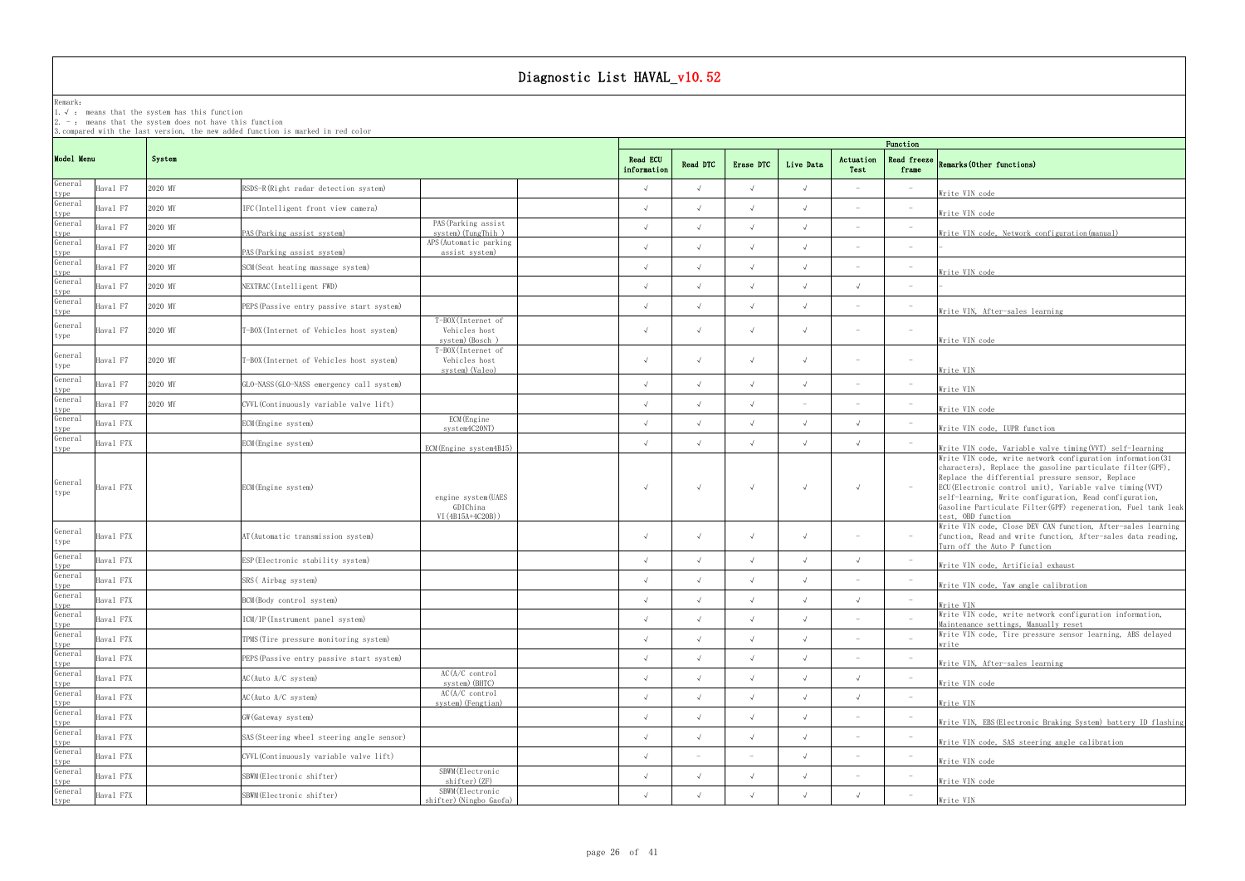### Remark: The contract of the contract of the contract of the contract of the contract of the contract of the contract of the contract of the contract of the contract of the contract of the contract of the contract of the co

1.√ : means that the systemhas this function

2. - : means that the system does not have this function

| Function                         |                                                                                                                                                                                                                                                                                                                                                                                                 |
|----------------------------------|-------------------------------------------------------------------------------------------------------------------------------------------------------------------------------------------------------------------------------------------------------------------------------------------------------------------------------------------------------------------------------------------------|
| Read freeze<br>frame             | Remarks (Other functions)                                                                                                                                                                                                                                                                                                                                                                       |
|                                  | Write VIN code                                                                                                                                                                                                                                                                                                                                                                                  |
|                                  | Write VIN code                                                                                                                                                                                                                                                                                                                                                                                  |
|                                  | Write VIN code, Network configuration (manual)                                                                                                                                                                                                                                                                                                                                                  |
|                                  |                                                                                                                                                                                                                                                                                                                                                                                                 |
|                                  | Write VIN code                                                                                                                                                                                                                                                                                                                                                                                  |
| $\overline{\phantom{0}}$         |                                                                                                                                                                                                                                                                                                                                                                                                 |
|                                  | Write VIN, After-sales learning                                                                                                                                                                                                                                                                                                                                                                 |
| $\overline{a}$                   | Write VIN code                                                                                                                                                                                                                                                                                                                                                                                  |
|                                  | <u>Write VIN</u>                                                                                                                                                                                                                                                                                                                                                                                |
|                                  | Write VIN                                                                                                                                                                                                                                                                                                                                                                                       |
|                                  | Write VIN code                                                                                                                                                                                                                                                                                                                                                                                  |
|                                  | Write VIN code, IUPR function                                                                                                                                                                                                                                                                                                                                                                   |
|                                  | Write VIN code, Variable valve timing(VVT) self-learning                                                                                                                                                                                                                                                                                                                                        |
|                                  | Write VIN code, write network configuration information(31<br>characters), Replace the gasoline particulate filter (GPF),<br>Replace the differential pressure sensor, Replace<br>ECU (Electronic control unit), Variable valve timing (VVT)<br>self-learning, Write configuration, Read configuration,<br>Gasoline Particulate Filter (GPF) regeneration, Fuel tank leak<br>test, OBD function |
|                                  | Write VIN code, Close DEV CAN function, After-sales learning<br>function, Read and write function, After-sales data reading,<br>Turn off the Auto P function                                                                                                                                                                                                                                    |
| $\overline{a}$                   | Write VIN code, Artificial exhaust                                                                                                                                                                                                                                                                                                                                                              |
|                                  | <u>Write VIN code, Yaw angle calibration</u>                                                                                                                                                                                                                                                                                                                                                    |
| $\qquad \qquad -$                | Write VIN                                                                                                                                                                                                                                                                                                                                                                                       |
| $\overline{\phantom{a}}$         | Write VIN code, write network configuration information,<br>Maintenance settings, Manually reset                                                                                                                                                                                                                                                                                                |
|                                  | Write VIN code, Tire pressure sensor learning, ABS delayed<br>write                                                                                                                                                                                                                                                                                                                             |
|                                  | Write VIN, After-sales learning                                                                                                                                                                                                                                                                                                                                                                 |
| $\overline{a}$                   | Write VIN code                                                                                                                                                                                                                                                                                                                                                                                  |
| $\qquad \qquad -$                | Write VIN                                                                                                                                                                                                                                                                                                                                                                                       |
| $\overline{a}$<br>$\overline{a}$ | Write VIN, EBS (Electronic Braking System) battery ID flashing                                                                                                                                                                                                                                                                                                                                  |
| $\overline{\phantom{0}}$         | Write VIN code, SAS steering angle calibration                                                                                                                                                                                                                                                                                                                                                  |
| $\overline{\phantom{0}}$         | Write VIN code                                                                                                                                                                                                                                                                                                                                                                                  |
|                                  | Write VIN code                                                                                                                                                                                                                                                                                                                                                                                  |
|                                  | Write VIN                                                                                                                                                                                                                                                                                                                                                                                       |

|                         |           |         |                                            |                                                        |                                |                          |            |            |                                 | Function                 |                                                                                                                                                                                                                                 |
|-------------------------|-----------|---------|--------------------------------------------|--------------------------------------------------------|--------------------------------|--------------------------|------------|------------|---------------------------------|--------------------------|---------------------------------------------------------------------------------------------------------------------------------------------------------------------------------------------------------------------------------|
| Model Menu              |           | System  |                                            |                                                        | <b>Read ECU</b><br>information | Read DTC                 | Erase DTC  | Live Data  | Actuation<br>Test               | Read freeze<br>frame     | Remarks (Other functions)                                                                                                                                                                                                       |
| General<br>type         | Haval F7  | 2020 MY | RSDS-R(Right radar detection system)       |                                                        | $\sqrt{ }$                     | $\sqrt{ }$               | $\sqrt{ }$ | $\sqrt{ }$ |                                 |                          | Write VIN code                                                                                                                                                                                                                  |
| General                 | Haval F7  | 2020 MY | IFC(Intelligent front view camera)         |                                                        | $\sqrt{ }$                     | $\sqrt{ }$               | $\sqrt{ }$ | $\sqrt{ }$ | $\hspace{0.1mm}-\hspace{0.1mm}$ |                          | Write VIN code                                                                                                                                                                                                                  |
| type<br>General         | Haval F7  | 2020 MY | PAS (Parking assist system)                | PAS (Parking assist<br>system) (TungThih)              | $\sqrt{ }$                     | $\sqrt{ }$               | $\sqrt{ }$ | $\sqrt{ }$ |                                 | $\overline{\phantom{a}}$ | Write VIN code, Network config                                                                                                                                                                                                  |
| type<br>General         | Haval F7  | 2020 MY | PAS (Parking assist system)                | APS (Automatic parking<br>assist system)               | $\sqrt{ }$                     | $\sqrt{ }$               | $\sqrt{ }$ | $\sqrt{ }$ | $\overline{\phantom{a}}$        | $\overline{\phantom{a}}$ |                                                                                                                                                                                                                                 |
| type<br>General<br>type | Haval F7  | 2020 MY | SCM (Seat heating massage system)          |                                                        | $\sqrt{ }$                     | $\sqrt{ }$               | $\sqrt{ }$ | $\sqrt{ }$ |                                 | $\overline{\phantom{m}}$ | Write VIN code                                                                                                                                                                                                                  |
| General<br>type         | Haval F7  | 2020 MY | NEXTRAC(Intelligent FWD)                   |                                                        | $\sqrt{}$                      | $\sqrt{ }$               | $\sqrt{ }$ | $\sqrt{ }$ | $\sqrt{ }$                      | $\overline{\phantom{a}}$ |                                                                                                                                                                                                                                 |
| General<br>type         | Haval F7  | 2020 MY | PEPS (Passive entry passive start system)  |                                                        | $\sqrt{ }$                     | $\sqrt{ }$               | $\sqrt{ }$ | $\sqrt{ }$ | $\overline{\phantom{a}}$        | $\overline{\phantom{m}}$ | Write VIN, After-sales learnin                                                                                                                                                                                                  |
| General<br>type         | Haval F7  | 2020 MY | T-BOX (Internet of Vehicles host system)   | T-BOX (Internet of<br>Vehicles host<br>system) (Bosch) | $\sqrt{ }$                     | $\sqrt{ }$               | $\sqrt{}$  | $\sqrt{ }$ |                                 | $\overline{\phantom{a}}$ | Write VIN code                                                                                                                                                                                                                  |
| General<br>type         | Haval F7  | 2020 MY | T-BOX (Internet of Vehicles host system)   | T-BOX (Internet of<br>Vehicles host<br>system) (Valeo) | $\sqrt{ }$                     | $\sqrt{ }$               | $\sqrt{ }$ | $\sqrt{ }$ | $\overline{\phantom{a}}$        | $\overline{\phantom{m}}$ | Write VIN                                                                                                                                                                                                                       |
| General                 | Haval F7  | 2020 MY | GLO-NASS (GLO-NASS emergency call system)  |                                                        | $\sqrt{ }$                     | $\sqrt{ }$               | $\sqrt{ }$ | $\sqrt{ }$ | $\overline{\phantom{a}}$        | $\overline{\phantom{a}}$ | Write VIN                                                                                                                                                                                                                       |
| type<br>General         | Haval F7  | 2020 MY | CVVL (Continuously variable valve lift)    |                                                        | $\sqrt{ }$                     | $\sqrt{ }$               | $\sqrt{ }$ | $\sim$     | $\overline{\phantom{a}}$        | $\overline{\phantom{a}}$ | Write VIN code                                                                                                                                                                                                                  |
| type<br>General         | Haval F7X |         | ECM (Engine system)                        | ECM (Engine<br>system4C20NT)                           | $\sqrt{ }$                     | $\sqrt{ }$               | $\sqrt{ }$ | $\sqrt{ }$ | $\sqrt{ }$                      | $\overline{a}$           | Write VIN code, IUPR function                                                                                                                                                                                                   |
| type<br>General<br>type | Haval F7X |         | ECM (Engine system)                        | ECM (Engine system4B15)                                | $\sqrt{ }$                     | $\sqrt{ }$               | $\sqrt{ }$ | $\sqrt{ }$ | $\sqrt{ }$                      |                          | Write VIN code, Variable valve                                                                                                                                                                                                  |
| General<br>type         | Haval F7X |         | ECM (Engine system)                        | engine system (UAES<br>GDIChina<br>VI (4B15A+4C20B))   | $\sqrt{ }$                     | $\sqrt{ }$               | $\sqrt{ }$ | $\sqrt{ }$ | $\sqrt{ }$                      | $\overline{\phantom{a}}$ | Write VIN code, write network<br>characters), Replace the gasol<br>Replace the differential press<br>ECU (Electronic control unit),<br>self-learning, Write configura<br>Gasoline Particulate Filter (GP)<br>test, OBD function |
| General<br>type         | Haval F7X |         | AT (Automatic transmission system)         |                                                        | $\sqrt{ }$                     | $\sqrt{ }$               | $\sqrt{ }$ | $\sqrt{ }$ |                                 | $\overline{\phantom{a}}$ | Write VIN code, Close DEV CAN<br>function, Read and write funct<br>Turn off the Auto P function                                                                                                                                 |
| General                 | Haval F7X |         | ESP (Electronic stability system)          |                                                        | $\sqrt{ }$                     | $\sqrt{ }$               | $\sqrt{ }$ | $\sqrt{ }$ | $\sqrt{ }$                      | $\overline{\phantom{m}}$ | Write VIN code, Artificial exh                                                                                                                                                                                                  |
| type<br>General<br>type | Haval F7X |         | SRS (Airbag system)                        |                                                        | $\sqrt{ }$                     | $\sqrt{ }$               | $\sqrt{ }$ | $\sqrt{ }$ | $\overline{\phantom{a}}$        | $\overline{\phantom{a}}$ | Write VIN code, Yaw angle cali                                                                                                                                                                                                  |
| General<br>type         | Haval F7X |         | BCM (Body control system)                  |                                                        | $\sqrt{ }$                     | $\sqrt{ }$               | $\sqrt{ }$ | $\sqrt{ }$ | $\sqrt{ }$                      | $\qquad \qquad -$        | Write VIN                                                                                                                                                                                                                       |
| General                 | Haval F7X |         | ICM/IP(Instrument panel system)            |                                                        | $\sqrt{}$                      | $\sqrt{ }$               | $\sqrt{ }$ | $\sqrt{ }$ |                                 |                          | Write VIN code, write network<br>Maintenance settings, Manually                                                                                                                                                                 |
| type<br>General<br>type | Haval F7X |         | TPMS (Tire pressure monitoring system)     |                                                        | $\sqrt{ }$                     | $\sqrt{ }$               | $\sqrt{ }$ | $\sqrt{ }$ | $\overline{\phantom{a}}$        |                          | Write VIN code, Tire pressure<br>write                                                                                                                                                                                          |
| General<br>type         | Haval F7X |         | PEPS (Passive entry passive start system)  |                                                        | $\sqrt{ }$                     | $\sqrt{ }$               | $\sqrt{ }$ | $\sqrt{ }$ |                                 |                          | Write VIN, After-sales learning                                                                                                                                                                                                 |
| General                 | Haval F7X |         | AC(Auto A/C system)                        | AC(A/C control<br>system) (BHTC)                       | $\sqrt{}$                      | $\sqrt{ }$               | $\sqrt{ }$ | $\sqrt{ }$ | $\sqrt{ }$                      |                          | Write VIN code                                                                                                                                                                                                                  |
| type<br>General         | Haval F7X |         | AC(Auto A/C system)                        | AC(A/C control<br>system) (Fengtian)                   | $\sqrt{}$                      | $\sqrt{ }$               | $\sqrt{ }$ | $\sqrt{ }$ | $\sqrt{ }$                      | $\overline{\phantom{m}}$ | Write VIN                                                                                                                                                                                                                       |
| type<br>General<br>type | Haval F7X |         | GW (Gateway system)                        |                                                        | $\sqrt{ }$                     | $\sqrt{ }$               | $\sqrt{2}$ | $\sqrt{ }$ |                                 | $\overline{\phantom{a}}$ | Write VIN, EBS (Electronic Brak                                                                                                                                                                                                 |
| General<br>type         | Haval F7X |         | SAS (Steering wheel steering angle sensor) |                                                        | $\sqrt{ }$                     | $\sqrt{ }$               | $\sqrt{ }$ | $\sqrt{ }$ | $\overline{\phantom{a}}$        | $\overline{\phantom{a}}$ | Write VIN code, SAS steering a                                                                                                                                                                                                  |
| General<br>type         | Haval F7X |         | CVVL (Continuously variable valve lift)    |                                                        | $\sqrt{ }$                     | $\overline{\phantom{0}}$ |            | $\sqrt{ }$ |                                 |                          | Write VIN code                                                                                                                                                                                                                  |
| General<br>type         | Haval F7X |         | SBWM (Electronic shifter)                  | SBWM (Electronic<br>shifter) (ZF)                      | $\sqrt{}$                      | $\sqrt{ }$               | $\sqrt{ }$ | $\sqrt{ }$ | $\overline{\phantom{a}}$        | $\overline{\phantom{m}}$ | Write VIN code                                                                                                                                                                                                                  |
| General<br>type         | Haval F7X |         | SBWM (Electronic shifter)                  | SBWM (Electronic<br>shifter) (Ningbo Gaofa)            | $\sqrt{ }$                     | $\sqrt{ }$               | $\sqrt{ }$ | $\sqrt{ }$ | $\sqrt{ }$                      |                          | Write VIN                                                                                                                                                                                                                       |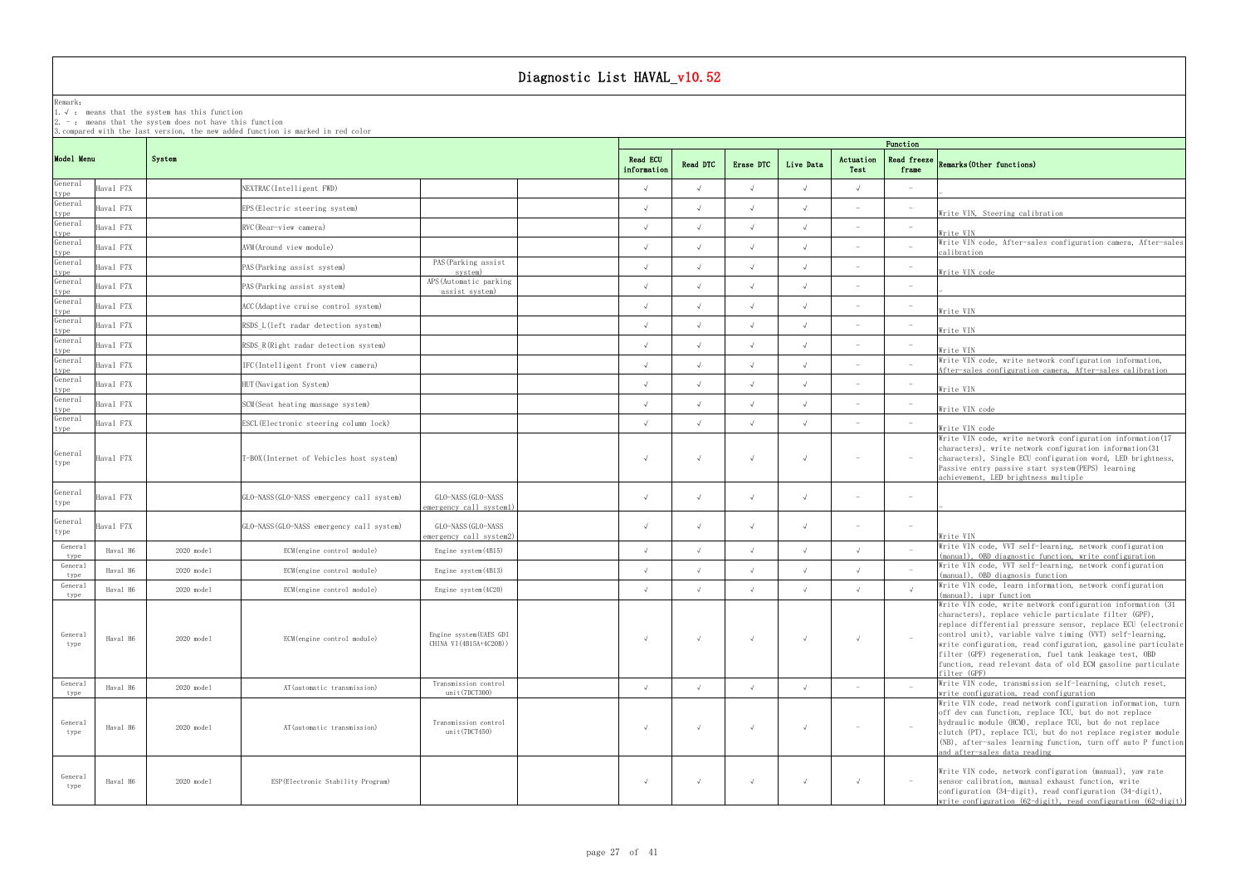## Remark:

1.√ : means that the systemhas this function

 $2. -:$  means that the system does not have this function

3.compared with the last version, the new added function is marked in red color

## frame Remarks(Other functions)

|                         |           |              |                                           |                                                    | Function                |            |            |            |                                 |                                 |                                                                                                                                                                                                                                                                                                                                                                                                                                                                 |
|-------------------------|-----------|--------------|-------------------------------------------|----------------------------------------------------|-------------------------|------------|------------|------------|---------------------------------|---------------------------------|-----------------------------------------------------------------------------------------------------------------------------------------------------------------------------------------------------------------------------------------------------------------------------------------------------------------------------------------------------------------------------------------------------------------------------------------------------------------|
| Model Menu              |           | System       |                                           |                                                    | Read ECU<br>information | Read DTC   | Erase DTC  | Live Data  | Actuation<br>Test               | Read freeze<br>frame            | Remarks (Other functions)                                                                                                                                                                                                                                                                                                                                                                                                                                       |
| General<br>type         | Haval F7X |              | NEXTRAC(Intelligent FWD)                  |                                                    | $\sqrt{ }$              |            |            |            | $\sqrt{ }$                      |                                 |                                                                                                                                                                                                                                                                                                                                                                                                                                                                 |
| General                 | Haval F7X |              | EPS(Electric steering system)             |                                                    | $\sqrt{ }$              |            |            |            |                                 |                                 | Write VIN, Steering calibration                                                                                                                                                                                                                                                                                                                                                                                                                                 |
| type<br>General         | Haval F7X |              | RVC (Rear-view camera)                    |                                                    | $\sqrt{ }$              |            |            |            |                                 | $\hspace{0.1mm}-\hspace{0.1mm}$ | Write VIN                                                                                                                                                                                                                                                                                                                                                                                                                                                       |
| $\frac{type}{General}$  | Haval F7X |              | NVM(Around view module)                   |                                                    | $\sqrt{ }$              |            |            |            |                                 |                                 | Write VIN code, After-sales configuration camera, After-sales<br>calibration                                                                                                                                                                                                                                                                                                                                                                                    |
| type<br>General         | Haval F7X |              | PAS (Parking assist system)               | PAS (Parking assist<br>system)                     | $\sqrt{ }$              | $\sqrt{ }$ |            | $\sqrt{ }$ |                                 | $\hspace{0.1mm}-\hspace{0.1mm}$ | Write VIN code                                                                                                                                                                                                                                                                                                                                                                                                                                                  |
| type<br>General         | Haval F7X |              | PAS (Parking assist system)               | APS (Automatic parking<br>assist system)           | $\sqrt{ }$              |            |            |            | $\overline{\phantom{a}}$        | $\overline{\phantom{a}}$        |                                                                                                                                                                                                                                                                                                                                                                                                                                                                 |
| type<br>General         | Haval F7X |              | ACC (Adaptive cruise control system)      |                                                    | $\sqrt{ }$              |            |            |            |                                 |                                 | Write VIN                                                                                                                                                                                                                                                                                                                                                                                                                                                       |
| type<br>General         | Haval F7X |              | RSDS L(left radar detection system)       |                                                    | $\sqrt{ }$              |            |            |            |                                 |                                 | Write VIN                                                                                                                                                                                                                                                                                                                                                                                                                                                       |
| type<br>General         | Haval F7X |              | RSDS R(Right radar detection system)      |                                                    | $\sqrt{ }$              |            |            |            |                                 |                                 | Write VIN                                                                                                                                                                                                                                                                                                                                                                                                                                                       |
| type<br>General         | Haval F7X |              | IFC(Intelligent front view camera)        |                                                    | $\sqrt{ }$              |            |            |            |                                 |                                 | Write VIN code, write network configuration information,<br>After-sales configuration camera, After-sales calibration                                                                                                                                                                                                                                                                                                                                           |
| $\frac{type}{General}$  | Haval F7X |              | HUT (Navigation System)                   |                                                    | $\sqrt{ }$              |            |            |            | $\overline{\phantom{a}}$        | $\hspace{0.1mm}-\hspace{0.1mm}$ | Write VIN                                                                                                                                                                                                                                                                                                                                                                                                                                                       |
| type<br>General         | Haval F7X |              | SCM (Seat heating massage system)         |                                                    | $\sqrt{ }$              |            |            |            |                                 | $\hspace{0.1mm}-\hspace{0.1mm}$ | Write VIN code                                                                                                                                                                                                                                                                                                                                                                                                                                                  |
| type<br>General<br>type | Haval F7X |              | ESCL (Electronic steering column lock)    |                                                    | $\sqrt{ }$              |            |            |            |                                 |                                 | Write VIN code                                                                                                                                                                                                                                                                                                                                                                                                                                                  |
| General<br>type         | Haval F7X |              | T-BOX(Internet of Vehicles host system)   |                                                    | $\sqrt{ }$              | $\sqrt{ }$ | $\sqrt{ }$ |            | $\hspace{0.1mm}-\hspace{0.1mm}$ |                                 | Write VIN code, write network configuration information (17<br>characters), write network configuration information (31)<br>characters), Single ECU configuration word, LED brightness,<br>Passive entry passive start system (PEPS) learning<br>achievement, LED brightness multiple                                                                                                                                                                           |
| General<br>type         | Haval F7X |              | GLO-NASS (GLO-NASS emergency call system) | GLO-NASS (GLO-NASS<br>emergency call systeml)      | $\sqrt{ }$              | $\sqrt{ }$ |            |            | $\overline{\phantom{a}}$        | $\overline{\phantom{a}}$        |                                                                                                                                                                                                                                                                                                                                                                                                                                                                 |
| General<br>type         | Haval F7X |              | GLO-NASS (GLO-NASS emergency call system) | GLO-NASS (GLO-NASS<br>emergency call system2)      | $\sqrt{ }$              |            |            |            | $\sim$                          | $\overline{\phantom{a}}$        | Write VIN                                                                                                                                                                                                                                                                                                                                                                                                                                                       |
| General<br>type         | Haval H6  | 2020 model   | ECM (engine control module)               | Engine system (4B15)                               | $\sqrt{ }$              |            |            | $\sqrt{ }$ | $\cdot$                         |                                 | Write VIN code, VVT self-learning, network configuration<br>(manual), OBD diagnostic function, write configuration                                                                                                                                                                                                                                                                                                                                              |
| General<br>type         | Haval H6  | 2020 model   | ECM (engine control module)               | Engine system (4B13)                               | $\sqrt{ }$              |            |            |            |                                 |                                 | Write VIN code, VVT self-learning, network configuration<br>(manual), OBD diagnosis function                                                                                                                                                                                                                                                                                                                                                                    |
| General<br>type         | Haval H6  | 2020 model   | ECM (engine control module)               | Engine $system(4C20)$                              | $\sqrt{ }$              | $\sqrt{ }$ |            | $\sqrt{ }$ | $\sqrt{ }$                      | $\sqrt{ }$                      | Write VIN code, learn information, network configuration<br>(manual), iupr function                                                                                                                                                                                                                                                                                                                                                                             |
| General<br>type         | Haval H6  | 2020 model   | ECM (engine control module)               | Engine system (UAES GDI<br>CHINA VI (4B15A+4C20B)) | $\sqrt{ }$              | $\sqrt{ }$ | $\sqrt{ }$ | $\sqrt{ }$ | $\sqrt{ }$                      | $\overline{a}$                  | Write VIN code, write network configuration information (31)<br>characters), replace vehicle particulate filter (GPF),<br>replace differential pressure sensor, replace ECU (electronic<br>control unit), variable valve timing (VVT) self-learning,<br>write configuration, read configuration, gasoline particulate<br>filter (GPF) regeneration, fuel tank leakage test, OBD<br>function, read relevant data of old ECM gasoline particulate<br>filter (GPF) |
| General<br>type         | Haval H6  | $2020$ model | AT (automatic transmission)               | Transmission control<br>unit(7DCT300)              | $\sqrt{ }$              | $\sqrt{ }$ | $\sqrt{ }$ | $\sqrt{ }$ |                                 |                                 | Write VIN code, transmission self-learning, clutch reset,<br>write configuration, read configuration                                                                                                                                                                                                                                                                                                                                                            |
| General<br>type         | Haval H6  | 2020 model   | AT (automatic transmission)               | Transmission control<br>unit(7DCT450)              | $\sqrt{ }$              | $\sqrt{ }$ | $\sqrt{ }$ | $\sqrt{ }$ | $\sim$                          | $\sim$                          | Write VIN code, read network configuration information, turn<br>off dev can function, replace TCU, but do not replace<br>hydraulic module (HCM), replace TCU, but do not replace<br>clutch (PT), replace TCU, but do not replace register module<br>(NB), after-sales learning function, turn off auto P function<br>and after-sales data reading                                                                                                               |
| General<br>type         | Haval H6  | $2020$ model | ESP (Electronic Stability Program)        |                                                    | $\sqrt{ }$              | $\sqrt{ }$ | $\sqrt{ }$ | $\sqrt{ }$ | $\sqrt{ }$                      | $\sim$                          | Write VIN code, network configuration (manual), yaw rate<br>sensor calibration, manual exhaust function, write<br>configuration (34-digit), read configuration (34-digit),<br>write configuration (62-digit), read configuration (62-digit)                                                                                                                                                                                                                     |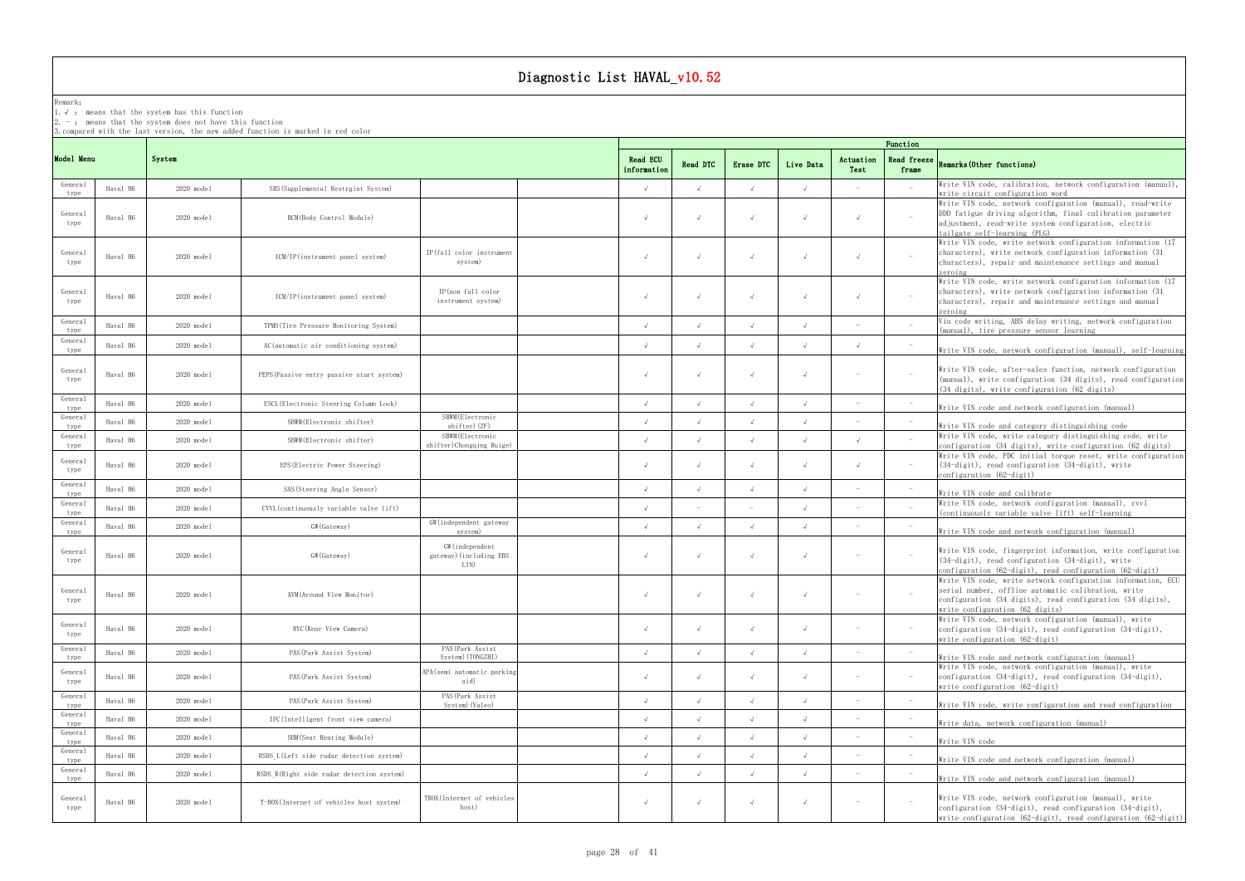## Remark:

1.√ : means that the systemhas this function

2. - : means that the system does not have this function

3.compared with the last version, the new added function is marked in red color

## frame Remarks(Other functions)

|                 |          |                      |                                           |                                                    | Function                       |                 |            |            |                                 |                      |                                                                                                                                                                                                                      |
|-----------------|----------|----------------------|-------------------------------------------|----------------------------------------------------|--------------------------------|-----------------|------------|------------|---------------------------------|----------------------|----------------------------------------------------------------------------------------------------------------------------------------------------------------------------------------------------------------------|
| Model Menu      |          | System               |                                           |                                                    | <b>Read ECU</b><br>information | <b>Read DTC</b> | Erase DTC  | Live Data  | Actuation<br>Test               | Read freeze<br>frame | Remarks (Other functions)                                                                                                                                                                                            |
| General<br>type | Haval H6 | 2020 model           | SRS (Supplemental Restrgint System)       |                                                    | $\sqrt{ }$                     |                 | $\sqrt{ }$ |            |                                 |                      | Write VIN code, calibration, network configuration (manual),<br>write circuit configuration word                                                                                                                     |
| General<br>type | Haval H6 | $2020 \text{ model}$ | BCM (Body Control Module)                 |                                                    |                                |                 |            |            |                                 | $\sim$               | Write VIN code, network configuration (manual), read-write<br>DDD fatigue driving algorithm, final calibration parameter<br>adjustment, read-write system configuration, electric<br>tailgate self-learning (PLG)    |
| General<br>type | Haval H6 | 2020 model           | ICM/IP(instrument panel system)           | IP(full color instrument<br>system)                | $\sqrt{ }$                     |                 | $\sqrt{ }$ |            | $\sqrt{ }$                      | $\sim$               | Write VIN code, write network configuration information (17<br>characters), write network configuration information (31)<br>characters), repair and maintenance settings and manual<br>zeroing                       |
| General<br>type | Haval H6 | 2020 model           | ICM/IP(instrument panel system)           | IP(non full color<br>instrument system)            | $\sqrt{ }$                     |                 | $\sqrt{ }$ |            |                                 | $\sim$               | Write VIN code, write network configuration information (17<br>characters), write network configuration information (31)<br>characters), repair and maintenance settings and manual<br>zeroing                       |
| General<br>type | Haval H6 | $2020$ model         | TPMS (Tire Pressure Monitoring System)    |                                                    | $\sqrt{ }$                     |                 | $\sqrt{ }$ |            |                                 |                      | Vin code writing, ABS delay writing, network configuration<br>(manual), tire pressure sensor learning                                                                                                                |
| General<br>type | Haval H6 | 2020 model           | AC (automatic air conditioning system)    |                                                    | $\sqrt{ }$                     |                 |            |            | $\sqrt{ }$                      |                      | Write VIN code, network configuration (manual), self-learning                                                                                                                                                        |
| General<br>type | Haval H6 | 2020 model           | PEPS (Passive entry passive start system) |                                                    | $\sqrt{ }$                     |                 |            |            | $\hspace{0.1mm}-\hspace{0.1mm}$ | $\sim$               | Write VIN code, after-sales function, network configuration<br>(manual), write configuration (34 digits), read configuration<br>$(34 \text{ digits})$ , write configuration $(62 \text{ digits})$                    |
| General<br>type | Haval H6 | 2020 model           | ESCL (Electronic Steering Column Lock)    |                                                    | $\sqrt{ }$                     |                 |            |            | $\sim$                          | $\sim$               | Write VIN code and network configuration (manual)                                                                                                                                                                    |
| General<br>type | Haval H6 | 2020 model           | SBWM (Electronic shifter)                 | SBWM (Electronic<br>shifter)(ZF)                   | $\sqrt{ }$                     |                 |            |            |                                 |                      | Write VIN code and category distinguishing code                                                                                                                                                                      |
| General<br>type | Haval H6 | $2020 \text{ model}$ | SBWM(Electronic shifter)                  | SBWM (Electronic<br>shifter)Chongqing Ruige)       | $\sqrt{ }$                     |                 |            |            |                                 |                      | Write VIN code, write category distinguishing code, write<br>configuration (34 digits), write configuration (62 digits)                                                                                              |
| General<br>type | Haval H6 | $2020$ model         | EPS (Electric Power Steering)             |                                                    | $\sqrt{ }$                     |                 | $\sim$     |            | $\sqrt{ }$                      | $\sim$               | Write VIN code, PDC initial torque reset, write configuration<br>$(34-digit)$ , read configuration $(34-digit)$ , write<br>$\text{configuration}$ (62-digit)                                                         |
| General<br>type | Haval H6 | $2020 \text{ model}$ | SAS (Steering Angle Sensor)               |                                                    | $\sqrt{ }$                     |                 |            |            |                                 |                      | Write VIN code and calibrate                                                                                                                                                                                         |
| General<br>type | Haval H6 | 2020 model           | CVVL (continuously variable valve lift)   |                                                    | $\sqrt{ }$                     |                 |            |            |                                 |                      | Write VIN code, network configuration (manual), cvvl<br>(continuously variable valve lift) self-learning                                                                                                             |
| General<br>type | Haval H6 | 2020 model           | GW (Gateway)                              | GW (independent gateway<br>system)                 | $\sqrt{ }$                     |                 |            |            |                                 |                      | Write VIN code and network configuration (manual)                                                                                                                                                                    |
| General<br>type | Haval H6 | 2020 model           | GW (Gateway)                              | GW (independent<br>gateway) (including EBS<br>LIN) | $\sqrt{ }$                     |                 | $\sqrt{ }$ |            |                                 |                      | Write VIN code, fingerprint information, write configuration<br>$(34-digit)$ , read configuration $(34-digit)$ , write<br>configuration (62-digit), read configuration (62-digit)                                    |
| General<br>type | Haval H6 | 2020 model           | AVM (Around View Monitor)                 |                                                    |                                |                 |            |            |                                 |                      | Write VIN code, write network configuration information, ECU<br>serial number, offline automatic calibration, write<br>configuration (34 digits), read configuration (34 digits),<br>write configuration (62 digits) |
| General<br>type | Haval H6 | 2020 model           | RVC (Rear View Camera)                    |                                                    | $\sqrt{ }$                     |                 |            |            |                                 | $\sim$               | Write VIN code, network configuration (manual), write<br>configuration (34-digit), read configuration (34-digit),<br>write configuration (62-digit)                                                                  |
| General<br>type | Haval H6 | 2020 model           | PAS (Park Assist System)                  | PAS (Park Assist<br>System) (TONGZHI)              | $\sqrt{ }$                     | $\sqrt{ }$      | $\sqrt{ }$ | $\sqrt{ }$ |                                 |                      | Write VIN code and network configuration (manual)                                                                                                                                                                    |
| General<br>type | Haval H6 | 2020 model           | PAS (Park Assist System)                  | APA(semi automatic parking<br>aid)                 | $\sqrt{ }$                     |                 | $\sqrt{ }$ |            | $\sim$                          | $\sim$               | Write VIN code, network configuration (manual), write<br>configuration (34-digit), read configuration (34-digit),<br>write configuration (62-digit)                                                                  |
| General<br>type | Haval H6 | 2020 model           | PAS (Park Assist System)                  | PAS (Park Assist<br>System) (Valeo)                | $\sqrt{ }$                     |                 | $\sqrt{ }$ | $\sqrt{ }$ | $\sim$                          |                      | Write VIN code, write configuration and read configuration                                                                                                                                                           |
| General<br>type | Haval H6 | $2020$ model         | IFC(Intelligent front view camera)        |                                                    | $\sqrt{ }$                     |                 |            |            |                                 |                      | Write data, network configuration (manual)                                                                                                                                                                           |
| General<br>type | Haval H6 | $2020$ model         | SHM (Seat Heating Module)                 |                                                    | $\sqrt{ }$                     |                 |            |            |                                 |                      | Write VIN code                                                                                                                                                                                                       |
| General<br>type | Haval H6 | 2020 model           | RSDS L(Left side radar detection system)  |                                                    | $\sqrt{ }$                     |                 |            |            |                                 |                      | Write VIN code and network configuration (manual)                                                                                                                                                                    |
| General<br>type | Haval H6 | 2020 model           | RSDS R(Right side radar detection system) |                                                    | $\sqrt{ }$                     |                 |            | $\sqrt{ }$ |                                 |                      | Write VIN code and network configuration (manual)                                                                                                                                                                    |
| General<br>type | Haval H6 | 2020 model           | T-BOX(Internet of vehicles host system)   | TBOX(Internet of vehicles<br>host)                 | $\sqrt{ }$                     |                 | $\sqrt{ }$ |            |                                 | $\sim$               | Write VIN code, network configuration (manual), write<br>configuration (34-digit), read configuration (34-digit),<br>write configuration $(62-digit)$ , read configuration $(62-digit)$                              |

write configuration (62-digit), read configuration (62-digit)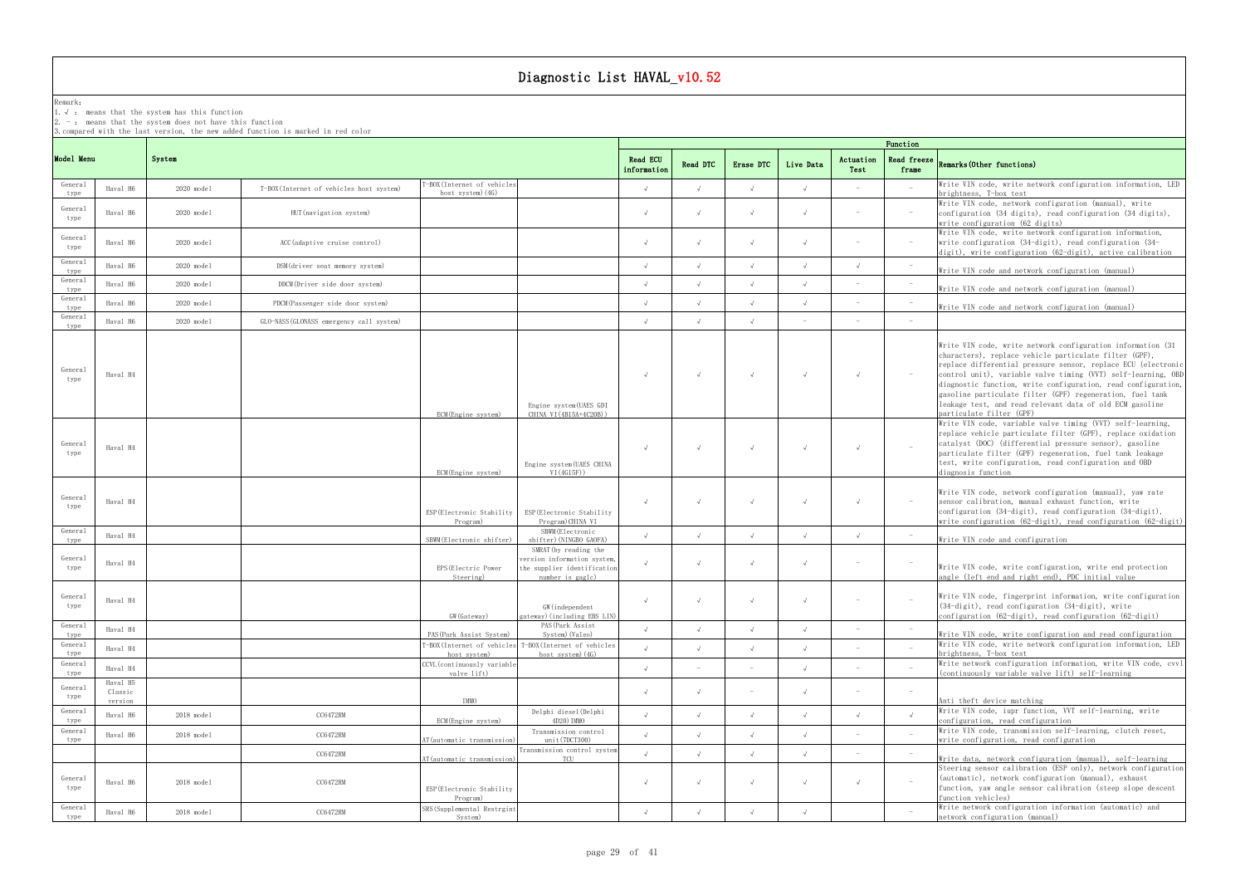## Remark:

1.√ : means that the systemhas this function

2.  $-$  : means that the system does not have this function

3.compared with the last version, the new added function is marked in red color

## frame Remarks(Other functions)

|                 |                     | Function             |                                          |                                                        |                                                                                                         |                         |            |            |            |                   |                                   |                                                                                                                                                                                                                                                                                                                                                                                                                                                                                |
|-----------------|---------------------|----------------------|------------------------------------------|--------------------------------------------------------|---------------------------------------------------------------------------------------------------------|-------------------------|------------|------------|------------|-------------------|-----------------------------------|--------------------------------------------------------------------------------------------------------------------------------------------------------------------------------------------------------------------------------------------------------------------------------------------------------------------------------------------------------------------------------------------------------------------------------------------------------------------------------|
| Model Menu      |                     | System               |                                          |                                                        |                                                                                                         | Read ECU<br>information | Read DTC   | Erase DTC  | Live Data  | Actuation<br>Test | Read freeze<br>frame              | Remarks (Other functions)                                                                                                                                                                                                                                                                                                                                                                                                                                                      |
| General<br>type | Haval H6            | $2020$ model         | T-BOX(Internet of vehicles host system)  | -BOX(Internet of vehicle<br>host system) (4G)          |                                                                                                         | $\sqrt{ }$              |            | $\sqrt{ }$ |            |                   |                                   | Write VIN code, write network configuration information, LED<br>brightness, T-box test                                                                                                                                                                                                                                                                                                                                                                                         |
| General<br>type | Haval H6            | $2020 \text{ model}$ | HUT (navigation system)                  |                                                        |                                                                                                         | $\sqrt{ }$              |            | $\sqrt{ }$ |            | $\sim$            | $\sim$                            | Write VIN code, network configuration (manual), write<br>configuration (34 digits), read configuration (34 digits),<br>write configuration (62 digits)                                                                                                                                                                                                                                                                                                                         |
| General<br>type | Haval H6            | 2020 model           | ACC (adaptive cruise control)            |                                                        |                                                                                                         | $\sqrt{ }$              |            |            |            | $\sim$            | $\sim$                            | Write VIN code, write network configuration information,<br>write configuration (34-digit), read configuration (34-<br>digit), write configuration (62-digit), active calibration                                                                                                                                                                                                                                                                                              |
| General<br>type | Haval H6            | $2020$ model         | DSM(driver seat memory system)           |                                                        |                                                                                                         | $\sqrt{ }$              |            |            |            | $\sqrt{ }$        | $\sim$                            | Write VIN code and network configuration (manual)                                                                                                                                                                                                                                                                                                                                                                                                                              |
| General<br>type | Haval H6            | $2020$ model         | DDCM (Driver side door system)           |                                                        |                                                                                                         | $\sqrt{ }$              |            |            |            |                   |                                   | Write VIN code and network configuration (manual)                                                                                                                                                                                                                                                                                                                                                                                                                              |
| General<br>type | Haval H6            | $2020$ model         | PDCM (Passenger side door system)        |                                                        |                                                                                                         | $\sqrt{ }$              |            |            |            |                   | $\sim$                            | Write VIN code and network configuration (manual)                                                                                                                                                                                                                                                                                                                                                                                                                              |
| General<br>type | Haval H6            | 2020 model           | GLO-NASS (GLONASS emergency call system) |                                                        |                                                                                                         | $\sqrt{ }$              |            |            |            |                   |                                   |                                                                                                                                                                                                                                                                                                                                                                                                                                                                                |
| General<br>type | Haval H4            |                      |                                          | ECM(Engine system)                                     | Engine system(UAES GDI<br>CHINA VI (4B15A+4C20B))                                                       | $\sqrt{ }$              |            | $\sqrt{ }$ |            | $\sqrt{ }$        | $\alpha \rightarrow \beta \gamma$ | Write VIN code, write network configuration information (31)<br>characters), replace vehicle particulate filter (GPF),<br>replace differential pressure sensor, replace ECU (electronic<br>control unit), variable valve timing (VVT) self-learning, OBD<br>diagnostic function, write configuration, read configuration,<br>gasoline particulate filter (GPF) regeneration, fuel tank<br>leakage test, and read relevant data of old ECM gasoline<br>particulate filter (GPF) |
| General<br>type | Haval H4            |                      |                                          | ECM(Engine system)                                     | Engine system (UAES CHINA<br>VI(4G15F))                                                                 | $\sqrt{ }$              |            | $\sqrt{ }$ |            | $\sqrt{ }$        | $\sim$                            | Write VIN code, variable valve timing (VVT) self-learning,<br>replace vehicle particulate filter (GPF), replace oxidation<br>catalyst (DOC) (differential pressure sensor), gasoline<br>particulate filter (GPF) regeneration, fuel tank leakage<br>test, write configuration, read configuration and OBD<br>diagnosis function                                                                                                                                                |
| General<br>type | Haval H4            |                      |                                          | ESP (Electronic Stability<br>Program)                  | ESP(Electronic Stability<br>Program) CHINA VI                                                           | $\sqrt{ }$              |            | $\sqrt{ }$ |            | $\sqrt{ }$        | $\sim$                            | Write VIN code, network configuration (manual), yaw rate<br>sensor calibration, manual exhaust function, write<br>configuration (34-digit), read configuration (34-digit),<br>write configuration $(62-\text{digit})$ , read configuration $(62-\text{digit})$                                                                                                                                                                                                                 |
| General<br>type | Haval H4            |                      |                                          | SBWM(Electronic shifter)                               | SBWM (Electronic<br>shifter) (NINGBO GAOFA)                                                             | $\sqrt{ }$              |            |            |            |                   |                                   | Write VIN code and configuration                                                                                                                                                                                                                                                                                                                                                                                                                                               |
| General<br>type | Haval H4            |                      |                                          | EPS (Electric Power<br>Steering)                       | SMRAT (by reading the<br>version information system,<br>the supplier identification<br>number is gagle) | $\sqrt{ }$              |            | $\sqrt{ }$ |            | $\sim$            |                                   | Write VIN code, write configuration, write end protection<br>angle (left end and right end), PDC initial value                                                                                                                                                                                                                                                                                                                                                                 |
| General<br>type | Haval H4            |                      |                                          | GW (Gateway)                                           | GW (independent<br>gateway) (including EBS LIN)                                                         | $\sqrt{ }$              |            |            |            |                   |                                   | Write VIN code, fingerprint information, write configuration<br>$(34-digit)$ , read configuration $(34-digit)$ , write<br>configuration (62-digit), read configuration (62-digit)                                                                                                                                                                                                                                                                                              |
| General<br>type | Haval H4            |                      |                                          | PAS (Park Assist System)                               | PAS (Park Assist<br>System) (Valeo)                                                                     | $\sqrt{ }$              |            |            | $\sqrt{ }$ |                   |                                   | Write VIN code, write configuration and read configuration                                                                                                                                                                                                                                                                                                                                                                                                                     |
| General<br>type | Haval H4            |                      |                                          | [-BOX(Internet of vehicles<br>host system)             | T-BOX(Internet of vehicles<br>host system) (4G)                                                         | $\sqrt{ }$              |            |            |            |                   |                                   | Write VIN code, write network configuration information, LED<br>brightness, T-box test                                                                                                                                                                                                                                                                                                                                                                                         |
| General<br>type | Haval H4            |                      |                                          | CCVL (continuously variable<br>valve lift)             |                                                                                                         | $\sqrt{ }$              |            |            | $\sqrt{ }$ |                   |                                   | Write network configuration information, write VIN code, cvvl<br>(continuously variable valve lift) self-learning                                                                                                                                                                                                                                                                                                                                                              |
| General<br>type | Haval H5<br>Classic |                      |                                          |                                                        |                                                                                                         | $\sqrt{ }$              |            |            |            |                   |                                   |                                                                                                                                                                                                                                                                                                                                                                                                                                                                                |
| General         | version<br>Haval H6 | 2018 model           | CC6472RM                                 | IMMO                                                   | Delphi diesel(Delphi                                                                                    | $\sqrt{ }$              | $\sqrt{ }$ | $\sqrt{ }$ | $\sqrt{ }$ | $\sqrt{ }$        | $\sqrt{ }$                        | Anti theft device matching<br>Write VIN code, iupr function, VVT self-learning, write                                                                                                                                                                                                                                                                                                                                                                                          |
| type<br>General | Haval H6            | 2018 model           | CC6472RM                                 | ECM(Engine system)                                     | 4D20) IMMO<br>Transmission control                                                                      | $\sqrt{ }$              | $\sqrt{ }$ | $\sqrt{ }$ | $\sqrt{ }$ |                   |                                   | configuration, read configuration<br>Write VIN code, transmission self-learning, clutch reset,                                                                                                                                                                                                                                                                                                                                                                                 |
| type            |                     |                      | CC6472RM                                 | AT(automatic transmission)                             | unit (7DCT300)<br>Transmission control system                                                           | $\sqrt{ }$              |            | $\sqrt{ }$ | $\sqrt{ }$ |                   |                                   | write configuration, read configuration                                                                                                                                                                                                                                                                                                                                                                                                                                        |
| General<br>type | Haval H6            | 2018 model           | CC6472RM                                 | AT(automatic transmission<br>ESP (Electronic Stability | TCU                                                                                                     | $\sqrt{ }$              |            | $\sqrt{ }$ |            | $\sqrt{ }$        | $\overline{a}$                    | Write data, network configuration (manual), self-learning<br>Steering sensor calibration (ESP only), network configuration<br>(automatic), network configuration (manual), exhaust<br>function, yaw angle sensor calibration (steep slope descent                                                                                                                                                                                                                              |
| General<br>type | Haval H6            | 2018 model           | CC6472RM                                 | Program)<br>SRS (Supplemental Restrgin<br>System)      |                                                                                                         | $\sqrt{ }$              |            |            |            |                   |                                   | function vehicles)<br>Write network configuration information (automatic) and<br>network configuration (manual)                                                                                                                                                                                                                                                                                                                                                                |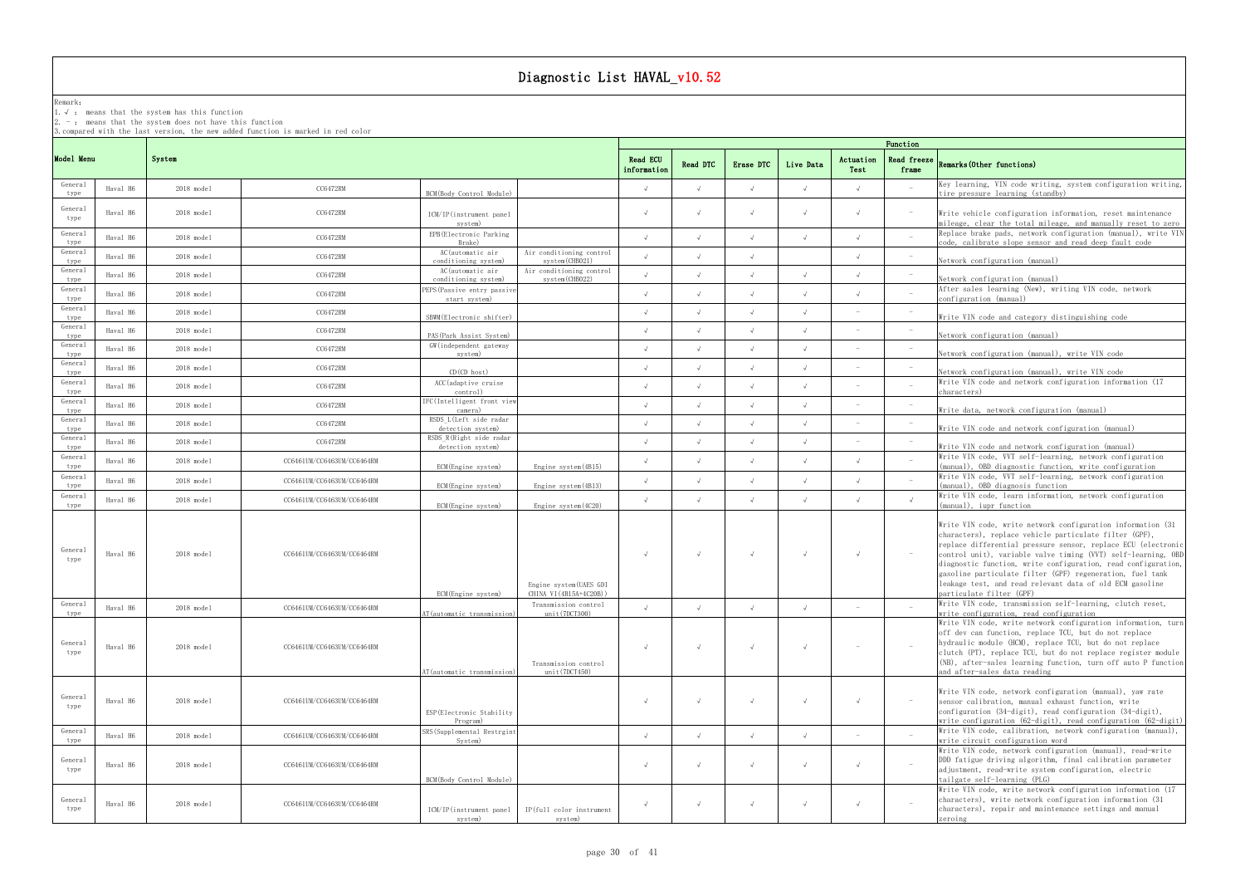## Remark:

1.√ : means that the systemhas this function

2. - : means that the system does not have this function

3.compared with the last version, the new added function is marked in red color

## frame Remarks(Other functions)

|                            |          | Function             |                            |                                                                        |                                                   |                                |          |            |            |                   |                                   |                                                                                                                                                                                                                                                                                                                                                                                                                                                                                |
|----------------------------|----------|----------------------|----------------------------|------------------------------------------------------------------------|---------------------------------------------------|--------------------------------|----------|------------|------------|-------------------|-----------------------------------|--------------------------------------------------------------------------------------------------------------------------------------------------------------------------------------------------------------------------------------------------------------------------------------------------------------------------------------------------------------------------------------------------------------------------------------------------------------------------------|
| Model Menu                 |          | System               |                            |                                                                        |                                                   | <b>Read ECU</b><br>information | Read DTC | Erase DTC  | Live Data  | Actuation<br>Test | Read freeze<br>frame              | Remarks (Other functions)                                                                                                                                                                                                                                                                                                                                                                                                                                                      |
| General<br>type            | Haval H6 | 2018 model           | CC6472RM                   | BCM(Body Control Module)                                               |                                                   | $\sqrt{ }$                     |          | $\sqrt{ }$ |            | $\sqrt{ }$        |                                   | Key learning, VIN code writing, system configuration writing,<br>tire pressure learning (standby)                                                                                                                                                                                                                                                                                                                                                                              |
| General<br>type            | Haval H6 | $2018 \text{ model}$ | CC6472RM                   | ICM/IP(instrument panel<br>system)                                     |                                                   | $\sqrt{ }$                     |          | $\sqrt{ }$ | $\sqrt{ }$ | $\sqrt{ }$        | $\sim$                            | Write vehicle configuration information, reset maintenance<br>mileage, clear the total mileage, and manually reset to zero                                                                                                                                                                                                                                                                                                                                                     |
| General<br>type            | Haval H6 | 2018 model           | CC6472RM                   | EPB (Electronic Parking<br>Brake)                                      |                                                   | $\sqrt{ }$                     |          |            |            |                   |                                   | Replace brake pads, network configuration (manual), write VIN<br>code, calibrate slope sensor and read deep fault code                                                                                                                                                                                                                                                                                                                                                         |
| General<br>type            | Haval H6 | 2018 model           | CC6472RM                   | AC(automatic air<br>conditioning system)                               | Air conditioning control<br>system (CHB021)       | $\sqrt{ }$                     |          | $\sqrt{ }$ |            | $\sqrt{ }$        |                                   | Network configuration (manual)                                                                                                                                                                                                                                                                                                                                                                                                                                                 |
| General<br>type            | Haval H6 | 2018 model           | CC6472RM                   | AC(automatic air<br>conditioning system)                               | Air conditioning control<br>system (CHB022)       |                                |          |            |            |                   |                                   | Network configuration (manual)                                                                                                                                                                                                                                                                                                                                                                                                                                                 |
| General<br>type            | Haval H6 | $2018 \text{ model}$ | CC6472RM                   | PEPS (Passive entry passive<br>start system)                           |                                                   | $\sqrt{ }$                     |          |            |            |                   |                                   | After sales learning (New), writing VIN code, network<br>configuration (manual)                                                                                                                                                                                                                                                                                                                                                                                                |
| General<br>type            | Haval H6 | 2018 model           | CC6472RM                   | SBWM (Electronic shifter)                                              |                                                   |                                |          |            |            |                   |                                   | Write VIN code and category distinguishing code                                                                                                                                                                                                                                                                                                                                                                                                                                |
| General<br>type            | Haval H6 | $2018 \text{ model}$ | CC6472RM                   | PAS (Park Assist System)                                               |                                                   |                                |          |            |            |                   |                                   | Network configuration (manual)                                                                                                                                                                                                                                                                                                                                                                                                                                                 |
| General<br>type            | Haval H6 | 2018 model           | CC6472RM                   | GW (independent gateway<br>system)                                     |                                                   | $\sqrt{ }$                     |          |            |            |                   |                                   | Network configuration (manual), write VIN code                                                                                                                                                                                                                                                                                                                                                                                                                                 |
| General<br>type            | Haval H6 | $2018 \text{ model}$ | CC6472RM                   | $CD$ ( $CD$ host)                                                      |                                                   | $\sqrt{ }$                     |          |            |            |                   |                                   | Network configuration (manual), write VIN code                                                                                                                                                                                                                                                                                                                                                                                                                                 |
| General<br>type            | Haval H6 | 2018 model           | CC6472RM                   | ACC (adaptive cruise<br>control)                                       |                                                   | $\sqrt{ }$                     |          |            |            |                   |                                   | Write VIN code and network configuration information (17<br>characters)                                                                                                                                                                                                                                                                                                                                                                                                        |
| General<br>type            | Haval H6 | 2018 model           | CC6472RM                   | IFC(Intelligent front view<br>camera)                                  |                                                   | $\sqrt{ }$                     |          | $\sqrt{ }$ |            |                   |                                   | Write data, network configuration (manual)                                                                                                                                                                                                                                                                                                                                                                                                                                     |
| General<br>type            | Haval H6 | 2018 model           | CC6472RM                   | RSDS L(Left side radar<br>detection system)<br>RSDS R(Right side radar |                                                   | $\sqrt{ }$                     |          |            |            |                   |                                   | Write VIN code and network configuration (manual)                                                                                                                                                                                                                                                                                                                                                                                                                              |
| General<br>type<br>General | Haval H6 | $2018 \text{ model}$ | CC6472RM                   | detection system)                                                      |                                                   | $\sqrt{ }$                     |          | $\sqrt{ }$ | $\sqrt{ }$ |                   |                                   | Write VIN code and network configuration (manual)<br>Write VIN code, VVT self-learning, network configuration                                                                                                                                                                                                                                                                                                                                                                  |
| type                       | Haval H6 | 2018 model           | CC6461UM/CC6463UM/CC6464RM | ECM(Engine system)                                                     | Engine system (4B15)                              | $\sqrt{ }$                     |          |            |            | $\sqrt{ }$        |                                   | (manual), OBD diagnostic function, write configuration<br>Write VIN code, VVT self-learning, network configuration                                                                                                                                                                                                                                                                                                                                                             |
| General<br>type            | Haval H6 | 2018 model           | CC6461UM/CC6463UM/CC6464RM | ECM(Engine system)                                                     | Engine system (4B13)                              | $\sqrt{ }$                     |          | $\sqrt{ }$ |            | $\sqrt{ }$        |                                   | (manual), OBD diagnosis function                                                                                                                                                                                                                                                                                                                                                                                                                                               |
| General<br>type            | Haval H6 | 2018 model           | CC6461UM/CC6463UM/CC6464RM | ECM (Engine system)                                                    | Engine system (4C20)                              | $\sqrt{ }$                     |          | $\sqrt{ }$ | $\sqrt{ }$ | $\sqrt{ }$        | $\sqrt{ }$                        | Write VIN code, learn information, network configuration<br>(manual), iupr function                                                                                                                                                                                                                                                                                                                                                                                            |
| General<br>type            | Haval H6 | $2018 \text{ model}$ | CC6461UM/CC6463UM/CC6464RM | ECM (Engine system)                                                    | Engine system(UAES GDI<br>CHINA VI (4B15A+4C20B)) |                                |          | $\sqrt{ }$ | $\sqrt{ }$ | $\sqrt{ }$        | $\alpha \rightarrow \beta \gamma$ | Write VIN code, write network configuration information (31)<br>characters), replace vehicle particulate filter (GPF),<br>replace differential pressure sensor, replace ECU (electronic<br>control unit), variable valve timing (VVT) self-learning, OBD<br>diagnostic function, write configuration, read configuration,<br>gasoline particulate filter (GPF) regeneration, fuel tank<br>leakage test, and read relevant data of old ECM gasoline<br>particulate filter (GPF) |
| General<br>type            | Haval H6 | $2018$ model         | CC6461UM/CC6463UM/CC6464RM | AT (automatic transmission)                                            | Transmission control<br>unit(7DCT300)             | $\sqrt{ }$                     |          |            |            |                   |                                   | Write VIN code, transmission self-learning, clutch reset,<br>write configuration, read configuration                                                                                                                                                                                                                                                                                                                                                                           |
| General<br>type            | Haval H6 | 2018 model           | CC6461UM/CC6463UM/CC6464RM | AT(automatic transmission)                                             | Transmission control<br>unit (7DCT450)            | $\sqrt{ }$                     |          | $\sqrt{ }$ |            | $\sim$            | $-$                               | Write VIN code, write network configuration information, turn<br>off dev can function, replace TCU, but do not replace<br>hydraulic module (HCM), replace TCU, but do not replace<br>clutch (PT), replace TCU, but do not replace register module<br>(NB), after-sales learning function, turn off auto P function<br>and after-sales data reading                                                                                                                             |
| General<br>type            | Haval H6 | $2018 \text{ model}$ | CC6461UM/CC6463UM/CC6464RM | ESP (Electronic Stability<br>Program)                                  |                                                   |                                |          | $\sqrt{ }$ |            | $\sqrt{ }$        | $\sim$                            | Write VIN code, network configuration (manual), yaw rate<br>sensor calibration, manual exhaust function, write<br>configuration (34-digit), read configuration (34-digit),<br>write configuration $(62 -$ digit), read configuration $(62 -$ digit)                                                                                                                                                                                                                            |
| General<br>type            | Haval H6 | 2018 model           | CC6461UM/CC6463UM/CC6464RM | SRS (Supplemental Restrgint<br>System)                                 |                                                   | $\sqrt{ }$                     |          | $\sqrt{ }$ | $\sqrt{ }$ | $\sim$            |                                   | Write VIN code, calibration, network configuration (manual),<br>write circuit configuration word                                                                                                                                                                                                                                                                                                                                                                               |
| General<br>type            | Haval H6 | 2018 model           | CC6461UM/CC6463UM/CC6464RM | BCM(Body Control Module)                                               |                                                   |                                |          |            |            |                   |                                   | Write VIN code, network configuration (manual), read-write<br>DDD fatigue driving algorithm, final calibration parameter<br>adjustment, read-write system configuration, electric<br>tailgate self-learning (PLG)                                                                                                                                                                                                                                                              |
| General<br>type            | Haval H6 | 2018 model           | CC6461UM/CC6463UM/CC6464RM | ICM/IP(instrument panel<br>system)                                     | IP(full color instrument<br>system)               | $\Lambda$                      |          | $\sqrt{ }$ |            |                   |                                   | Write VIN code, write network configuration information (17<br>characters), write network configuration information (31<br>characters), repair and maintenance settings and manual<br>zeroing                                                                                                                                                                                                                                                                                  |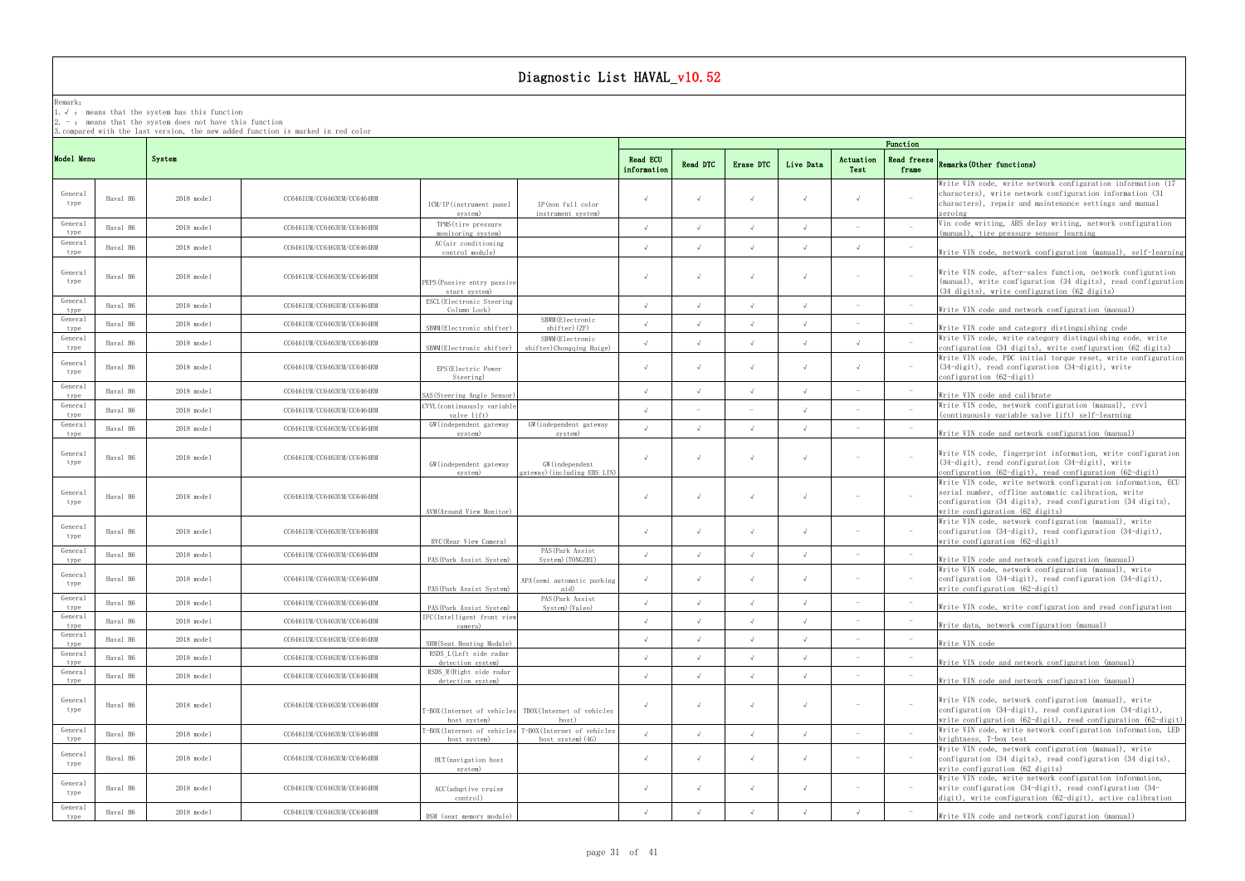## Remark:

1.√ : means that the systemhas this function

2.  $-$  : means that the system does not have this function

3.compared with the last version, the new added function is marked in red color

## frame Remarks(Other functions)

|                 |          |                      |                            |                                                                                               |                         |            |            |            |                   | Function                        |                                                                                                                                                                                                                      |
|-----------------|----------|----------------------|----------------------------|-----------------------------------------------------------------------------------------------|-------------------------|------------|------------|------------|-------------------|---------------------------------|----------------------------------------------------------------------------------------------------------------------------------------------------------------------------------------------------------------------|
| Model Menu      |          | System               |                            |                                                                                               | Read ECU<br>information | Read DTC   | Erase DTC  | Live Data  | Actuation<br>Test | <b>Read freeze</b><br>frame     | Remarks (Other functions)                                                                                                                                                                                            |
| General<br>type | Haval H6 | 2018 model           | CC6461UM/CC6463UM/CC6464RM | IP(non full color<br>ICM/IP(instrument panel<br>system)<br>instrument system)                 |                         |            |            | $\sqrt{ }$ |                   | $\sim$                          | Write VIN code, write network configuration information (17<br>characters), write network configuration information (31<br>characters), repair and maintenance settings and manual<br>zeroing                        |
| General<br>type | Haval H6 | $2018 \text{ model}$ | CC6461UM/CC6463UM/CC6464RM | TPMS (tire pressure<br>monitoring system)                                                     | $\sqrt{ }$              |            |            | $\sqrt{ }$ |                   |                                 | Vin code writing, ABS delay writing, network configuration<br>(manual), tire pressure sensor learning                                                                                                                |
| General<br>type | Haval H6 | $2018 \text{ model}$ | CC6461UM/CC6463UM/CC6464RM | AC(air conditioning<br>control module)                                                        |                         |            |            | $\sqrt{ }$ |                   |                                 | Write VIN code, network configuration (manual), self-learning                                                                                                                                                        |
| General<br>type | Haval H6 | 2018 model           | CC6461UM/CC6463UM/CC6464RM | PEPS(Passive entry passive<br>start system)                                                   |                         | $\sqrt{ }$ |            | $\sqrt{ }$ |                   |                                 | Write VIN code, after-sales function, network configuration<br>(manual), write configuration (34 digits), read configuration<br>(34 digits), write configuration (62 digits)                                         |
| General<br>type | Haval H6 | $2018$ model         | CC6461UM/CC6463UM/CC6464RM | ESCL (Electronic Steering<br>Column Lock)                                                     | $\sqrt{ }$              | $\sqrt{ }$ |            | $\sqrt{ }$ |                   |                                 | Write VIN code and network configuration (manual)                                                                                                                                                                    |
| General<br>type | Haval H6 | $2018$ model         | CC6461UM/CC6463UM/CC6464RM | SBWM (Electronic<br>shifter) (ZF)<br>SBWM(Electronic shifter)                                 |                         |            |            | $\sqrt{ }$ |                   |                                 | Write VIN code and category distinguishing code                                                                                                                                                                      |
| General<br>type | Haval H6 | $2018$ model         | CC6461UM/CC6463UM/CC6464RM | SBWM (Electronic<br>shifter)Chongqing Ruige)<br>SBWM (Electronic shifter)                     |                         |            |            | $\sqrt{ }$ |                   |                                 | Write VIN code, write category distinguishing code, write<br>configuration (34 digits), write configuration (62 digits)                                                                                              |
| General<br>type | Haval H6 | 2018 model           | CC6461UM/CC6463UM/CC6464RM | EPS (Electric Power<br>Steering)                                                              |                         |            |            | $\sqrt{ }$ |                   | $\overline{\phantom{a}}$        | Write VIN code, PDC initial torque reset, write configuration<br>$(34-digit)$ , read configuration $(34-digit)$ , write<br>configuration $(62 -$ digit)                                                              |
| General<br>type | Haval H6 | $2018 \text{ model}$ | CC6461UM/CC6463UM/CC6464RM | SAS (Steering Angle Sensor                                                                    |                         |            |            |            |                   | $\sim$                          | Write VIN code and calibrate                                                                                                                                                                                         |
| General<br>type | Haval H6 | $2018 \text{ model}$ | CC6461UM/CC6463UM/CC6464RM | CVVL (continuously variable<br>valve lift)                                                    |                         |            |            |            |                   |                                 | Write VIN code, network configuration (manual), cvvl<br>(continuously variable valve lift) self-learning                                                                                                             |
| General<br>type | Haval H6 | $2018$ model         | CC6461UM/CC6463UM/CC6464RM | GW (independent gateway<br>GW (independent gateway<br>system)<br>system)                      |                         |            |            | $\sqrt{ }$ |                   | $\sim$                          | Write VIN code and network configuration (manual)                                                                                                                                                                    |
| General<br>type | Haval H6 | 2018 model           | CC6461UM/CC6463UM/CC6464RM | GW (independent gateway<br>GW (independent<br>ateway)(including EBS LIN)<br>system)           |                         |            |            | $\sqrt{ }$ |                   |                                 | Write VIN code, fingerprint information, write configuration<br>(34-digit), read configuration (34-digit), write<br>configuration (62-digit), read configuration (62-digit)                                          |
| General<br>type | Haval H6 | 2018 model           | CC6461UM/CC6463UM/CC6464RM | AVM (Around View Monitor)                                                                     |                         | $\sqrt{ }$ |            | $\sqrt{ }$ |                   |                                 | Write VIN code, write network configuration information, ECU<br>serial number, offline automatic calibration, write<br>configuration (34 digits), read configuration (34 digits),<br>write configuration (62 digits) |
| General<br>type | Haval H6 | 2018 model           | CC6461UM/CC6463UM/CC6464RM | RVC (Rear View Camera)                                                                        |                         |            |            | $\sqrt{ }$ |                   | $\hspace{0.1mm}-\hspace{0.1mm}$ | Write VIN code, network configuration (manual), write<br>configuration (34-digit), read configuration (34-digit),<br>write configuration (62-digit)                                                                  |
| General<br>type | Haval H6 | $2018 \text{ model}$ | CC6461UM/CC6463UM/CC6464RM | PAS (Park Assist<br>System) (TONGZHI)<br>PAS (Park Assist System)                             |                         |            |            | $\sqrt{ }$ |                   |                                 | Write VIN code and network configuration (manual)                                                                                                                                                                    |
| General<br>type | Haval H6 | $2018$ model         | CC6461UM/CC6463UM/CC6464RM | APA(semi automatic parking<br>aid)<br>PAS (Park Assist System)                                | $\sqrt{ }$              |            |            | $\sqrt{ }$ |                   | $\sim$                          | Write VIN code, network configuration (manual), write<br>configuration (34-digit), read configuration (34-digit),<br>write configuration (62-digit)                                                                  |
| General<br>type | Haval H6 | $2018 \text{ model}$ | CC6461UM/CC6463UM/CC6464RM | PAS (Park Assist<br>PAS (Park Assist System)<br>System) (Valeo)                               |                         |            |            |            |                   |                                 | Write VIN code, write configuration and read configuration                                                                                                                                                           |
| General<br>type | Haval H6 | $2018$ model         | CC6461UM/CC6463UM/CC6464RM | IFC(Intelligent front view<br>camera)                                                         |                         |            |            |            |                   |                                 | Write data, network configuration (manual)                                                                                                                                                                           |
| General<br>type | Haval H6 | 2018 model           | CC6461UM/CC6463UM/CC6464RM | SHM (Seat Heating Module)                                                                     |                         |            |            | $\sqrt{ }$ |                   |                                 | Write VIN code                                                                                                                                                                                                       |
| General<br>type | Haval H6 | $2018$ model         | CC6461UM/CC6463UM/CC6464RM | RSDS L(Left side radar<br>detection system)                                                   |                         |            |            | $\sqrt{ }$ |                   |                                 | Write VIN code and network configuration (manual)                                                                                                                                                                    |
| General<br>type | Haval H6 | 2018 model           | CC6461UM/CC6463UM/CC6464RM | RSDS R(Right side radar<br>detection system)                                                  |                         |            |            | $\sqrt{ }$ |                   |                                 | Write VIN code and network configuration (manual)                                                                                                                                                                    |
| General<br>type | Haval H6 | 2018 model           | CC6461UM/CC6463UM/CC6464RM | TBOX(Internet of vehicles<br>-BOX(Internet of vehicles<br>host system)<br>host)               |                         |            |            | $\sqrt{ }$ |                   | $\overline{\phantom{a}}$        | Write VIN code, network configuration (manual), write<br>configuration (34-digit), read configuration (34-digit),<br>write configuration (62-digit), read configuration (62-digit)                                   |
| General<br>type | Haval H6 | 2018 model           | CC6461UM/CC6463UM/CC6464RM | T-BOX(Internet of vehicles<br>'-BOX(Internet of vehicles<br>host system)<br>host system) (4G) | $\sqrt{ }$              | $\sqrt{ }$ | $\sqrt{ }$ | $\sqrt{ }$ |                   |                                 | Write VIN code, write network configuration information, LED<br>brightness, T-box test                                                                                                                               |
| General<br>type | Haval H6 | 2018 model           | CC6461UM/CC6463UM/CC6464RM | HUT (navigation host<br>system)                                                               | $\sqrt{ }$              | $\sqrt{ }$ |            | $\sqrt{ }$ |                   | $\sim$                          | Write VIN code, network configuration (manual), write<br>configuration (34 digits), read configuration (34 digits),<br>write configuration (62 digits)                                                               |
| General<br>type | Haval H6 | 2018 model           | CC6461UM/CC6463UM/CC6464RM | ACC (adaptive cruise<br>control)                                                              |                         | $\sqrt{ }$ |            | $\sqrt{ }$ |                   | $\sim$                          | Write VIN code, write network configuration information,<br>write configuration $(34-digit)$ , read configuration $(34-$<br>digit), write configuration (62-digit), active calibration                               |
| General<br>type | Haval H6 | 2018 model           | CC6461UM/CC6463UM/CC6464RM | DSM (seat memory module)                                                                      |                         |            |            |            |                   |                                 | Write VIN code and network configuration (manual)                                                                                                                                                                    |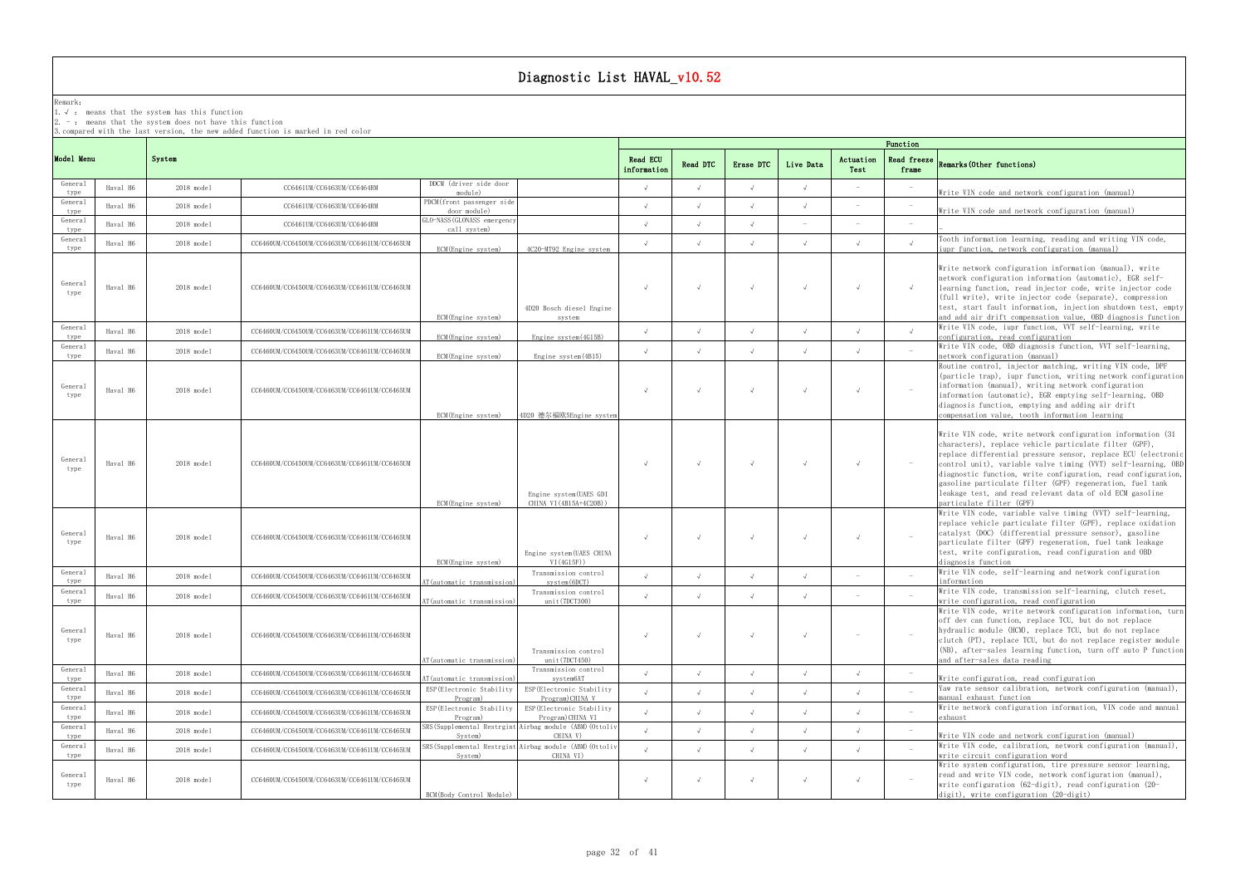## Remark:

1.√ : means that the systemhas this function

2.  $-$  : means that the system does not have this function

3.compared with the last version, the new added function is marked in red color

## frame Remarks(Other functions)

|                 |          |                      |                                              |                                             | Function                                                              |                                |            |            |            |                   |                                   |                                                                                                                                                                                                                                                                                                                                                                                                                                                                                |
|-----------------|----------|----------------------|----------------------------------------------|---------------------------------------------|-----------------------------------------------------------------------|--------------------------------|------------|------------|------------|-------------------|-----------------------------------|--------------------------------------------------------------------------------------------------------------------------------------------------------------------------------------------------------------------------------------------------------------------------------------------------------------------------------------------------------------------------------------------------------------------------------------------------------------------------------|
| Model Menu      |          | System               |                                              |                                             |                                                                       | <b>Read ECU</b><br>information | Read DTC   | Erase DTC  | Live Data  | Actuation<br>Test | Read freeze<br>frame              | Remarks (Other functions)                                                                                                                                                                                                                                                                                                                                                                                                                                                      |
| General<br>type | Haval H6 | $2018 \text{ model}$ | CC6461UM/CC6463UM/CC6464RM                   | DDCM (driver side door<br>module)           |                                                                       | $\sqrt{ }$                     |            |            |            |                   |                                   | Write VIN code and network configuration (manual)                                                                                                                                                                                                                                                                                                                                                                                                                              |
| General<br>type | Haval H6 | 2018 model           | CC6461UM/CC6463UM/CC6464RM                   | PDCM(front passenger side<br>door module)   |                                                                       | $\sqrt{ }$                     |            |            |            |                   |                                   | Write VIN code and network configuration (manual)                                                                                                                                                                                                                                                                                                                                                                                                                              |
| General<br>type | Haval H6 | $2018 \text{ model}$ | CC6461UM/CC6463UM/CC6464RM                   | GLO-NASS (GLONASS emergency<br>call system) |                                                                       | $\sqrt{ }$                     |            |            |            |                   |                                   |                                                                                                                                                                                                                                                                                                                                                                                                                                                                                |
| General<br>type | Haval H6 | $2018 \text{ model}$ | CC6460UM/CC6450UM/CC6463UM/CC6461UM/CC6465UM | ECM(Engine system)                          | 4C20-MT92 Engine system                                               | $\sqrt{ }$                     |            | $\sqrt{ }$ |            |                   | $\sqrt{ }$                        | Tooth information learning, reading and writing VIN code,<br>iupr function, network configuration (manual)                                                                                                                                                                                                                                                                                                                                                                     |
| General<br>type | Haval H6 | $2018 \text{ model}$ | CC6460UM/CC6450UM/CC6463UM/CC6461UM/CC6465UM | ECM(Engine system)                          | 4D20 Bosch diesel Engine<br>svstem                                    | $\sqrt{ }$                     |            | $\sqrt{ }$ |            | $\sqrt{ }$        | $\sqrt{ }$                        | Write network configuration information (manual), write<br>network configuration information (automatic), EGR self-<br>learning function, read injector code, write injector code<br>(full write), write injector code (separate), compression<br>test, start fault information, injection shutdown test, empty<br>and add air drift compensation value, OBD diagnosis function                                                                                                |
| General<br>type | Haval H6 | $2018 \text{ model}$ | CC6460UM/CC6450UM/CC6463UM/CC6461UM/CC6465UM | ECM(Engine system)                          | Engine system(4G15B)                                                  | $\sqrt{ }$                     |            |            |            |                   | $\sqrt{ }$                        | Write VIN code, iupr function, VVT self-learning, write<br>configuration, read configuration                                                                                                                                                                                                                                                                                                                                                                                   |
| General<br>type | Haval H6 | 2018 model           | CC6460UM/CC6450UM/CC6463UM/CC6461UM/CC6465UM | ECM(Engine system)                          | Engine system (4B15)                                                  | $\sqrt{ }$                     |            |            |            |                   |                                   | Write VIN code, OBD diagnosis function, VVT self-learning,<br>network configuration (manual)                                                                                                                                                                                                                                                                                                                                                                                   |
| General<br>type | Haval H6 | $2018$ model         | CC6460UM/CC6450UM/CC6463UM/CC6461UM/CC6465UM | ECM(Engine system)                          | 4D20 德尔福欧5Engine system                                               | $\sqrt{ }$                     |            |            |            |                   | $\mathcal{L} = \mathcal{L}$       | Routine control, injector matching, writing VIN code, DPF<br>(particle trap), iupr function, writing network configuration<br>information (manual), writing network configuration<br>information (automatic), EGR emptying self-learning, OBD<br>diagnosis function, emptying and adding air drift<br>compensation value, tooth information learning                                                                                                                           |
| General<br>type | Haval H6 | $2018 \text{ model}$ | CC6460UM/CC6450UM/CC6463UM/CC6461UM/CC6465UM | ECM(Engine system)                          | Engine system(UAES GDI<br>CHINA VI (4B15A+4C20B))                     | $\sqrt{ }$                     |            | $\sqrt{ }$ |            | $\sqrt{ }$        | $\sim$ $-$                        | Write VIN code, write network configuration information (31)<br>characters), replace vehicle particulate filter (GPF),<br>replace differential pressure sensor, replace ECU (electronic<br>control unit), variable valve timing (VVT) self-learning, OBD<br>diagnostic function, write configuration, read configuration,<br>gasoline particulate filter (GPF) regeneration, fuel tank<br>leakage test, and read relevant data of old ECM gasoline<br>particulate filter (GPF) |
| General<br>type | Haval H6 | $2018$ model         | CC6460UM/CC6450UM/CC6463UM/CC6461UM/CC6465UM | ECM(Engine system)                          | Engine system(UAES CHINA<br>VI(4G15F))                                | $\sqrt{ }$                     |            |            |            |                   | $\sim$                            | Write VIN code, variable valve timing (VVT) self-learning,<br>replace vehicle particulate filter (GPF), replace oxidation<br>catalyst (DOC) (differential pressure sensor), gasoline<br>particulate filter (GPF) regeneration, fuel tank leakage<br>test, write configuration, read configuration and OBD<br>diagnosis function                                                                                                                                                |
| General<br>type | Haval H6 | 2018 model           | CC6460UM/CC6450UM/CC6463UM/CC6461UM/CC6465UM | AT (automatic transmission)                 | Transmission control<br>system(6DCT)                                  | $\sqrt{ }$                     |            |            |            |                   |                                   | Write VIN code, self-learning and network configuration<br>information                                                                                                                                                                                                                                                                                                                                                                                                         |
| General<br>type | Haval H6 | 2018 model           | CC6460UM/CC6450UM/CC6463UM/CC6461UM/CC6465UM | AT (automatic transmission)                 | Transmission control<br>unit(7DCT300)                                 | $\sqrt{ }$                     |            |            |            |                   |                                   | Write VIN code, transmission self-learning, clutch reset,<br>write configuration, read configuration                                                                                                                                                                                                                                                                                                                                                                           |
| General<br>type | Haval H6 | 2018 model           | CC6460UM/CC6450UM/CC6463UM/CC6461UM/CC6465UM | AT (automatic transmission)                 | Transmission control<br>unit(7DCT450)                                 | $\sqrt{ }$                     |            | $\sqrt{ }$ |            | $\sim$            | $\alpha \rightarrow \beta \gamma$ | Write VIN code, write network configuration information, turn<br>off dev can function, replace TCU, but do not replace<br>hydraulic module (HCM), replace TCU, but do not replace<br>clutch (PT), replace TCU, but do not replace register module<br>(NB), after-sales learning function, turn off auto P function<br>and after-sales data reading                                                                                                                             |
| General<br>type | Haval H6 | $2018 \text{ model}$ | CC6460UM/CC6450UM/CC6463UM/CC6461UM/CC6465UM | AT (automatic transmission)                 | Transmission control<br>system6AT                                     | $\sqrt{ }$                     | $\sqrt{ }$ | $\sqrt{ }$ | $\sqrt{ }$ | $\sqrt{ }$        |                                   | Write configuration, read configuration                                                                                                                                                                                                                                                                                                                                                                                                                                        |
| General<br>type | Haval H6 | $2018 \text{ model}$ | CC6460UM/CC6450UM/CC6463UM/CC6461UM/CC6465UM | ESP (Electronic Stability<br>Program)       | ESP (Electronic Stability<br>Program) CHINA V                         | $\sqrt{ }$                     |            |            |            | $\sqrt{ }$        |                                   | Yaw rate sensor calibration, network configuration (manual),<br>manual exhaust function                                                                                                                                                                                                                                                                                                                                                                                        |
| General<br>type | Haval H6 | $2018 \text{ model}$ | CC6460UM/CC6450UM/CC6463UM/CC6461UM/CC6465UM | ESP (Electronic Stability<br>Program)       | ESP (Electronic Stability<br>Program)CHINA VI                         | $\sqrt{ }$                     |            |            |            |                   |                                   | Write network configuration information, VIN code and manual<br>exhaust                                                                                                                                                                                                                                                                                                                                                                                                        |
| General<br>type | Haval H6 | $2018 \text{ model}$ | CC6460UM/CC6450UM/CC6463UM/CC6461UM/CC6465UM | System)                                     | SRS(Supplemental Restrgint Airbag module (ABM)(Ottoliv<br>CHINA V)    | $\sqrt{ }$                     |            |            |            | $\sqrt{ }$        |                                   | Write VIN code and network configuration (manual)                                                                                                                                                                                                                                                                                                                                                                                                                              |
| General<br>type | Haval H6 | $2018 \text{ model}$ | CC6460UM/CC6450UM/CC6463UM/CC6461UM/CC6465UM | System)                                     | SRS (Supplemental Restrgint Airbag module (ABM) (Ottoliv<br>CHINA VI) | $\sqrt{ }$                     |            |            |            |                   |                                   | Write VIN code, calibration, network configuration (manual),<br>write circuit configuration word                                                                                                                                                                                                                                                                                                                                                                               |
| General<br>type | Haval H6 | 2018 model           | CC6460UM/CC6450UM/CC6463UM/CC6461UM/CC6465UM | BCM(Body Control Module)                    |                                                                       | $\sqrt{ }$                     |            |            |            |                   | $\sim$                            | Write system configuration, tire pressure sensor learning,<br>read and write VIN code, network configuration (manual),<br>write configuration (62-digit), read configuration (20-<br>digit), write configuration (20-digit)                                                                                                                                                                                                                                                    |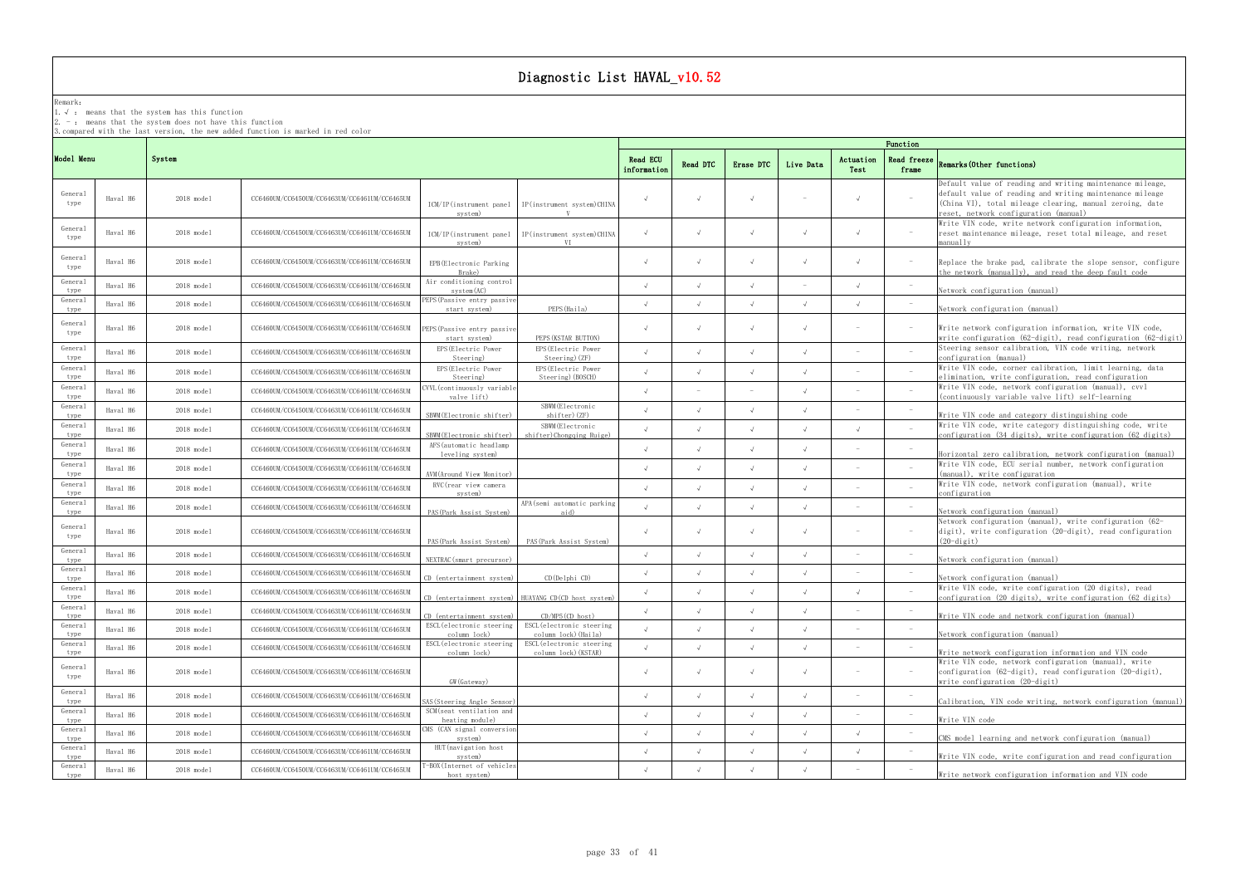## Remark:

1.√ : means that the systemhas this function

 $2. -:$  means that the system does not have this function

3.compared with the last version, the new added function is marked in red color

## frame Remarks(Other functions)

Write network configuration information and VIN code

|                 |          |                      |                                              |                                              |                                                       |                         |            |            |            |                   | Function             |                                                                                                                                                                                                                            |
|-----------------|----------|----------------------|----------------------------------------------|----------------------------------------------|-------------------------------------------------------|-------------------------|------------|------------|------------|-------------------|----------------------|----------------------------------------------------------------------------------------------------------------------------------------------------------------------------------------------------------------------------|
| Model Menu      |          | System               |                                              |                                              |                                                       | Read ECU<br>information | Read DTC   | Erase DTC  | Live Data  | Actuation<br>Test | Read freeze<br>frame | <b>Remarks (Other functions)</b>                                                                                                                                                                                           |
| General<br>type | Haval H6 | $2018 \text{ model}$ | CC6460UM/CC6450UM/CC6463UM/CC6461UM/CC6465UM | ICM/IP(instrument panel<br>system)           | IP(instrument system)CHINA                            |                         |            |            |            | $\sqrt{ }$        |                      | Default value of reading and writing maintenance mileage,<br>default value of reading and writing maintenance mileage<br>(China VI), total mileage clearing, manual zeroing, date<br>eset, network configuration (manual): |
| General<br>type | Haval H6 | 2018 model           | CC6460UM/CC6450UM/CC6463UM/CC6461UM/CC6465UM | ICM/IP(instrument panel<br>system)           | IP(instrument system)CHINA<br>V <sub>T</sub>          | $\sqrt{ }$              |            | $\sqrt{ }$ | $\sqrt{ }$ | $\sqrt{ }$        |                      | Write VIN code, write network configuration information,<br>reset maintenance mileage, reset total mileage, and reset<br>manually                                                                                          |
| General<br>type | Haval H6 | 2018 model           | CC6460UM/CC6450UM/CC6463UM/CC6461UM/CC6465UM | EPB (Electronic Parking<br>Brake)            |                                                       | $\sqrt{ }$              | $\sqrt{ }$ | $\sqrt{ }$ | $\sqrt{ }$ | $\sqrt{ }$        |                      | Replace the brake pad, calibrate the slope sensor, configure<br>the network (manually), and read the deep fault code                                                                                                       |
| General<br>type | Haval H6 | $2018 \text{ model}$ | CC6460UM/CC6450UM/CC6463UM/CC6461UM/CC6465UM | Air conditioning control<br>$s$ vstem $(AC)$ |                                                       | $\sqrt{ }$              | $\sqrt{ }$ | $\sqrt{ }$ |            | $\sqrt{ }$        |                      | Network configuration (manual)                                                                                                                                                                                             |
| General<br>type | Haval H6 | $2018$ model         | CC6460UM/CC6450UM/CC6463UM/CC6461UM/CC6465UM | PEPS (Passive entry passive<br>start system) | PEPS (Haila)                                          |                         |            |            | $\sqrt{ }$ |                   |                      | Network configuration (manual)                                                                                                                                                                                             |
| General<br>type | Haval H6 | 2018 model           | CC6460UM/CC6450UM/CC6463UM/CC6461UM/CC6465UM | PEPS(Passive entry passive<br>start system)  | PEPS (KSTAR BUTTON)                                   | $\sqrt{ }$              |            |            | $\sqrt{ }$ |                   |                      | Write network configuration information, write VIN code,<br>write configuration (62-digit), read configuration (62-digit)                                                                                                  |
| General<br>type | Haval H6 | 2018 model           | CC6460UM/CC6450UM/CC6463UM/CC6461UM/CC6465UM | EPS (Electric Power<br>Steering)             | EPS (Electric Power<br>Steering) (ZF)                 |                         |            | $\sqrt{ }$ | $\sqrt{ }$ |                   |                      | Steering sensor calibration, VIN code writing, network<br>configuration (manual)                                                                                                                                           |
| General<br>type | Haval H6 | 2018 model           | CC6460UM/CC6450UM/CC6463UM/CC6461UM/CC6465UM | EPS (Electric Power<br>Steering)             | EPS (Electric Power<br>Steering) (BOSCH)              |                         |            |            |            |                   |                      | Write VIN code, corner calibration, limit learning, data<br>elimination, write configuration, read configuration                                                                                                           |
| General<br>type | Haval H6 | 2018 model           | CC6460UM/CC6450UM/CC6463UM/CC6461UM/CC6465UM | WVL (continuously variable<br>valve lift)    |                                                       |                         |            | $\sim$     |            |                   |                      | Write VIN code, network configuration (manual), cvvl<br>(continuously variable valve lift) self-learning                                                                                                                   |
| General<br>type | Haval H6 | $2018$ model         | CC6460UM/CC6450UM/CC6463UM/CC6461UM/CC6465UM | SBWM (Electronic shifter)                    | SBWM (Electronic<br>shifter) (ZF)                     |                         |            |            | $\sqrt{ }$ |                   |                      |                                                                                                                                                                                                                            |
| General<br>type | Haval H6 | 2018 model           | CC6460UM/CC6450UM/CC6463UM/CC6461UM/CC6465UM | SBWM (Electronic shifter)                    | SBWM (Electronic<br>shifter)Chongqing Ruige)          |                         |            |            |            | $\sqrt{ }$        |                      | Write VIN code and category distinguishing code<br>Write VIN code, write category distinguishing code, write<br>configuration (34 digits), write configuration (62 digits)                                                 |
| General<br>type | Haval H6 | $2018 \text{ model}$ | CC6460UM/CC6450UM/CC6463UM/CC6461UM/CC6465UM | AFS (automatic headlamp<br>leveling system)  |                                                       | $\sqrt{ }$              |            |            | $\sqrt{ }$ |                   |                      | Horizontal zero calibration, network configuration (manual)                                                                                                                                                                |
| General<br>type | Haval H6 | 2018 model           | CC6460UM/CC6450UM/CC6463UM/CC6461UM/CC6465UM | AVM(Around View Monitor)                     |                                                       |                         |            |            | $\sqrt{ }$ |                   |                      | Write VIN code, ECU serial number, network configuration<br>(manual), write configuration                                                                                                                                  |
| General<br>type | Haval H6 | 2018 model           | CC6460UM/CC6450UM/CC6463UM/CC6461UM/CC6465UM | RVC (rear view camera<br>system)             |                                                       |                         |            |            |            |                   |                      | Write VIN code, network configuration (manual), write<br>configuration                                                                                                                                                     |
| General<br>type | Haval H6 | 2018 model           | CC6460UM/CC6450UM/CC6463UM/CC6461UM/CC6465UM | PAS (Park Assist System)                     | APA (semi automatic parking<br>aid)                   |                         |            |            |            |                   |                      | Network configuration (manual)                                                                                                                                                                                             |
| General<br>type | Haval H6 | 2018 model           | CC6460UM/CC6450UM/CC6463UM/CC6461UM/CC6465UM | PAS (Park Assist System)                     | PAS (Park Assist System)                              | $\sqrt{ }$              |            | $\sqrt{ }$ | $\sqrt{ }$ |                   |                      | Network configuration (manual), write configuration (62-<br>digit), write configuration (20-digit), read configuration<br>$(20 - \text{digit})$                                                                            |
| General<br>type | Haval H6 | 2018 model           | CC6460UM/CC6450UM/CC6463UM/CC6461UM/CC6465UM | NEXTRAC (smart precursor)                    |                                                       | $\sqrt{ }$              |            |            |            |                   |                      | Network configuration (manual)                                                                                                                                                                                             |
| General<br>type | Haval H6 | 2018 model           | CC6460UM/CC6450UM/CC6463UM/CC6461UM/CC6465UM | CD (entertainment system)                    | $CD$ (Delphi $CD$ )                                   |                         |            |            | $\sqrt{ }$ |                   |                      | Network configuration (manual)                                                                                                                                                                                             |
| General<br>type | Haval H6 | 2018 model           | CC6460UM/CC6450UM/CC6463UM/CC6461UM/CC6465UM |                                              | CD (entertainment system) HUAYANG CD (CD host system) |                         |            |            |            |                   |                      | Write VIN code, write configuration (20 digits), read<br>configuration (20 digits), write configuration (62 digits)                                                                                                        |
| General<br>type | Haval H6 | 2018 model           | CC6460UM/CC6450UM/CC6463UM/CC6461UM/CC6465UM | CD (entertainment system)                    | $CD/MP5$ ( $CD$ host)                                 |                         | $\sqrt{ }$ | $\sqrt{ }$ | $\sqrt{ }$ |                   |                      | Write VIN code and network configuration (manual)                                                                                                                                                                          |
| General<br>type | Haval H6 | 2018 model           | CC6460UM/CC6450UM/CC6463UM/CC6461UM/CC6465UM | ESCL (electronic steering<br>column lock)    | ESCL (electronic steering<br>column lock)(Haila)      |                         |            |            |            |                   |                      | Network configuration (manual)                                                                                                                                                                                             |
| General<br>type | Haval H6 | 2018 model           | CC6460UM/CC6450UM/CC6463UM/CC6461UM/CC6465UM | ESCL (electronic steering<br>column lock)    | ESCL (electronic steering<br>column lock)(KSTAR)      |                         | $\sqrt{ }$ | $\sqrt{ }$ | $\sqrt{ }$ |                   |                      | Write network configuration information and VIN code                                                                                                                                                                       |
| General<br>type | Haval H6 | 2018 model           | CC6460UM/CC6450UM/CC6463UM/CC6461UM/CC6465UM | GW (Gateway)                                 |                                                       | $\sqrt{ }$              | $\sqrt{ }$ | $\sqrt{ }$ | $\sqrt{ }$ |                   |                      | Write VIN code, network configuration (manual), write<br>configuration (62-digit), read configuration (20-digit),<br>write configuration (20-digit)                                                                        |
| General<br>type | Haval H6 | 2018 model           | CC6460UM/CC6450UM/CC6463UM/CC6461UM/CC6465UM | SAS (Steering Angle Sensor                   |                                                       | $\sqrt{ }$              | $\sqrt{ }$ | $\sqrt{ }$ | $\sqrt{ }$ |                   |                      | Calibration, VIN code writing, network configuration (manual)                                                                                                                                                              |
| General<br>type | Haval H6 | 2018 model           | CC6460UM/CC6450UM/CC6463UM/CC6461UM/CC6465UM | SCM (seat ventilation and<br>heating module) |                                                       | $\sqrt{ }$              | $\sqrt{ }$ | $\sqrt{ }$ | $\sqrt{ }$ |                   |                      | Write VIN code                                                                                                                                                                                                             |
| General<br>type | Haval H6 | 2018 model           | CC6460UM/CC6450UM/CC6463UM/CC6461UM/CC6465UM | CMS (CAN signal conversion<br>system)        |                                                       |                         |            |            | $\sqrt{ }$ |                   |                      | CMS model learning and network configuration (manual)                                                                                                                                                                      |
| General<br>type | Haval H6 | 2018 model           | CC6460UM/CC6450UM/CC6463UM/CC6461UM/CC6465UM | HUT (navigation host<br>system)              |                                                       | $\sqrt{ }$              |            |            |            |                   |                      | Write VIN code, write configuration and read configuration                                                                                                                                                                 |
| General<br>type | Haval H6 | 2018 model           | CC6460UM/CC6450UM/CC6463UM/CC6461UM/CC6465UM | -BOX (Internet of vehicles<br>host system)   |                                                       | $\sqrt{ }$              |            | $\sqrt{ }$ | $\sqrt{ }$ |                   |                      | Write network configuration information and VIN code                                                                                                                                                                       |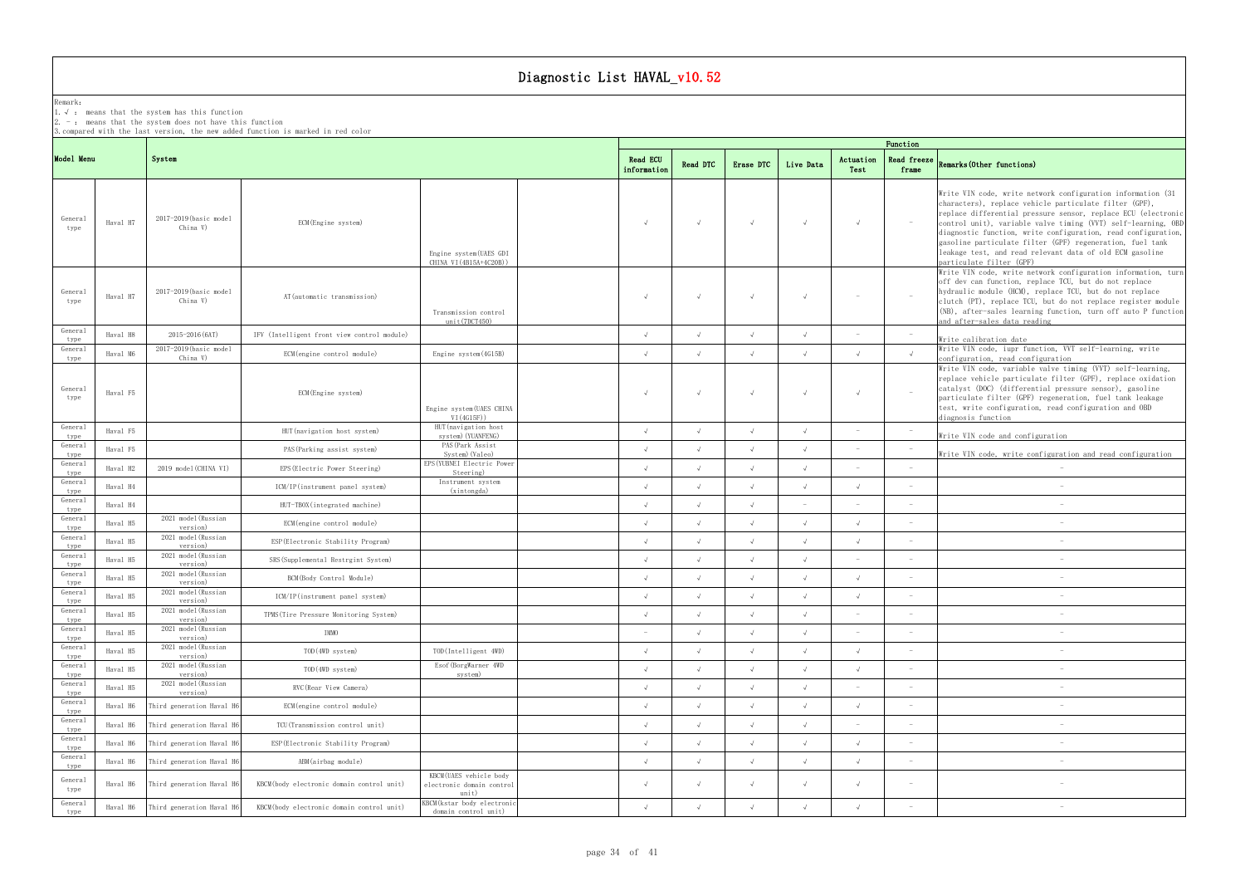## Remark:

1.√ : means that the systemhas this function

 $2. -:$  means that the system does not have this function

3.compared with the last version, the new added function is marked in red color

## frame Remarks(Other functions)

|          |                                    |                                             |                                                              |                                                                        |            |            |            |                                 | Function                        |                                                                                                                                                                                                                                                                                                                                                                                                                                                                                |
|----------|------------------------------------|---------------------------------------------|--------------------------------------------------------------|------------------------------------------------------------------------|------------|------------|------------|---------------------------------|---------------------------------|--------------------------------------------------------------------------------------------------------------------------------------------------------------------------------------------------------------------------------------------------------------------------------------------------------------------------------------------------------------------------------------------------------------------------------------------------------------------------------|
|          | System                             |                                             |                                                              | <b>Read ECU</b><br>information                                         | Read DTC   | Erase DTC  | Live Data  | Actuation<br>Test               | Read freeze<br>frame            | Remarks (Other functions)                                                                                                                                                                                                                                                                                                                                                                                                                                                      |
| Haval H7 | 2017-2019 (basic model<br>China V) | ECM(Engine system)                          | Engine system (UAES GDI<br>CHINA VI (4B15A+4C20B))           | $\sqrt{ }$                                                             |            | $\sqrt{ }$ | $\sqrt{ }$ | $\sqrt{ }$                      | $\sim$ $-$                      | Write VIN code, write network configuration information (31)<br>characters), replace vehicle particulate filter (GPF),<br>replace differential pressure sensor, replace ECU (electronic<br>control unit), variable valve timing (VVT) self-learning, OBD<br>diagnostic function, write configuration, read configuration,<br>gasoline particulate filter (GPF) regeneration, fuel tank<br>leakage test, and read relevant data of old ECM gasoline<br>particulate filter (GPF) |
| Haval H7 | 2017-2019 (basic model<br>China V) | AT (automatic transmission)                 | Transmission control<br>unit(7DCT450)                        | $\sqrt{ }$                                                             | $\sqrt{ }$ | $\sqrt{ }$ | $\sqrt{ }$ | $\sim$                          | $\hspace{0.1mm}$                | Write VIN code, write network configuration information, turn<br>off dev can function, replace TCU, but do not replace<br>hydraulic module (HCM), replace TCU, but do not replace<br>clutch (PT), replace TCU, but do not replace register module<br>(NB), after-sales learning function, turn off auto P function<br>and after-sales data reading                                                                                                                             |
| Haval H8 | 2015-2016 (6AT)                    | IFV (Intelligent front view control module) |                                                              | $\sqrt{ }$                                                             | $\sqrt{ }$ | $\sqrt{ }$ | $\sqrt{ }$ | $\sim$                          | $\hspace{0.1mm}$                | Write calibration date                                                                                                                                                                                                                                                                                                                                                                                                                                                         |
| Haval M6 | 2017-2019 (basic model             | ECM (engine control module)                 | Engine system (4G15B)                                        | $\sqrt{ }$                                                             | $\sqrt{ }$ | $\sqrt{ }$ | $\sqrt{ }$ | $\sqrt{ }$                      | $\sqrt{ }$                      | Write VIN code, iupr function, VVT self-learning, write<br>configuration, read configuration                                                                                                                                                                                                                                                                                                                                                                                   |
| Haval F5 |                                    | ECM(Engine system)                          | Engine system (UAES CHINA<br>VI(4G15F))                      |                                                                        |            | $\sqrt{ }$ | $\sqrt{ }$ | $\sqrt{ }$                      | $\sim$                          | Write VIN code, variable valve timing (VVT) self-learning,<br>replace vehicle particulate filter (GPF), replace oxidation<br>catalyst (DOC) (differential pressure sensor), gasoline<br>particulate filter (GPF) regeneration, fuel tank leakage<br>test, write configuration, read configuration and OBD<br>diagnosis function                                                                                                                                                |
| Haval F5 |                                    | HUT (navigation host system)                | system) (YUANFENG)                                           | $\sqrt{ }$                                                             | $\sqrt{ }$ | $\sqrt{ }$ | $\sqrt{ }$ | $\sim$                          |                                 | Write VIN code and configuration                                                                                                                                                                                                                                                                                                                                                                                                                                               |
| Haval F5 |                                    | PAS (Parking assist system)                 | System) (Valeo)                                              | $\sqrt{ }$                                                             |            |            | $\sqrt{ }$ |                                 |                                 | Write VIN code, write configuration and read configuration                                                                                                                                                                                                                                                                                                                                                                                                                     |
| Haval H2 | 2019 model (CHINA VI)              | EPS (Electric Power Steering)               | Steering)                                                    | $\sqrt{ }$                                                             |            |            |            |                                 | $\sim$                          |                                                                                                                                                                                                                                                                                                                                                                                                                                                                                |
| Haval H4 |                                    | ICM/IP(instrument panel system)             | Instrument system<br>(xintongda)                             | $\sqrt{ }$                                                             |            |            |            | $\sqrt{ }$                      | $\sim$                          |                                                                                                                                                                                                                                                                                                                                                                                                                                                                                |
| Haval H4 |                                    | HUT-TBOX(integrated machine)                |                                                              | $\Lambda$                                                              |            |            |            | $\sim$                          | $\sim$                          |                                                                                                                                                                                                                                                                                                                                                                                                                                                                                |
| Haval H5 | 2021 model (Russian<br>version)    | ECM (engine control module)                 |                                                              | $\sqrt{ }$                                                             |            | $\sqrt{ }$ | $\sqrt{ }$ | $\sqrt{ }$                      | $\overline{\phantom{a}}$        |                                                                                                                                                                                                                                                                                                                                                                                                                                                                                |
| Haval H5 | 2021 model(Russian<br>version)     | ESP (Electronic Stability Program)          |                                                              | $\sqrt{ }$                                                             |            | $\sqrt{ }$ | $\sqrt{ }$ | $\sqrt{ }$                      |                                 |                                                                                                                                                                                                                                                                                                                                                                                                                                                                                |
| Haval H5 | 2021 model (Russian<br>version)    | SRS (Supplemental Restrgint System)         |                                                              | $\sqrt{ }$                                                             | $\sqrt{ }$ | $\sqrt{ }$ | $\sqrt{ }$ |                                 | $\qquad \qquad -$               |                                                                                                                                                                                                                                                                                                                                                                                                                                                                                |
| Haval H5 | 2021 model(Russian<br>version)     | BCM(Body Control Module)                    |                                                              |                                                                        |            | $\sqrt{ }$ | $\sqrt{ }$ | $\sqrt{ }$                      | $\overline{\phantom{a}}$        |                                                                                                                                                                                                                                                                                                                                                                                                                                                                                |
| Haval H5 | 2021 model(Russian<br>version)     | ICM/IP(instrument panel system)             |                                                              |                                                                        |            |            |            |                                 |                                 |                                                                                                                                                                                                                                                                                                                                                                                                                                                                                |
| Haval H5 | 2021 model(Russian<br>version)     | TPMS (Tire Pressure Monitoring System)      |                                                              |                                                                        |            |            |            |                                 | $\hspace{0.1mm}-\hspace{0.1mm}$ | $\hspace{0.1mm}-\hspace{0.1mm}$                                                                                                                                                                                                                                                                                                                                                                                                                                                |
| Haval H5 | 2021 model(Russian<br>version)     | IMMO                                        |                                                              | $\hspace{0.1mm}$                                                       |            | $\sqrt{ }$ | $\sqrt{ }$ |                                 | $\sim$                          |                                                                                                                                                                                                                                                                                                                                                                                                                                                                                |
| Haval H5 | 2021 model (Russian<br>version)    | TOD (4WD system)                            | TOD(Intelligent 4WD)                                         | $\sqrt{ }$                                                             |            | $\sqrt{ }$ |            | $\sqrt{ }$                      | $\overline{\phantom{a}}$        |                                                                                                                                                                                                                                                                                                                                                                                                                                                                                |
| Haval H5 | 2021 model (Russian<br>version)    | TOD (4WD system)                            | Esof (BorgWarner 4WD<br>system)                              | $\sqrt{ }$                                                             |            |            | $\sqrt{ }$ | $\sqrt{ }$                      | $\overline{\phantom{a}}$        |                                                                                                                                                                                                                                                                                                                                                                                                                                                                                |
| Haval H5 | 2021 model (Russian<br>version)    | RVC(Rear View Camera)                       |                                                              | $\sqrt{ }$                                                             |            | $\sqrt{ }$ | $\sqrt{ }$ | $\hspace{0.1mm}-\hspace{0.1mm}$ | $\sim$                          |                                                                                                                                                                                                                                                                                                                                                                                                                                                                                |
| Haval H6 | Third generation Haval H6          | ECM (engine control module)                 |                                                              | $\sqrt{ }$                                                             |            |            |            | $\sqrt{ }$                      | $\sim$                          |                                                                                                                                                                                                                                                                                                                                                                                                                                                                                |
| Haval H6 | Third generation Haval H           | TCU(Transmission control unit)              |                                                              | $\sqrt{ }$                                                             |            |            |            | $\sim$                          | $\sim$                          |                                                                                                                                                                                                                                                                                                                                                                                                                                                                                |
| Haval H6 | Third generation Haval H           | ESP (Electronic Stability Program)          |                                                              | $\sqrt{ }$                                                             |            |            |            | $\sqrt{ }$                      | $\overline{\phantom{a}}$        |                                                                                                                                                                                                                                                                                                                                                                                                                                                                                |
| Haval H6 | Third generation Haval H           | ABM(airbag module)                          |                                                              | $\sqrt{ }$                                                             | $\sqrt{ }$ | $\sqrt{ }$ | $\sqrt{ }$ | $\sqrt{ }$                      | $\sim$                          |                                                                                                                                                                                                                                                                                                                                                                                                                                                                                |
| Haval H6 | Third generation Haval H           | KBCM(body electronic domain control unit)   | KBCM(UAES vehicle body<br>electronic domain control<br>unit) | $\sqrt{ }$                                                             |            | $\sqrt{ }$ | $\sqrt{ }$ | $\sqrt{ }$                      | $\sim$                          |                                                                                                                                                                                                                                                                                                                                                                                                                                                                                |
| Haval H6 | Third generation Haval H           | KBCM(body electronic domain control unit)   | KBCM (kstar body electronic<br>domain control unit)          | $\sqrt{ }$                                                             |            | $\sqrt{ }$ | $\sqrt{ }$ | $\sqrt{ }$                      | $\sim$                          |                                                                                                                                                                                                                                                                                                                                                                                                                                                                                |
|          | Model Menu                         | China V)                                    |                                                              | HUT (navigation host<br>PAS (Park Assist<br>EPS (YUBNEI Electric Power |            |            |            |                                 |                                 |                                                                                                                                                                                                                                                                                                                                                                                                                                                                                |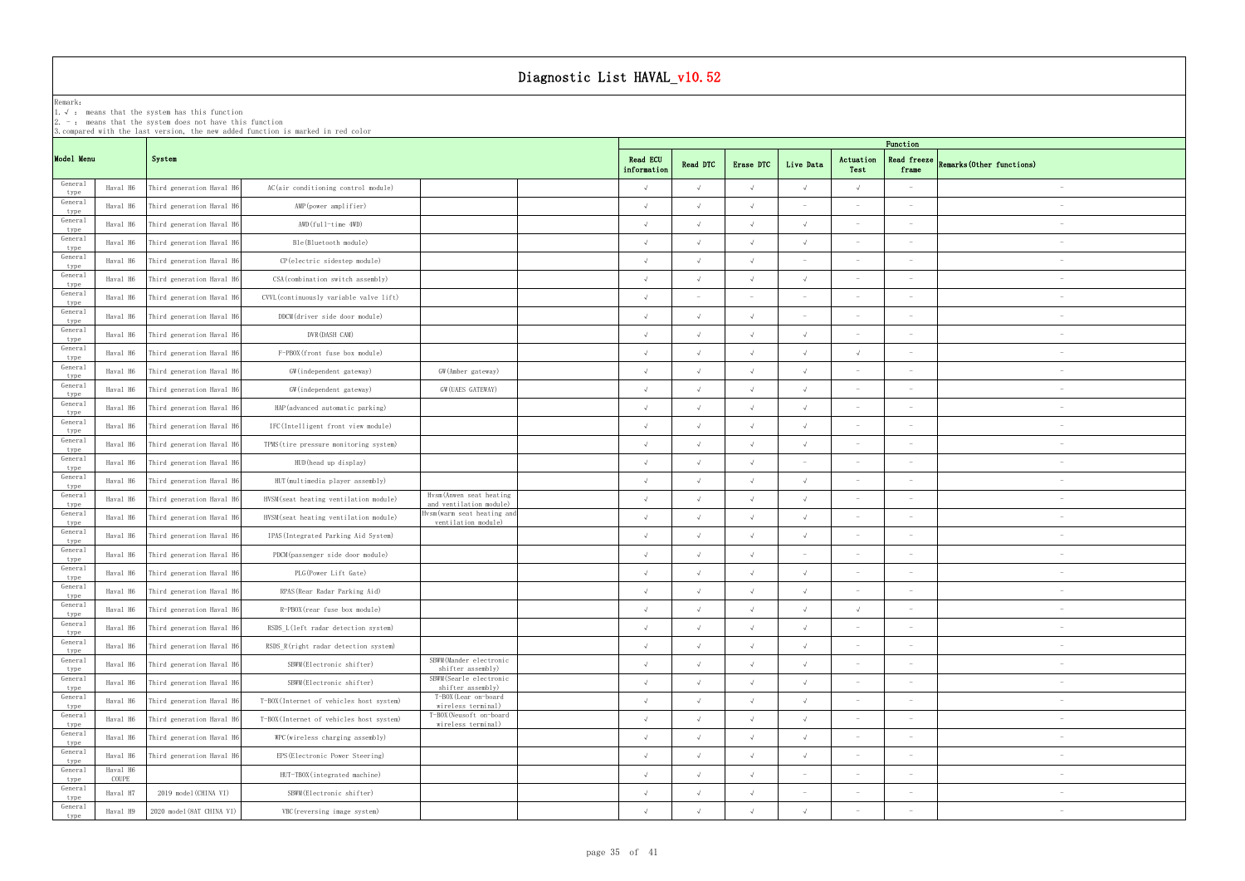|                 |                   |                                                                                                                       |                                                                                  | Diagnostic List HAVAL_v10.52                       |                                |            |            |                                 |                                 |                                 |                           |
|-----------------|-------------------|-----------------------------------------------------------------------------------------------------------------------|----------------------------------------------------------------------------------|----------------------------------------------------|--------------------------------|------------|------------|---------------------------------|---------------------------------|---------------------------------|---------------------------|
| Remark:         |                   | 1. $\sqrt{ }$ : means that the system has this function<br>$2. -$ : means that the system does not have this function |                                                                                  |                                                    |                                |            |            |                                 |                                 |                                 |                           |
|                 |                   |                                                                                                                       | 3. compared with the last version, the new added function is marked in red color |                                                    |                                |            |            |                                 |                                 | Function                        |                           |
| Model Menu      |                   | System                                                                                                                |                                                                                  |                                                    | <b>Read ECU</b><br>information | Read DTC   | Erase DTC  | Live Data                       | Actuation<br>Test               | Read freeze<br>frame            | Remarks (Other functions) |
| General<br>type | Haval H6          | Third generation Haval H6                                                                                             | AC(air conditioning control module)                                              |                                                    | $\sqrt{ }$                     | $\sqrt{ }$ | $\sqrt{ }$ | $\sqrt{ }$                      | $\sqrt{ }$                      |                                 |                           |
| General<br>type | Haval H6          | Third generation Haval H6                                                                                             | AMP (power amplifier)                                                            |                                                    | $\sqrt{ }$                     |            | $\sqrt{ }$ |                                 |                                 |                                 |                           |
| General<br>type | Haval H6          | Third generation Haval H6                                                                                             | AWD(full-time 4WD)                                                               |                                                    | $\sqrt{ }$                     |            | $\sqrt{ }$ |                                 |                                 |                                 |                           |
| General<br>type | Haval H6          | Third generation Haval H6                                                                                             | Ble(Bluetooth module)                                                            |                                                    |                                |            | $\sqrt{ }$ |                                 |                                 |                                 |                           |
| General<br>type | Haval H6          | Third generation Haval H6                                                                                             | CP(electric sidestep module)                                                     |                                                    | $\sqrt{ }$                     | $\sqrt{ }$ | $\sqrt{ }$ |                                 |                                 | $\overline{\phantom{0}}$        |                           |
| General<br>type | Haval H6          | Third generation Haval H6                                                                                             | CSA (combination switch assembly)                                                |                                                    | $\sqrt{ }$                     | $\sqrt{ }$ | $\sqrt{ }$ | $\sqrt{ }$                      |                                 |                                 |                           |
| General<br>type | Haval H6          | Third generation Haval H6                                                                                             | CVVL (continuously variable valve lift)                                          |                                                    | $\sqrt{ }$                     |            |            |                                 |                                 |                                 |                           |
| General<br>type | Haval H6          | Third generation Haval H6                                                                                             | DDCM(driver side door module)                                                    |                                                    | $\sqrt{ }$                     | $\sqrt{ }$ | $\sqrt{ }$ |                                 |                                 |                                 |                           |
| General<br>type | Haval H6          | Third generation Haval H6                                                                                             | DVR (DASH CAM)                                                                   |                                                    |                                | $\sqrt{ }$ | $\sqrt{ }$ | $\sqrt{ }$                      |                                 |                                 |                           |
| General<br>type | Haval H6          | Third generation Haval H6                                                                                             | F-PBOX(front fuse box module)                                                    |                                                    | $\sqrt{ }$                     |            | $\sqrt{ }$ |                                 |                                 |                                 |                           |
| General<br>type | Haval H6          | Third generation Haval H6                                                                                             | GW(independent gateway)                                                          | GW(Amber gateway)                                  |                                |            | $\sqrt{ }$ |                                 |                                 | $\sim$                          | $\overline{\phantom{a}}$  |
| General<br>type | Haval H6          | Third generation Haval H6                                                                                             | GW(independent gateway)                                                          | GW (UAES GATEWAY)                                  | $\sqrt{ }$                     | $\sqrt{ }$ | $\sqrt{ }$ | $\sqrt{ }$                      |                                 | $\overline{\phantom{0}}$        |                           |
| General<br>type | Haval H6          | Third generation Haval H6                                                                                             | HAP (advanced automatic parking)                                                 |                                                    | $\sqrt{ }$                     |            | $\sqrt{ }$ |                                 |                                 | $\hspace{0.1mm}-\hspace{0.1mm}$ |                           |
| General<br>type | Haval H6          | Third generation Haval H6                                                                                             | IFC(Intelligent front view module)                                               |                                                    | $\sqrt{ }$                     | $\sqrt{ }$ | $\sqrt{ }$ | $\sqrt{ }$                      |                                 |                                 |                           |
| General<br>type | Haval H6          | Third generation Haval H6                                                                                             | TPMS (tire pressure monitoring system)                                           |                                                    | $\sqrt{ }$                     |            | $\sqrt{ }$ | $\sqrt{ }$                      |                                 |                                 |                           |
| General<br>type | Haval H6          | Third generation Haval H6                                                                                             | HUD (head up display)                                                            |                                                    | $\sqrt{ }$                     |            | $\sqrt{ }$ |                                 | $\sim$                          | $\overline{\phantom{a}}$        | $\overline{\phantom{a}}$  |
| General<br>type | Haval H6          | Third generation Haval H6                                                                                             | HUT (multimedia player assembly)                                                 |                                                    |                                |            | $\sqrt{ }$ |                                 | $\sim$                          | $\overline{\phantom{a}}$        | $\overline{\phantom{m}}$  |
| General<br>type | Haval H6          | Third generation Haval H6                                                                                             | HVSM (seat heating ventilation module)                                           | Hysm(Anwen seat heating<br>and ventilation module) | $\sqrt{ }$                     | $\sqrt{ }$ | $\sqrt{ }$ | $\sqrt{ }$                      | $\sim$                          | $\hspace{0.1mm}-\hspace{0.1mm}$ | $\overline{\phantom{a}}$  |
| General<br>type | Haval H6          | Third generation Haval H6                                                                                             | HVSM (seat heating ventilation module)                                           | Hvsm(warm seat heating and<br>ventilation module)  | $\sqrt{ }$                     |            | $\sqrt{ }$ |                                 |                                 |                                 | $\equiv$                  |
| General<br>type | Haval H6          | Third generation Haval H6                                                                                             | IPAS (Integrated Parking Aid System)                                             |                                                    |                                |            | $\sqrt{ }$ | $\sqrt{ }$                      |                                 |                                 |                           |
| General<br>type | Haval H6          | Third generation Haval H6                                                                                             | PDCM(passenger side door module)                                                 |                                                    | $\sqrt{ }$                     | $\sqrt{ }$ | $\sqrt{ }$ |                                 |                                 | $\hspace{0.1mm}-\hspace{0.1mm}$ | $\overline{\phantom{a}}$  |
| General<br>type | Haval H6          | Third generation Haval H6                                                                                             | PLG (Power Lift Gate)                                                            |                                                    | $\sqrt{ }$                     | $\sqrt{ }$ | $\sqrt{ }$ | $\sqrt{ }$                      |                                 | $\hspace{0.1mm}-\hspace{0.1mm}$ | $\overline{\phantom{m}}$  |
| General<br>type | Haval H6          | Third generation Haval H6                                                                                             | RPAS (Rear Radar Parking Aid)                                                    |                                                    |                                |            | $\sqrt{ }$ |                                 |                                 |                                 | $\overline{\phantom{a}}$  |
| General<br>type | Haval H6          | Third generation Haval H6                                                                                             | R-PBOX(rear fuse box module)                                                     |                                                    | $\sqrt{ }$                     | $\sqrt{ }$ | $\sqrt{ }$ | $\sqrt{ }$                      | $\sqrt{ }$                      | $\sim$                          | $\overline{\phantom{m}}$  |
| General<br>type | Haval H6          | Third generation Haval H6                                                                                             | RSDS_L(left radar detection system)                                              |                                                    | $\sqrt{ }$                     | $\sqrt{ }$ | $\sqrt{ }$ | $\sqrt{ }$                      |                                 | $\overline{\phantom{a}}$        |                           |
| General<br>type | Haval H6          | Third generation Haval H6                                                                                             | RSDS R(right radar detection system)                                             |                                                    | $\sqrt{ }$                     | $\sqrt{ }$ | $\sqrt{ }$ | $\sqrt{ }$                      |                                 | $\hspace{0.1mm}-\hspace{0.1mm}$ |                           |
| General<br>type | Haval H6          | Third generation Haval H6                                                                                             | SBWM (Electronic shifter)                                                        | SBWM (Mander electronic<br>shifter assembly)       | $\sqrt{ }$                     | $\sqrt{ }$ | $\sqrt{ }$ | $\sqrt{ }$                      | $\sim$                          | $\overline{\phantom{a}}$        |                           |
| General<br>type | Haval H6          | Third generation Haval H6                                                                                             | SBWM (Electronic shifter)                                                        | SBWM(Searle electronic<br>shifter assembly)        | $\sqrt{ }$                     | $\sqrt{ }$ | $\sqrt{ }$ | $\sqrt{ }$                      | $\sim$                          | $\overline{\phantom{a}}$        |                           |
| General<br>type | Haval H6          | Third generation Haval H6                                                                                             | T-BOX(Internet of vehicles host system)                                          | T-BOX (Lear on-board<br>wireless terminal)         | $\sqrt{ }$                     |            | $\sqrt{ }$ |                                 | $\sim$                          |                                 | $\overline{\phantom{a}}$  |
| General<br>type | Haval H6          | Third generation Haval H6                                                                                             | T-BOX(Internet of vehicles host system)                                          | T-BOX (Neusoft on-board<br>wireless terminal)      | $\sqrt{ }$                     | $\sqrt{ }$ | $\sqrt{ }$ | $\sqrt{ }$                      | $\sim$                          | $\overline{\phantom{a}}$        | $\overline{\phantom{m}}$  |
| General<br>type | Haval H6          | Third generation Haval H6                                                                                             | WPC (wireless charging assembly)                                                 |                                                    | $\sqrt{ }$                     | $\sqrt{ }$ | $\sqrt{ }$ | $\sqrt{ }$                      | $\sim$                          | $\hspace{0.1mm}-\hspace{0.1mm}$ | $\overline{\phantom{m}}$  |
| General<br>type | Haval H6          | Third generation Haval H6                                                                                             | EPS (Electronic Power Steering)                                                  |                                                    | $\sqrt{ }$                     | $\sqrt{ }$ | $\sqrt{ }$ | $\sqrt{ }$                      |                                 | $\hspace{0.1mm}-\hspace{0.1mm}$ | $\overline{\phantom{m}}$  |
| General<br>type | Haval H6<br>COUPE |                                                                                                                       | HUT-TBOX(integrated machine)                                                     |                                                    | $\sqrt{ }$                     | $\sqrt{ }$ | $\sqrt{ }$ | $\hspace{0.1mm}-\hspace{0.1mm}$ |                                 | $\hspace{0.1mm}-\hspace{0.1mm}$ | $\overline{\phantom{m}}$  |
| General<br>type | Haval H7          | 2019 model (CHINA VI)                                                                                                 | SBWM (Electronic shifter)                                                        |                                                    | $\sqrt{ }$                     | $\sqrt{ }$ | $\sqrt{ }$ |                                 | $\hspace{0.1mm}-\hspace{0.1mm}$ | $\hspace{0.1mm}-\hspace{0.1mm}$ | $\overline{\phantom{a}}$  |
| General<br>type | Haval H9          | 2020 model (8AT CHINA VI)                                                                                             | VBC (reversing image system)                                                     |                                                    |                                |            | $\sqrt{ }$ |                                 |                                 |                                 |                           |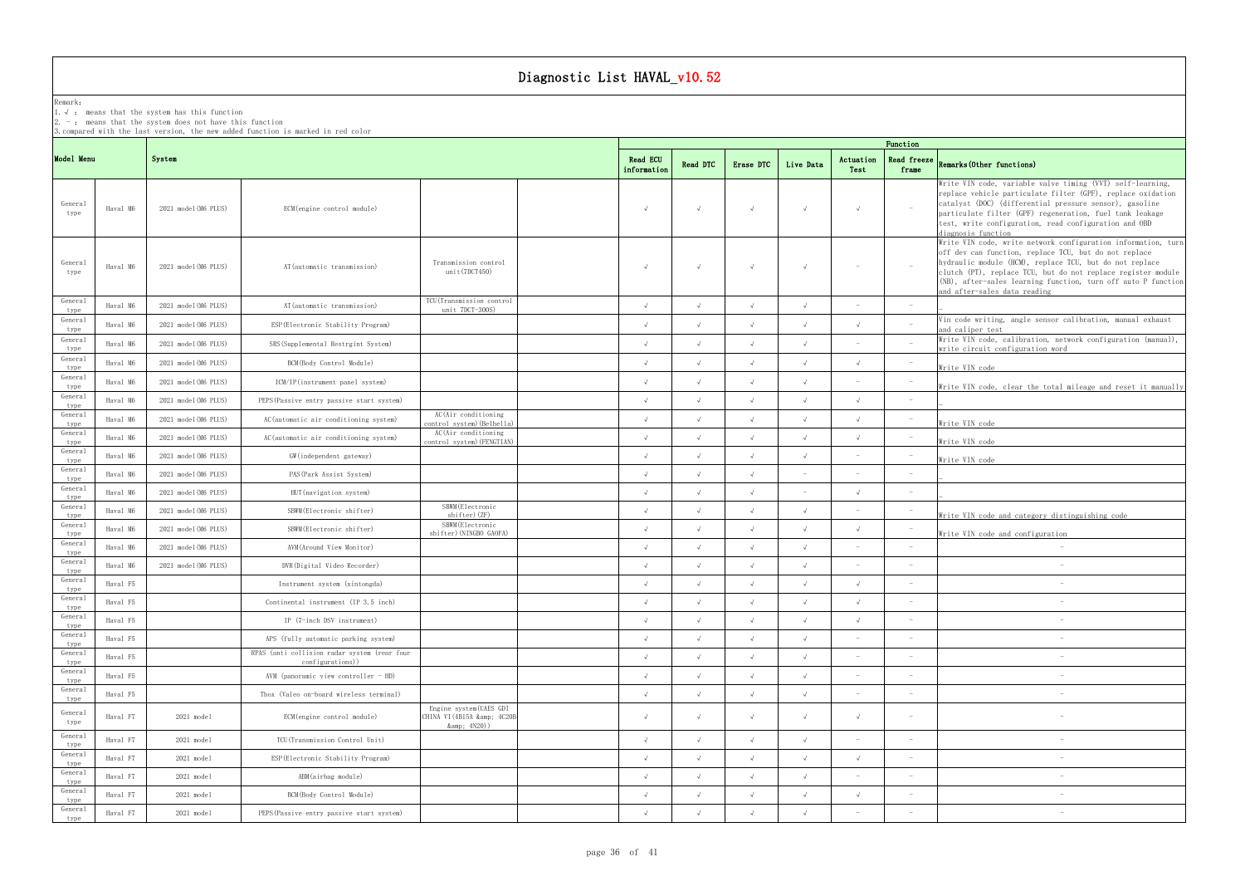### Remark: The contract of the contract of the contract of the contract of the contract of the contract of the contract of the contract of the contract of the contract of the contract of the contract of the contract of the co

1.√ : means that the systemhas this function

2. - : means that the system does not have this function

|                 |          |                      | 3.compared with the last version, the new added function is marked in red color |                                                               |                                |            |            |            |                   | Function                        |                                                                                                                                                                                                                                                                                                                                                    |
|-----------------|----------|----------------------|---------------------------------------------------------------------------------|---------------------------------------------------------------|--------------------------------|------------|------------|------------|-------------------|---------------------------------|----------------------------------------------------------------------------------------------------------------------------------------------------------------------------------------------------------------------------------------------------------------------------------------------------------------------------------------------------|
| Model Menu      |          | System               |                                                                                 |                                                               | <b>Read ECU</b><br>information | Read DTC   | Erase DTC  | Live Data  | Actuation<br>Test | Read freeze<br>frame            | Remarks (Other functions)                                                                                                                                                                                                                                                                                                                          |
| General<br>type | Haval M6 | 2021 model (M6 PLUS) | ECM (engine control module)                                                     |                                                               | $\sqrt{ }$                     | $\sqrt{ }$ | $\sqrt{ }$ | $\sqrt{ }$ | $\sqrt{ }$        | $\sim$                          | Write VIN code, variable valve timing (VVT) self-learning,<br>replace vehicle particulate filter (GPF), replace oxidation<br>catalyst (DOC) (differential pressure sensor), gasoline<br>particulate filter (GPF) regeneration, fuel tank leakage<br>test, write configuration, read configuration and OBD<br>diagnosis function                    |
| General<br>type | Haval M6 | 2021 model (M6 PLUS) | AT (automatic transmission)                                                     | Transmission control<br>unit(7DCT450)                         | $\sqrt{ }$                     | $\sqrt{ }$ | $\sqrt{ }$ | $\sqrt{ }$ | $\sim$            | $\mathcal{L}$                   | Write VIN code, write network configuration information, turn<br>off dev can function, replace TCU, but do not replace<br>hydraulic module (HCM), replace TCU, but do not replace<br>clutch (PT), replace TCU, but do not replace register module<br>(NB), after-sales learning function, turn off auto P function<br>and after-sales data reading |
| General<br>type | Haval M6 | 2021 model (M6 PLUS) | AT (automatic transmission)                                                     | TCU (Transmission control<br>unit 7DCT-300S)                  | $\sqrt{ }$                     | $\sqrt{ }$ | $\sqrt{ }$ | $\sqrt{ }$ |                   | $\sim$                          |                                                                                                                                                                                                                                                                                                                                                    |
| General<br>type | Haval M6 | 2021 model (M6 PLUS) | ESP (Electronic Stability Program)                                              |                                                               | $\sqrt{ }$                     |            | $\sqrt{ }$ | $\sqrt{ }$ |                   | $\sim$                          | Vin code writing, angle sensor calibration, manual exhaust<br>and caliper test                                                                                                                                                                                                                                                                     |
| General<br>type | Haval M6 | 2021 model (M6 PLUS) | SRS (Supplemental Restrgint System)                                             |                                                               |                                |            |            | $\sqrt{ }$ |                   | $\sim$                          | Write VIN code, calibration, network configuration (manual),<br>write circuit configuration word                                                                                                                                                                                                                                                   |
| General<br>type | Haval M6 | 2021 model (M6 PLUS) | BCM(Body Control Module)                                                        |                                                               |                                |            | $\sqrt{ }$ | $\sqrt{ }$ | $\sqrt{ }$        |                                 | Write VIN code                                                                                                                                                                                                                                                                                                                                     |
| General<br>type | Haval M6 | 2021 model (M6 PLUS) | ICM/IP(instrument panel system)                                                 |                                                               |                                | $\sqrt{ }$ | $\sqrt{ }$ | $\sqrt{ }$ |                   | $\sim$                          | Write VIN code, clear the total mileage and reset it manually                                                                                                                                                                                                                                                                                      |
| General<br>type | Haval M6 | 2021 model (M6 PLUS) | PEPS (Passive entry passive start system)                                       |                                                               | $\sqrt{ }$                     | $\sqrt{ }$ | $\sqrt{ }$ | $\sqrt{ }$ | $\sqrt{ }$        | $\overline{\phantom{a}}$        |                                                                                                                                                                                                                                                                                                                                                    |
| General<br>type | Haval M6 | 2021 model (M6 PLUS) | AC (automatic air conditioning system)                                          | AC(Air conditioning<br>control system) (Belhella)             |                                |            | $\sqrt{ }$ | $\sqrt{ }$ |                   |                                 | Write VIN code                                                                                                                                                                                                                                                                                                                                     |
| General<br>type | Haval M6 | 2021 model (M6 PLUS) | AC (automatic air conditioning system)                                          | AC(Air conditioning<br>control system) (FENGTIAN)             | $\sqrt{ }$                     |            | $\sqrt{ }$ | $\sqrt{ }$ |                   |                                 | Write VIN code                                                                                                                                                                                                                                                                                                                                     |
| General<br>type | Haval M6 | 2021 model (M6 PLUS) | GW(independent gateway)                                                         |                                                               | $\sqrt{ }$                     |            | $\sqrt{ }$ | $\sqrt{ }$ |                   |                                 | Write VIN code                                                                                                                                                                                                                                                                                                                                     |
| General<br>type | Haval M6 | 2021 model (M6 PLUS) | PAS (Park Assist System)                                                        |                                                               | $\sqrt{ }$                     |            | $\sqrt{ }$ |            |                   |                                 |                                                                                                                                                                                                                                                                                                                                                    |
| General<br>type | Haval M6 | 2021 model (M6 PLUS) | HUT (navigation system)                                                         |                                                               | $\sqrt{ }$                     | $\sqrt{ }$ | $\sqrt{ }$ |            | $\sqrt{ }$        | $\sim$                          |                                                                                                                                                                                                                                                                                                                                                    |
| General<br>type | Haval M6 | 2021 model (M6 PLUS) | SBWM (Electronic shifter)                                                       | SBWM (Electronic<br>shifter) (ZF)                             | $\sqrt{ }$                     | $\sqrt{ }$ | $\sqrt{ }$ | $\sqrt{ }$ |                   |                                 | Write VIN code and category distinguishing code                                                                                                                                                                                                                                                                                                    |
| General<br>type | Haval M6 | 2021 model (M6 PLUS) | SBWM (Electronic shifter)                                                       | SBWM (Electronic<br>shifter) (NINGBO GAOFA)                   |                                |            |            | $\sqrt{ }$ | $\sqrt{ }$        |                                 | Write VIN code and configuration                                                                                                                                                                                                                                                                                                                   |
| General<br>type | Haval M6 | 2021 model(M6 PLUS)  | AVM(Around View Monitor)                                                        |                                                               | $\sqrt{ }$                     | $\sqrt{ }$ | $\sqrt{ }$ | $\sqrt{ }$ | $\sim$            | $\sim$                          | $\sim$                                                                                                                                                                                                                                                                                                                                             |
| General<br>type | Haval M6 | 2021 model(M6 PLUS)  | DVR (Digital Video Recorder)                                                    |                                                               | $\sqrt{ }$                     |            | $\sqrt{ }$ | $\sqrt{ }$ |                   | $\sim$                          |                                                                                                                                                                                                                                                                                                                                                    |
| General<br>type | Haval F5 |                      | Instrument system (xintongda)                                                   |                                                               | $\sqrt{ }$                     | $\sqrt{ }$ | $\sqrt{ }$ | $\sqrt{ }$ | $\sqrt{ }$        | $\sim$                          |                                                                                                                                                                                                                                                                                                                                                    |
| General<br>type | Haval F5 |                      | Continental instrument (IP 3.5 inch)                                            |                                                               | $\sqrt{ }$                     | $\sqrt{ }$ | $\sqrt{ }$ | $\sqrt{ }$ | $\sqrt{ }$        |                                 |                                                                                                                                                                                                                                                                                                                                                    |
| General<br>type | Haval F5 |                      | IP (7-inch DSV instrument)                                                      |                                                               | $\sqrt{ }$                     | $\sqrt{ }$ | $\sqrt{ }$ | $\sqrt{ }$ | $\sqrt{ }$        |                                 |                                                                                                                                                                                                                                                                                                                                                    |
| General<br>type | Haval F5 |                      | APS (fully automatic parking system)                                            |                                                               |                                |            | $\sqrt{ }$ | $\sqrt{ }$ |                   | $\overline{\phantom{a}}$        |                                                                                                                                                                                                                                                                                                                                                    |
| General<br>type | Haval F5 |                      | RPAS (anti collision radar system (rear four<br>configurations))                |                                                               |                                |            |            |            |                   |                                 |                                                                                                                                                                                                                                                                                                                                                    |
| General<br>type | Haval F5 |                      | AVM (panoramic view controller - HD)                                            |                                                               | $\sqrt{ }$                     |            | $\sqrt{ }$ | $\sqrt{ }$ |                   | $\sim$                          |                                                                                                                                                                                                                                                                                                                                                    |
| General<br>type | Haval F5 |                      | Tbox (Valeo on-board wireless terminal)                                         |                                                               | $\sqrt{ }$                     | $\sqrt{ }$ | $\sqrt{ }$ | $\sqrt{ }$ |                   | $\sim$                          |                                                                                                                                                                                                                                                                                                                                                    |
| General<br>type | Haval F7 | 2021 model           | ECM(engine control module)                                                      | Engine system(UAES GDI<br>CHINA VI (4B15A & 4C20B<br>& 4N20)) | $\sqrt{ }$                     |            | $\sqrt{ }$ | $\sqrt{ }$ | $\sqrt{ }$        | $\sim$                          | $\sim$                                                                                                                                                                                                                                                                                                                                             |
| General<br>type | Haval F7 | 2021 model           | TCU(Transmission Control Unit)                                                  |                                                               | $\sqrt{ }$                     | $\sqrt{ }$ | $\sqrt{ }$ | $\sqrt{ }$ |                   | $\hspace{0.1mm}-\hspace{0.1mm}$ |                                                                                                                                                                                                                                                                                                                                                    |
| General<br>type | Haval F7 | 2021 model           | ESP (Electronic Stability Program)                                              |                                                               |                                |            | $\sqrt{ }$ | $\sqrt{ }$ |                   | $\qquad \qquad -$               |                                                                                                                                                                                                                                                                                                                                                    |
| General<br>type | Haval F7 | 2021 model           | ABM(airbag module)                                                              |                                                               |                                |            |            | $\sqrt{ }$ |                   | $\overline{\phantom{a}}$        |                                                                                                                                                                                                                                                                                                                                                    |
| General<br>type | Haval F7 | 2021 model           | BCM(Body Control Module)                                                        |                                                               | $\sqrt{ }$                     |            | $\sqrt{ }$ | $\sqrt{ }$ | $\sqrt{ }$        | $\overline{\phantom{a}}$        |                                                                                                                                                                                                                                                                                                                                                    |
| General<br>type | Haval F7 | 2021 model           | PEPS (Passive entry passive start system)                                       |                                                               | $\sqrt{ }$                     |            | $\sqrt{ }$ | $\sqrt{ }$ |                   | $\overline{\phantom{a}}$        |                                                                                                                                                                                                                                                                                                                                                    |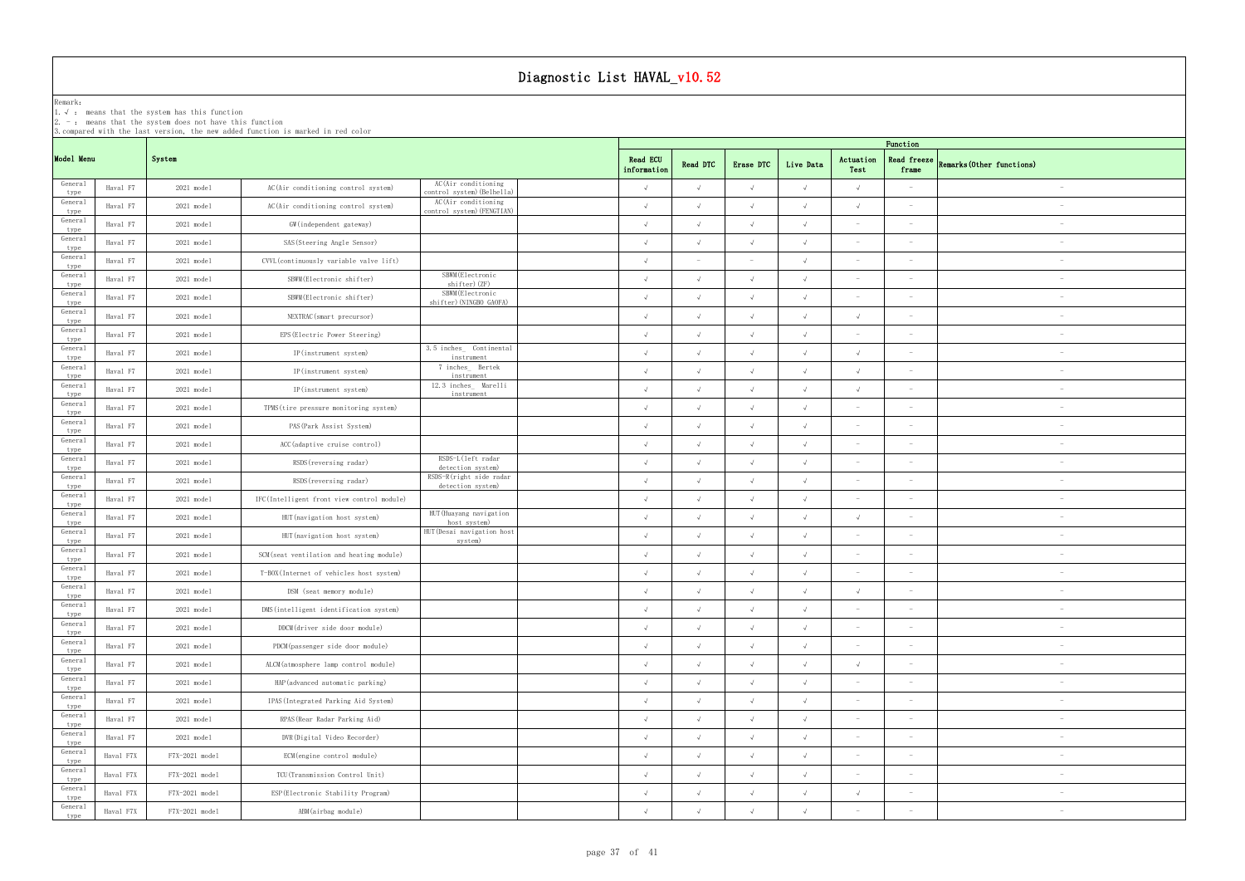| Diagnostic List HAVAL_v10.52 |                                                                                                                                                                                                           |                      |                                            |                                                   |  |                                |            |                          |            |                          |                                 |                           |  |  |  |
|------------------------------|-----------------------------------------------------------------------------------------------------------------------------------------------------------------------------------------------------------|----------------------|--------------------------------------------|---------------------------------------------------|--|--------------------------------|------------|--------------------------|------------|--------------------------|---------------------------------|---------------------------|--|--|--|
| Remark:                      | 1. $\sqrt{ }$ : means that the system has this function<br>$2. -$ : means that the system does not have this function<br>3. compared with the last version, the new added function is marked in red color |                      |                                            |                                                   |  |                                |            |                          |            |                          |                                 |                           |  |  |  |
|                              |                                                                                                                                                                                                           |                      |                                            |                                                   |  |                                | Function   |                          |            |                          |                                 |                           |  |  |  |
| Model Menu                   |                                                                                                                                                                                                           | System               |                                            |                                                   |  | <b>Read ECU</b><br>information | Read DTC   | Erase DTC                | Live Data  | Actuation<br>Test        | Read freeze<br>frame            | Remarks (Other functions) |  |  |  |
| General<br>type              | Haval F7                                                                                                                                                                                                  | 2021 model           | AC(Air conditioning control system)        | AC(Air conditioning<br>control system) (Belhella) |  | $\sqrt{ }$                     | $\sqrt{ }$ | $\sqrt{ }$               | $\sqrt{ }$ | $\sqrt{ }$               |                                 |                           |  |  |  |
| General<br>type              | Haval F7                                                                                                                                                                                                  | 2021 model           | AC(Air conditioning control system)        | AC(Air conditioning<br>control system) (FENGTIAN) |  | $\sqrt{ }$                     | $\sqrt{ }$ | $\sqrt{ }$               |            | $\sqrt{ }$               |                                 |                           |  |  |  |
| General<br>type              | Haval F7                                                                                                                                                                                                  | $2021 \text{ model}$ | GW (independent gateway)                   |                                                   |  | $\sqrt{ }$                     | $\sqrt{ }$ | $\sqrt{ }$               |            |                          | $\overline{\phantom{a}}$        |                           |  |  |  |
| General<br>type              | Haval F7                                                                                                                                                                                                  | 2021 model           | SAS (Steering Angle Sensor)                |                                                   |  | $\sqrt{ }$                     | $\sqrt{ }$ | $\sqrt{ }$               |            |                          |                                 |                           |  |  |  |
| General<br>type              | Haval F7                                                                                                                                                                                                  | $2021 \text{ model}$ | CVVL (continuously variable valve lift)    |                                                   |  | $\sqrt{ }$                     |            | $\overline{\phantom{0}}$ |            | $\sim$                   |                                 |                           |  |  |  |
| General<br>type              | Haval F7                                                                                                                                                                                                  | 2021 model           | SBWM (Electronic shifter)                  | SBWM (Electronic<br>shifter) (ZF)                 |  | $\sqrt{ }$                     | $\sqrt{ }$ | $\sqrt{ }$               | $\sqrt{ }$ | $\overline{\phantom{0}}$ | $\overline{\phantom{0}}$        | $\overline{\phantom{a}}$  |  |  |  |
| General<br>type              | Haval F7                                                                                                                                                                                                  | 2021 model           | SBWM (Electronic shifter)                  | SBWM (Electronic<br>shifter) (NINGBO GAOFA)       |  | $\sqrt{ }$                     | $\sqrt{ }$ | $\sqrt{ }$               | $\sqrt{ }$ |                          |                                 | $\overline{\phantom{a}}$  |  |  |  |
| General<br>type              | Haval F7                                                                                                                                                                                                  | 2021 model           | NEXTRAC (smart precursor)                  |                                                   |  | $\sqrt{ }$                     | $\sqrt{ }$ | $\sqrt{ }$               | $\sqrt{ }$ | $\sqrt{ }$               |                                 |                           |  |  |  |
| General<br>type              | Haval F7                                                                                                                                                                                                  | 2021 model           | EPS (Electric Power Steering)              |                                                   |  | $\sqrt{ }$                     | $\sqrt{ }$ | $\sqrt{ }$               | $\sqrt{ }$ |                          |                                 |                           |  |  |  |
| General<br>type              | Haval F7                                                                                                                                                                                                  | 2021 model           | IP(instrument system)                      | 3.5 inches Continental<br>instrument              |  | $\sqrt{ }$                     | $\sqrt{ }$ | $\sqrt{ }$               |            | $\sqrt{ }$               |                                 | $\overline{\phantom{a}}$  |  |  |  |
| General<br>type              | Haval F7                                                                                                                                                                                                  | 2021 model           | IP(instrument system)                      | 7 inches_ Bertek<br>instrument                    |  | $\Lambda$                      |            | $\sqrt{ }$               |            | $\Lambda$                |                                 | $\overline{\phantom{a}}$  |  |  |  |
| General<br>type              | Haval F7                                                                                                                                                                                                  | 2021 model           | IP(instrument system)                      | 12.3 inches_ Marelli<br>instrument                |  | $\Lambda$                      | $\sqrt{ }$ | $\sqrt{ }$               |            | $\Lambda$                | $\sim$                          | $\overline{\phantom{a}}$  |  |  |  |
| General<br>type              | Haval F7                                                                                                                                                                                                  | 2021 model           | TPMS (tire pressure monitoring system)     |                                                   |  | $\sqrt{ }$                     | $\sqrt{ }$ | $\sqrt{ }$               | $\sqrt{ }$ |                          | $\overline{\phantom{0}}$        | $\overline{\phantom{a}}$  |  |  |  |
| General<br>type              | Haval F7                                                                                                                                                                                                  | 2021 model           | PAS (Park Assist System)                   |                                                   |  | $\sqrt{ }$                     |            | $\sqrt{ }$               |            |                          |                                 |                           |  |  |  |
| General<br>type              | Haval F7                                                                                                                                                                                                  | 2021 model           | ACC (adaptive cruise control)              |                                                   |  | $\sqrt{ }$                     | $\sqrt{ }$ | $\sqrt{ }$               | $\sqrt{ }$ | $\sim$                   |                                 |                           |  |  |  |
| General<br>type              | Haval F7                                                                                                                                                                                                  | $2021 \text{ model}$ | RSDS (reversing radar)                     | RSDS-L(left radar<br>detection system)            |  | $\sqrt{ }$                     |            | $\sqrt{ }$               |            |                          |                                 |                           |  |  |  |
| General<br>type              | Haval F7                                                                                                                                                                                                  | 2021 model           | RSDS (reversing radar)                     | RSDS-R(right side radar<br>detection system)      |  | $\sqrt{ }$                     |            | $\sqrt{ }$               |            | $\sim$                   | $\overline{\phantom{a}}$        |                           |  |  |  |
| General<br>type              | Haval F7                                                                                                                                                                                                  | $2021 \text{ model}$ | IFC(Intelligent front view control module) |                                                   |  | $\sqrt{ }$                     | $\sqrt{ }$ | $\sqrt{ }$               | $\sqrt{ }$ | $\sim$                   | $\sim$                          | $\overline{\phantom{a}}$  |  |  |  |
| General<br>type              | Haval F7                                                                                                                                                                                                  | 2021 model           | HUT (navigation host system)               | HUT (Huayang navigation<br>host system)           |  | $\sqrt{ }$                     |            | $\sqrt{ }$               |            | $\sqrt{ }$               |                                 | $\overline{\phantom{a}}$  |  |  |  |
| General<br>type              | Haval F7                                                                                                                                                                                                  | $2021$ model         | HUT (navigation host system)               | HUT (Desai navigation host<br>system)             |  | $\sqrt{ }$                     | $\sqrt{ }$ | $\sqrt{ }$               | $\sqrt{ }$ |                          |                                 |                           |  |  |  |
| General<br>type              | Haval F7                                                                                                                                                                                                  | 2021 model           | SCM (seat ventilation and heating module)  |                                                   |  | $\sqrt{ }$                     | $\sqrt{ }$ | $\sqrt{ }$               | $\sqrt{ }$ | $\sim$                   | $\overline{\phantom{a}}$        | $\overline{\phantom{a}}$  |  |  |  |
| General<br>type              | Haval F7                                                                                                                                                                                                  | 2021 model           | T-BOX(Internet of vehicles host system)    |                                                   |  | $\sqrt{ }$                     | $\sqrt{ }$ | $\sqrt{ }$               | $\sqrt{ }$ |                          | $\hspace{0.1mm}-\hspace{0.1mm}$ | $\overline{\phantom{a}}$  |  |  |  |
| General<br>type              | Haval F7                                                                                                                                                                                                  | 2021 model           | DSM (seat memory module)                   |                                                   |  | $\sqrt{ }$                     | $\sqrt{ }$ | $\sqrt{ }$               | $\sqrt{ }$ | $\sqrt{ }$               | $\overline{\phantom{a}}$        | $\overline{\phantom{a}}$  |  |  |  |
| General<br>type              | Haval F7                                                                                                                                                                                                  | 2021 model           | DMS (intelligent identification system)    |                                                   |  | $\sqrt{ }$                     | $\sqrt{ }$ | $\sqrt{ }$               | $\sqrt{ }$ | $\sim$                   | $\sim$                          | $\overline{\phantom{a}}$  |  |  |  |
| General<br>type              | Haval F7                                                                                                                                                                                                  | 2021 model           | DDCM(driver side door module)              |                                                   |  | $\sqrt{ }$                     | $\sqrt{ }$ | $\sqrt{ }$               | $\sqrt{ }$ | $\sim$                   | $\sim$                          | $\overline{\phantom{m}}$  |  |  |  |
| General<br>type              | Haval F7                                                                                                                                                                                                  | $2021$ model         | PDCM(passenger side door module)           |                                                   |  | $\sqrt{ }$                     | $\sqrt{ }$ | $\sqrt{ }$               | $\sqrt{ }$ | $\sim$                   | $\sim$                          | $\overline{\phantom{a}}$  |  |  |  |
| General<br>type              | Haval F7                                                                                                                                                                                                  | $2021$ model         | ALCM(atmosphere lamp control module)       |                                                   |  | $\sqrt{ }$                     | $\sqrt{ }$ | $\sqrt{ }$               | $\sqrt{ }$ | $\sqrt{ }$               | $\hspace{0.1mm}-\hspace{0.1mm}$ | $\overline{\phantom{a}}$  |  |  |  |
| General<br>type              | Haval F7                                                                                                                                                                                                  | 2021 model           | HAP (advanced automatic parking)           |                                                   |  | $\sqrt{ }$                     | $\sqrt{ }$ | $\sqrt{ }$               | $\sqrt{ }$ | $\sim$                   | $\sim$                          | $\overline{\phantom{a}}$  |  |  |  |
| General<br>type              | Haval F7                                                                                                                                                                                                  | 2021 model           | IPAS (Integrated Parking Aid System)       |                                                   |  | $\sqrt{ }$                     | $\sqrt{ }$ | $\sqrt{ }$               | $\sqrt{ }$ | $\sim$                   | $\sim$                          | $\overline{\phantom{a}}$  |  |  |  |
| General<br>type              | Haval F7                                                                                                                                                                                                  | 2021 model           | RPAS (Rear Radar Parking Aid)              |                                                   |  | $\sqrt{ }$                     | $\sqrt{ }$ | $\sqrt{ }$               | $\sqrt{ }$ | $\sim$                   | $\sim$                          | $\overline{\phantom{m}}$  |  |  |  |
| General<br>type              | Haval F7                                                                                                                                                                                                  | 2021 model           | DVR (Digital Video Recorder)               |                                                   |  | $\sqrt{ }$                     | $\sqrt{ }$ | $\sqrt{ }$               | $\sqrt{ }$ | $\sim$                   | $\sim$                          | $\overline{\phantom{m}}$  |  |  |  |
| General<br>type              | Haval F7X                                                                                                                                                                                                 | F7X-2021 model       | ECM(engine control module)                 |                                                   |  | $\sqrt{ }$                     | $\sqrt{ }$ | $\sqrt{ }$               | $\sqrt{ }$ | $\sim$                   | $\sim$                          | $\overline{\phantom{m}}$  |  |  |  |
| General<br>type              | Haval F7X                                                                                                                                                                                                 | F7X-2021 model       | TCU(Transmission Control Unit)             |                                                   |  | $\sqrt{ }$                     | $\sqrt{ }$ | $\sqrt{ }$               | $\sqrt{ }$ | $\sim$                   | $\hspace{0.1mm}-\hspace{0.1mm}$ |                           |  |  |  |
| General<br>type              | Haval F7X                                                                                                                                                                                                 | F7X-2021 model       | ESP (Electronic Stability Program)         |                                                   |  | $\sqrt{ }$                     | $\sqrt{ }$ | $\sqrt{ }$               | $\sqrt{ }$ | $\sqrt{ }$               | $\sim$                          | $\overline{\phantom{a}}$  |  |  |  |
| General<br>type              | Haval F7X                                                                                                                                                                                                 | F7X-2021 model       | ABM(airbag module)                         |                                                   |  | $\sqrt{ }$                     | $\sqrt{ }$ | $\sqrt{ }$               | $\sqrt{ }$ |                          | $\hspace{0.1mm}-\hspace{0.1mm}$ | $\overline{\phantom{a}}$  |  |  |  |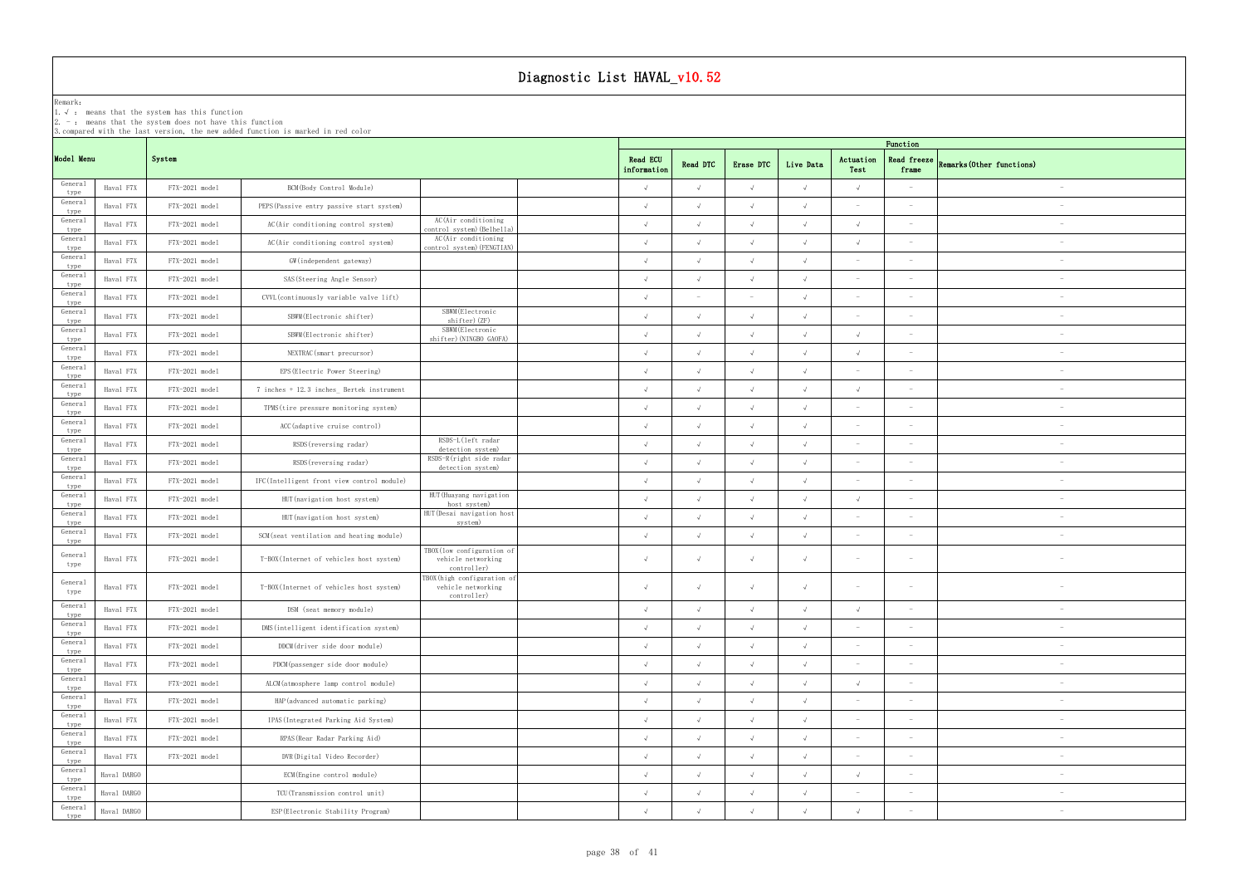|                         |             |                                                                                                                       |                                                                                  |                                                                  | Diagnostic List HAVAL_v10.52 |             |            |            |            |                                 |                                 |                           |                                 |
|-------------------------|-------------|-----------------------------------------------------------------------------------------------------------------------|----------------------------------------------------------------------------------|------------------------------------------------------------------|------------------------------|-------------|------------|------------|------------|---------------------------------|---------------------------------|---------------------------|---------------------------------|
| Remark:                 |             | 1. $\sqrt{ }$ : means that the system has this function<br>$2. -$ : means that the system does not have this function | 3. compared with the last version, the new added function is marked in red color |                                                                  |                              |             |            |            |            |                                 |                                 |                           |                                 |
| Model Menu              |             | System                                                                                                                |                                                                                  |                                                                  |                              | Read ECU    | Read DTC   | Erase DTC  | Live Data  | Actuation                       | Function<br>Read freeze         | Remarks (Other functions) |                                 |
| General                 | Haval F7X   | F7X-2021 model                                                                                                        | BCM (Body Control Module)                                                        |                                                                  |                              | information |            | $\sqrt{ }$ |            | Test<br>$\sqrt{ }$              | frame                           |                           |                                 |
| type<br>General         | Haval F7X   | F7X-2021 model                                                                                                        | PEPS (Passive entry passive start system)                                        |                                                                  |                              |             |            | $\sqrt{ }$ |            |                                 |                                 |                           |                                 |
| type<br>General         | Haval F7X   | F7X-2021 model                                                                                                        | AC(Air conditioning control system)                                              | AC(Air conditioning                                              |                              | $\sqrt{ }$  |            | $\sqrt{ }$ | $\sqrt{ }$ | $\sqrt{ }$                      | $\overline{\phantom{a}}$        |                           |                                 |
| type<br>General         | Haval F7X   | F7X-2021 model                                                                                                        |                                                                                  | control system) (Belhella)<br>AC(Air conditioning                |                              | $\sqrt{ }$  |            | $\sqrt{ }$ | $\sqrt{ }$ | $\sqrt{ }$                      | $\overline{\phantom{a}}$        |                           |                                 |
| type<br>General         |             |                                                                                                                       | AC(Air conditioning control system)                                              | control system) (FENGTIAN)                                       |                              | $\sqrt{ }$  |            |            |            |                                 |                                 |                           |                                 |
| type<br>General         | Haval F7X   | F7X-2021 model                                                                                                        | GW(independent gateway)                                                          |                                                                  |                              |             |            | $\sqrt{ }$ | $\sqrt{ }$ | $\overline{\phantom{a}}$        |                                 |                           |                                 |
| type<br>General         | Haval F7X   | F7X-2021 model                                                                                                        | SAS (Steering Angle Sensor)                                                      |                                                                  |                              | $\sqrt{ }$  | $\sqrt{ }$ | $\sqrt{ }$ | $\sqrt{ }$ | $\sim$                          | $\overline{\phantom{a}}$        |                           |                                 |
| type<br>General         | Haval F7X   | F7X-2021 model                                                                                                        | CVVL (continuously variable valve lift)                                          | SBWM (Electronic                                                 |                              |             |            |            | $\sqrt{ }$ |                                 |                                 |                           |                                 |
| type<br>General         | Haval F7X   | F7X-2021 model                                                                                                        | SBWM (Electronic shifter)                                                        | shifter) (ZF)<br>SBWM (Electronic                                |                              | $\sqrt{ }$  |            | $\sqrt{ }$ | $\sqrt{ }$ | $\sim$                          | $\overline{\phantom{a}}$        |                           |                                 |
| type                    | Haval F7X   | F7X-2021 model                                                                                                        | SBWM (Electronic shifter)                                                        | shifter) (NINGBO GAOFA)                                          |                              | $\cdot$     |            | $\sqrt{ }$ | $\sqrt{ }$ | $\sqrt{ }$                      | $\sim$                          |                           |                                 |
| General<br>type         | Haval F7X   | F7X-2021 model                                                                                                        | NEXTRAC (smart precursor)                                                        |                                                                  |                              |             |            | $\sqrt{ }$ | $\sqrt{ }$ | $\sqrt{ }$                      | $\hspace{0.1mm}-\hspace{0.1mm}$ |                           |                                 |
| General<br>type         | Haval F7X   | F7X-2021 model                                                                                                        | EPS (Electric Power Steering)                                                    |                                                                  |                              | $\sqrt{ }$  |            | $\sqrt{ }$ | $\sqrt{ }$ |                                 |                                 |                           |                                 |
| General<br>type         | Haval F7X   | F7X-2021 model                                                                                                        | 7 inches + 12.3 inches_ Bertek instrument                                        |                                                                  |                              | $\sqrt{ }$  |            | $\sqrt{ }$ | $\sqrt{ }$ | $\sqrt{ }$                      |                                 |                           |                                 |
| General<br>type         | Haval F7X   | F7X-2021 model                                                                                                        | TPMS (tire pressure monitoring system)                                           |                                                                  |                              | $\sqrt{ }$  |            | $\sqrt{ }$ | $\sqrt{ }$ |                                 |                                 |                           |                                 |
| General<br>type         | Haval F7X   | F7X-2021 model                                                                                                        | ACC (adaptive cruise control)                                                    |                                                                  |                              |             |            | $\sqrt{ }$ |            |                                 |                                 |                           |                                 |
| General<br>type         | Haval F7X   | F7X-2021 model                                                                                                        | RSDS (reversing radar)                                                           | RSDS-L(left radar<br>detection system)                           |                              | $\sqrt{ }$  |            | $\sqrt{ }$ | $\sqrt{ }$ | $\sim$                          | $\sim$                          |                           |                                 |
| General<br>type         | Haval F7X   | F7X-2021 model                                                                                                        | RSDS (reversing radar)                                                           | RSDS-R(right side radar<br>detection system)                     |                              |             |            | $\sqrt{ }$ | $\sqrt{ }$ | $\sim$                          | $\hspace{0.1mm}-\hspace{0.1mm}$ |                           |                                 |
| General<br>type         | Haval F7X   | F7X-2021 model                                                                                                        | IFC(Intelligent front view control module)                                       |                                                                  |                              | $\sqrt{ }$  |            | $\sqrt{ }$ | $\sqrt{ }$ |                                 | $\sim$                          |                           |                                 |
| General<br>type         | Haval F7X   | F7X-2021 model                                                                                                        | HUT (navigation host system)                                                     | HUT (Huayang navigation<br>host system)                          |                              | $\sqrt{ }$  |            | $\sqrt{ }$ | $\sqrt{ }$ | $\sqrt{ }$                      |                                 |                           |                                 |
| General                 | Haval F7X   | F7X-2021 model                                                                                                        | HUT (navigation host system)                                                     | HUT (Desai navigation host                                       |                              |             |            |            |            |                                 |                                 |                           |                                 |
| type<br>General         | Haval F7X   | F7X-2021 model                                                                                                        | SCM (seat ventilation and heating module)                                        | system)                                                          |                              | $\sqrt{ }$  | $\sqrt{ }$ | $\sqrt{ }$ | $\sqrt{ }$ | $\sim$                          | $\overline{\phantom{a}}$        |                           |                                 |
| type<br>General<br>type | Haval F7X   | F7X-2021 model                                                                                                        | T-BOX(Internet of vehicles host system)                                          | TBOX(low configuration of<br>vehicle networking<br>controller)   |                              | $\sqrt{ }$  |            | $\sqrt{ }$ | $\sqrt{ }$ | $\sim$                          | $\hspace{0.1mm}-\hspace{0.1mm}$ |                           |                                 |
| General<br>type         | Haval F7X   | F7X-2021 model                                                                                                        | T-BOX(Internet of vehicles host system)                                          | TBOX (high configuration of<br>vehicle networking<br>controller) |                              |             |            | $\sqrt{ }$ | $\sqrt{ }$ | $\sim$                          | $\sim$                          |                           |                                 |
| General<br>type         | Haval F7X   | F7X-2021 model                                                                                                        | DSM (seat memory module)                                                         |                                                                  |                              | $\sqrt{ }$  |            | $\sqrt{ }$ | $\sqrt{ }$ | $\sqrt{ }$                      |                                 |                           |                                 |
| General<br>type         | Haval F7X   | F7X-2021 model                                                                                                        | DMS (intelligent identification system)                                          |                                                                  |                              | $\sqrt{ }$  |            | $\sqrt{ }$ | $\sqrt{ }$ |                                 |                                 |                           |                                 |
| General<br>type         | Haval F7X   | F7X-2021 model                                                                                                        | DDCM(driver side door module)                                                    |                                                                  |                              | $\sqrt{ }$  |            | $\sqrt{ }$ | $\sqrt{ }$ |                                 |                                 |                           | $\hspace{0.1mm}-\hspace{0.1mm}$ |
| General<br>type         | Haval F7X   | F7X-2021 model                                                                                                        | PDCM(passenger side door module)                                                 |                                                                  |                              |             |            | $\sqrt{ }$ | $\sqrt{ }$ |                                 |                                 |                           | $\hspace{0.1mm}-\hspace{0.1mm}$ |
| General                 | Haval F7X   | F7X-2021 model                                                                                                        | ALCM(atmosphere lamp control module)                                             |                                                                  |                              | $\sqrt{ }$  |            | $\sqrt{ }$ | $\sqrt{ }$ | $\sqrt{ }$                      | $\overline{\phantom{a}}$        |                           |                                 |
| type<br>General         | Haval F7X   | F7X-2021 model                                                                                                        | HAP (advanced automatic parking)                                                 |                                                                  |                              | $\sqrt{ }$  |            | $\sqrt{ }$ | $\sqrt{ }$ | $\hspace{0.1mm}-\hspace{0.1mm}$ | $\overline{\phantom{a}}$        |                           | $\overline{\phantom{0}}$        |
| type<br>General         | Haval F7X   | F7X-2021 model                                                                                                        | IPAS (Integrated Parking Aid System)                                             |                                                                  |                              | $\sqrt{ }$  |            | $\sqrt{ }$ | $\sqrt{ }$ | $\hspace{0.1mm}-\hspace{0.1mm}$ |                                 |                           |                                 |
| type<br>General         | Haval F7X   | F7X-2021 model                                                                                                        | RPAS (Rear Radar Parking Aid)                                                    |                                                                  |                              | $\sqrt{ }$  |            | $\sqrt{ }$ | $\sqrt{ }$ | $\sim$                          | $\overline{\phantom{a}}$        |                           |                                 |
| type<br>General         | Haval F7X   | F7X-2021 model                                                                                                        | DVR (Digital Video Recorder)                                                     |                                                                  |                              |             |            | $\sqrt{ }$ | $\sqrt{ }$ | $\sim$                          | $\hspace{0.1mm}-\hspace{0.1mm}$ |                           |                                 |
| type<br>General         | Haval DARGO |                                                                                                                       | ECM (Engine control module)                                                      |                                                                  |                              |             |            | $\sqrt{ }$ | $\sqrt{ }$ | $\sqrt{ }$                      | $\overline{\phantom{a}}$        |                           |                                 |
| type<br>General         |             |                                                                                                                       |                                                                                  |                                                                  |                              |             |            | $\sqrt{ }$ | $\sqrt{ }$ | $\hspace{0.1mm}-\hspace{0.1mm}$ | $\overline{\phantom{0}}$        |                           |                                 |
| type<br>General         | Haval DARGO |                                                                                                                       | TCU(Transmission control unit)                                                   |                                                                  |                              |             |            |            |            |                                 |                                 |                           |                                 |
| type                    | Haval DARGO |                                                                                                                       | ESP (Electronic Stability Program)                                               |                                                                  |                              |             |            | $\sqrt{ }$ | $\sqrt{ }$ | $\sqrt{ }$                      | $\hspace{0.1mm}-\hspace{0.1mm}$ |                           |                                 |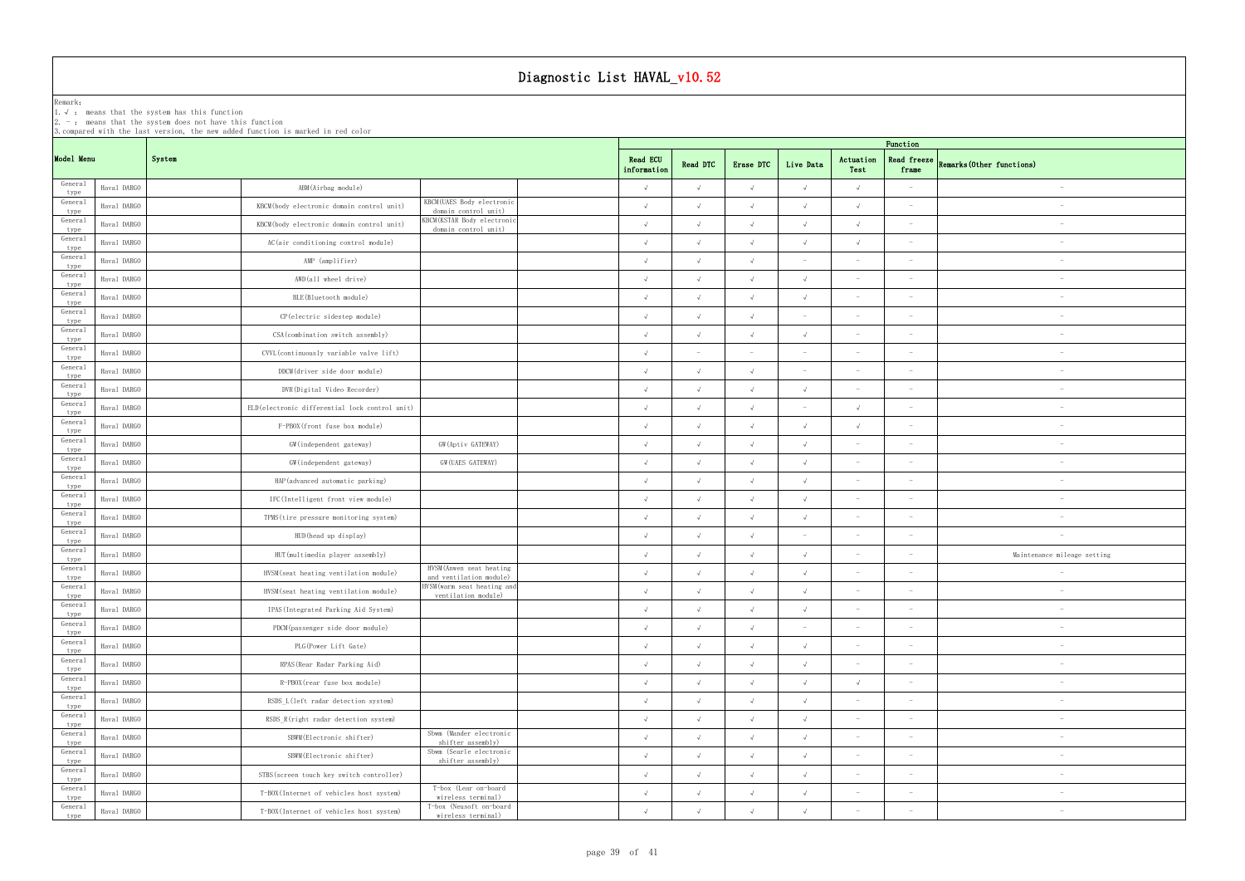|                     | Diagnostic List HAVAL_v10.52                                                                                                                                                                     |                                                 |                                                        |                         |                          |            |            |                                 |                          |                                 |  |  |  |
|---------------------|--------------------------------------------------------------------------------------------------------------------------------------------------------------------------------------------------|-------------------------------------------------|--------------------------------------------------------|-------------------------|--------------------------|------------|------------|---------------------------------|--------------------------|---------------------------------|--|--|--|
| Remark:<br>$2. - :$ | 1. $\sqrt{ }$ : means that the system has this function<br>means that the system does not have this function<br>3. compared with the last version, the new added function is marked in red color |                                                 |                                                        |                         |                          |            |            |                                 |                          |                                 |  |  |  |
|                     |                                                                                                                                                                                                  |                                                 |                                                        | Function                |                          |            |            |                                 |                          |                                 |  |  |  |
| Model Menu          | System                                                                                                                                                                                           |                                                 |                                                        | Read ECU<br>information | Read DTC                 | Erase DTC  | Live Data  | Actuation<br>Test               | Read freeze<br>frame     | Remarks (Other functions)       |  |  |  |
| General<br>type     | Haval DARGO                                                                                                                                                                                      | ABM(Airbag module)                              |                                                        | $\sqrt{ }$              | $\sqrt{ }$               | $\sqrt{ }$ | $\sqrt{ }$ | $\sqrt{ }$                      | $\overline{\phantom{a}}$ |                                 |  |  |  |
| General<br>type     | Haval DARGO                                                                                                                                                                                      | KBCM(body electronic domain control unit)       | KBCM (UAES Body electronic<br>domain control unit)     | $\sqrt{ }$              | $\sqrt{ }$               | $\sqrt{ }$ | $\sqrt{ }$ | $\sqrt{ }$                      | $\overline{\phantom{a}}$ |                                 |  |  |  |
| General<br>type     | Haval DARGO                                                                                                                                                                                      | KBCM(body electronic domain control unit)       | BCM (KSTAR Body electronic<br>domain control unit)     | $\sqrt{ }$              | $\sqrt{ }$               | $\sqrt{ }$ | $\sqrt{ }$ | $\sqrt{ }$                      | $\overline{\phantom{a}}$ |                                 |  |  |  |
| General<br>type     | Haval DARGO                                                                                                                                                                                      | AC(air conditioning control module)             |                                                        | $\sqrt{ }$              | $\sqrt{ }$               | $\sqrt{ }$ | $\sqrt{ }$ | $\sqrt{ }$                      | $\overline{\phantom{a}}$ |                                 |  |  |  |
| General<br>type     | Haval DARGO                                                                                                                                                                                      | AMP (amplifier)                                 |                                                        | $\sqrt{ }$              | $\sqrt{ }$               | $\sqrt{ }$ |            | $\overline{\phantom{a}}$        | $\overline{\phantom{a}}$ | $\overline{\phantom{0}}$        |  |  |  |
| General<br>type     | Haval DARGO                                                                                                                                                                                      | AWD(all wheel drive)                            |                                                        |                         | $\sqrt{ }$               | $\sqrt{ }$ | $\sqrt{ }$ | $\overline{\phantom{a}}$        | $\overline{\phantom{a}}$ |                                 |  |  |  |
| General<br>type     | Haval DARGO                                                                                                                                                                                      | BLE(Bluetooth module)                           |                                                        | $\sqrt{ }$              | $\sqrt{ }$               | $\sqrt{ }$ | $\sqrt{ }$ | $\overline{\phantom{a}}$        | $\sim$                   | $\hspace{0.1mm}-\hspace{0.1mm}$ |  |  |  |
| General<br>type     | Haval DARGO                                                                                                                                                                                      | CP(electric sidestep module)                    |                                                        | $\sqrt{ }$              | $\sqrt{ }$               | $\sqrt{ }$ |            | $\sim$                          | $\overline{\phantom{a}}$ |                                 |  |  |  |
| General<br>type     | Haval DARGO                                                                                                                                                                                      | CSA (combination switch assembly)               |                                                        | $\sqrt{ }$              | $\sqrt{ }$               | $\sqrt{ }$ | $\sqrt{ }$ |                                 |                          |                                 |  |  |  |
| General<br>type     | Haval DARGO                                                                                                                                                                                      | CVVL (continuously variable valve lift)         |                                                        | $\sqrt{ }$              | $\overline{\phantom{a}}$ |            |            | $\sim$                          | $\overline{\phantom{a}}$ |                                 |  |  |  |
| General<br>type     | Haval DARGO                                                                                                                                                                                      | DDCM(driver side door module)                   |                                                        | $\sqrt{ }$              | $\sqrt{ }$               | $\sqrt{ }$ |            | $\overline{\phantom{a}}$        | $\sim$                   | $\sim$                          |  |  |  |
| General<br>type     | Haval DARGO                                                                                                                                                                                      | DVR (Digital Video Recorder)                    |                                                        |                         | $\sqrt{ }$               | $\sqrt{ }$ | $\sqrt{ }$ | $\sim$                          | $\overline{\phantom{a}}$ |                                 |  |  |  |
| General<br>type     | Haval DARGO                                                                                                                                                                                      | ELD (electronic differential lock control unit) |                                                        | $\sqrt{ }$              | $\sqrt{ }$               | $\sqrt{ }$ | $\sim$     | $\sqrt{ }$                      | $\sim$                   |                                 |  |  |  |
| General<br>type     | Haval DARGO                                                                                                                                                                                      | F-PBOX(front fuse box module)                   |                                                        | $\sqrt{ }$              | $\sqrt{ }$               | $\sqrt{ }$ | $\sqrt{ }$ | $\sqrt{ }$                      | $\overline{\phantom{a}}$ | $\overline{\phantom{0}}$        |  |  |  |
| General<br>type     | Haval DARGO                                                                                                                                                                                      | GW (independent gateway)                        | GW (Aptiv GATEWAY)                                     | $\sqrt{ }$              | $\sqrt{ }$               | $\sqrt{ }$ | $\sqrt{ }$ | $\overline{\phantom{a}}$        |                          |                                 |  |  |  |
| General<br>type     | Haval DARGO                                                                                                                                                                                      | GW(independent gateway)                         | GW (UAES GATEWAY)                                      | $\sqrt{ }$              | $\sqrt{ }$               | $\sqrt{ }$ | $\sqrt{ }$ | $\overline{\phantom{a}}$        | $\overline{\phantom{m}}$ |                                 |  |  |  |
| General<br>type     | Haval DARGO                                                                                                                                                                                      | HAP (advanced automatic parking)                |                                                        |                         | $\sqrt{ }$               | $\sqrt{ }$ | $\sqrt{ }$ | $\overline{\phantom{a}}$        | $\overline{\phantom{a}}$ |                                 |  |  |  |
| General<br>type     | Haval DARGO                                                                                                                                                                                      | IFC(Intelligent front view module)              |                                                        |                         | $\sqrt{ }$               | $\sqrt{ }$ |            |                                 | $\overline{\phantom{a}}$ |                                 |  |  |  |
| General<br>type     | Haval DARGO                                                                                                                                                                                      | TPMS (tire pressure monitoring system)          |                                                        | $\sqrt{ }$              | $\sqrt{ }$               | $\sqrt{ }$ |            | $\hspace{0.1mm}-\hspace{0.1mm}$ | $\overline{\phantom{a}}$ | $\hspace{0.1mm}-\hspace{0.1mm}$ |  |  |  |
| General<br>type     | Haval DARGO                                                                                                                                                                                      | HUD (head up display)                           |                                                        | $\sqrt{ }$              | $\sqrt{ }$               | $\sqrt{ }$ |            |                                 | $\overline{\phantom{a}}$ |                                 |  |  |  |
| General             | Haval DARGO                                                                                                                                                                                      | HUT (multimedia player assembly)                |                                                        | $\sqrt{ }$              | $\sqrt{ }$               | $\sqrt{ }$ | $\sqrt{ }$ | $\overline{\phantom{a}}$        | $\overline{\phantom{a}}$ | Maintenance mileage setting     |  |  |  |
| type<br>General     | Haval DARGO                                                                                                                                                                                      | HVSM (seat heating ventilation module)          | HVSM (Anwen seat heating                               | $\sqrt{ }$              | $\sqrt{ }$               | $\sqrt{ }$ | $\sqrt{ }$ | $\overline{\phantom{a}}$        | $\overline{\phantom{a}}$ |                                 |  |  |  |
| type<br>General     | Haval DARGO                                                                                                                                                                                      | HVSM (seat heating ventilation module)          | and ventilation module)<br>HVSM (warm seat heating and | $\sqrt{ }$              | $\sqrt{ }$               | $\sqrt{ }$ | $\sqrt{ }$ | $\sim$                          | $\sim$                   |                                 |  |  |  |
| type<br>General     | Haval DARGO                                                                                                                                                                                      | IPAS (Integrated Parking Aid System)            | ventilation module)                                    | $\sqrt{ }$              | $\sqrt{ }$               | $\sqrt{ }$ | $\sqrt{ }$ | $\overline{\phantom{a}}$        | $\overline{\phantom{a}}$ |                                 |  |  |  |
| type<br>General     | Haval DARGO                                                                                                                                                                                      | PDCM(passenger side door module)                |                                                        | $\sqrt{ }$              | $\sqrt{ }$               | $\sqrt{ }$ | $\sim$     | $\sim$                          | $\sim$                   | $\hspace{0.1mm}-\hspace{0.1mm}$ |  |  |  |
| type<br>General     | Haval DARGO                                                                                                                                                                                      | PLG (Power Lift Gate)                           |                                                        | $\sqrt{ }$              | $\sqrt{ }$               | $\sqrt{ }$ | $\sqrt{ }$ | $\overline{\phantom{a}}$        | $\sim$                   |                                 |  |  |  |
| type<br>General     | Haval DARGO                                                                                                                                                                                      | RPAS (Rear Radar Parking Aid)                   |                                                        | $\sqrt{ }$              | $\sqrt{ }$               | $\sqrt{ }$ | $\sqrt{ }$ | $\overline{\phantom{a}}$        | $\sim$                   |                                 |  |  |  |
| type<br>General     | Haval DARGO                                                                                                                                                                                      | R-PBOX(rear fuse box module)                    |                                                        | $\sqrt{ }$              | $\sqrt{ }$               | $\sqrt{ }$ | $\sqrt{ }$ | $\sqrt{ }$                      | $\overline{\phantom{a}}$ |                                 |  |  |  |
| type<br>General     | Haval DARGO                                                                                                                                                                                      | RSDS L(left radar detection system)             |                                                        | $\sqrt{ }$              | $\sqrt{ }$               | $\sqrt{ }$ | $\sqrt{ }$ | $\overline{\phantom{a}}$        | $\overline{\phantom{a}}$ |                                 |  |  |  |
| type<br>General     | Haval DARGO                                                                                                                                                                                      | RSDS_R(right radar detection system)            |                                                        | $\sqrt{ }$              | $\sqrt{ }$               | $\sqrt{ }$ | $\sqrt{ }$ | $\overline{\phantom{a}}$        | $\overline{\phantom{a}}$ |                                 |  |  |  |
| type<br>General     | Haval DARGO                                                                                                                                                                                      | SBWM (Electronic shifter)                       | Sbwm (Mander electronic                                | $\sqrt{ }$              | $\sqrt{ }$               | $\sqrt{ }$ | $\sqrt{ }$ | $\sim$                          | $\overline{\phantom{a}}$ |                                 |  |  |  |
| type<br>General     | Haval DARGO                                                                                                                                                                                      | SBWM (Electronic shifter)                       | shifter assembly)<br>Sbwm (Searle electronic           | $\sqrt{ }$              | $\sqrt{ }$               | $\sqrt{ }$ | $\sqrt{ }$ | $\sim$                          | $\sim$                   |                                 |  |  |  |
| type<br>General     | Haval DARGO                                                                                                                                                                                      | STBS (screen touch key switch controller)       | shifter assembly)                                      | $\sqrt{ }$              | $\sqrt{ }$               | $\sqrt{ }$ | $\sqrt{ }$ | $\overline{\phantom{a}}$        | $\overline{\phantom{a}}$ |                                 |  |  |  |
| type<br>General     | Haval DARGO                                                                                                                                                                                      | T-BOX(Internet of vehicles host system)         | T-box (Lear on-board                                   | $\sqrt{ }$              | $\sqrt{ }$               | $\sqrt{ }$ | $\sqrt{ }$ |                                 | $\overline{\phantom{a}}$ |                                 |  |  |  |
| type<br>General     |                                                                                                                                                                                                  |                                                 | wireless terminal)<br>T-box (Neusoft on-board          |                         |                          |            |            |                                 |                          |                                 |  |  |  |
| type                | Haval DARGO                                                                                                                                                                                      | T-BOX(Internet of vehicles host system)         | wireless terminal)                                     | $\sqrt{ }$              | $\sqrt{ }$               | $\sqrt{ }$ |            | $\overline{\phantom{a}}$        | $\sim$                   |                                 |  |  |  |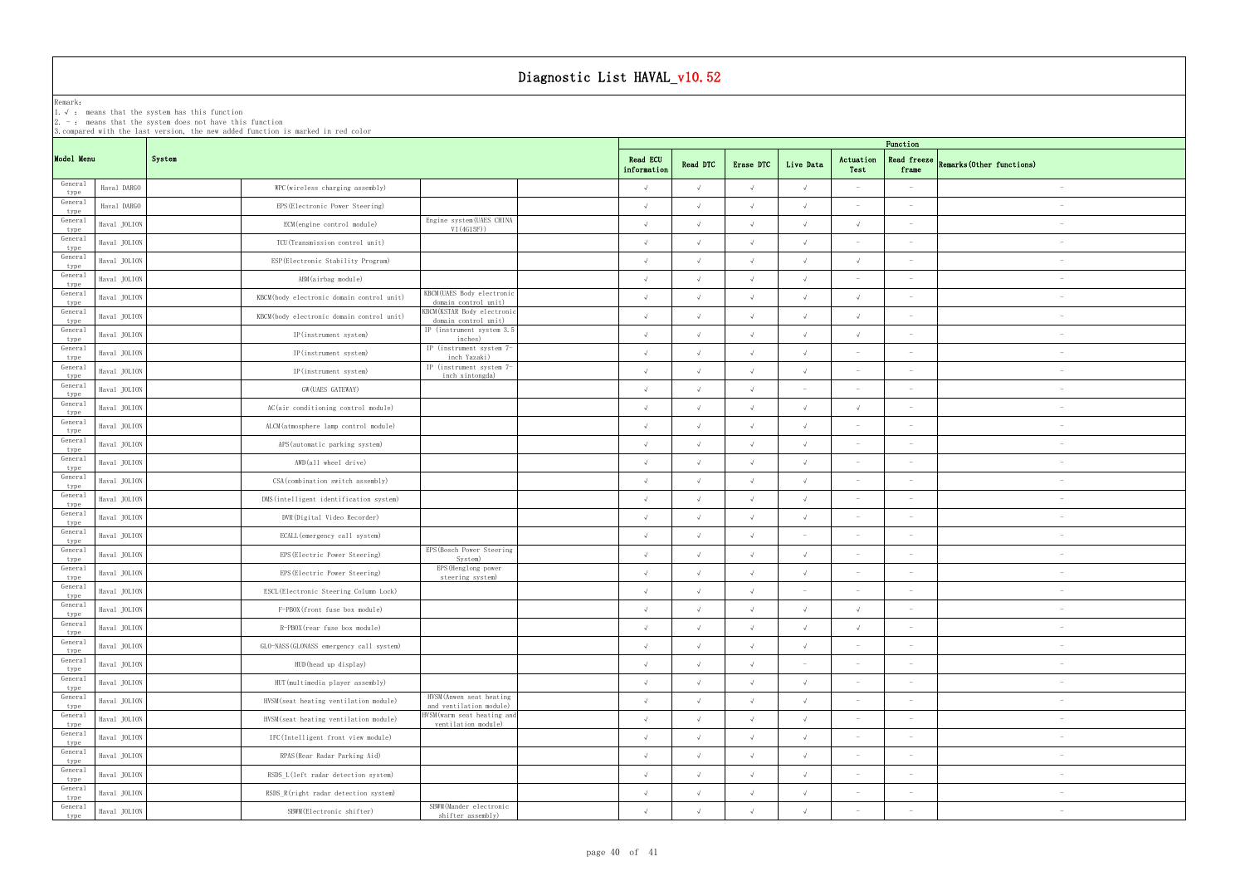|                 | Diagnostic List HAVAL_v10.52                            |                                                                                  |                                                            |             |                                                                                                                |            |            |                          |                                 |                          |  |  |
|-----------------|---------------------------------------------------------|----------------------------------------------------------------------------------|------------------------------------------------------------|-------------|----------------------------------------------------------------------------------------------------------------|------------|------------|--------------------------|---------------------------------|--------------------------|--|--|
| Remark:         | 1. $\sqrt{ }$ : means that the system has this function |                                                                                  |                                                            |             |                                                                                                                |            |            |                          |                                 |                          |  |  |
|                 |                                                         | $2. -$ : means that the system does not have this function                       |                                                            |             |                                                                                                                |            |            |                          |                                 |                          |  |  |
|                 |                                                         | 3. compared with the last version, the new added function is marked in red color |                                                            |             |                                                                                                                |            |            |                          | Function                        |                          |  |  |
| Model Menu      |                                                         | System                                                                           |                                                            |             | <b>Read ECU</b><br>Actuation<br>Read freeze<br>Live Data<br>Remarks (Other functions)<br>Read DTC<br>Erase DTC |            |            |                          |                                 |                          |  |  |
| General         |                                                         |                                                                                  |                                                            | information |                                                                                                                |            |            | Test                     | frame                           |                          |  |  |
| type<br>General | Haval DARGO                                             | WPC (wireless charging assembly)                                                 |                                                            | $\sqrt{ }$  | $\sqrt{ }$                                                                                                     | $\sqrt{ }$ | $\sqrt{ }$ |                          |                                 | $\overline{\phantom{a}}$ |  |  |
| type<br>General | Haval DARGO                                             | EPS (Electronic Power Steering)                                                  | Engine system (UAES CHINA                                  | $\sqrt{ }$  | $\sqrt{ }$                                                                                                     | $\sqrt{ }$ | $\sqrt{ }$ |                          |                                 |                          |  |  |
| type<br>General | Haval JOLION                                            | ECM (engine control module)                                                      | VI(4G15F))                                                 | $\sqrt{ }$  | $\sqrt{ }$                                                                                                     | $\sqrt{ }$ | $\sqrt{ }$ | $\sqrt{ }$               |                                 |                          |  |  |
| type<br>General | Haval JOLION                                            | TCU(Transmission control unit)                                                   |                                                            | $\sqrt{ }$  | $\sqrt{ }$                                                                                                     | $\sqrt{ }$ | $\sqrt{ }$ |                          |                                 |                          |  |  |
| type<br>General | Haval JOLION                                            | ESP (Electronic Stability Program)                                               |                                                            | $\sqrt{ }$  | $\Lambda$                                                                                                      | $\sqrt{ }$ | $\sqrt{ }$ | $\sqrt{ }$               |                                 | $\overline{\phantom{a}}$ |  |  |
| type<br>General | Haval JOLION                                            | ABM(airbag module)                                                               | KBCM(UAES Body electronic                                  | $\sqrt{ }$  | $\sqrt{ }$                                                                                                     | $\sqrt{ }$ | $\sqrt{ }$ | $\overline{\phantom{0}}$ |                                 | $\overline{\phantom{a}}$ |  |  |
| type<br>General | Haval JOLION                                            | KBCM(body electronic domain control unit)                                        | domain control unit)<br><b>KBCM</b> (KSTAR Body electronic | $\sqrt{ }$  | $\sqrt{ }$                                                                                                     | $\sqrt{ }$ | $\sqrt{ }$ | $\sqrt{ }$               |                                 | $\overline{\phantom{a}}$ |  |  |
| type<br>General | Haval JOLION                                            | KBCM(body electronic domain control unit)                                        | domain control unit)<br>IP (instrument system 3.5          | $\sqrt{ }$  | $\sqrt{ }$                                                                                                     | $\sqrt{ }$ | $\sqrt{ }$ | $\sqrt{ }$               |                                 |                          |  |  |
| type<br>General | Haval JOLION                                            | IP(instrument system)                                                            | inches)<br>IP (instrument system 7-                        | $\sqrt{ }$  | $\sqrt{ }$                                                                                                     | $\sqrt{ }$ | $\sqrt{ }$ | $\sqrt{ }$               |                                 |                          |  |  |
| type<br>General | Haval JOLION                                            | IP(instrument system)                                                            | inch Yazaki)<br>IP (instrument system 7-                   | $\sqrt{ }$  | $\sqrt{ }$                                                                                                     | $\sqrt{ }$ | $\sqrt{ }$ |                          |                                 | $\overline{\phantom{a}}$ |  |  |
| type<br>General | Haval JOLION                                            | IP(instrument system)                                                            | inch xintongda)                                            | $\sqrt{ }$  | $\sqrt{ }$                                                                                                     | $\sqrt{ }$ |            |                          |                                 | $\overline{\phantom{a}}$ |  |  |
| type<br>General | Haval JOLION                                            | GW(UAES GATEWAY)                                                                 |                                                            | $\sqrt{ }$  | $\sqrt{ }$                                                                                                     | $\sqrt{ }$ | $\sim$     | $\sim$                   | $\hspace{0.1mm}$                | $\overline{\phantom{a}}$ |  |  |
| type<br>General | Haval JOLION                                            | AC(air conditioning control module)                                              |                                                            | $\sqrt{ }$  | $\sqrt{ }$                                                                                                     | $\sqrt{ }$ | $\sqrt{ }$ | $\sqrt{ }$               | $\overline{\phantom{0}}$        | $\overline{\phantom{a}}$ |  |  |
| type            | Haval JOLION                                            | ALCM(atmosphere lamp control module)                                             |                                                            | $\sqrt{ }$  | $\sqrt{ }$                                                                                                     | $\sqrt{ }$ | $\sqrt{ }$ |                          |                                 |                          |  |  |
| General<br>type | Haval JOLION                                            | APS (automatic parking system)                                                   |                                                            | $\sqrt{ }$  | $\sqrt{ }$                                                                                                     | $\sqrt{ }$ | $\sqrt{ }$ | $\sim$                   |                                 |                          |  |  |
| General<br>type | Haval JOLION                                            | AWD(all wheel drive)                                                             |                                                            | $\sqrt{ }$  | $\sqrt{ }$                                                                                                     | $\sqrt{ }$ | $\sqrt{ }$ |                          |                                 |                          |  |  |
| General<br>type | Haval JOLION                                            | CSA (combination switch assembly)                                                |                                                            | $\sqrt{ }$  | $\sqrt{ }$                                                                                                     | $\sqrt{ }$ | $\sqrt{ }$ | $\sim$                   |                                 |                          |  |  |
| General<br>type | Haval JOLION                                            | DMS (intelligent identification system)                                          |                                                            | $\sqrt{ }$  | $\sqrt{ }$                                                                                                     | $\sqrt{ }$ | $\sqrt{ }$ | $\sim$                   | $\overline{\phantom{0}}$        | $\overline{\phantom{a}}$ |  |  |
| General<br>type | Haval JOLION                                            | DVR (Digital Video Recorder)                                                     |                                                            | $\sqrt{ }$  | $\sqrt{ }$                                                                                                     | $\sqrt{ }$ | $\sqrt{ }$ |                          |                                 | $\overline{\phantom{a}}$ |  |  |
| General<br>type | Haval JOLION                                            | ECALL (emergency call system)                                                    |                                                            | $\sqrt{ }$  | $\sqrt{ }$                                                                                                     | $\sqrt{ }$ |            |                          |                                 | $\overline{\phantom{a}}$ |  |  |
| General<br>type | Haval JOLION                                            | EPS (Electric Power Steering)                                                    | EPS (Bosch Power Steering<br>System)                       | $\sqrt{ }$  | $\sqrt{ }$                                                                                                     | $\sqrt{ }$ | $\sqrt{ }$ |                          |                                 | $\overline{\phantom{a}}$ |  |  |
| General<br>type | Haval JOLION                                            | EPS (Electric Power Steering)                                                    | EPS (Henglong power<br>steering system)                    | $\sqrt{ }$  | $\sqrt{ }$                                                                                                     | $\sqrt{ }$ | $\sqrt{ }$ |                          |                                 |                          |  |  |
| General<br>type | Haval JOLION                                            | ESCL (Electronic Steering Column Lock)                                           |                                                            | $\sqrt{ }$  | $\sqrt{ }$                                                                                                     | $\sqrt{ }$ |            |                          |                                 | $\overline{\phantom{a}}$ |  |  |
| General<br>type | Haval JOLION                                            | F-PBOX(front fuse box module)                                                    |                                                            | $\sqrt{ }$  | $\sqrt{ }$                                                                                                     | $\sqrt{ }$ | $\sqrt{ }$ | $\sqrt{ }$               | $\sim$                          | $\overline{\phantom{a}}$ |  |  |
| General<br>type | Haval JOLION                                            | R-PBOX(rear fuse box module)                                                     |                                                            | $\sqrt{ }$  | $\sqrt{ }$                                                                                                     | $\sqrt{ }$ | $\sqrt{ }$ | $\sqrt{ }$               | $\overline{\phantom{0}}$        | $\overline{\phantom{a}}$ |  |  |
| General<br>type | Haval JOLION                                            | GLO-NASS (GLONASS emergency call system)                                         |                                                            | $\sqrt{ }$  | $\sqrt{ }$                                                                                                     | $\sqrt{ }$ | $\sqrt{ }$ | $\sim$                   | $\sim$                          |                          |  |  |
| General<br>type | Haval JOLION                                            | HUD (head up display)                                                            |                                                            | $\sqrt{ }$  | $\sqrt{ }$                                                                                                     | $\sqrt{ }$ |            | $\sim$                   |                                 |                          |  |  |
| General<br>type | Haval JOLION                                            | HUT (multimedia player assembly)                                                 |                                                            | $\sqrt{ }$  | $\sqrt{ }$                                                                                                     | $\sqrt{ }$ | $\sqrt{ }$ | $\sim$                   | $\overline{\phantom{a}}$        | $\overline{\phantom{a}}$ |  |  |
| General<br>type | Haval JOLION                                            | HVSM (seat heating ventilation module)                                           | HVSM (Anwen seat heating<br>and ventilation module)        | $\sqrt{ }$  | $\sqrt{ }$                                                                                                     | $\sqrt{ }$ | $\sqrt{ }$ | $\sim$                   |                                 | $\overline{\phantom{a}}$ |  |  |
| General<br>type | Haval JOLION                                            | HVSM (seat heating ventilation module)                                           | HVSM (warm seat heating and<br>ventilation module)         | $\sqrt{ }$  | $\sqrt{ }$                                                                                                     | $\sqrt{ }$ | $\sqrt{ }$ | $\sim$                   | $\sim$                          | $\overline{\phantom{a}}$ |  |  |
| General<br>type | Haval JOLION                                            | IFC(Intelligent front view module)                                               |                                                            | $\sqrt{ }$  | $\sqrt{ }$                                                                                                     | $\sqrt{ }$ | $\sqrt{ }$ | $\sim$                   | $\hspace{0.1mm}-\hspace{0.1mm}$ | $\overline{\phantom{a}}$ |  |  |
| General<br>type | Haval JOLION                                            | RPAS (Rear Radar Parking Aid)                                                    |                                                            | $\sqrt{ }$  | $\sqrt{ }$                                                                                                     | $\sqrt{ }$ | $\sqrt{ }$ | $\sim$                   | $\hspace{0.1mm}-\hspace{0.1mm}$ | $\overline{\phantom{m}}$ |  |  |
| General<br>type | Haval JOLION                                            | RSDS_L(left radar detection system)                                              |                                                            | $\sqrt{ }$  | $\sqrt{ }$                                                                                                     | $\sqrt{ }$ | $\sqrt{ }$ |                          |                                 |                          |  |  |
| General<br>type | Haval JOLION                                            | RSDS R(right radar detection system)                                             |                                                            | $\sqrt{ }$  | $\sqrt{ }$                                                                                                     | $\sqrt{ }$ | $\sqrt{ }$ | $\sim$                   | $\hspace{0.1mm}-\hspace{0.1mm}$ |                          |  |  |
| General<br>type | Haval JOLION                                            | SBWM (Electronic shifter)                                                        | SBWM (Mander electronic<br>shifter assembly)               | $\sqrt{ }$  | $\sqrt{ }$                                                                                                     | $\sqrt{ }$ |            |                          |                                 | $\overline{\phantom{a}}$ |  |  |